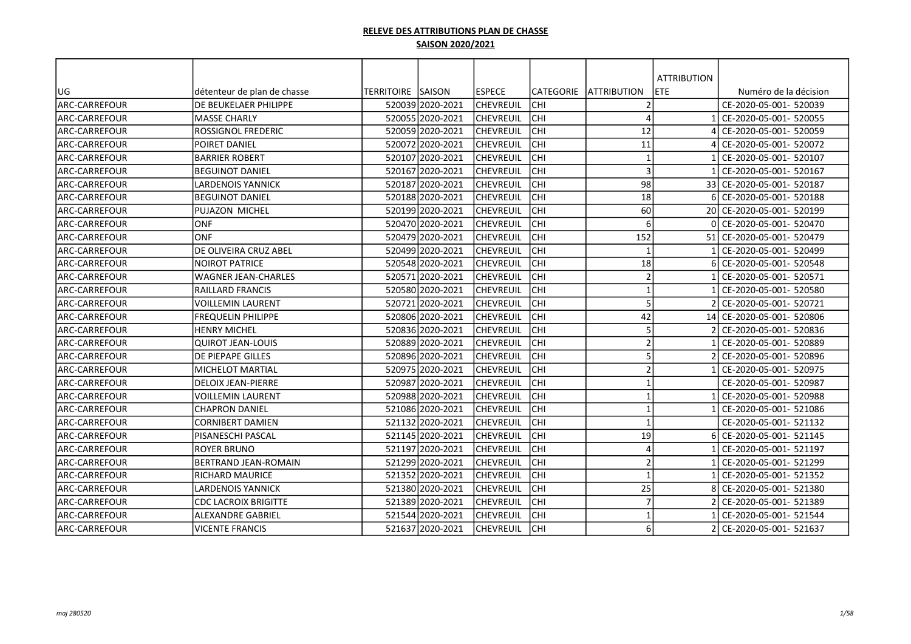|                      |                             |                    |                  |                  |                  |                         | <b>ATTRIBUTION</b> |                           |
|----------------------|-----------------------------|--------------------|------------------|------------------|------------------|-------------------------|--------------------|---------------------------|
| UG                   | détenteur de plan de chasse | TERRITOIRE ISAISON |                  | lespece          | <b>CATEGORIE</b> | <b>IATTRIBUTION</b>     | ETE                | Numéro de la décision     |
| ARC-CARREFOUR        | DE BEUKELAER PHILIPPE       |                    | 520039 2020-2021 | <b>CHEVREUIL</b> | <b>CHI</b>       | 2                       |                    | CE-2020-05-001- 520039    |
| <b>ARC-CARREFOUR</b> | MASSE CHARLY                |                    | 520055 2020-2021 | <b>CHEVREUIL</b> | lсні             | $\Delta$                |                    | CE-2020-05-001- 520055    |
| ARC-CARREFOUR        | <b>ROSSIGNOL FREDERIC</b>   |                    | 520059 2020-2021 | <b>CHEVREUIL</b> | <b>CHI</b>       | 12                      |                    | CE-2020-05-001- 520059    |
| <b>ARC-CARREFOUR</b> | POIRET DANIEL               |                    | 520072 2020-2021 | <b>CHEVREUIL</b> | CHI              | 11                      |                    | CE-2020-05-001- 520072    |
| ARC-CARREFOUR        | <b>BARRIER ROBERT</b>       |                    | 520107 2020-2021 | <b>CHEVREUIL</b> | CHI              | $\mathbf{1}$            |                    | CE-2020-05-001- 520107    |
| <b>ARC-CARREFOUR</b> | <b>BEGUINOT DANIEL</b>      |                    | 520167 2020-2021 | <b>CHEVREUIL</b> | CHI              | $\mathbf{3}$            |                    | CE-2020-05-001- 520167    |
| ARC-CARREFOUR        | <b>LARDENOIS YANNICK</b>    |                    | 520187 2020-2021 | <b>CHEVREUIL</b> | <b>CHI</b>       | 98                      |                    | 33 CE-2020-05-001- 520187 |
| ARC-CARREFOUR        | <b>BEGUINOT DANIEL</b>      |                    | 520188 2020-2021 | <b>CHEVREUIL</b> | lсні             | 18                      |                    | CE-2020-05-001- 520188    |
| <b>ARC-CARREFOUR</b> | PUJAZON MICHEL              |                    | 520199 2020-2021 | <b>CHEVREUIL</b> | lсні             | 60                      | <b>201</b>         | CE-2020-05-001- 520199    |
| <b>ARC-CARREFOUR</b> | <b>ONF</b>                  |                    | 520470 2020-2021 | <b>CHEVREUIL</b> | lсні             | 6                       |                    | CE-2020-05-001- 520470    |
| ARC-CARREFOUR        | ONF                         |                    | 520479 2020-2021 | <b>CHEVREUIL</b> | CHI              | 152                     | 51                 | CE-2020-05-001- 520479    |
| ARC-CARREFOUR        | DE OLIVEIRA CRUZ ABEL       |                    | 520499 2020-2021 | <b>CHEVREUIL</b> | lсні             | $\overline{\mathbf{1}}$ |                    | CE-2020-05-001- 520499    |
| <b>ARC-CARREFOUR</b> | NOIROT PATRICE              |                    | 520548 2020-2021 | <b>CHEVREUIL</b> | CHI              | 18                      |                    | CE-2020-05-001- 520548    |
| <b>ARC-CARREFOUR</b> | WAGNER JEAN-CHARLES         |                    | 520571 2020-2021 | <b>CHEVREUIL</b> | <b>CHI</b>       | $\overline{2}$          |                    | CE-2020-05-001- 520571    |
| <b>ARC-CARREFOUR</b> | RAILLARD FRANCIS            |                    | 520580 2020-2021 | <b>CHEVREUIL</b> | <b>CHI</b>       | $\mathbf{1}$            |                    | CE-2020-05-001- 520580    |
| <b>ARC-CARREFOUR</b> | VOILLEMIN LAURENT           |                    | 520721 2020-2021 | <b>CHEVREUIL</b> | lсні             | 5                       |                    | CE-2020-05-001- 520721    |
| <b>ARC-CARREFOUR</b> | <b>FREQUELIN PHILIPPE</b>   |                    | 520806 2020-2021 | <b>CHEVREUIL</b> | CHI              | 42                      |                    | 14 CE-2020-05-001- 520806 |
| ARC-CARREFOUR        | HENRY MICHEL                |                    | 520836 2020-2021 | <b>CHEVREUIL</b> | CHI              | 5                       |                    | CE-2020-05-001- 520836    |
| <b>ARC-CARREFOUR</b> | <b>QUIROT JEAN-LOUIS</b>    |                    | 520889 2020-2021 | <b>CHEVREUIL</b> | CHI              | $\overline{2}$          |                    | CE-2020-05-001- 520889    |
| <b>ARC-CARREFOUR</b> | DE PIEPAPE GILLES           |                    | 520896 2020-2021 | <b>CHEVREUIL</b> | CHI              | 5                       |                    | CE-2020-05-001- 520896    |
| ARC-CARREFOUR        | MICHELOT MARTIAL            |                    | 520975 2020-2021 | <b>CHEVREUIL</b> | <b>CHI</b>       | $\overline{2}$          |                    | CE-2020-05-001- 520975    |
| <b>ARC-CARREFOUR</b> | <b>DELOIX JEAN-PIERRE</b>   |                    | 520987 2020-2021 | <b>CHEVREUIL</b> | lсні             | $\mathbf{1}$            |                    | CE-2020-05-001- 520987    |
| ARC-CARREFOUR        | VOILLEMIN LAURENT           |                    | 520988 2020-2021 | <b>CHEVREUIL</b> | <b>CHI</b>       | $\mathbf{1}$            |                    | CE-2020-05-001- 520988    |
| <b>ARC-CARREFOUR</b> | CHAPRON DANIEL              |                    | 521086 2020-2021 | <b>CHEVREUIL</b> | lсні             | $\mathbf 1$             |                    | CE-2020-05-001- 521086    |
| ARC-CARREFOUR        | CORNIBERT DAMIEN            |                    | 521132 2020-2021 | <b>CHEVREUIL</b> | CHI              | $\mathbf{1}$            |                    | CE-2020-05-001- 521132    |
| <b>ARC-CARREFOUR</b> | PISANESCHI PASCAL           |                    | 521145 2020-2021 | <b>CHEVREUIL</b> | CHI              | 19                      |                    | CE-2020-05-001- 521145    |
| <b>ARC-CARREFOUR</b> | ROYER BRUNO                 |                    | 521197 2020-2021 | CHEVREUIL        | CHI              | $\Delta$                |                    | CE-2020-05-001- 521197    |
| <b>ARC-CARREFOUR</b> | <b>BERTRAND JEAN-ROMAIN</b> |                    | 521299 2020-2021 | ICHEVREUIL       | lсні             | $\mathcal{I}$           |                    | CE-2020-05-001- 521299    |
| <b>ARC-CARREFOUR</b> | RICHARD MAURICE             |                    | 521352 2020-2021 | <b>CHEVREUIL</b> | <b>CHI</b>       | $\mathbf{1}$            |                    | CE-2020-05-001- 521352    |
| <b>ARC-CARREFOUR</b> | LARDENOIS YANNICK           |                    | 521380 2020-2021 | <b>CHEVREUIL</b> | lсні             | 25                      |                    | CE-2020-05-001- 521380    |
| <b>ARC-CARREFOUR</b> | <b>CDC LACROIX BRIGITTE</b> |                    | 521389 2020-2021 | <b>CHEVREUIL</b> | <b>CHI</b>       | $\overline{7}$          |                    | CE-2020-05-001- 521389    |
| <b>ARC-CARREFOUR</b> | ALEXANDRE GABRIEL           |                    | 521544 2020-2021 | <b>CHEVREUIL</b> | CHI              | $\mathbf{1}$            |                    | CE-2020-05-001- 521544    |
| ARC-CARREFOUR        | <b>VICENTE FRANCIS</b>      |                    | 521637 2020-2021 | <b>CHEVREUIL</b> | lсні             | 6                       |                    | CE-2020-05-001- 521637    |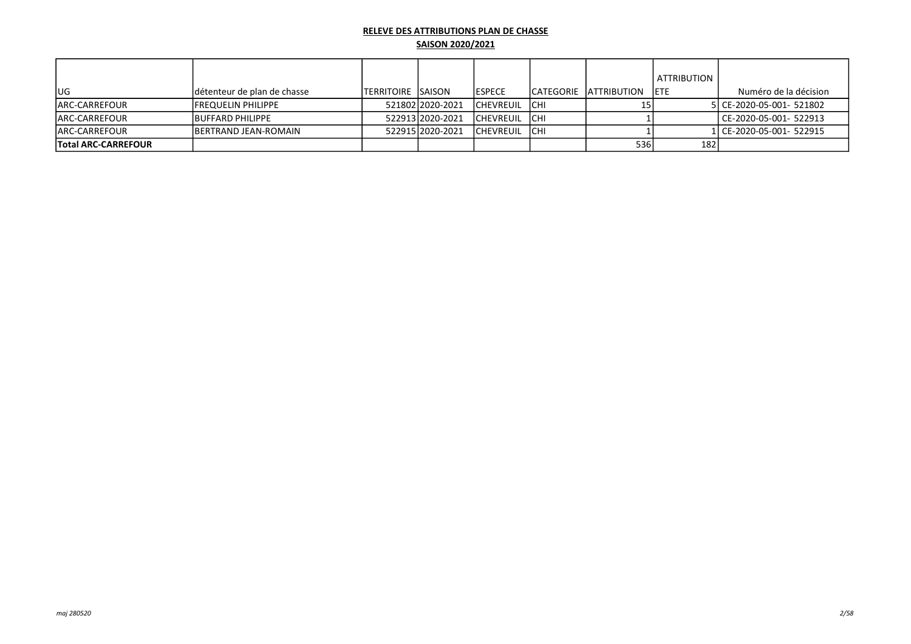|                            |                              |                            |                  |                   |             |                         | ATTRIBUTION |                           |
|----------------------------|------------------------------|----------------------------|------------------|-------------------|-------------|-------------------------|-------------|---------------------------|
| lug                        | Idétenteur de plan de chasse | <b>ITERRITOIRE ISAISON</b> |                  | <b>IESPECE</b>    |             | ICATEGORIE IATTRIBUTION | <b>IETE</b> | Numéro de la décision     |
| <b>JARC-CARREFOUR</b>      | <b>IFREQUELIN PHILIPPE</b>   |                            | 521802 2020-2021 | <b>CHEVREUIL</b>  | <b>ICHI</b> |                         |             | 5 CE-2020-05-001- 521802  |
| <b>IARC-CARREFOUR</b>      | <b>BUFFARD PHILIPPE</b>      |                            | 522913 2020-2021 | ICHEVREUIL        | <b>ICHI</b> |                         |             | CE-2020-05-001- 522913    |
| <b>JARC-CARREFOUR</b>      | <b>IBERTRAND JEAN-ROMAIN</b> |                            | 52291512020-2021 | <b>ICHEVREUIL</b> | <b>ICHI</b> |                         |             | 1l CE-2020-05-001- 522915 |
| <b>Total ARC-CARREFOUR</b> |                              |                            |                  |                   |             | 536                     | 182         |                           |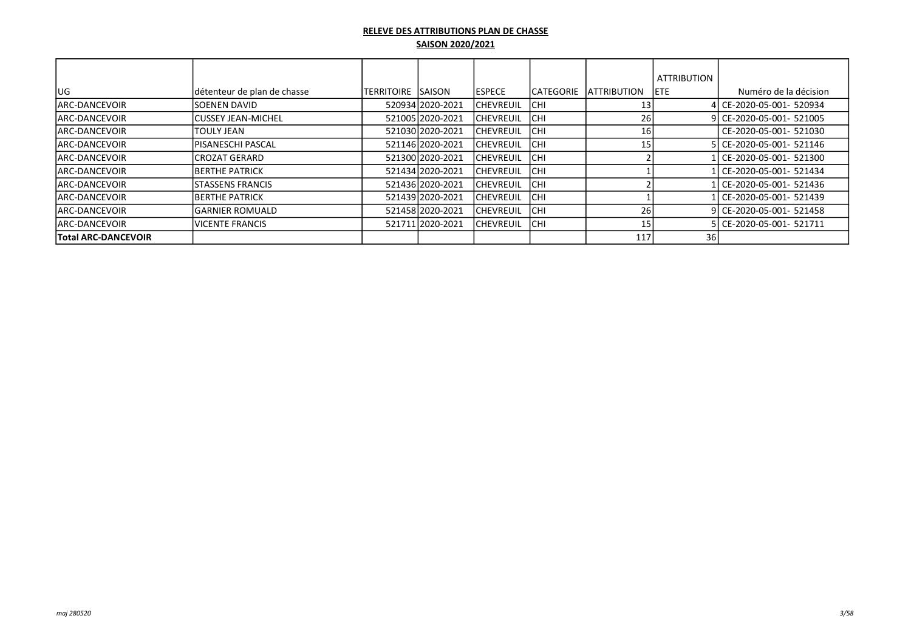|                            |                             |             |                  |                   |                   |                     | <b>ATTRIBUTION</b> |                          |
|----------------------------|-----------------------------|-------------|------------------|-------------------|-------------------|---------------------|--------------------|--------------------------|
| lug                        | détenteur de plan de chasse | ITERRITOIRE | <b>ISAISON</b>   | <b>IESPECE</b>    | <b>ICATEGORIE</b> | <b>LATTRIBUTION</b> | IETE.              | Numéro de la décision    |
| <b>IARC-DANCEVOIR</b>      | ISOENEN DAVID               |             | 52093412020-2021 | <b>CHEVREUIL</b>  | <b>ICHI</b>       |                     |                    | l CE-2020-05-001- 520934 |
| <b>IARC-DANCEVOIR</b>      | lCUSSEY JEAN-MICHEL         |             | 521005 2020-2021 | ICHEVREUIL        | <b>ICHI</b>       | 26 <sub>1</sub>     |                    | 9 CE-2020-05-001- 521005 |
| IARC-DANCEVOIR             | TOULY JEAN                  |             | 521030 2020-2021 | <b>ICHEVREUIL</b> | <b>ICHI</b>       | 16.                 |                    | CE-2020-05-001- 521030   |
| <b>IARC-DANCEVOIR</b>      | lPISANESCHI PASCAL          |             | 521146 2020-2021 | <b>ICHEVREUIL</b> | <b>ICHI</b>       |                     |                    | 5 CE-2020-05-001- 521146 |
| <b>ARC-DANCEVOIR</b>       | lCROZAT GERARD              |             | 521300 2020-2021 | ICHEVREUIL        | <b>ICHI</b>       |                     |                    | CE-2020-05-001- 521300   |
| <b>JARC-DANCEVOIR</b>      | IBERTHE PATRICK             |             | 521434 2020-2021 | <b>ICHEVREUIL</b> | <b>ICHI</b>       |                     |                    | CE-2020-05-001- 521434   |
| <b>IARC-DANCEVOIR</b>      | ISTASSENS FRANCIS           |             | 521436 2020-2021 | <b>ICHEVREUIL</b> | <b>ICHI</b>       |                     |                    | l CE-2020-05-001- 521436 |
| <b>ARC-DANCEVOIR</b>       | IBERTHE PATRICK             |             | 521439 2020-2021 | <b>ICHEVREUIL</b> | <b>ICHI</b>       |                     |                    | CE-2020-05-001- 521439   |
| <b>IARC-DANCEVOIR</b>      | lGARNIER ROMUALD            |             | 52145812020-2021 | <b>CHEVREUIL</b>  | <b>ICHI</b>       | 26                  |                    | 9 CE-2020-05-001- 521458 |
| <b>IARC-DANCEVOIR</b>      | <b>VICENTE FRANCIS</b>      |             | 52171112020-2021 | <b>ICHEVREUIL</b> | <b>ICHI</b>       | 15                  |                    | 5 CE-2020-05-001- 521711 |
| <b>Total ARC-DANCEVOIR</b> |                             |             |                  |                   |                   | 117                 | 36 I               |                          |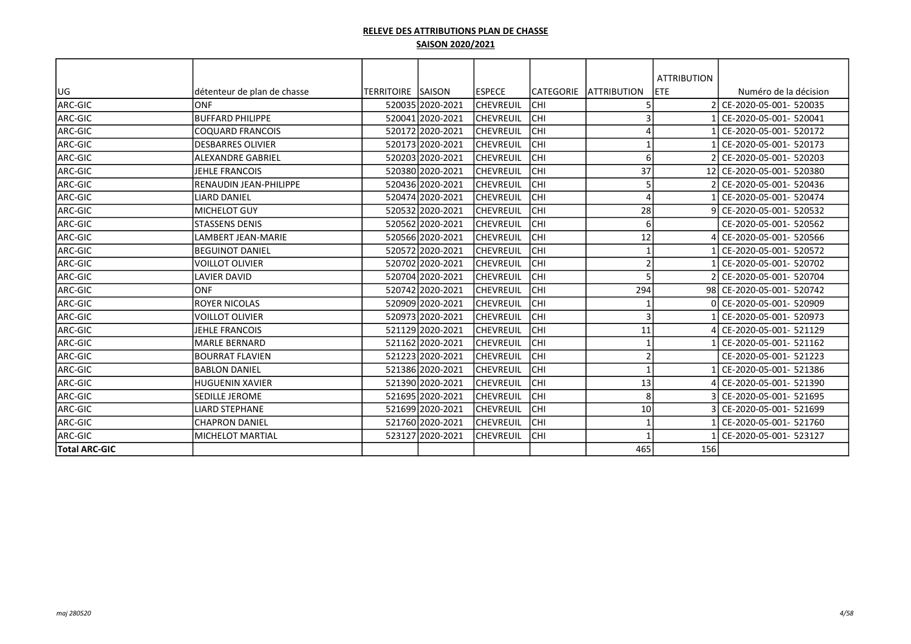|                      |                             |                          |                  |                  |           |                          | <b>ATTRIBUTION</b> |                           |
|----------------------|-----------------------------|--------------------------|------------------|------------------|-----------|--------------------------|--------------------|---------------------------|
| lug                  | détenteur de plan de chasse | <b>TERRITOIRE SAISON</b> |                  | <b>ESPECE</b>    | CATEGORIE | <b>ATTRIBUTION</b>       | <b>ETE</b>         | Numéro de la décision     |
| ARC-GIC              | lonf                        |                          | 520035 2020-2021 | <b>CHEVREUIL</b> | CHI       | 5                        |                    | 2 CE-2020-05-001- 520035  |
| ARC-GIC              | <b>IBUFFARD PHILIPPE</b>    |                          | 520041 2020-2021 | <b>CHEVREUIL</b> | CHI       | 3                        |                    | CE-2020-05-001- 520041    |
| ARC-GIC              | <b>COQUARD FRANCOIS</b>     |                          | 520172 2020-2021 | CHEVREUIL        | CHI       | 4                        |                    | 1 CE-2020-05-001- 520172  |
| ARC-GIC              | <b>DESBARRES OLIVIER</b>    |                          | 520173 2020-2021 | CHEVREUIL        | CHI       | -1                       |                    | CE-2020-05-001- 520173    |
| ARC-GIC              | <b>ALEXANDRE GABRIEL</b>    |                          | 520203 2020-2021 | CHEVREUIL        | CHI       | 6                        |                    | 2 CE-2020-05-001- 520203  |
| ARC-GIC              | <b>JEHLE FRANCOIS</b>       |                          | 520380 2020-2021 | <b>CHEVREUIL</b> | CHI       | 37                       |                    | 12 CE-2020-05-001- 520380 |
| ARC-GIC              | RENAUDIN JEAN-PHILIPPE      |                          | 520436 2020-2021 | CHEVREUIL        | CHI       | 5                        |                    | 2 CE-2020-05-001- 520436  |
| ARC-GIC              | <b>LIARD DANIEL</b>         |                          | 520474 2020-2021 | CHEVREUIL        | CHI       | 4                        |                    | CE-2020-05-001- 520474    |
| ARC-GIC              | <b>MICHELOT GUY</b>         |                          | 520532 2020-2021 | CHEVREUIL        | CHI       | 28                       |                    | 9 CE-2020-05-001- 520532  |
| ARC-GIC              | <b>STASSENS DENIS</b>       |                          | 520562 2020-2021 | CHEVREUIL        | CHI       | 6                        |                    | CE-2020-05-001- 520562    |
| ARC-GIC              | <b>LAMBERT JEAN-MARIE</b>   |                          | 520566 2020-2021 | CHEVREUIL        | CHI       | 12                       |                    | CE-2020-05-001- 520566    |
| ARC-GIC              | lbeguinot daniel            |                          | 520572 2020-2021 | CHEVREUIL        | CHI       | $\mathbf{1}$             |                    | CE-2020-05-001- 520572    |
| ARC-GIC              | <b>VOILLOT OLIVIER</b>      |                          | 520702 2020-2021 | CHEVREUIL        | CHI       | $\overline{2}$           |                    | CE-2020-05-001- 520702    |
| ARC-GIC              | <b>LAVIER DAVID</b>         |                          | 520704 2020-2021 | <b>CHEVREUIL</b> | CHI       | 5                        |                    | 2 CE-2020-05-001- 520704  |
| ARC-GIC              | lonf                        |                          | 520742 2020-2021 | <b>CHEVREUIL</b> | CHI       | 294                      |                    | 98 CE-2020-05-001- 520742 |
| ARC-GIC              | ROYER NICOLAS               |                          | 520909 2020-2021 | <b>CHEVREUIL</b> | CHI       | $\mathbf{1}$             |                    | 0 CE-2020-05-001- 520909  |
| ARC-GIC              | <b>VOILLOT OLIVIER</b>      |                          | 520973 2020-2021 | CHEVREUIL        | CHI       | 3                        |                    | CE-2020-05-001- 520973    |
| ARC-GIC              | <b>JEHLE FRANCOIS</b>       |                          | 521129 2020-2021 | <b>CHEVREUIL</b> | CHI       | 11                       |                    | 4 CE-2020-05-001- 521129  |
| ARC-GIC              | <b>MARLE BERNARD</b>        |                          | 521162 2020-2021 | CHEVREUIL        | CHI       | $\overline{1}$           |                    | CE-2020-05-001- 521162    |
| ARC-GIC              | IBOURRAT FLAVIEN            |                          | 521223 2020-2021 | <b>CHEVREUIL</b> | CHI       | $\mathcal{P}$            |                    | CE-2020-05-001- 521223    |
| ARC-GIC              | <b>BABLON DANIEL</b>        |                          | 521386 2020-2021 | <b>CHEVREUIL</b> | CHI       | $\overline{\phantom{a}}$ |                    | CE-2020-05-001- 521386    |
| ARC-GIC              | <b>HUGUENIN XAVIER</b>      |                          | 521390 2020-2021 | <b>CHEVREUIL</b> | CHI       | 13                       |                    | 4 CE-2020-05-001- 521390  |
| ARC-GIC              | SEDILLE JEROME              |                          | 521695 2020-2021 | <b>CHEVREUIL</b> | CHI       | 8                        |                    | CE-2020-05-001- 521695    |
| ARC-GIC              | <b>LIARD STEPHANE</b>       |                          | 521699 2020-2021 | CHEVREUIL        | CHI       | 10                       |                    | 3 CE-2020-05-001- 521699  |
| ARC-GIC              | <b>CHAPRON DANIEL</b>       |                          | 521760 2020-2021 | CHEVREUIL        | CHI       | $\overline{\phantom{a}}$ |                    | CE-2020-05-001- 521760    |
| <b>ARC-GIC</b>       | <b>MICHELOT MARTIAL</b>     |                          | 523127 2020-2021 | CHEVREUIL        | CHI       | -1                       |                    | CE-2020-05-001- 523127    |
| <b>Total ARC-GIC</b> |                             |                          |                  |                  |           | 465                      | 156                |                           |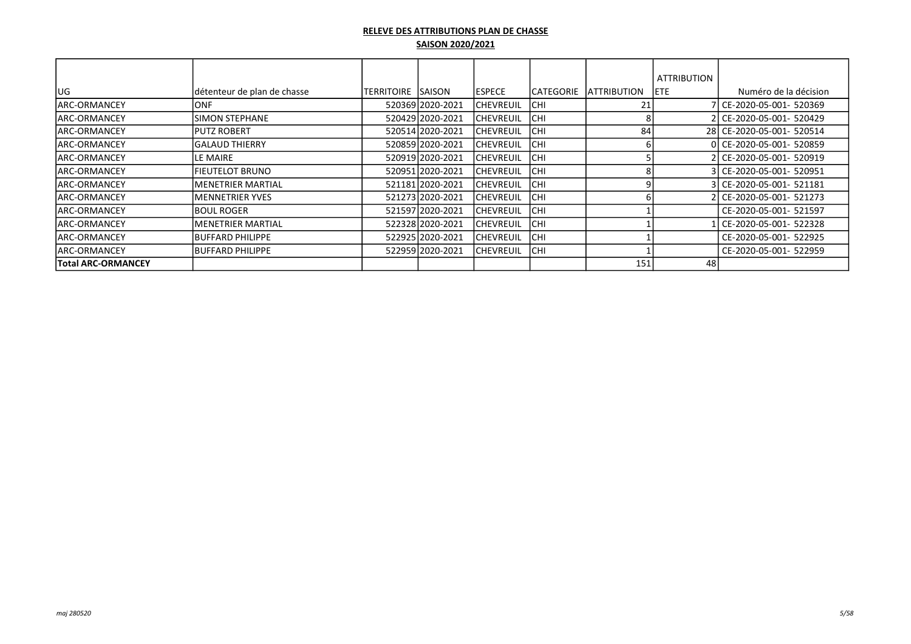|                      |                             |                     |                  |                  |                   |                     | <b>ATTRIBUTION</b> |                           |
|----------------------|-----------------------------|---------------------|------------------|------------------|-------------------|---------------------|--------------------|---------------------------|
| lug                  | détenteur de plan de chasse | <b>TERRITOIRE</b> I | SAISON           | <b>ESPECE</b>    | <b>ICATEGORIE</b> | <b>LATTRIBUTION</b> | IETE.              | Numéro de la décision     |
| IARC-ORMANCEY        | IONF                        |                     | 520369 2020-2021 | <b>CHEVREUIL</b> | ICHI              | 21                  |                    | 7 CE-2020-05-001- 520369  |
| <b>JARC-ORMANCEY</b> | <b>SIMON STEPHANE</b>       |                     | 520429 2020-2021 | CHEVREUIL        | Існі              |                     |                    | 2 CE-2020-05-001- 520429  |
| <b>JARC-ORMANCEY</b> | <b>IPUTZ ROBERT</b>         |                     | 520514 2020-2021 | <b>CHEVREUIL</b> | ICHI              | 84                  |                    | 28 CE-2020-05-001- 520514 |
| <b>JARC-ORMANCEY</b> | IGALAUD THIERRY             |                     | 520859 2020-2021 | <b>CHEVREUIL</b> | Існі              |                     |                    | 0l CE-2020-05-001- 520859 |
| <b>JARC-ORMANCEY</b> | LE MAIRE                    |                     | 520919 2020-2021 | CHEVREUIL        | Існі              |                     |                    | 2 CE-2020-05-001- 520919  |
| <b>IARC-ORMANCEY</b> | FIEUTELOT BRUNO             |                     | 520951 2020-2021 | <b>CHEVREUIL</b> | <b>CHI</b>        |                     |                    | 3l CE-2020-05-001- 520951 |
| <b>JARC-ORMANCEY</b> | IMENETRIER MARTIAL          |                     | 521181 2020-2021 | <b>CHEVREUIL</b> | Існі              |                     |                    | 3 CE-2020-05-001- 521181  |
| <b>JARC-ORMANCEY</b> | <b>MENNETRIER YVES</b>      |                     | 521273 2020-2021 | <b>CHEVREUIL</b> | Існі              |                     |                    | CE-2020-05-001- 521273    |
| <b>JARC-ORMANCEY</b> | <b>IBOUL ROGER</b>          |                     | 521597 2020-2021 | <b>CHEVREUIL</b> | Існі              |                     |                    | CE-2020-05-001- 521597    |
| <b>JARC-ORMANCEY</b> | IMENETRIER MARTIAL          |                     | 522328 2020-2021 | <b>CHEVREUIL</b> | Існі              |                     |                    | CE-2020-05-001- 522328    |
| ARC-ORMANCEY         | <b>IBUFFARD PHILIPPE</b>    |                     | 522925 2020-2021 | <b>CHEVREUIL</b> | ICHI              |                     |                    | CE-2020-05-001- 522925    |
| <b>ARC-ORMANCEY</b>  | <b>BUFFARD PHILIPPE</b>     |                     | 522959 2020-2021 | <b>CHEVREUIL</b> | <b>CHI</b>        |                     |                    | CE-2020-05-001- 522959    |
| Total ARC-ORMANCEY   |                             |                     |                  |                  |                   | 151                 | 48                 |                           |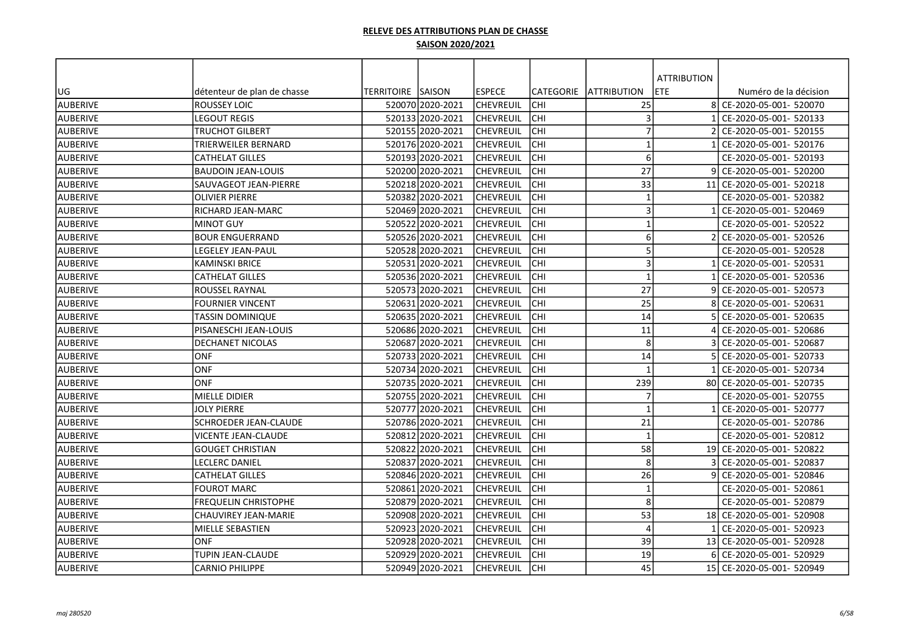|                 |                              |                           |                  |                  |                  |                         | <b>ATTRIBUTION</b> |                           |
|-----------------|------------------------------|---------------------------|------------------|------------------|------------------|-------------------------|--------------------|---------------------------|
| UG              | détenteur de plan de chasse  | <b>TERRITOIRE ISAISON</b> |                  | lespece          | <b>CATEGORIE</b> | <b>JATTRIBUTION</b>     | <b>ETE</b>         | Numéro de la décision     |
| <b>AUBERIVE</b> | ROUSSEY LOIC                 |                           | 520070 2020-2021 | <b>CHEVREUIL</b> | <b>CHI</b>       | 25                      |                    | 8 CE-2020-05-001- 520070  |
| AUBERIVE        | LEGOUT REGIS                 |                           | 520133 2020-2021 | <b>CHEVREUIL</b> | CHI              | 3                       |                    | CE-2020-05-001- 520133    |
| AUBERIVE        | TRUCHOT GILBERT              |                           | 520155 2020-2021 | CHEVREUIL        | CHI              | $\overline{7}$          |                    | CE-2020-05-001- 520155    |
| AUBERIVE        | TRIERWEILER BERNARD          |                           | 520176 2020-2021 | <b>CHEVREUIL</b> | CHI              | $\mathbf{1}$            |                    | CE-2020-05-001- 520176    |
| <b>AUBERIVE</b> | CATHELAT GILLES              |                           | 520193 2020-2021 | <b>CHEVREUIL</b> | CHI              | 6                       |                    | CE-2020-05-001- 520193    |
| <b>AUBERIVE</b> | <b>BAUDOIN JEAN-LOUIS</b>    |                           | 520200 2020-2021 | CHEVREUIL        | <b>CHI</b>       | 27                      |                    | CE-2020-05-001- 520200    |
| <b>AUBERIVE</b> | SAUVAGEOT JEAN-PIERRE        |                           | 520218 2020-2021 | <b>CHEVREUIL</b> | CHI              | 33                      | 11                 | CE-2020-05-001- 520218    |
| <b>AUBERIVE</b> | OLIVIER PIERRE               |                           | 520382 2020-2021 | CHEVREUIL        | CHI              | $\overline{\mathbf{1}}$ |                    | CE-2020-05-001- 520382    |
| AUBERIVE        | RICHARD JEAN-MARC            |                           | 520469 2020-2021 | <b>CHEVREUIL</b> | lсні             | $\mathbf{3}$            |                    | CE-2020-05-001- 520469    |
| AUBERIVE        | <b>MINOT GUY</b>             |                           | 520522 2020-2021 | lchevreuil       | lсні             | $\mathbf{1}$            |                    | CE-2020-05-001- 520522    |
| AUBERIVE        | <b>BOUR ENGUERRAND</b>       |                           | 520526 2020-2021 | <b>CHEVREUIL</b> | <b>CHI</b>       | 6                       |                    | CE-2020-05-001- 520526    |
| AUBERIVE        | LEGELEY JEAN-PAUL            |                           | 520528 2020-2021 | <b>CHEVREUIL</b> | CHI              | 5                       |                    | CE-2020-05-001- 520528    |
| AUBERIVE        | KAMINSKI BRICE               |                           | 520531 2020-2021 | <b>CHEVREUIL</b> | CHI              | 3                       |                    | CE-2020-05-001- 520531    |
| AUBERIVE        | <b>CATHELAT GILLES</b>       |                           | 520536 2020-2021 | CHEVREUIL        | CHI              | $\mathbf{1}$            |                    | CE-2020-05-001- 520536    |
| AUBERIVE        | ROUSSEL RAYNAL               |                           | 520573 2020-2021 | CHEVREUIL        | CHI              | 27                      |                    | CE-2020-05-001- 520573    |
| AUBERIVE        | FOURNIER VINCENT             |                           | 520631 2020-2021 | <b>CHEVREUIL</b> | CHI              | 25                      |                    | CE-2020-05-001- 520631    |
| <b>AUBERIVE</b> | TASSIN DOMINIQUE             |                           | 52063512020-2021 | lchevreuil       | <b>CHI</b>       | 14                      |                    | CE-2020-05-001- 520635    |
| <b>AUBERIVE</b> | PISANESCHI JEAN-LOUIS        |                           | 520686 2020-2021 | CHEVREUIL        | CHI              | 11                      |                    | CE-2020-05-001- 520686    |
| AUBERIVE        | DECHANET NICOLAS             |                           | 520687 2020-2021 | CHEVREUIL        | CHI              | 8                       |                    | CE-2020-05-001- 520687    |
| AUBERIVE        | <b>ONF</b>                   |                           | 520733 2020-2021 | <b>CHEVREUIL</b> | CHI              | 14                      |                    | CE-2020-05-001- 520733    |
| AUBERIVE        | ONF                          |                           | 520734 2020-2021 | lchevreuil       | lсні             | $\overline{1}$          |                    | CE-2020-05-001- 520734    |
| AUBERIVE        | ONF                          |                           | 520735 2020-2021 | <b>CHEVREUIL</b> | CHI              | 239                     |                    | 80 CE-2020-05-001- 520735 |
| AUBERIVE        | <b>MIELLE DIDIER</b>         |                           | 520755 2020-2021 | <b>CHEVREUIL</b> | lсні             | $\overline{7}$          |                    | CE-2020-05-001- 520755    |
| AUBERIVE        | <b>JOLY PIERRE</b>           |                           | 520777 2020-2021 | <b>CHEVREUIL</b> | CHI              | $\overline{1}$          |                    | CE-2020-05-001- 520777    |
| AUBERIVE        | <b>SCHROEDER JEAN-CLAUDE</b> |                           | 520786 2020-2021 | CHEVREUIL        | CHI              | 21                      |                    | CE-2020-05-001- 520786    |
| AUBERIVE        | VICENTE JEAN-CLAUDE          |                           | 520812 2020-2021 | CHEVREUIL        | CHI              | $\mathbf{1}$            |                    | CE-2020-05-001- 520812    |
| AUBERIVE        | <b>GOUGET CHRISTIAN</b>      |                           | 520822 2020-2021 | <b>CHEVREUIL</b> | CHI              | 58                      |                    | 19 CE-2020-05-001- 520822 |
| <b>AUBERIVE</b> | LECLERC DANIEL               |                           | 520837 2020-2021 | CHEVREUIL        | <b>CHI</b>       | 8                       |                    | CE-2020-05-001- 520837    |
| <b>AUBERIVE</b> | CATHELAT GILLES              |                           | 520846 2020-2021 | CHEVREUIL        | CHI              | 26                      |                    | CE-2020-05-001- 520846    |
| <b>AUBERIVE</b> | <b>FOUROT MARC</b>           |                           | 520861 2020-2021 | CHEVREUIL        | CHI              | $\mathbf{1}$            |                    | CE-2020-05-001- 520861    |
| <b>AUBERIVE</b> | <b>FREQUELIN CHRISTOPHE</b>  |                           | 520879 2020-2021 | CHEVREUIL        | CHI              | 8                       |                    | CE-2020-05-001- 520879    |
| AUBERIVE        | CHAUVIREY JEAN-MARIE         |                           | 520908 2020-2021 | <b>CHEVREUIL</b> | lсні             | 53                      |                    | 18 CE-2020-05-001- 520908 |
| AUBERIVE        | MIELLE SEBASTIEN             |                           | 520923 2020-2021 | CHEVREUIL        | <b>CHI</b>       | $\overline{4}$          |                    | CE-2020-05-001- 520923    |
| AUBERIVE        | ONF                          |                           | 520928 2020-2021 | <b>CHEVREUIL</b> | <b>CHI</b>       | 39                      |                    | 13 CE-2020-05-001- 520928 |
| AUBERIVE        | TUPIN JEAN-CLAUDE            |                           | 520929 2020-2021 | CHEVREUIL        | CHI              | 19                      |                    | CE-2020-05-001- 520929    |
| AUBERIVE        | CARNIO PHILIPPE              |                           | 520949 2020-2021 | <b>CHEVREUIL</b> | <b>CHI</b>       | 45                      |                    | 15 CE-2020-05-001- 520949 |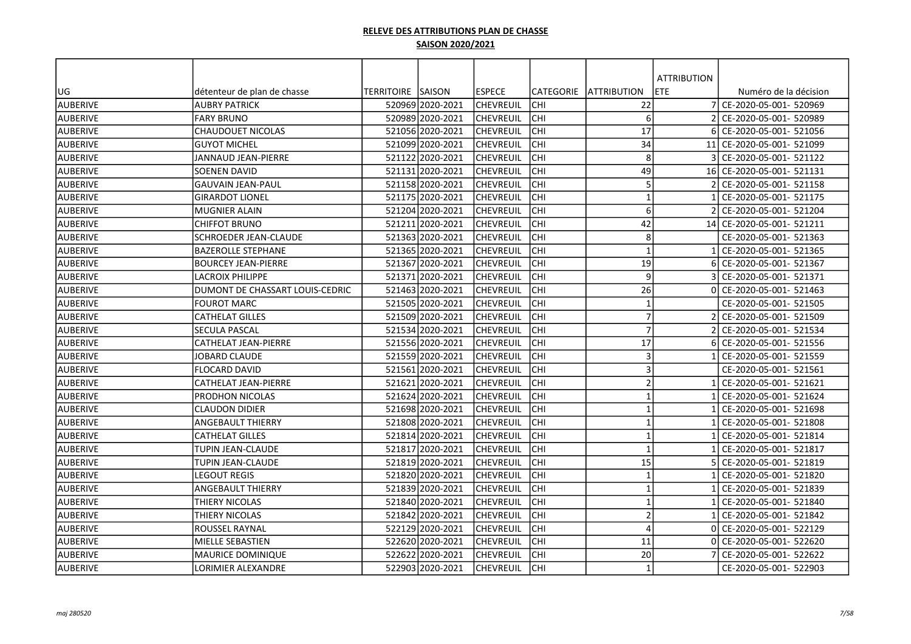|                 |                                 |                           |                  |                  |            |                         | <b>ATTRIBUTION</b> |                           |
|-----------------|---------------------------------|---------------------------|------------------|------------------|------------|-------------------------|--------------------|---------------------------|
| UG              | détenteur de plan de chasse     | <b>TERRITOIRE ISAISON</b> |                  | lespece          | lCATEGORIE | <b>JATTRIBUTION</b>     | <b>ETE</b>         | Numéro de la décision     |
| <b>AUBERIVE</b> | <b>AUBRY PATRICK</b>            |                           | 520969 2020-2021 | <b>CHEVREUIL</b> | Існі       | 22                      |                    | CE-2020-05-001- 520969    |
| <b>AUBERIVE</b> | FARY BRUNO                      |                           | 520989 2020-2021 | <b>CHEVREUIL</b> | сні        | 6                       | $\mathcal{P}$      | CE-2020-05-001- 520989    |
| <b>AUBERIVE</b> | <b>CHAUDOUET NICOLAS</b>        |                           | 521056 2020-2021 | CHEVREUIL        | <b>CHI</b> | 17                      |                    | CE-2020-05-001- 521056    |
| <b>AUBERIVE</b> | <b>GUYOT MICHEL</b>             |                           | 521099 2020-2021 | <b>CHEVREUIL</b> | <b>CHI</b> | 34                      | 11                 | CE-2020-05-001- 521099    |
| <b>AUBERIVE</b> | <b>JANNAUD JEAN-PIERRE</b>      |                           | 521122 2020-2021 | <b>CHEVREUIL</b> | lсні       | 8                       |                    | CE-2020-05-001- 521122    |
| <b>AUBERIVE</b> | <b>SOENEN DAVID</b>             |                           | 521131 2020-2021 | <b>CHEVREUIL</b> | Існі       | 49                      |                    | 16 CE-2020-05-001- 521131 |
| <b>AUBERIVE</b> | <b>GAUVAIN JEAN-PAUL</b>        |                           | 521158 2020-2021 | <b>CHEVREUIL</b> | <b>CHI</b> | 5                       |                    | CE-2020-05-001- 521158    |
| <b>AUBERIVE</b> | <b>GIRARDOT LIONEL</b>          |                           | 521175 2020-2021 | <b>CHEVREUIL</b> | <b>CHI</b> | $\overline{\mathbf{1}}$ |                    | CE-2020-05-001- 521175    |
| <b>AUBERIVE</b> | <b>MUGNIER ALAIN</b>            |                           | 521204 2020-2021 | CHEVREUIL        | Існі       | 6                       |                    | CE-2020-05-001- 521204    |
| <b>AUBERIVE</b> | <b>CHIFFOT BRUNO</b>            |                           | 521211 2020-2021 | lchevreuil       | Існі       | 42                      | 14                 | CE-2020-05-001- 521211    |
| <b>AUBERIVE</b> | SCHROEDER JEAN-CLAUDE           |                           | 521363 2020-2021 | lchevreuil       | Існі       | 8                       |                    | CE-2020-05-001- 521363    |
| AUBERIVE        | <b>BAZEROLLE STEPHANE</b>       |                           | 521365 2020-2021 | <b>CHEVREUIL</b> | Існі       | $\overline{1}$          |                    | CE-2020-05-001- 521365    |
| <b>AUBERIVE</b> | <b>BOURCEY JEAN-PIERRE</b>      |                           | 521367 2020-2021 | <b>CHEVREUIL</b> | lсні       | 19                      |                    | CE-2020-05-001- 521367    |
| <b>AUBERIVE</b> | <b>LACROIX PHILIPPE</b>         |                           | 521371 2020-2021 | <b>CHEVREUIL</b> | ICHI       | 9                       |                    | CE-2020-05-001- 521371    |
| <b>AUBERIVE</b> | DUMONT DE CHASSART LOUIS-CEDRIC |                           | 521463 2020-2021 | <b>CHEVREUIL</b> | <b>CHI</b> | 26                      |                    | CE-2020-05-001- 521463    |
| <b>AUBERIVE</b> | <b>FOUROT MARC</b>              |                           | 521505 2020-2021 | <b>CHEVREUIL</b> | lсні       | $\mathbf{1}$            |                    | CE-2020-05-001- 521505    |
| <b>AUBERIVE</b> | <b>CATHELAT GILLES</b>          |                           | 521509 2020-2021 | <b>CHEVREUIL</b> | lchi       | $\overline{7}$          |                    | CE-2020-05-001- 521509    |
| <b>AUBERIVE</b> | SECULA PASCAL                   |                           | 521534 2020-2021 | <b>CHEVREUIL</b> | ICHI       | $\overline{7}$          |                    | CE-2020-05-001- 521534    |
| <b>AUBERIVE</b> | CATHELAT JEAN-PIERRE            |                           | 521556 2020-2021 | <b>CHEVREUIL</b> | lсні       | 17                      |                    | CE-2020-05-001- 521556    |
| <b>AUBERIVE</b> | <b>JOBARD CLAUDE</b>            |                           | 521559 2020-2021 | CHEVREUIL        | Існі       | $\overline{3}$          |                    | CE-2020-05-001- 521559    |
| <b>AUBERIVE</b> | <b>FLOCARD DAVID</b>            |                           | 521561 2020-2021 | lchevreuil       | Існі       | $\overline{3}$          |                    | CE-2020-05-001- 521561    |
| <b>AUBERIVE</b> | <b>CATHELAT JEAN-PIERRE</b>     |                           | 521621 2020-2021 | lchevreuil       | <b>CHI</b> | $\overline{2}$          |                    | CE-2020-05-001- 521621    |
| AUBERIVE        | <b>PRODHON NICOLAS</b>          |                           | 521624 2020-2021 | lchevreuil       | Існі       | $\overline{1}$          |                    | CE-2020-05-001- 521624    |
| <b>AUBERIVE</b> | <b>CLAUDON DIDIER</b>           |                           | 521698 2020-2021 | <b>CHEVREUIL</b> | lсні       | $\overline{1}$          |                    | CE-2020-05-001- 521698    |
| AUBERIVE        | ANGEBAULT THIERRY               |                           | 521808 2020-2021 | <b>CHEVREUIL</b> | сні        | $\mathbf 1$             |                    | CE-2020-05-001- 521808    |
| <b>AUBERIVE</b> | <b>CATHELAT GILLES</b>          |                           | 521814 2020-2021 | <b>CHEVREUIL</b> | <b>CHI</b> | $\overline{1}$          |                    | CE-2020-05-001- 521814    |
| <b>AUBERIVE</b> | <b>TUPIN JEAN-CLAUDE</b>        |                           | 521817 2020-2021 | <b>CHEVREUIL</b> | <b>CHI</b> | $\overline{\mathbf{1}}$ |                    | CE-2020-05-001- 521817    |
| <b>AUBERIVE</b> | <b>TUPIN JEAN-CLAUDE</b>        |                           | 521819 2020-2021 | <b>CHEVREUIL</b> | <b>CHI</b> | 15                      |                    | CE-2020-05-001- 521819    |
| <b>AUBERIVE</b> | LEGOUT REGIS                    |                           | 521820 2020-2021 | <b>CHEVREUIL</b> | lchi       | $\overline{1}$          |                    | CE-2020-05-001- 521820    |
| <b>AUBERIVE</b> | ANGEBAULT THIERRY               |                           | 521839 2020-2021 | <b>CHEVREUIL</b> | lсні       | $\overline{\mathbf{1}}$ |                    | CE-2020-05-001- 521839    |
| <b>AUBERIVE</b> | THIERY NICOLAS                  |                           | 521840 2020-2021 | CHEVREUIL        | <b>CHI</b> | $\overline{\mathbf{1}}$ |                    | CE-2020-05-001- 521840    |
| <b>AUBERIVE</b> | THIERY NICOLAS                  |                           | 521842 2020-2021 | CHEVREUIL        | Існі       | $\overline{2}$          |                    | CE-2020-05-001- 521842    |
| <b>AUBERIVE</b> | ROUSSEL RAYNAL                  |                           | 522129 2020-2021 | CHEVREUIL        | <b>CHI</b> | $\boldsymbol{\Delta}$   |                    | CE-2020-05-001- 522129    |
| AUBERIVE        | lMIELLE SEBASTIEN               |                           | 522620 2020-2021 | lchevreuil       | Існі       | 11                      |                    | CE-2020-05-001- 522620    |
| <b>AUBERIVE</b> | <b>MAURICE DOMINIQUE</b>        |                           | 522622 2020-2021 | <b>CHEVREUIL</b> | Існі       | 20                      |                    | CE-2020-05-001- 522622    |
| AUBERIVE        | LORIMIER ALEXANDRE              |                           | 522903 2020-2021 | <b>CHEVREUIL</b> | lсні       | $\mathbf{1}$            |                    | CE-2020-05-001- 522903    |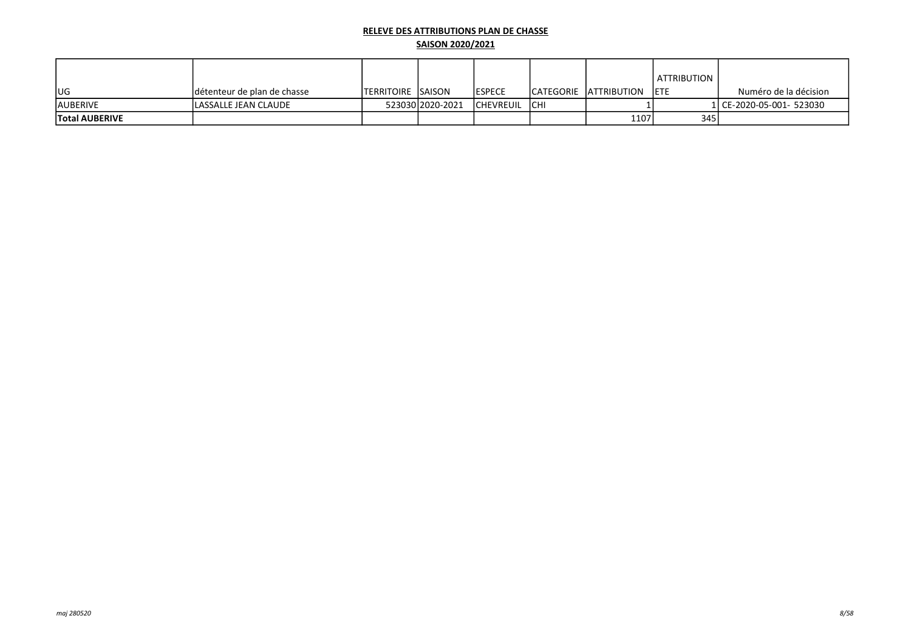|                       |                             |                            |                  |                  |             |                         | <b>ATTRIBUTION</b> |                          |
|-----------------------|-----------------------------|----------------------------|------------------|------------------|-------------|-------------------------|--------------------|--------------------------|
| lug                   | détenteur de plan de chasse | <b>ITERRITOIRE ISAISON</b> |                  | <b>IESPECE</b>   |             | ICATEGORIE IATTRIBUTION | <b>IETE</b>        | Numéro de la décision    |
| <b>AUBERIVE</b>       | <b>LASSALLE JEAN CLAUDE</b> |                            | 523030 2020-2021 | <b>CHEVREUIL</b> | <b>ICHI</b> |                         |                    | 1 CE-2020-05-001- 523030 |
| <b>Total AUBERIVE</b> |                             |                            |                  |                  |             | 1107                    | 345                |                          |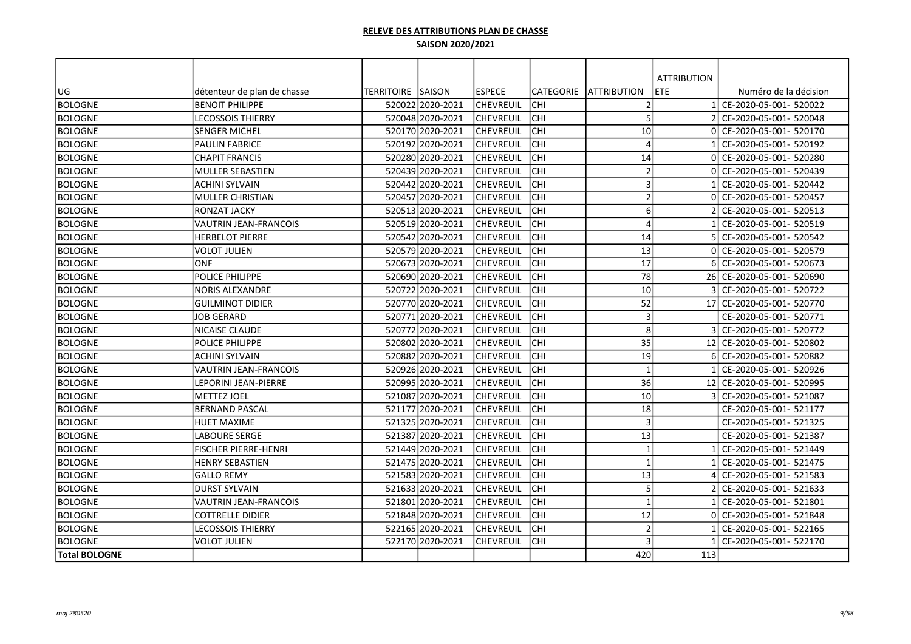|                      |                              |                   |                  |                  |            |                         | <b>ATTRIBUTION</b> |                           |
|----------------------|------------------------------|-------------------|------------------|------------------|------------|-------------------------|--------------------|---------------------------|
| UG                   | détenteur de plan de chasse  | TERRITOIRE SAISON |                  | lespece          | lCATEGORIE | <b>JATTRIBUTION</b>     | <b>ETE</b>         | Numéro de la décision     |
| <b>BOLOGNE</b>       | <b>BENOIT PHILIPPE</b>       |                   | 52002212020-2021 | ICHEVREUIL       | Існі       | $\overline{2}$          |                    | CE-2020-05-001- 520022    |
| <b>BOLOGNE</b>       | <b>LECOSSOIS THIERRY</b>     |                   | 520048 2020-2021 | ICHEVREUIL       | lсні       | 5                       |                    | CE-2020-05-001- 520048    |
| <b>BOLOGNE</b>       | lsenger michel               |                   | 520170 2020-2021 | CHEVREUIL        | Існі       | 10                      | ΩI                 | CE-2020-05-001- 520170    |
| <b>BOLOGNE</b>       | <b>PAULIN FABRICE</b>        |                   | 52019212020-2021 | lchevreuil       | Існі       | $\Delta$                |                    | CE-2020-05-001- 520192    |
| <b>BOLOGNE</b>       | <b>CHAPIT FRANCIS</b>        |                   | 52028012020-2021 | lchevreuil       | Існі       | 14                      |                    | CE-2020-05-001- 520280    |
| <b>BOLOGNE</b>       | MULLER SEBASTIEN             |                   | 520439 2020-2021 | <b>CHEVREUIL</b> | lсні       | $\overline{2}$          |                    | CE-2020-05-001- 520439    |
| <b>BOLOGNE</b>       | ACHINI SYLVAIN               |                   | 520442 2020-2021 | <b>CHEVREUIL</b> | lсні       | 3                       |                    | CE-2020-05-001- 520442    |
| <b>BOLOGNE</b>       | MULLER CHRISTIAN             |                   | 520457 2020-2021 | <b>CHEVREUIL</b> | <b>CHI</b> | $\overline{2}$          | ΩI                 | CE-2020-05-001- 520457    |
| <b>BOLOGNE</b>       | IRONZAT JACKY                |                   | 52051312020-2021 | <b>CHEVREUIL</b> | lchi       | 6                       |                    | CE-2020-05-001- 520513    |
| <b>BOLOGNE</b>       | <b>VAUTRIN JEAN-FRANCOIS</b> |                   | 520519 2020-2021 | CHEVREUIL        | lсні       | $\overline{4}$          |                    | CE-2020-05-001- 520519    |
| <b>BOLOGNE</b>       | <b>HERBELOT PIERRE</b>       |                   | 520542 2020-2021 | <b>CHEVREUIL</b> | <b>CHI</b> | 14                      |                    | CE-2020-05-001- 520542    |
| <b>BOLOGNE</b>       | <b>VOLOT JULIEN</b>          |                   | 520579 2020-2021 | <b>CHEVREUIL</b> | <b>CHI</b> | 13                      |                    | CE-2020-05-001- 520579    |
| <b>BOLOGNE</b>       | <b>ONF</b>                   |                   | 52067312020-2021 | <b>CHEVREUIL</b> | lchi       | 17                      |                    | CE-2020-05-001- 520673    |
| <b>BOLOGNE</b>       | <b>POLICE PHILIPPE</b>       |                   | 520690 2020-2021 | CHEVREUIL        | <b>CHI</b> | 78                      |                    | 26 CE-2020-05-001- 520690 |
| <b>BOLOGNE</b>       | INORIS ALEXANDRE             |                   | 52072212020-2021 | lchevreuil       | <b>CHI</b> | 10                      |                    | CE-2020-05-001- 520722    |
| <b>BOLOGNE</b>       | IGUILMINOT DIDIER            |                   | 520770 2020-2021 | ICHEVREUIL       | <b>CHI</b> | 52                      |                    | 17 CE-2020-05-001- 520770 |
| <b>BOLOGNE</b>       | <b>JOB GERARD</b>            |                   | 52077112020-2021 | <b>CHEVREUIL</b> | lchi       | $\overline{3}$          |                    | CE-2020-05-001- 520771    |
| <b>BOLOGNE</b>       | NICAISE CLAUDE               |                   | 520772 2020-2021 | <b>CHEVREUIL</b> | <b>CHI</b> | 8                       |                    | CE-2020-05-001- 520772    |
| <b>BOLOGNE</b>       | POLICE PHILIPPE              |                   | 520802 2020-2021 | <b>CHEVREUIL</b> | <b>CHI</b> | 35                      | 12                 | CE-2020-05-001- 520802    |
| <b>BOLOGNE</b>       | ACHINI SYLVAIN               |                   | 520882 2020-2021 | <b>CHEVREUIL</b> | <b>CHI</b> | 19                      |                    | CE-2020-05-001- 520882    |
| <b>BOLOGNE</b>       | VAUTRIN JEAN-FRANCOIS        |                   | 52092612020-2021 | <b>CHEVREUIL</b> | Існі       | $\overline{\mathbf{1}}$ |                    | CE-2020-05-001- 520926    |
| <b>BOLOGNE</b>       | LEPORINI JEAN-PIERRE         |                   | 520995 2020-2021 | <b>CHEVREUIL</b> | lсні       | 36                      | 12                 | CE-2020-05-001- 520995    |
| <b>BOLOGNE</b>       | <b>METTEZ JOEL</b>           |                   | 52108712020-2021 | CHEVREUIL        | Існі       | 10                      |                    | CE-2020-05-001- 521087    |
| <b>BOLOGNE</b>       | <b>BERNAND PASCAL</b>        |                   | 521177 2020-2021 | lchevreuil       | Існі       | 18                      |                    | CE-2020-05-001- 521177    |
| <b>BOLOGNE</b>       | <b>HUET MAXIME</b>           |                   | 52132512020-2021 | lchevreuil       | Існі       | $\overline{3}$          |                    | CE-2020-05-001- 521325    |
| <b>BOLOGNE</b>       | <b>LABOURE SERGE</b>         |                   | 521387 2020-2021 | <b>CHEVREUIL</b> | lсні       | 13                      |                    | CE-2020-05-001- 521387    |
| <b>BOLOGNE</b>       | <b>FISCHER PIERRE-HENRI</b>  |                   | 521449 2020-2021 | lchevreuil       | <b>CHI</b> | $\mathbf{1}$            |                    | CE-2020-05-001- 521449    |
| BOLOGNE              | <b>HENRY SEBASTIEN</b>       |                   | 52147512020-2021 | lchevreuil       | lchi       | $\overline{\mathbf{1}}$ |                    | CE-2020-05-001- 521475    |
| <b>BOLOGNE</b>       | <b>GALLO REMY</b>            |                   | 52158312020-2021 | lchevreuil       | Існі       | 13                      |                    | CE-2020-05-001- 521583    |
| <b>BOLOGNE</b>       | IDURST SYLVAIN               |                   | 521633 2020-2021 | lchevreuil       | Існі       | 5                       |                    | CE-2020-05-001- 521633    |
| <b>BOLOGNE</b>       | <b>VAUTRIN JEAN-FRANCOIS</b> |                   | 521801 2020-2021 | <b>CHEVREUIL</b> | lсні       | $\overline{\mathbf{1}}$ |                    | CE-2020-05-001- 521801    |
| BOLOGNE              | <b>COTTRELLE DIDIER</b>      |                   | 521848 2020-2021 | <b>CHEVREUIL</b> | Існі       | 12                      |                    | CE-2020-05-001- 521848    |
| <b>BOLOGNE</b>       | LECOSSOIS THIERRY            |                   | 522165 2020-2021 | <b>CHEVREUIL</b> | lсні       | $\overline{2}$          |                    | CE-2020-05-001- 522165    |
| <b>BOLOGNE</b>       | <b>VOLOT JULIEN</b>          |                   | 522170 2020-2021 | <b>CHEVREUIL</b> | lсні       | 3                       |                    | CE-2020-05-001- 522170    |
| <b>Total BOLOGNE</b> |                              |                   |                  |                  |            | 420                     | 113                |                           |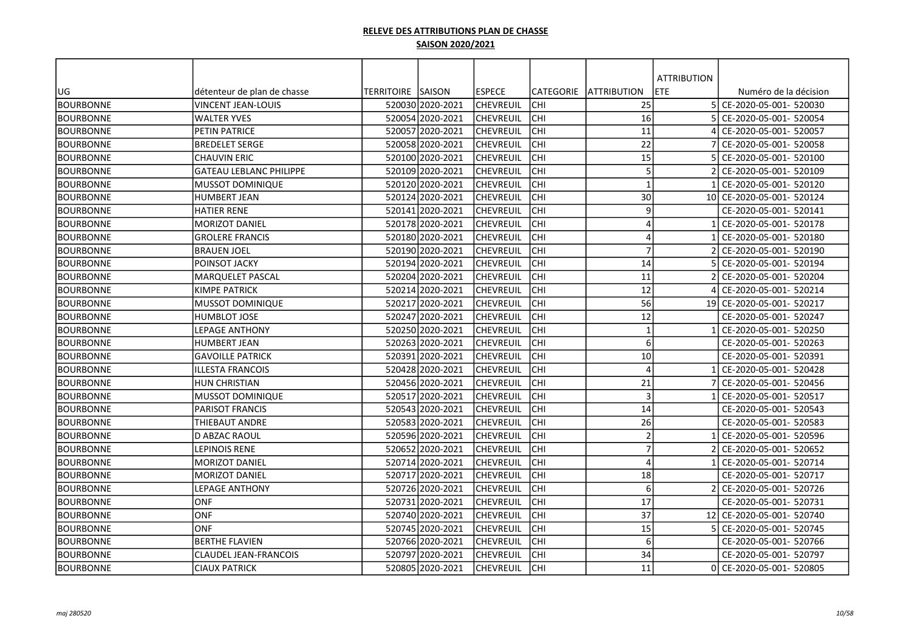|                  |                                |                   |                  |                  |                  |                         | <b>ATTRIBUTION</b> |                        |
|------------------|--------------------------------|-------------------|------------------|------------------|------------------|-------------------------|--------------------|------------------------|
| UG               | détenteur de plan de chasse    | TERRITOIRE SAISON |                  | <b>ESPECE</b>    | <b>CATEGORIE</b> | <b>JATTRIBUTION</b>     | <b>ETE</b>         | Numéro de la décision  |
| <b>BOURBONNE</b> | <b>VINCENT JEAN-LOUIS</b>      |                   | 520030 2020-2021 | <b>CHEVREUIL</b> | <b>CHI</b>       | 25                      | $\overline{5}$     | CE-2020-05-001- 520030 |
| <b>BOURBONNE</b> | <b>WALTER YVES</b>             |                   | 520054 2020-2021 | <b>CHEVREUIL</b> | <b>CHI</b>       | 16                      |                    | CE-2020-05-001- 520054 |
| <b>BOURBONNE</b> | PETIN PATRICE                  |                   | 520057 2020-2021 | <b>CHEVREUIL</b> | CHI              | 11                      |                    | CE-2020-05-001- 520057 |
| <b>BOURBONNE</b> | <b>BREDELET SERGE</b>          |                   | 520058 2020-2021 | <b>CHEVREUIL</b> | CHI              | 22                      |                    | CE-2020-05-001- 520058 |
| <b>BOURBONNE</b> | <b>CHAUVIN ERIC</b>            |                   | 520100 2020-2021 | <b>CHEVREUIL</b> | <b>CHI</b>       | 15                      |                    | CE-2020-05-001- 520100 |
| <b>BOURBONNE</b> | <b>GATEAU LEBLANC PHILIPPE</b> |                   | 520109 2020-2021 | <b>CHEVREUIL</b> | <b>CHI</b>       | 5                       |                    | CE-2020-05-001- 520109 |
| <b>BOURBONNE</b> | <b>MUSSOT DOMINIQUE</b>        |                   | 520120 2020-2021 | CHEVREUIL        | <b>CHI</b>       | $\overline{\mathbf{1}}$ |                    | CE-2020-05-001- 520120 |
| <b>BOURBONNE</b> | <b>HUMBERT JEAN</b>            |                   | 520124 2020-2021 | <b>CHEVREUIL</b> | <b>CHI</b>       | 30                      | 10 <sup>1</sup>    | CE-2020-05-001- 520124 |
| <b>BOURBONNE</b> | <b>HATIER RENE</b>             |                   | 520141 2020-2021 | <b>CHEVREUIL</b> | <b>CHI</b>       | 9                       |                    | CE-2020-05-001- 520141 |
| <b>BOURBONNE</b> | <b>MORIZOT DANIEL</b>          |                   | 520178 2020-2021 | <b>CHEVREUIL</b> | lсні             | $\overline{4}$          |                    | CE-2020-05-001- 520178 |
| <b>BOURBONNE</b> | <b>GROLERE FRANCIS</b>         |                   | 520180 2020-2021 | lchevreuil       | <b>CHI</b>       | $\overline{4}$          |                    | CE-2020-05-001- 520180 |
| <b>BOURBONNE</b> | <b>BRAUEN JOEL</b>             |                   | 520190 2020-2021 | <b>CHEVREUIL</b> | <b>CHI</b>       | $\overline{7}$          |                    | CE-2020-05-001- 520190 |
| <b>BOURBONNE</b> | POINSOT JACKY                  |                   | 520194 2020-2021 | <b>CHEVREUIL</b> | <b>CHI</b>       | 14                      |                    | CE-2020-05-001- 520194 |
| <b>BOURBONNE</b> | MARQUELET PASCAL               |                   | 520204 2020-2021 | <b>CHEVREUIL</b> | <b>CHI</b>       | 11                      |                    | CE-2020-05-001- 520204 |
| <b>BOURBONNE</b> | <b>KIMPE PATRICK</b>           |                   | 520214 2020-2021 | <b>CHEVREUIL</b> | CHI              | 12                      |                    | CE-2020-05-001- 520214 |
| <b>BOURBONNE</b> | <b>MUSSOT DOMINIQUE</b>        |                   | 520217 2020-2021 | <b>CHEVREUIL</b> | <b>CHI</b>       | 56                      | 19                 | CE-2020-05-001- 520217 |
| <b>BOURBONNE</b> | <b>HUMBLOT JOSE</b>            |                   | 52024712020-2021 | lchevreuil       | <b>CHI</b>       | 12                      |                    | CE-2020-05-001- 520247 |
| <b>BOURBONNE</b> | LEPAGE ANTHONY                 |                   | 520250 2020-2021 | <b>CHEVREUIL</b> | <b>CHI</b>       | $\mathbf{1}$            |                    | CE-2020-05-001- 520250 |
| <b>BOURBONNE</b> | <b>HUMBERT JEAN</b>            |                   | 520263 2020-2021 | <b>CHEVREUIL</b> | CHI              | 6                       |                    | CE-2020-05-001- 520263 |
| <b>BOURBONNE</b> | <b>GAVOILLE PATRICK</b>        |                   | 520391 2020-2021 | <b>CHEVREUIL</b> | сні              | 10                      |                    | CE-2020-05-001- 520391 |
| <b>BOURBONNE</b> | ILLESTA FRANCOIS               |                   | 520428 2020-2021 | <b>CHEVREUIL</b> | сні              | $\overline{4}$          |                    | CE-2020-05-001- 520428 |
| <b>BOURBONNE</b> | <b>HUN CHRISTIAN</b>           |                   | 520456 2020-2021 | <b>CHEVREUIL</b> | lсні             | 21                      |                    | CE-2020-05-001- 520456 |
| <b>BOURBONNE</b> | <b>MUSSOT DOMINIQUE</b>        |                   | 520517 2020-2021 | <b>CHEVREUIL</b> | <b>CHI</b>       | $\overline{3}$          |                    | CE-2020-05-001- 520517 |
| <b>BOURBONNE</b> | IPARISOT FRANCIS               |                   | 520543 2020-2021 | <b>CHEVREUIL</b> | <b>CHI</b>       | 14                      |                    | CE-2020-05-001- 520543 |
| <b>BOURBONNE</b> | THIEBAUT ANDRE                 |                   | 520583 2020-2021 | <b>CHEVREUIL</b> | <b>CHI</b>       | 26                      |                    | CE-2020-05-001- 520583 |
| <b>BOURBONNE</b> | <b>D ABZAC RAOUL</b>           |                   | 520596 2020-2021 | <b>CHEVREUIL</b> | CHI              | $\overline{2}$          |                    | CE-2020-05-001- 520596 |
| <b>BOURBONNE</b> | <b>LEPINOIS RENE</b>           |                   | 520652 2020-2021 | <b>CHEVREUIL</b> | <b>CHI</b>       | $\overline{7}$          |                    | CE-2020-05-001- 520652 |
| <b>BOURBONNE</b> | <b>MORIZOT DANIEL</b>          |                   | 520714 2020-2021 | <b>CHEVREUIL</b> | <b>CHI</b>       | $\overline{4}$          |                    | CE-2020-05-001- 520714 |
| <b>BOURBONNE</b> | <b>MORIZOT DANIEL</b>          |                   | 520717 2020-2021 | <b>CHEVREUIL</b> | <b>CHI</b>       | 18                      |                    | CE-2020-05-001- 520717 |
| <b>BOURBONNE</b> | LEPAGE ANTHONY                 |                   | 520726 2020-2021 | <b>CHEVREUIL</b> | <b>CHI</b>       | 6                       |                    | CE-2020-05-001- 520726 |
| <b>BOURBONNE</b> | <b>ONF</b>                     |                   | 520731 2020-2021 | <b>CHEVREUIL</b> | Існі             | $\overline{17}$         |                    | CE-2020-05-001- 520731 |
| <b>BOURBONNE</b> | ONF                            |                   | 520740 2020-2021 | <b>CHEVREUIL</b> | Існі             | 37                      | 12                 | CE-2020-05-001- 520740 |
| <b>BOURBONNE</b> | ONF                            |                   | 520745 2020-2021 | <b>CHEVREUIL</b> | <b>CHI</b>       | 15                      |                    | CE-2020-05-001- 520745 |
| <b>BOURBONNE</b> | <b>BERTHE FLAVIEN</b>          |                   | 520766 2020-2021 | <b>CHEVREUIL</b> | <b>CHI</b>       | 6                       |                    | CE-2020-05-001- 520766 |
| <b>BOURBONNE</b> | CLAUDEL JEAN-FRANCOIS          |                   | 520797 2020-2021 | <b>CHEVREUIL</b> | <b>CHI</b>       | 34                      |                    | CE-2020-05-001- 520797 |
| <b>BOURBONNE</b> | <b>CIAUX PATRICK</b>           |                   | 520805 2020-2021 | <b>CHEVREUIL</b> | <b>CHI</b>       | 11                      |                    | CE-2020-05-001- 520805 |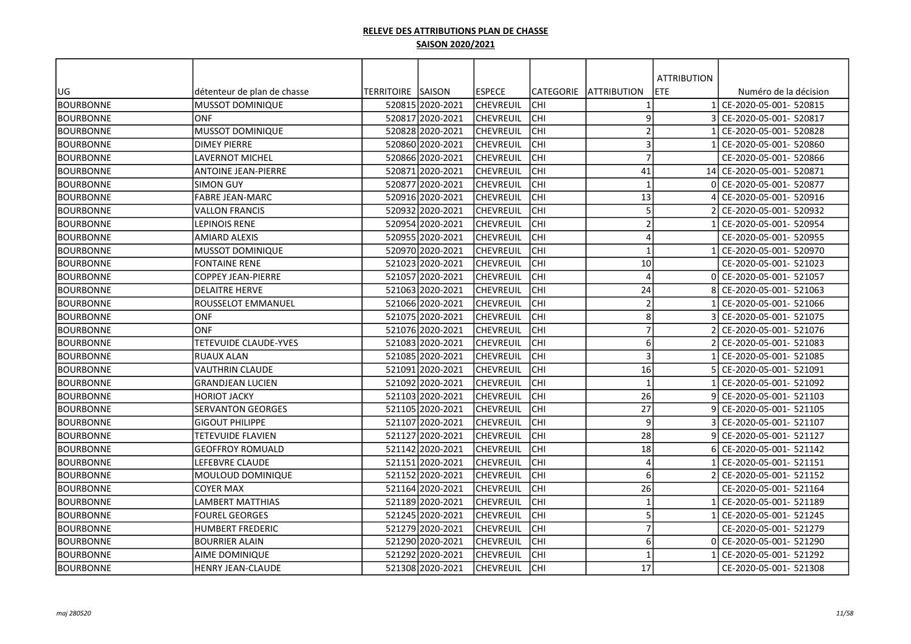|                  |                             |                   |                  |                  |                  |                         | <b>ATTRIBUTION</b> |                        |
|------------------|-----------------------------|-------------------|------------------|------------------|------------------|-------------------------|--------------------|------------------------|
| UG               | détenteur de plan de chasse | TERRITOIRE SAISON |                  | <b>ESPECE</b>    | <b>CATEGORIE</b> | <b>JATTRIBUTION</b>     | ETE                | Numéro de la décision  |
| <b>BOURBONNE</b> | MUSSOT DOMINIQUE            |                   | 520815 2020-2021 | <b>CHEVREUIL</b> | <b>CHI</b>       | $\mathbf 1$             |                    | CE-2020-05-001- 520815 |
| <b>BOURBONNE</b> | ONF                         |                   | 520817 2020-2021 | <b>CHEVREUIL</b> | <b>CHI</b>       | 9                       |                    | CE-2020-05-001- 520817 |
| <b>BOURBONNE</b> | MUSSOT DOMINIQUE            |                   | 520828 2020-2021 | <b>CHEVREUIL</b> | CHI              | $\overline{2}$          |                    | CE-2020-05-001- 520828 |
| <b>BOURBONNE</b> | <b>DIMEY PIERRE</b>         |                   | 520860 2020-2021 | <b>CHEVREUIL</b> | CHI              | $\overline{3}$          |                    | CE-2020-05-001- 520860 |
| <b>BOURBONNE</b> | <b>LAVERNOT MICHEL</b>      |                   | 520866 2020-2021 | <b>CHEVREUIL</b> | <b>CHI</b>       | $\overline{7}$          |                    | CE-2020-05-001- 520866 |
| <b>BOURBONNE</b> | <b>ANTOINE JEAN-PIERRE</b>  |                   | 520871 2020-2021 | <b>CHEVREUIL</b> | <b>CHI</b>       | 41                      | 14                 | CE-2020-05-001- 520871 |
| <b>BOURBONNE</b> | <b>SIMON GUY</b>            |                   | 520877 2020-2021 | CHEVREUIL        | <b>CHI</b>       | $\mathbf{1}$            |                    | CE-2020-05-001- 520877 |
| <b>BOURBONNE</b> | <b>FABRE JEAN-MARC</b>      |                   | 520916 2020-2021 | <b>CHEVREUIL</b> | <b>CHI</b>       | 13                      |                    | CE-2020-05-001- 520916 |
| <b>BOURBONNE</b> | <b>VALLON FRANCIS</b>       |                   | 520932 2020-2021 | <b>CHEVREUIL</b> | <b>CHI</b>       | 5                       |                    | CE-2020-05-001- 520932 |
| <b>BOURBONNE</b> | LEPINOIS RENE               |                   | 520954 2020-2021 | <b>CHEVREUIL</b> | lсні             | $\overline{2}$          |                    | CE-2020-05-001- 520954 |
| <b>BOURBONNE</b> | <b>AMIARD ALEXIS</b>        |                   | 520955 2020-2021 | <b>CHEVREUIL</b> | <b>CHI</b>       | $\overline{4}$          |                    | CE-2020-05-001- 520955 |
| <b>BOURBONNE</b> | <b>MUSSOT DOMINIQUE</b>     |                   | 520970 2020-2021 | <b>CHEVREUIL</b> | <b>CHI</b>       | $\overline{\mathbf{1}}$ |                    | CE-2020-05-001- 520970 |
| <b>BOURBONNE</b> | <b>FONTAINE RENE</b>        |                   | 521023 2020-2021 | <b>CHEVREUIL</b> | <b>CHI</b>       | 10                      |                    | CE-2020-05-001- 521023 |
| <b>BOURBONNE</b> | <b>COPPEY JEAN-PIERRE</b>   |                   | 521057 2020-2021 | <b>CHEVREUIL</b> | <b>CHI</b>       | $\overline{4}$          | $\Omega$           | CE-2020-05-001- 521057 |
| <b>BOURBONNE</b> | IDELAITRE HERVE             |                   | 521063 2020-2021 | <b>CHEVREUIL</b> | CHI              | 24                      |                    | CE-2020-05-001- 521063 |
| <b>BOURBONNE</b> | <b>ROUSSELOT EMMANUEL</b>   |                   | 521066 2020-2021 | <b>CHEVREUIL</b> | <b>CHI</b>       | $\overline{2}$          |                    | CE-2020-05-001- 521066 |
| <b>BOURBONNE</b> | <b>ONF</b>                  |                   | 521075 2020-2021 | <b>CHEVREUIL</b> | <b>CHI</b>       | 8                       |                    | CE-2020-05-001- 521075 |
| <b>BOURBONNE</b> | ONF                         |                   | 521076 2020-2021 | <b>CHEVREUIL</b> | <b>CHI</b>       | $\overline{7}$          |                    | CE-2020-05-001- 521076 |
| <b>BOURBONNE</b> | TETEVUIDE CLAUDE-YVES       |                   | 521083 2020-2021 | <b>CHEVREUIL</b> | CHI              | 6                       |                    | CE-2020-05-001- 521083 |
| <b>BOURBONNE</b> | <b>RUAUX ALAN</b>           |                   | 521085 2020-2021 | <b>CHEVREUIL</b> | CHI              | $\overline{\mathbf{3}}$ |                    | CE-2020-05-001- 521085 |
| <b>BOURBONNE</b> | <b>VAUTHRIN CLAUDE</b>      |                   | 521091 2020-2021 | <b>CHEVREUIL</b> | сні              | 16                      |                    | CE-2020-05-001- 521091 |
| <b>BOURBONNE</b> | <b>GRANDJEAN LUCIEN</b>     |                   | 521092 2020-2021 | <b>CHEVREUIL</b> | lсні             | $\mathbf{1}$            |                    | CE-2020-05-001- 521092 |
| <b>BOURBONNE</b> | <b>HORIOT JACKY</b>         |                   | 521103 2020-2021 | <b>CHEVREUIL</b> | <b>CHI</b>       | 26                      | q                  | CE-2020-05-001- 521103 |
| <b>BOURBONNE</b> | <b>SERVANTON GEORGES</b>    |                   | 521105 2020-2021 | <b>CHEVREUIL</b> | <b>CHI</b>       | 27                      | q                  | CE-2020-05-001- 521105 |
| <b>BOURBONNE</b> | <b>GIGOUT PHILIPPE</b>      |                   | 521107 2020-2021 | <b>CHEVREUIL</b> | <b>CHI</b>       | 9                       |                    | CE-2020-05-001- 521107 |
| <b>BOURBONNE</b> | TETEVUIDE FLAVIEN           | 521127            | 2020-2021        | <b>CHEVREUIL</b> | CHI              | 28                      |                    | CE-2020-05-001- 521127 |
| <b>BOURBONNE</b> | <b>GEOFFROY ROMUALD</b>     |                   | 521142 2020-2021 | <b>CHEVREUIL</b> | <b>CHI</b>       | 18                      |                    | CE-2020-05-001- 521142 |
| <b>BOURBONNE</b> | LEFEBVRE CLAUDE             |                   | 521151 2020-2021 | <b>CHEVREUIL</b> | <b>CHI</b>       | $\overline{4}$          |                    | CE-2020-05-001- 521151 |
| <b>BOURBONNE</b> | MOULOUD DOMINIQUE           |                   | 521152 2020-2021 | <b>CHEVREUIL</b> | <b>CHI</b>       | 6                       |                    | CE-2020-05-001- 521152 |
| <b>BOURBONNE</b> | <b>COYER MAX</b>            |                   | 521164 2020-2021 | <b>CHEVREUIL</b> | <b>CHI</b>       | 26                      |                    | CE-2020-05-001- 521164 |
| <b>BOURBONNE</b> | <b>LAMBERT MATTHIAS</b>     |                   | 521189 2020-2021 | <b>CHEVREUIL</b> | Існі             | $\overline{1}$          |                    | CE-2020-05-001- 521189 |
| <b>BOURBONNE</b> | <b>FOUREL GEORGES</b>       |                   | 521245 2020-2021 | <b>CHEVREUIL</b> | Існі             | 5                       |                    | CE-2020-05-001- 521245 |
| <b>BOURBONNE</b> | <b>HUMBERT FREDERIC</b>     |                   | 521279 2020-2021 | <b>CHEVREUIL</b> | <b>CHI</b>       | $\overline{7}$          |                    | CE-2020-05-001- 521279 |
| <b>BOURBONNE</b> | BOURRIER ALAIN              |                   | 521290 2020-2021 | <b>CHEVREUIL</b> | <b>CHI</b>       | 6                       |                    | CE-2020-05-001- 521290 |
| <b>BOURBONNE</b> | AIME DOMINIQUE              |                   | 521292 2020-2021 | <b>CHEVREUIL</b> | CHI              | -1                      |                    | CE-2020-05-001- 521292 |
| <b>BOURBONNE</b> | <b>HENRY JEAN-CLAUDE</b>    |                   | 521308 2020-2021 | <b>CHEVREUIL</b> | <b>CHI</b>       | 17                      |                    | CE-2020-05-001- 521308 |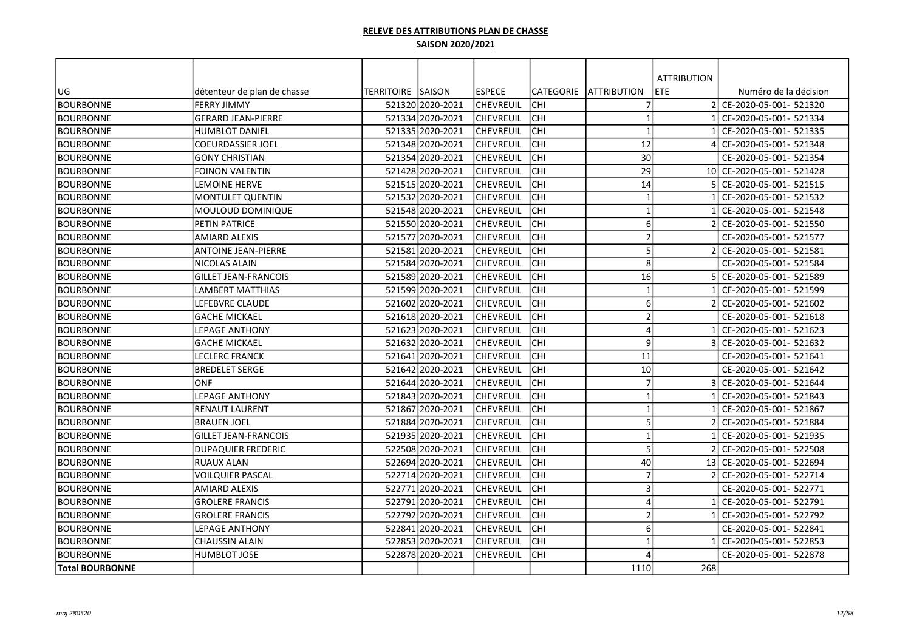|                        |                             |                          |                  |                  |                  |                     | <b>ATTRIBUTION</b> |                           |
|------------------------|-----------------------------|--------------------------|------------------|------------------|------------------|---------------------|--------------------|---------------------------|
| UG                     | détenteur de plan de chasse | <b>TERRITOIRE SAISON</b> |                  | <b>ESPECE</b>    | <b>CATEGORIE</b> | <b>JATTRIBUTION</b> | <b>ETE</b>         | Numéro de la décision     |
| <b>BOURBONNE</b>       | <b>FERRY JIMMY</b>          |                          | 521320 2020-2021 | <b>CHEVREUIL</b> | CHI              | $\overline{7}$      | $\mathcal{P}$      | CE-2020-05-001- 521320    |
| <b>BOURBONNE</b>       | <b>GERARD JEAN-PIERRE</b>   |                          | 521334 2020-2021 | <b>CHEVREUIL</b> | <b>CHI</b>       | $\overline{1}$      |                    | CE-2020-05-001- 521334    |
| <b>BOURBONNE</b>       | <b>HUMBLOT DANIEL</b>       |                          | 521335 2020-2021 | <b>CHEVREUIL</b> | CHI              | $\overline{1}$      |                    | CE-2020-05-001- 521335    |
| <b>BOURBONNE</b>       | <b>COEURDASSIER JOEL</b>    |                          | 521348 2020-2021 | <b>CHEVREUIL</b> | CHI              | 12                  |                    | CE-2020-05-001- 521348    |
| <b>BOURBONNE</b>       | <b>GONY CHRISTIAN</b>       |                          | 521354 2020-2021 | <b>CHEVREUIL</b> | CHI              | 30                  |                    | CE-2020-05-001- 521354    |
| <b>BOURBONNE</b>       | <b>FOINON VALENTIN</b>      |                          | 521428 2020-2021 | <b>CHEVREUIL</b> | CHI              | 29                  |                    | 10 CE-2020-05-001- 521428 |
| <b>BOURBONNE</b>       | LEMOINE HERVE               |                          | 521515 2020-2021 | <b>CHEVREUIL</b> | <b>CHI</b>       | 14                  |                    | CE-2020-05-001- 521515    |
| <b>BOURBONNE</b>       | MONTULET QUENTIN            |                          | 521532 2020-2021 | <b>CHEVREUIL</b> | CHI              | $\overline{1}$      |                    | CE-2020-05-001- 521532    |
| <b>BOURBONNE</b>       | MOULOUD DOMINIQUE           |                          | 521548 2020-2021 | <b>CHEVREUIL</b> | CHI              | $\overline{1}$      |                    | CE-2020-05-001- 521548    |
| <b>BOURBONNE</b>       | PETIN PATRICE               |                          | 521550 2020-2021 | <b>CHEVREUIL</b> | <b>CHI</b>       | 6                   |                    | CE-2020-05-001- 521550    |
| <b>BOURBONNE</b>       | <b>AMIARD ALEXIS</b>        |                          | 521577 2020-2021 | <b>CHEVREUIL</b> | <b>CHI</b>       | $\overline{2}$      |                    | CE-2020-05-001- 521577    |
| <b>BOURBONNE</b>       | <b>ANTOINE JEAN-PIERRE</b>  |                          | 521581 2020-2021 | <b>CHEVREUIL</b> | CHI              | 5                   |                    | CE-2020-05-001- 521581    |
| <b>BOURBONNE</b>       | NICOLAS ALAIN               |                          | 521584 2020-2021 | <b>CHEVREUIL</b> | <b>CHI</b>       | 8                   |                    | CE-2020-05-001- 521584    |
| <b>BOURBONNE</b>       | <b>GILLET JEAN-FRANCOIS</b> |                          | 52158912020-2021 | <b>CHEVREUIL</b> | CHI              | 16                  |                    | CE-2020-05-001- 521589    |
| <b>BOURBONNE</b>       | <b>LAMBERT MATTHIAS</b>     |                          | 521599 2020-2021 | <b>CHEVREUIL</b> | CHI              | $\mathbf{1}$        |                    | CE-2020-05-001- 521599    |
| <b>BOURBONNE</b>       | LEFEBVRE CLAUDE             |                          | 521602 2020-2021 | <b>CHEVREUIL</b> | <b>CHI</b>       | 6                   |                    | CE-2020-05-001- 521602    |
| <b>BOURBONNE</b>       | <b>GACHE MICKAEL</b>        |                          | 521618 2020-2021 | <b>CHEVREUIL</b> | <b>CHI</b>       | $\overline{2}$      |                    | CE-2020-05-001- 521618    |
| <b>BOURBONNE</b>       | <b>LEPAGE ANTHONY</b>       |                          | 521623 2020-2021 | <b>CHEVREUIL</b> | CHI              | $\overline{4}$      |                    | CE-2020-05-001- 521623    |
| <b>BOURBONNE</b>       | <b>GACHE MICKAEL</b>        |                          | 521632 2020-2021 | <b>CHEVREUIL</b> | CHI              | 9                   |                    | CE-2020-05-001- 521632    |
| <b>BOURBONNE</b>       | <b>LECLERC FRANCK</b>       |                          | 521641 2020-2021 | <b>CHEVREUIL</b> | CHI              | 11                  |                    | CE-2020-05-001- 521641    |
| <b>BOURBONNE</b>       | <b>BREDELET SERGE</b>       |                          | 521642 2020-2021 | <b>CHEVREUIL</b> | CHI              | 10                  |                    | CE-2020-05-001- 521642    |
| <b>BOURBONNE</b>       | <b>ONF</b>                  |                          | 521644 2020-2021 | <b>CHEVREUIL</b> | <b>CHI</b>       | $\overline{7}$      |                    | CE-2020-05-001- 521644    |
| <b>BOURBONNE</b>       | <b>LEPAGE ANTHONY</b>       |                          | 521843 2020-2021 | <b>CHEVREUIL</b> | <b>CHI</b>       | $\overline{1}$      |                    | CE-2020-05-001- 521843    |
| <b>BOURBONNE</b>       | IRENAUT LAURENT             |                          | 521867 2020-2021 | <b>CHEVREUIL</b> | <b>CHI</b>       | $\overline{1}$      |                    | CE-2020-05-001- 521867    |
| <b>BOURBONNE</b>       | <b>BRAUEN JOEL</b>          |                          | 521884 2020-2021 | <b>CHEVREUIL</b> | CHI              | 5                   |                    | CE-2020-05-001- 521884    |
| <b>BOURBONNE</b>       | <b>GILLET JEAN-FRANCOIS</b> |                          | 521935 2020-2021 | <b>CHEVREUIL</b> | CHI              | $\mathbf{1}$        |                    | CE-2020-05-001- 521935    |
| <b>BOURBONNE</b>       | <b>DUPAQUIER FREDERIC</b>   |                          | 522508 2020-2021 | <b>CHEVREUIL</b> | CHI              | 5                   |                    | CE-2020-05-001- 522508    |
| <b>BOURBONNE</b>       | RUAUX ALAN                  |                          | 522694 2020-2021 | <b>CHEVREUIL</b> | <b>CHI</b>       | 40                  | 13                 | CE-2020-05-001- 522694    |
| <b>BOURBONNE</b>       | <b>VOILQUIER PASCAL</b>     |                          | 522714 2020-2021 | <b>CHEVREUIL</b> | CHI              | $\overline{7}$      |                    | CE-2020-05-001- 522714    |
| <b>BOURBONNE</b>       | <b>AMIARD ALEXIS</b>        |                          | 522771 2020-2021 | <b>CHEVREUIL</b> | <b>CHI</b>       | $\overline{3}$      |                    | CE-2020-05-001- 522771    |
| <b>BOURBONNE</b>       | <b>GROLERE FRANCIS</b>      |                          | 522791 2020-2021 | <b>CHEVREUIL</b> | CHI              | $\overline{4}$      |                    | CE-2020-05-001- 522791    |
| <b>BOURBONNE</b>       | <b>GROLERE FRANCIS</b>      |                          | 522792 2020-2021 | <b>CHEVREUIL</b> | CHI              | $\overline{2}$      |                    | CE-2020-05-001- 522792    |
| <b>BOURBONNE</b>       | <b>LEPAGE ANTHONY</b>       |                          | 522841 2020-2021 | <b>CHEVREUIL</b> | <b>CHI</b>       | 6                   |                    | CE-2020-05-001- 522841    |
| <b>BOURBONNE</b>       | <b>CHAUSSIN ALAIN</b>       |                          | 522853 2020-2021 | <b>CHEVREUIL</b> | <b>CHI</b>       | $\mathbf{1}$        |                    | CE-2020-05-001- 522853    |
| <b>BOURBONNE</b>       | <b>HUMBLOT JOSE</b>         |                          | 522878 2020-2021 | <b>CHEVREUIL</b> | CHI              | $\sqrt{ }$          |                    | CE-2020-05-001- 522878    |
| <b>Total BOURBONNE</b> |                             |                          |                  |                  |                  | 1110                | 268                |                           |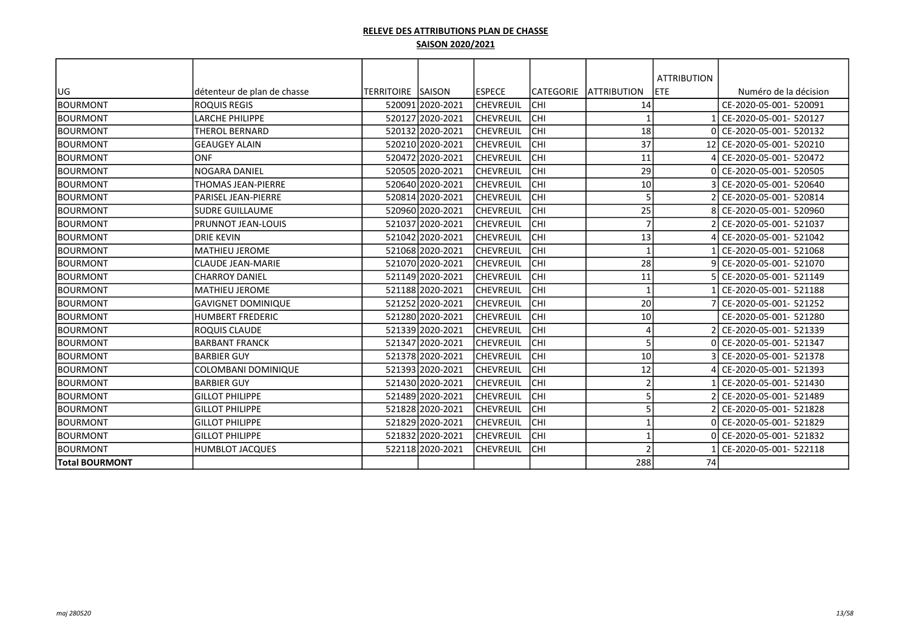| UG                    | détenteur de plan de chasse | <b>TERRITOIRE SAISON</b> |                  | <b>IESPECE</b>   | ICATEGORIE | <b>ATTRIBUTION</b> | <b>ATTRIBUTION</b><br><b>ETE</b> | Numéro de la décision  |
|-----------------------|-----------------------------|--------------------------|------------------|------------------|------------|--------------------|----------------------------------|------------------------|
| <b>BOURMONT</b>       | <b>ROQUIS REGIS</b>         |                          | 520091 2020-2021 | lchevreuil       | Існі       | 14                 |                                  | CE-2020-05-001- 520091 |
| <b>BOURMONT</b>       | <b>LARCHE PHILIPPE</b>      |                          | 520127 2020-2021 | <b>CHEVREUIL</b> | Існі       |                    |                                  | CE-2020-05-001- 520127 |
| <b>BOURMONT</b>       | <b>THEROL BERNARD</b>       |                          | 520132 2020-2021 | lchevreuil       | Існі       | 18                 |                                  | CE-2020-05-001- 520132 |
| <b>BOURMONT</b>       | <b>GEAUGEY ALAIN</b>        |                          | 520210 2020-2021 | lchevreuil       | Існі       | 37                 | 12                               | CE-2020-05-001- 520210 |
| <b>BOURMONT</b>       | <b>ONF</b>                  |                          | 520472 2020-2021 | lchevreuil       | Існі       | 11                 |                                  | CE-2020-05-001- 520472 |
| <b>BOURMONT</b>       | INOGARA DANIEL              |                          | 520505 2020-2021 | lchevreuil       | Існі       | 29                 |                                  | CE-2020-05-001- 520505 |
| <b>BOURMONT</b>       | <b>THOMAS JEAN-PIERRE</b>   |                          | 520640 2020-2021 | lchevreuil       | Існі       | 10                 |                                  | CE-2020-05-001- 520640 |
| <b>BOURMONT</b>       | PARISEL JEAN-PIERRE         |                          | 520814 2020-2021 | lchevreuil       | Існі       | 5                  |                                  | CE-2020-05-001- 520814 |
| <b>BOURMONT</b>       | lsudre Guillaume            |                          | 520960 2020-2021 | <b>CHEVREUIL</b> | Існі       | 25                 |                                  | CE-2020-05-001- 520960 |
| <b>BOURMONT</b>       | IPRUNNOT JEAN-LOUIS         |                          | 521037 2020-2021 | <b>CHEVREUIL</b> | Існі       | $\overline{7}$     |                                  | CE-2020-05-001- 521037 |
| <b>BOURMONT</b>       | <b>DRIE KEVIN</b>           |                          | 521042 2020-2021 | lchevreuil       | Існі       | 13                 |                                  | CE-2020-05-001- 521042 |
| <b>BOURMONT</b>       | lMATHIEU JEROME             |                          | 521068 2020-2021 | lchevreuil       | Існі       | $\mathbf{1}$       |                                  | CE-2020-05-001- 521068 |
| <b>BOURMONT</b>       | <b>CLAUDE JEAN-MARIE</b>    |                          | 521070 2020-2021 | lchevreuil       | Існі       | 28                 |                                  | CE-2020-05-001- 521070 |
| <b>BOURMONT</b>       | <b>CHARROY DANIEL</b>       |                          | 521149 2020-2021 | <b>CHEVREUIL</b> | Існі       | 11                 |                                  | CE-2020-05-001- 521149 |
| <b>BOURMONT</b>       | MATHIEU JEROME              |                          | 521188 2020-2021 | <b>CHEVREUIL</b> | Існі       |                    |                                  | CE-2020-05-001- 521188 |
| <b>BOURMONT</b>       | <b>GAVIGNET DOMINIQUE</b>   |                          | 521252 2020-2021 | <b>CHEVREUIL</b> | Існі       | 20                 |                                  | CE-2020-05-001- 521252 |
| <b>BOURMONT</b>       | IHUMBERT FREDERIC           |                          | 521280 2020-2021 | <b>CHEVREUIL</b> | Існі       | 10                 |                                  | CE-2020-05-001- 521280 |
| <b>BOURMONT</b>       | IROQUIS CLAUDE              |                          | 521339 2020-2021 | lchevreuil       | Існі       | $\Delta$           |                                  | CE-2020-05-001- 521339 |
| <b>BOURMONT</b>       | <b>BARBANT FRANCK</b>       |                          | 521347 2020-2021 | lchevreuil       | Існі       | 5                  |                                  | CE-2020-05-001- 521347 |
| <b>BOURMONT</b>       | IBARBIER GUY                |                          | 521378 2020-2021 | <b>CHEVREUIL</b> | lсні       | $10\,$             |                                  | CE-2020-05-001- 521378 |
| <b>BOURMONT</b>       | COLOMBANI DOMINIQUE         |                          | 521393 2020-2021 | <b>CHEVREUIL</b> | Існі       | 12                 |                                  | CE-2020-05-001- 521393 |
| <b>BOURMONT</b>       | IBARBIER GUY                |                          | 521430 2020-2021 | lchevreuil       | Існі       | $\overline{2}$     |                                  | CE-2020-05-001- 521430 |
| <b>BOURMONT</b>       | <b>GILLOT PHILIPPE</b>      |                          | 521489 2020-2021 | <b>CHEVREUIL</b> | Існі       | 5                  |                                  | CE-2020-05-001- 521489 |
| <b>BOURMONT</b>       | <b>GILLOT PHILIPPE</b>      |                          | 521828 2020-2021 | <b>CHEVREUIL</b> | Існі       | 5                  |                                  | CE-2020-05-001- 521828 |
| <b>BOURMONT</b>       | <b>GILLOT PHILIPPE</b>      |                          | 521829 2020-2021 | <b>CHEVREUIL</b> | Існі       |                    |                                  | CE-2020-05-001- 521829 |
| <b>BOURMONT</b>       | <b>GILLOT PHILIPPE</b>      |                          | 521832 2020-2021 | ICHEVREUIL       | Існі       |                    |                                  | CE-2020-05-001- 521832 |
| <b>BOURMONT</b>       | HUMBLOT JACQUES             |                          | 522118 2020-2021 | <b>CHEVREUIL</b> | ICHI       | $\mathcal{D}$      |                                  | CE-2020-05-001- 522118 |
| <b>Total BOURMONT</b> |                             |                          |                  |                  |            | 288                | 74                               |                        |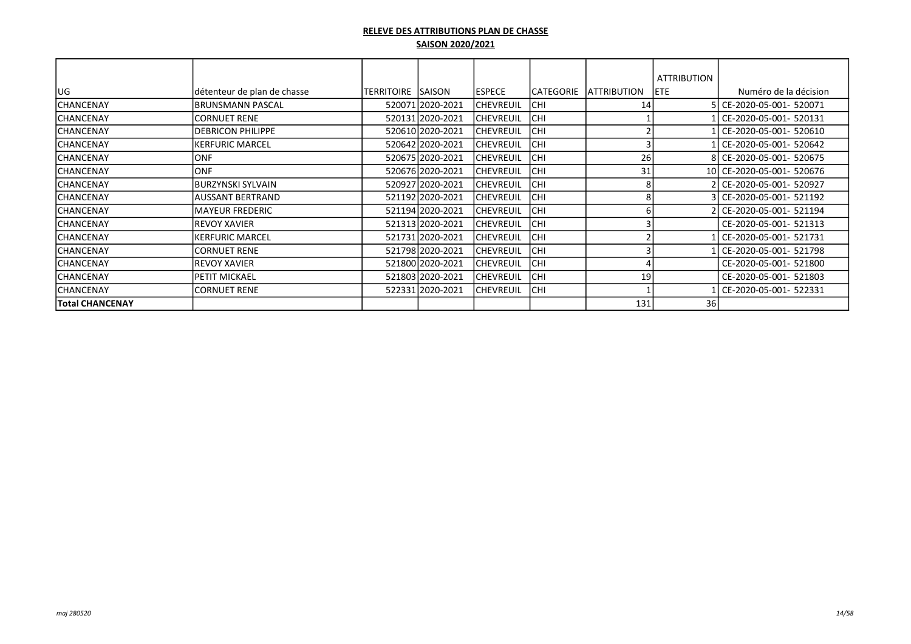|                  |                             |                          |                  |                  |            |                     | <b>ATTRIBUTION</b> |                           |
|------------------|-----------------------------|--------------------------|------------------|------------------|------------|---------------------|--------------------|---------------------------|
| lug              | détenteur de plan de chasse | <b>TERRITOIRE SAISON</b> |                  | <b>ESPECE</b>    | CATEGORIE  | <b>LATTRIBUTION</b> | <b>ETE</b>         | Numéro de la décision     |
| ICHANCENAY       | <b>IBRUNSMANN PASCAL</b>    |                          | 520071 2020-2021 | <b>CHEVREUIL</b> | ICHI       | 14                  |                    | 5 CE-2020-05-001- 520071  |
| <b>CHANCENAY</b> | <b>ICORNUET RENE</b>        |                          | 520131 2020-2021 | <b>CHEVREUIL</b> | lсні       |                     |                    | CE-2020-05-001- 520131    |
| ICHANCENAY       | <b>IDEBRICON PHILIPPE</b>   |                          | 520610 2020-2021 | <b>CHEVREUIL</b> | <b>CHI</b> |                     |                    | CE-2020-05-001- 520610    |
| <b>CHANCENAY</b> | <b>KERFURIC MARCEL</b>      |                          | 520642 2020-2021 | <b>CHEVREUIL</b> | Існі       |                     |                    | CE-2020-05-001- 520642    |
| <b>CHANCENAY</b> | <b>JONF</b>                 |                          | 520675 2020-2021 | <b>CHEVREUIL</b> | Існі       | 26                  |                    | 8 CE-2020-05-001- 520675  |
| <b>CHANCENAY</b> | <b>JONF</b>                 |                          | 520676 2020-2021 | <b>CHEVREUIL</b> | Існі       | 31                  |                    | 10 CE-2020-05-001- 520676 |
| <b>CHANCENAY</b> | BURZYNSKI SYLVAIN           |                          | 520927 2020-2021 | <b>CHEVREUIL</b> | <b>CHI</b> |                     |                    | 2 CE-2020-05-001- 520927  |
| <b>CHANCENAY</b> | <b>AUSSANT BERTRAND</b>     |                          | 521192 2020-2021 | <b>CHEVREUIL</b> | <b>CHI</b> |                     |                    | 3 CE-2020-05-001- 521192  |
| <b>CHANCENAY</b> | <b>IMAYEUR FREDERIC</b>     |                          | 521194 2020-2021 | <b>CHEVREUIL</b> | <b>CHI</b> |                     |                    | 2 CE-2020-05-001- 521194  |
| <b>CHANCENAY</b> | IREVOY XAVIER               |                          | 521313 2020-2021 | <b>CHEVREUIL</b> | <b>CHI</b> |                     |                    | CE-2020-05-001- 521313    |
| <b>CHANCENAY</b> | KERFURIC MARCEL             |                          | 521731 2020-2021 | <b>CHEVREUIL</b> | <b>CHI</b> |                     |                    | CE-2020-05-001- 521731    |
| <b>CHANCENAY</b> | CORNUET RENE                |                          | 521798 2020-2021 | <b>CHEVREUIL</b> | lсні       |                     |                    | CE-2020-05-001- 521798    |
| <b>CHANCENAY</b> | <b>REVOY XAVIER</b>         |                          | 521800 2020-2021 | <b>CHEVREUIL</b> | CHI        |                     |                    | CE-2020-05-001- 521800    |
| <b>CHANCENAY</b> | <b>PETIT MICKAEL</b>        |                          | 521803 2020-2021 | <b>CHEVREUIL</b> | Існі       | 19                  |                    | CE-2020-05-001- 521803    |
| <b>CHANCENAY</b> | <b>CORNUET RENE</b>         |                          | 522331 2020-2021 | <b>CHEVREUIL</b> | Існі       |                     |                    | CE-2020-05-001- 522331    |
| Total CHANCENAY  |                             |                          |                  |                  |            | 131                 | 36                 |                           |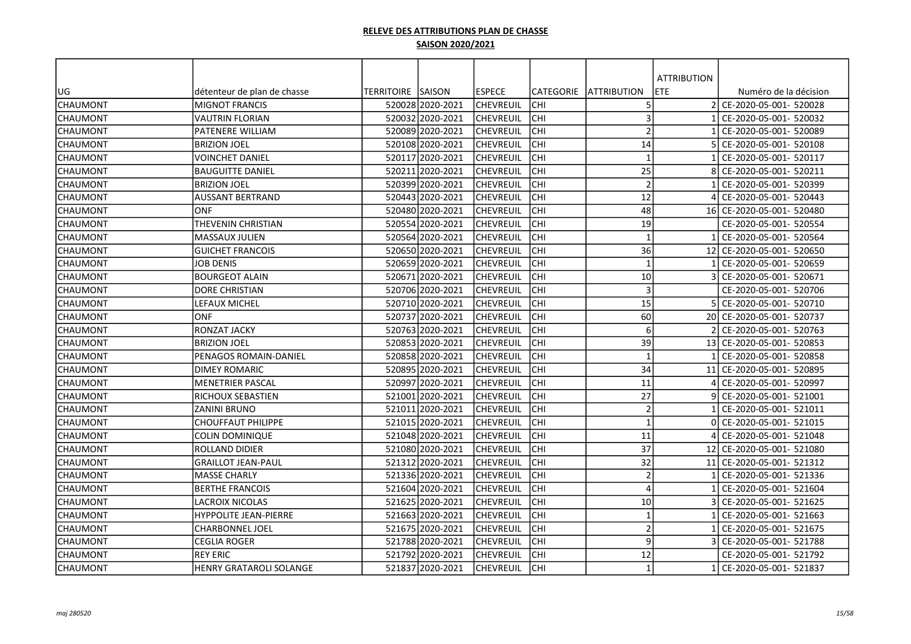|                 |                                |                    |                  |                  |                  |                         | <b>ATTRIBUTION</b> |                           |
|-----------------|--------------------------------|--------------------|------------------|------------------|------------------|-------------------------|--------------------|---------------------------|
| UG              | détenteur de plan de chasse    | TERRITOIRE  SAISON |                  | <b>IESPECE</b>   | <b>CATEGORIE</b> | <b>JATTRIBUTION</b>     | ETE                | Numéro de la décision     |
| <b>CHAUMONT</b> | <b>MIGNOT FRANCIS</b>          |                    | 52002812020-2021 | lchevreuil       | CHI              | 5                       | $\overline{2}$     | CE-2020-05-001- 520028    |
| <b>CHAUMONT</b> | VAUTRIN FLORIAN                |                    | 520032 2020-2021 | lchevreuil       | CHI              | $\mathbf{3}$            |                    | CE-2020-05-001- 520032    |
| <b>CHAUMONT</b> | PATENERE WILLIAM               |                    | 520089 2020-2021 | <b>CHEVREUIL</b> | CHI              | $\overline{2}$          |                    | CE-2020-05-001- 520089    |
| <b>CHAUMONT</b> | <b>BRIZION JOEL</b>            |                    | 520108 2020-2021 | <b>CHEVREUIL</b> | CHI              | 14                      |                    | CE-2020-05-001- 520108    |
| <b>CHAUMONT</b> | VOINCHET DANIEL                |                    | 520117 2020-2021 | CHEVREUIL        | CHI              | $\mathbf{1}$            |                    | CE-2020-05-001- 520117    |
| <b>CHAUMONT</b> | <b>BAUGUITTE DANIEL</b>        |                    | 520211 2020-2021 | CHEVREUIL        | CHI              | 25                      |                    | CE-2020-05-001- 520211    |
| <b>CHAUMONT</b> | <b>BRIZION JOEL</b>            |                    | 520399 2020-2021 | CHEVREUIL        | CHI              | $\overline{2}$          |                    | CE-2020-05-001- 520399    |
| <b>CHAUMONT</b> | AUSSANT BERTRAND               |                    | 520443 2020-2021 | CHEVREUIL        | CHI              | 12                      |                    | CE-2020-05-001- 520443    |
| <b>CHAUMONT</b> | <b>ONF</b>                     |                    | 520480 2020-2021 | CHEVREUIL        | CHI              | 48                      | 16 I               | CE-2020-05-001- 520480    |
| <b>CHAUMONT</b> | THEVENIN CHRISTIAN             |                    | 520554 2020-2021 | CHEVREUIL        | CHI              | 19                      |                    | CE-2020-05-001- 520554    |
| <b>CHAUMONT</b> | <b>MASSAUX JULIEN</b>          |                    | 520564 2020-2021 | <b>CHEVREUIL</b> | <b>CHI</b>       | $\overline{\mathbf{1}}$ |                    | CE-2020-05-001- 520564    |
| CHAUMONT        | <b>GUICHET FRANCOIS</b>        |                    | 520650 2020-2021 | CHEVREUIL        | <b>CHI</b>       | 36                      |                    | 12 CE-2020-05-001- 520650 |
| CHAUMONT        | <b>JOB DENIS</b>               |                    | 520659 2020-2021 | CHEVREUIL        | CHI              | $\overline{\mathbf{1}}$ |                    | CE-2020-05-001- 520659    |
| <b>CHAUMONT</b> | <b>BOURGEOT ALAIN</b>          |                    | 520671 2020-2021 | <b>CHEVREUIL</b> | CHI              | 10                      |                    | CE-2020-05-001- 520671    |
| <b>CHAUMONT</b> | <b>DORE CHRISTIAN</b>          |                    | 520706 2020-2021 | lchevreuil       | CHI              | $\overline{3}$          |                    | CE-2020-05-001- 520706    |
| <b>CHAUMONT</b> | LEFAUX MICHEL                  |                    | 520710 2020-2021 | lchevreuil       | CHI              | 15                      |                    | CE-2020-05-001- 520710    |
| <b>CHAUMONT</b> | ONF                            |                    | 52073712020-2021 | CHEVREUIL        | CHI              | 60                      |                    | 20 CE-2020-05-001- 520737 |
| <b>CHAUMONT</b> | RONZAT JACKY                   |                    | 52076312020-2021 | CHEVREUIL        | CHI              | 6                       |                    | CE-2020-05-001- 520763    |
| <b>CHAUMONT</b> | <b>BRIZION JOEL</b>            |                    | 520853 2020-2021 | <b>CHEVREUIL</b> | CHI              | 39                      | 13                 | CE-2020-05-001- 520853    |
| <b>CHAUMONT</b> | PENAGOS ROMAIN-DANIEL          |                    | 520858 2020-2021 | CHEVREUIL        | CHI              | $\mathbf{1}$            |                    | CE-2020-05-001- 520858    |
| <b>CHAUMONT</b> | <b>DIMEY ROMARIC</b>           |                    | 520895 2020-2021 | CHEVREUIL        | CHI              | 34                      | 11                 | CE-2020-05-001- 520895    |
| <b>CHAUMONT</b> | <b>MENETRIER PASCAL</b>        |                    | 520997 2020-2021 | CHEVREUIL        | CHI              | 11                      |                    | CE-2020-05-001- 520997    |
| <b>CHAUMONT</b> | RICHOUX SEBASTIEN              |                    | 521001 2020-2021 | CHEVREUIL        | CHI              | 27                      |                    | CE-2020-05-001- 521001    |
| <b>CHAUMONT</b> | ZANINI BRUNO                   |                    | 521011 2020-2021 | CHEVREUIL        | CHI              | $\overline{2}$          |                    | CE-2020-05-001- 521011    |
| <b>CHAUMONT</b> | CHOUFFAUT PHILIPPE             |                    | 521015 2020-2021 | <b>CHEVREUIL</b> | CHI              | $\overline{\mathbf{1}}$ | ΩI                 | CE-2020-05-001- 521015    |
| <b>CHAUMONT</b> | <b>COLIN DOMINIQUE</b>         |                    | 521048 2020-2021 | <b>CHEVREUIL</b> | CHI              | 11                      |                    | CE-2020-05-001- 521048    |
| <b>CHAUMONT</b> | <b>ROLLAND DIDIER</b>          |                    | 521080 2020-2021 | <b>CHEVREUIL</b> | CHI              | 37                      | 12                 | CE-2020-05-001- 521080    |
| <b>CHAUMONT</b> | <b>GRAILLOT JEAN-PAUL</b>      |                    | 521312 2020-2021 | lchevreuil       | CHI              | 32                      | 11                 | CE-2020-05-001- 521312    |
| <b>CHAUMONT</b> | <b>MASSE CHARLY</b>            |                    | 521336 2020-2021 | CHEVREUIL        | CHI              | $\overline{2}$          |                    | CE-2020-05-001- 521336    |
| <b>CHAUMONT</b> | <b>BERTHE FRANCOIS</b>         |                    | 521604 2020-2021 | CHEVREUIL        | CHI              | $\Delta$                |                    | CE-2020-05-001- 521604    |
| <b>CHAUMONT</b> | LACROIX NICOLAS                |                    | 521625 2020-2021 | CHEVREUIL        | lсні             | 10                      |                    | CE-2020-05-001- 521625    |
| <b>CHAUMONT</b> | <b>HYPPOLITE JEAN-PIERRE</b>   |                    | 521663 2020-2021 | <b>CHEVREUIL</b> | lсні             | $\mathbf{1}$            |                    | CE-2020-05-001- 521663    |
| <b>CHAUMONT</b> | CHARBONNEL JOEL                |                    | 521675 2020-2021 | CHEVREUIL        | CHI              | $\overline{2}$          |                    | CE-2020-05-001- 521675    |
| <b>CHAUMONT</b> | <b>CEGLIA ROGER</b>            |                    | 521788 2020-2021 | <b>CHEVREUIL</b> | <b>CHI</b>       | 9                       |                    | CE-2020-05-001- 521788    |
| <b>CHAUMONT</b> | <b>REY ERIC</b>                |                    | 521792 2020-2021 | CHEVREUIL        | CHI              | 12                      |                    | CE-2020-05-001- 521792    |
| CHAUMONT        | <b>HENRY GRATAROLI SOLANGE</b> |                    | 521837 2020-2021 | <b>CHEVREUIL</b> | <b>CHI</b>       | $\mathbf{1}$            |                    | CE-2020-05-001- 521837    |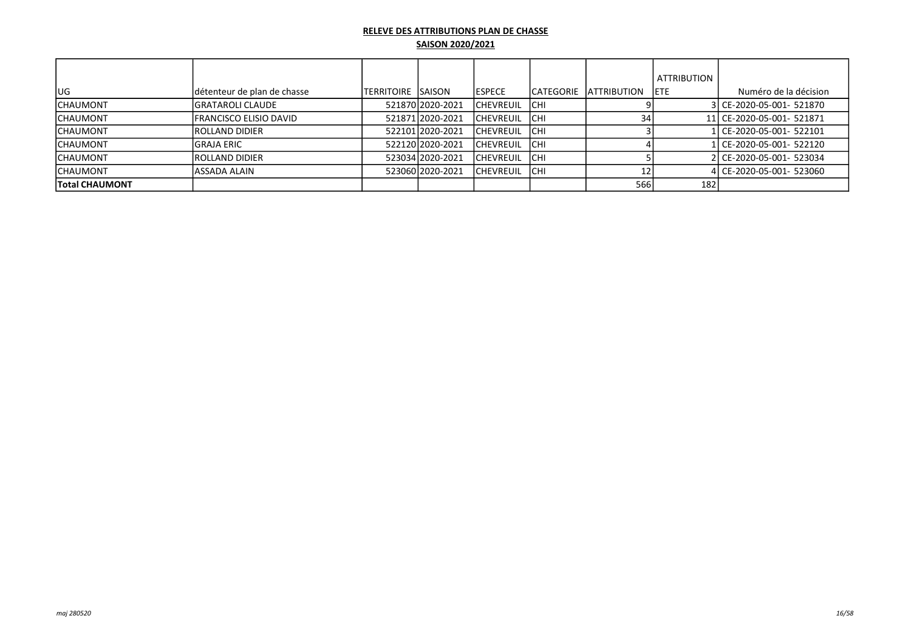|                  |                             |                     |                  |                   |             |                         | <b>ATTRIBUTION</b> |                           |
|------------------|-----------------------------|---------------------|------------------|-------------------|-------------|-------------------------|--------------------|---------------------------|
| lug              | détenteur de plan de chasse | ITERRITOIRE ISAISON |                  | <b>IESPECE</b>    |             | ICATEGORIE IATTRIBUTION | <b>IETE</b>        | Numéro de la décision     |
| ICHAUMONT        | lGRATAROLI CLAUDE           |                     | 521870 2020-2021 | <b>ICHEVREUIL</b> | <b>ICHI</b> |                         |                    | 3 CE-2020-05-001- 521870  |
| ICHAUMONT        | IFRANCISCO ELISIO DAVID     |                     | 521871 2020-2021 | <b>ICHEVREUIL</b> | <b>ICHI</b> | 34                      |                    | 11 CE-2020-05-001- 521871 |
| <b>ICHAUMONT</b> | <b>IROLLAND DIDIER</b>      |                     | 522101 2020-2021 | <b>ICHEVREUIL</b> | <b>ICHI</b> |                         |                    | 1l CE-2020-05-001- 522101 |
| ICHAUMONT        | lGRAJA ERIC                 |                     | 52212012020-2021 | <b>ICHEVREUIL</b> | <b>ICHI</b> |                         |                    | 1l CE-2020-05-001- 522120 |
| ICHAUMONT        | <b>IROLLAND DIDIER</b>      |                     | 523034 2020-2021 | ICHEVREUIL        | <b>CHI</b>  |                         |                    | 2 CE-2020-05-001- 523034  |
| ICHAUMONT        | lassada alain               |                     | 523060 2020-2021 | ICHEVREUIL        | Існі        | 1つ                      |                    | 4 CE-2020-05-001- 523060  |
| Total CHAUMONT   |                             |                     |                  |                   |             | 566                     | 182                |                           |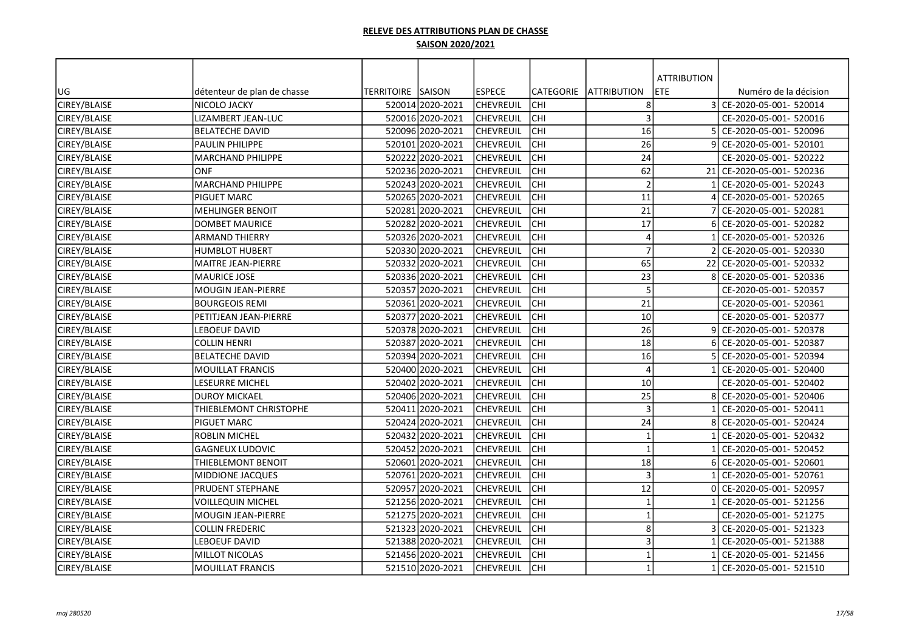|              |                             |                   |                  |                  |                  |                         | <b>ATTRIBUTION</b> |                        |
|--------------|-----------------------------|-------------------|------------------|------------------|------------------|-------------------------|--------------------|------------------------|
| UG           | détenteur de plan de chasse | TERRITOIRE SAISON |                  | <b>ESPECE</b>    | <b>CATEGORIE</b> | <b>JATTRIBUTION</b>     | ETE                | Numéro de la décision  |
| CIREY/BLAISE | NICOLO JACKY                |                   | 520014 2020-2021 | CHEVREUIL        | <b>CHI</b>       | 8                       | $\overline{3}$     | CE-2020-05-001- 520014 |
| CIREY/BLAISE | LIZAMBERT JEAN-LUC          |                   | 520016 2020-2021 | CHEVREUIL        | <b>CHI</b>       | $\overline{3}$          |                    | CE-2020-05-001- 520016 |
| CIREY/BLAISE | <b>BELATECHE DAVID</b>      |                   | 520096 2020-2021 | <b>CHEVREUIL</b> | сні              | 16                      |                    | CE-2020-05-001- 520096 |
| CIREY/BLAISE | PAULIN PHILIPPE             |                   | 520101 2020-2021 | <b>CHEVREUIL</b> | сні              | 26                      |                    | CE-2020-05-001- 520101 |
| CIREY/BLAISE | <b>MARCHAND PHILIPPE</b>    |                   | 520222 2020-2021 | <b>CHEVREUIL</b> | сні              | 24                      |                    | CE-2020-05-001- 520222 |
| CIREY/BLAISE | <b>ONF</b>                  |                   | 520236 2020-2021 | <b>CHEVREUIL</b> | сні              | 62                      | 21                 | CE-2020-05-001- 520236 |
| CIREY/BLAISE | <b>MARCHAND PHILIPPE</b>    |                   | 520243 2020-2021 | CHEVREUIL        | lсні             | $\overline{2}$          |                    | CE-2020-05-001- 520243 |
| CIREY/BLAISE | PIGUET MARC                 |                   | 520265 2020-2021 | <b>CHEVREUIL</b> | lсні             | 11                      |                    | CE-2020-05-001- 520265 |
| CIREY/BLAISE | <b>MEHLINGER BENOIT</b>     |                   | 520281 2020-2021 | CHEVREUIL        | сні              | 21                      |                    | CE-2020-05-001- 520281 |
| CIREY/BLAISE | <b>DOMBET MAURICE</b>       |                   | 520282 2020-2021 | <b>CHEVREUIL</b> | lсні             | 17                      |                    | CE-2020-05-001- 520282 |
| CIREY/BLAISE | <b>ARMAND THIERRY</b>       |                   | 520326 2020-2021 | <b>CHEVREUIL</b> | Існі             | $\overline{4}$          |                    | CE-2020-05-001- 520326 |
| CIREY/BLAISE | <b>HUMBLOT HUBERT</b>       |                   | 520330 2020-2021 | <b>CHEVREUIL</b> | <b>CHI</b>       | $\overline{7}$          |                    | CE-2020-05-001- 520330 |
| CIREY/BLAISE | MAITRE JEAN-PIERRE          |                   | 520332 2020-2021 | <b>CHEVREUIL</b> | <b>CHI</b>       | 65                      | 22                 | CE-2020-05-001- 520332 |
| CIREY/BLAISE | MAURICE JOSE                |                   | 520336 2020-2021 | <b>CHEVREUIL</b> | Існі             | 23                      |                    | CE-2020-05-001- 520336 |
| CIREY/BLAISE | <b>MOUGIN JEAN-PIERRE</b>   |                   | 520357 2020-2021 | <b>CHEVREUIL</b> | Існі             | 5                       |                    | CE-2020-05-001- 520357 |
| CIREY/BLAISE | <b>BOURGEOIS REMI</b>       |                   | 520361 2020-2021 | <b>CHEVREUIL</b> | <b>CHI</b>       | 21                      |                    | CE-2020-05-001- 520361 |
| CIREY/BLAISE | PETITJEAN JEAN-PIERRE       |                   | 520377 2020-2021 | <b>CHEVREUIL</b> | Існі             | 10                      |                    | CE-2020-05-001- 520377 |
| CIREY/BLAISE | EBOEUF DAVID                |                   | 520378 2020-2021 | <b>CHEVREUIL</b> | <b>CHI</b>       | 26                      |                    | CE-2020-05-001- 520378 |
| CIREY/BLAISE | COLLIN HENRI                |                   | 520387 2020-2021 | <b>CHEVREUIL</b> | сні              | 18                      |                    | CE-2020-05-001- 520387 |
| CIREY/BLAISE | <b>BELATECHE DAVID</b>      |                   | 520394 2020-2021 | <b>CHEVREUIL</b> | сні              | 16                      |                    | CE-2020-05-001- 520394 |
| CIREY/BLAISE | MOUILLAT FRANCIS            |                   | 520400 2020-2021 | <b>CHEVREUIL</b> | сні              | $\overline{4}$          |                    | CE-2020-05-001- 520400 |
| CIREY/BLAISE | LESEURRE MICHEL             |                   | 520402 2020-2021 | <b>CHEVREUIL</b> | lсні             | 10                      |                    | CE-2020-05-001- 520402 |
| CIREY/BLAISE | <b>DUROY MICKAEL</b>        |                   | 520406 2020-2021 | <b>CHEVREUIL</b> | lсні             | 25                      |                    | CE-2020-05-001- 520406 |
| CIREY/BLAISE | THIEBLEMONT CHRISTOPHE      |                   | 520411 2020-2021 | <b>CHEVREUIL</b> | lсні             | $\overline{3}$          |                    | CE-2020-05-001- 520411 |
| CIREY/BLAISE | <b>PIGUET MARC</b>          |                   | 520424 2020-2021 | <b>CHEVREUIL</b> | <b>CHI</b>       | 24                      |                    | CE-2020-05-001- 520424 |
| CIREY/BLAISE | <b>ROBLIN MICHEL</b>        |                   | 520432 2020-2021 | <b>CHEVREUIL</b> | <b>CHI</b>       | $\overline{\mathbf{1}}$ |                    | CE-2020-05-001- 520432 |
| CIREY/BLAISE | <b>GAGNEUX LUDOVIC</b>      |                   | 520452 2020-2021 | <b>CHEVREUIL</b> | <b>CHI</b>       | $\overline{\mathbf{1}}$ |                    | CE-2020-05-001- 520452 |
| CIREY/BLAISE | THIEBLEMONT BENOIT          |                   | 520601 2020-2021 | <b>CHEVREUIL</b> | Існі             | 18                      |                    | CE-2020-05-001- 520601 |
| CIREY/BLAISE | <b>MIDDIONE JACQUES</b>     |                   | 520761 2020-2021 | <b>CHEVREUIL</b> | <b>CHI</b>       | $\overline{3}$          |                    | CE-2020-05-001- 520761 |
| CIREY/BLAISE | PRUDENT STEPHANE            |                   | 520957 2020-2021 | <b>CHEVREUIL</b> | lсні             | 12                      |                    | CE-2020-05-001- 520957 |
| CIREY/BLAISE | <b>VOILLEQUIN MICHEL</b>    |                   | 521256 2020-2021 | <b>CHEVREUIL</b> | Існі             | $\overline{\mathbf{1}}$ |                    | CE-2020-05-001- 521256 |
| CIREY/BLAISE | <b>MOUGIN JEAN-PIERRE</b>   |                   | 521275 2020-2021 | <b>CHEVREUIL</b> | Існі             | $\mathbf{1}$            |                    | CE-2020-05-001- 521275 |
| CIREY/BLAISE | <b>COLLIN FREDERIC</b>      |                   | 521323 2020-2021 | <b>CHEVREUIL</b> | Існі             | 8                       |                    | CE-2020-05-001- 521323 |
| CIREY/BLAISE | LEBOEUF DAVID               |                   | 521388 2020-2021 | <b>CHEVREUIL</b> | Існі             | $\overline{3}$          |                    | CE-2020-05-001- 521388 |
| CIREY/BLAISE | MILLOT NICOLAS              |                   | 521456 2020-2021 | CHEVREUIL        | Існі             | $\mathbf 1$             |                    | CE-2020-05-001- 521456 |
| CIREY/BLAISE | <b>MOUILLAT FRANCIS</b>     |                   | 521510 2020-2021 | <b>CHEVREUIL</b> | lсні             | $\mathbf{1}$            |                    | CE-2020-05-001- 521510 |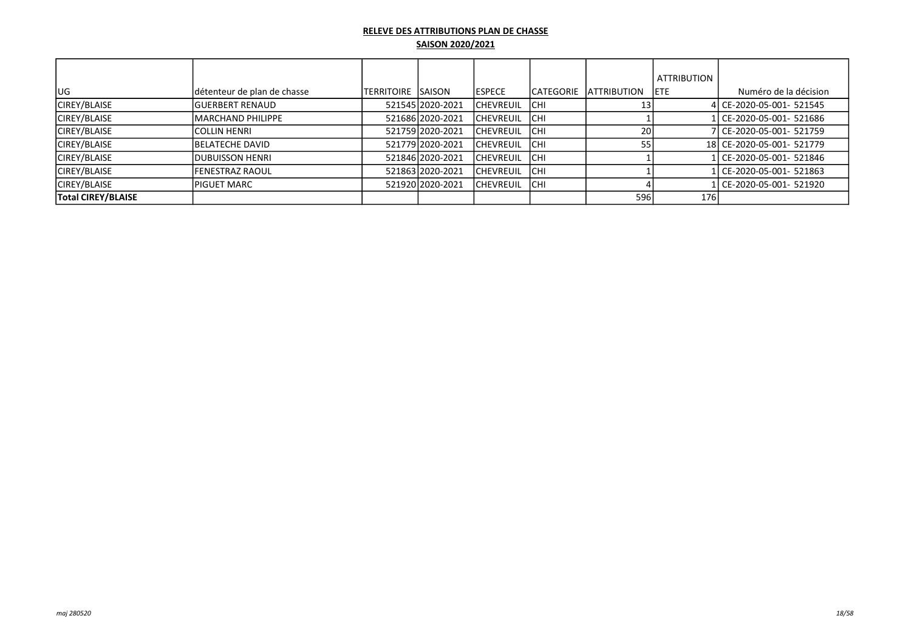|                           |                             |                     |                    |                  |            |                     | <b>ATTRIBUTION</b> |                           |
|---------------------------|-----------------------------|---------------------|--------------------|------------------|------------|---------------------|--------------------|---------------------------|
|                           |                             |                     |                    |                  |            |                     |                    |                           |
| lug.                      | détenteur de plan de chasse | ITERRITOIRE ISAISON |                    | <b>IESPECE</b>   | ICATEGORIE | <b>LATTRIBUTION</b> | <b>IETE</b>        | Numéro de la décision     |
| <b>CIREY/BLAISE</b>       | <b>IGUERBERT RENAUD</b>     |                     | 521545 2020-2021   | <b>CHEVREUIL</b> | ICHI       | 13                  |                    | 4 CE-2020-05-001- 521545  |
| <b>CIREY/BLAISE</b>       | IMARCHAND PHILIPPE          |                     | 521686 2020 - 2021 | <b>CHEVREUIL</b> | Існі       |                     |                    | 1l CE-2020-05-001- 521686 |
| <b>CIREY/BLAISE</b>       | <b>ICOLLIN HENRI</b>        |                     | 521759 2020-2021   | <b>CHEVREUIL</b> | Існі       | 20                  |                    | 7 CE-2020-05-001- 521759  |
| <b>CIREY/BLAISE</b>       | <b>IBELATECHE DAVID</b>     |                     | 521779 2020-2021   | <b>CHEVREUIL</b> | Існі       |                     |                    | 18 CE-2020-05-001- 521779 |
| <b>CIREY/BLAISE</b>       | <b>IDUBUISSON HENRI</b>     |                     | 521846 2020-2021   | <b>CHEVREUIL</b> | Існі       |                     |                    | 1 CE-2020-05-001- 521846  |
| <b>CIREY/BLAISE</b>       | <b>IFENESTRAZ RAOUL</b>     |                     | 521863 2020-2021   | <b>CHEVREUIL</b> | <b>CHI</b> |                     |                    | 1 CE-2020-05-001- 521863  |
| <b>CIREY/BLAISE</b>       | <b>PIGUET MARC</b>          |                     | 521920 2020 - 2021 | <b>CHEVREUIL</b> | Існі       |                     |                    | 1 CE-2020-05-001- 521920  |
| <b>Total CIREY/BLAISE</b> |                             |                     |                    |                  |            | 596                 | <b>176</b>         |                           |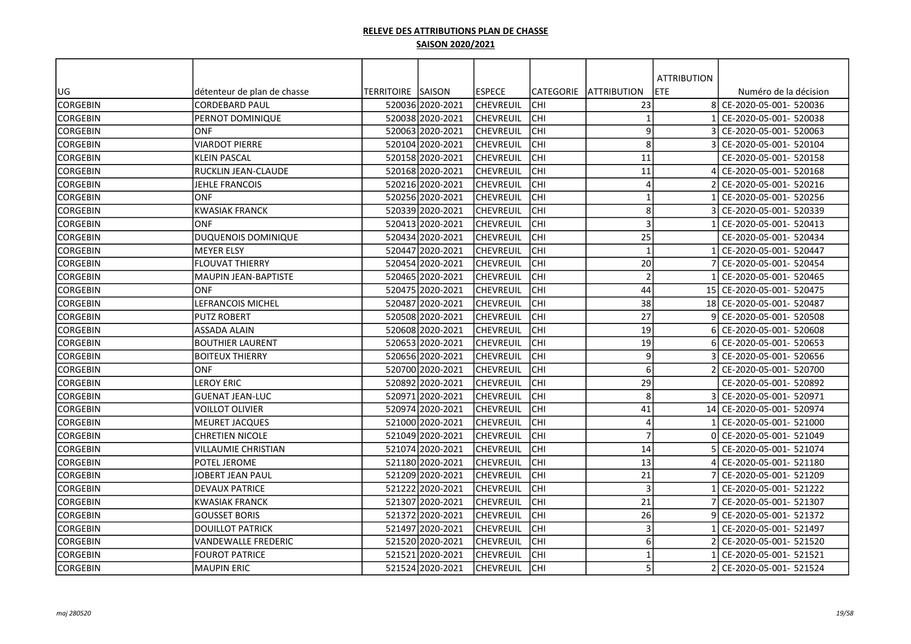|                 |                             |                   |                  |                  |                  |                     | <b>ATTRIBUTION</b> |                        |
|-----------------|-----------------------------|-------------------|------------------|------------------|------------------|---------------------|--------------------|------------------------|
| UG              | détenteur de plan de chasse | TERRITOIRE SAISON |                  | <b>ESPECE</b>    | <b>CATEGORIE</b> | <b>JATTRIBUTION</b> | <b>ETE</b>         | Numéro de la décision  |
| <b>CORGEBIN</b> | <b>CORDEBARD PAUL</b>       |                   | 520036 2020-2021 | <b>CHEVREUIL</b> | <b>CHI</b>       | 23                  | 81                 | CE-2020-05-001- 520036 |
| <b>CORGEBIN</b> | IPERNOT DOMINIQUE           |                   | 520038 2020-2021 | <b>CHEVREUIL</b> | <b>CHI</b>       |                     |                    | CE-2020-05-001- 520038 |
| <b>CORGEBIN</b> | ONF                         |                   | 520063 2020-2021 | <b>CHEVREUIL</b> | CHI              | 9                   |                    | CE-2020-05-001- 520063 |
| <b>CORGEBIN</b> | <b>VIARDOT PIERRE</b>       |                   | 520104 2020-2021 | <b>CHEVREUIL</b> | CHI              | 8                   |                    | CE-2020-05-001- 520104 |
| <b>CORGEBIN</b> | <b>KLEIN PASCAL</b>         |                   | 520158 2020-2021 | <b>CHEVREUIL</b> | <b>CHI</b>       | 11                  |                    | CE-2020-05-001- 520158 |
| CORGEBIN        | <b>RUCKLIN JEAN-CLAUDE</b>  |                   | 520168 2020-2021 | <b>CHEVREUIL</b> | <b>CHI</b>       | 11                  |                    | CE-2020-05-001- 520168 |
| CORGEBIN        | JEHLE FRANCOIS              |                   | 520216 2020-2021 | CHEVREUIL        | <b>CHI</b>       | $\overline{4}$      |                    | CE-2020-05-001- 520216 |
| CORGEBIN        | <b>ONF</b>                  |                   | 520256 2020-2021 | <b>CHEVREUIL</b> | <b>CHI</b>       | -1                  |                    | CE-2020-05-001- 520256 |
| CORGEBIN        | <b>KWASIAK FRANCK</b>       |                   | 520339 2020-2021 | <b>CHEVREUIL</b> | CHI              | 8                   |                    | CE-2020-05-001- 520339 |
| <b>CORGEBIN</b> | <b>ONF</b>                  |                   | 520413 2020-2021 | <b>CHEVREUIL</b> | <b>CHI</b>       | $\overline{3}$      |                    | CE-2020-05-001- 520413 |
| <b>CORGEBIN</b> | DUQUENOIS DOMINIQUE         |                   | 520434 2020-2021 | lchevreuil       | <b>CHI</b>       | 25                  |                    | CE-2020-05-001- 520434 |
| CORGEBIN        | <b>MEYER ELSY</b>           |                   | 520447 2020-2021 | <b>CHEVREUIL</b> | <b>CHI</b>       | $\overline{1}$      |                    | CE-2020-05-001- 520447 |
| <b>CORGEBIN</b> | <b>FLOUVAT THIERRY</b>      |                   | 520454 2020-2021 | <b>CHEVREUIL</b> | <b>CHI</b>       | 20                  |                    | CE-2020-05-001- 520454 |
| <b>CORGEBIN</b> | İMAUPIN JEAN-BAPTISTE       |                   | 52046512020-2021 | <b>CHEVREUIL</b> | <b>CHI</b>       | $\overline{2}$      |                    | CE-2020-05-001- 520465 |
| <b>CORGEBIN</b> | ONF                         |                   | 520475 2020-2021 | <b>CHEVREUIL</b> | CHI              | 44                  | 15 <sup>1</sup>    | CE-2020-05-001- 520475 |
| <b>CORGEBIN</b> | <b>LEFRANCOIS MICHEL</b>    |                   | 520487 2020-2021 | <b>CHEVREUIL</b> | <b>CHI</b>       | 38                  | 18                 | CE-2020-05-001- 520487 |
| <b>CORGEBIN</b> | <b>PUTZ ROBERT</b>          |                   | 52050812020-2021 | lchevreuil       | <b>CHI</b>       | 27                  |                    | CE-2020-05-001- 520508 |
| CORGEBIN        | ASSADA ALAIN                |                   | 520608 2020-2021 | <b>CHEVREUIL</b> | <b>CHI</b>       | 19                  |                    | CE-2020-05-001- 520608 |
| <b>CORGEBIN</b> | <b>BOUTHIER LAURENT</b>     |                   | 520653 2020-2021 | <b>CHEVREUIL</b> | CHI              | 19                  |                    | CE-2020-05-001- 520653 |
| CORGEBIN        | <b>BOITEUX THIERRY</b>      |                   | 520656 2020-2021 | <b>CHEVREUIL</b> | CHI              | 9                   |                    | CE-2020-05-001- 520656 |
| <b>CORGEBIN</b> | ONF                         |                   | 520700 2020-2021 | <b>CHEVREUIL</b> | сні              | 6                   |                    | CE-2020-05-001- 520700 |
| <b>CORGEBIN</b> | <b>LEROY ERIC</b>           |                   | 520892 2020-2021 | <b>CHEVREUIL</b> | <b>CHI</b>       | 29                  |                    | CE-2020-05-001- 520892 |
| <b>CORGEBIN</b> | <b>GUENAT JEAN-LUC</b>      |                   | 520971 2020-2021 | <b>CHEVREUIL</b> | <b>CHI</b>       | 8                   |                    | CE-2020-05-001- 520971 |
| <b>CORGEBIN</b> | <b>VOILLOT OLIVIER</b>      |                   | 520974 2020-2021 | <b>CHEVREUIL</b> | <b>CHI</b>       | 41                  | 14                 | CE-2020-05-001- 520974 |
| <b>CORGEBIN</b> | IMEURET JACQUES             |                   | 521000 2020-2021 | <b>CHEVREUIL</b> | <b>CHI</b>       | $\overline{4}$      |                    | CE-2020-05-001- 521000 |
| CORGEBIN        | <b>CHRETIEN NICOLE</b>      |                   | 521049 2020-2021 | <b>CHEVREUIL</b> | CHI              | $\overline{7}$      |                    | CE-2020-05-001- 521049 |
| <b>CORGEBIN</b> | <b>VILLAUMIE CHRISTIAN</b>  |                   | 521074 2020-2021 | <b>CHEVREUIL</b> | <b>CHI</b>       | 14                  |                    | CE-2020-05-001- 521074 |
| <b>CORGEBIN</b> | POTEL JEROME                |                   | 521180 2020-2021 | <b>CHEVREUIL</b> | <b>CHI</b>       | 13                  |                    | CE-2020-05-001- 521180 |
| CORGEBIN        | JOBERT JEAN PAUL            |                   | 521209 2020-2021 | <b>CHEVREUIL</b> | <b>CHI</b>       | 21                  |                    | CE-2020-05-001- 521209 |
| CORGEBIN        | <b>DEVAUX PATRICE</b>       |                   | 521222 2020-2021 | <b>CHEVREUIL</b> | <b>CHI</b>       | $\overline{3}$      |                    | CE-2020-05-001- 521222 |
| CORGEBIN        | <b>KWASIAK FRANCK</b>       |                   | 521307 2020-2021 | <b>CHEVREUIL</b> | Існі             | 21                  |                    | CE-2020-05-001- 521307 |
| <b>CORGEBIN</b> | <b>GOUSSET BORIS</b>        |                   | 521372 2020-2021 | <b>CHEVREUIL</b> | Існі             | 26                  |                    | CE-2020-05-001- 521372 |
| <b>CORGEBIN</b> | <b>DOUILLOT PATRICK</b>     |                   | 521497 2020-2021 | <b>CHEVREUIL</b> | <b>CHI</b>       | $\overline{3}$      |                    | CE-2020-05-001- 521497 |
| <b>CORGEBIN</b> | <b>VANDEWALLE FREDERIC</b>  |                   | 521520 2020-2021 | <b>CHEVREUIL</b> | <b>CHI</b>       | 6                   |                    | CE-2020-05-001- 521520 |
| <b>CORGEBIN</b> | <b>FOUROT PATRICE</b>       |                   | 521521 2020-2021 | <b>CHEVREUIL</b> | CHI              | -1                  |                    | CE-2020-05-001- 521521 |
| <b>CORGEBIN</b> | MAUPIN ERIC                 |                   | 521524 2020-2021 | <b>CHEVREUIL</b> | <b>CHI</b>       | 5                   |                    | CE-2020-05-001- 521524 |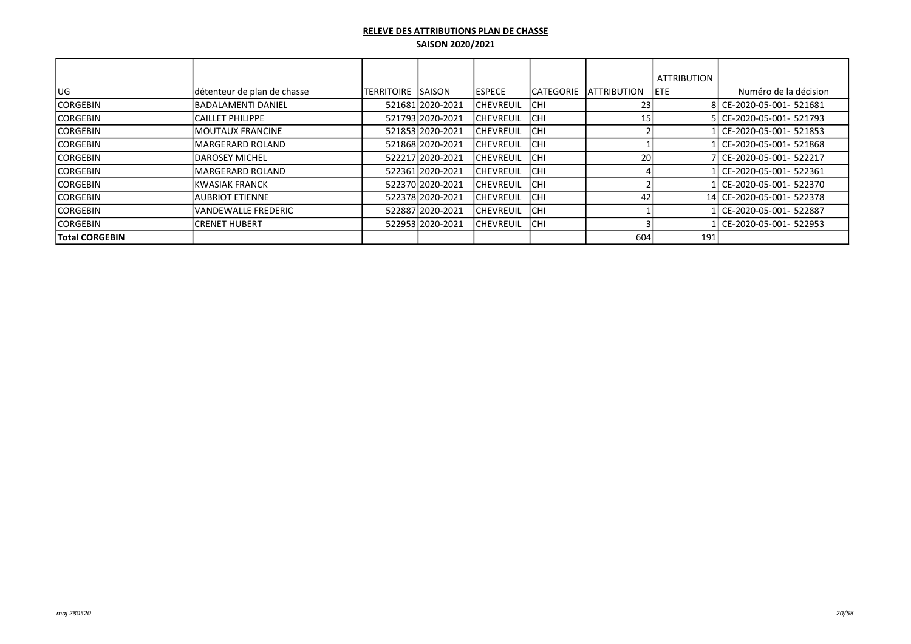|                       |                             |                     |                  |                  |            |                                | <b>ATTRIBUTION</b> |                           |
|-----------------------|-----------------------------|---------------------|------------------|------------------|------------|--------------------------------|--------------------|---------------------------|
| <b>UG</b>             | détenteur de plan de chasse | ITERRITOIRE ISAISON |                  | lespece          |            | <b>ICATEGORIE IATTRIBUTION</b> | IETE.              | Numéro de la décision     |
| <b>CORGEBIN</b>       | <b>IBADALAMENTI DANIEL</b>  |                     | 521681 2020-2021 | <b>CHEVREUIL</b> | ICHI       | 23                             |                    | 8 CE-2020-05-001- 521681  |
| <b>ICORGEBIN</b>      | CAILLET PHILIPPE            |                     | 521793 2020-2021 | <b>CHEVREUIL</b> | ICHI       | 15                             |                    | 5 CE-2020-05-001- 521793  |
| <b>ICORGEBIN</b>      | <b>IMOUTAUX FRANCINE</b>    |                     | 521853 2020-2021 | <b>CHEVREUIL</b> | Існі       |                                |                    | 1 CE-2020-05-001- 521853  |
| <b>CORGEBIN</b>       | lMARGERARD ROLAND           |                     | 521868 2020-2021 | <b>CHEVREUIL</b> | Існі       |                                |                    | CE-2020-05-001- 521868    |
| <b>CORGEBIN</b>       | <b>IDAROSEY MICHEL</b>      |                     | 522217 2020-2021 | <b>CHEVREUIL</b> | Існі       | 20                             |                    | 7 CE-2020-05-001- 522217  |
| <b>ICORGEBIN</b>      | lMARGERARD ROLAND           |                     | 522361 2020-2021 | <b>CHEVREUIL</b> | <b>CHI</b> |                                |                    | l CE-2020-05-001- 522361  |
| <b>ICORGEBIN</b>      | IKWASIAK FRANCK             |                     | 522370 2020-2021 | <b>CHEVREUIL</b> | Існі       |                                |                    | Ll CE-2020-05-001- 522370 |
| <b>CORGEBIN</b>       | <b>JAUBRIOT ETIENNE</b>     |                     | 522378 2020-2021 | <b>CHEVREUIL</b> | Існі       | 42                             |                    | 14 CE-2020-05-001- 522378 |
| <b>ICORGEBIN</b>      | VANDEWALLE FREDERIC         |                     | 522887 2020-2021 | <b>CHEVREUIL</b> | Існі       |                                |                    | l CE-2020-05-001- 522887  |
| <b>ICORGEBIN</b>      | ICRENET HUBERT              |                     | 52295312020-2021 | CHEVREUIL        | <b>CHI</b> |                                |                    | l CE-2020-05-001- 522953  |
| <b>Total CORGEBIN</b> |                             |                     |                  |                  |            | 604                            | 191                |                           |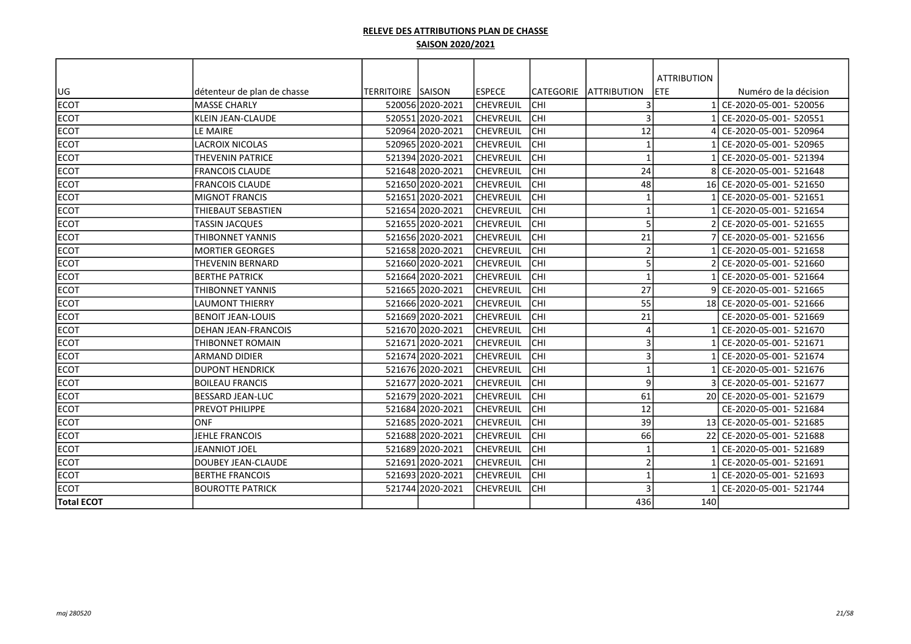|                   |                             |                          |                  |                   |            |                         | <b>ATTRIBUTION</b> |                           |
|-------------------|-----------------------------|--------------------------|------------------|-------------------|------------|-------------------------|--------------------|---------------------------|
| UG                | détenteur de plan de chasse | <b>TERRITOIRE SAISON</b> |                  | <b>ESPECE</b>     | CATEGORIE  | <b>ATTRIBUTION</b>      | <b>ETE</b>         | Numéro de la décision     |
| <b>ECOT</b>       | <b>MASSE CHARLY</b>         |                          | 52005612020-2021 | <b>CHEVREUIL</b>  | Існі       | 3                       |                    | CE-2020-05-001- 520056    |
| <b>ECOT</b>       | <b>KLEIN JEAN-CLAUDE</b>    |                          | 520551 2020-2021 | <b>CHEVREUIL</b>  | lсні       | 3                       |                    | CE-2020-05-001- 520551    |
| <b>ECOT</b>       | LE MAIRE                    |                          | 520964 2020-2021 | <b>CHEVREUIL</b>  | CHI        | 12                      |                    | CE-2020-05-001- 520964    |
| <b>ECOT</b>       | <b>LACROIX NICOLAS</b>      |                          | 52096512020-2021 | <b>CHEVREUIL</b>  | <b>CHI</b> | $\mathbf{1}$            |                    | CE-2020-05-001- 520965    |
| <b>ECOT</b>       | THEVENIN PATRICE            |                          | 521394 2020-2021 | <b>CHEVREUIL</b>  | CHI        | $\mathbf{1}$            |                    | CE-2020-05-001- 521394    |
| <b>ECOT</b>       | <b>FRANCOIS CLAUDE</b>      |                          | 521648 2020-2021 | <b>CHEVREUIL</b>  | CHI        | 24                      |                    | CE-2020-05-001- 521648    |
| <b>ECOT</b>       | <b>FRANCOIS CLAUDE</b>      |                          | 521650 2020-2021 | <b>CHEVREUIL</b>  | Існі       | 48                      | 16 I               | CE-2020-05-001- 521650    |
| <b>ECOT</b>       | <b>MIGNOT FRANCIS</b>       |                          | 521651 2020-2021 | <b>CHEVREUIL</b>  | CHI        | $\overline{\mathbf{1}}$ |                    | CE-2020-05-001- 521651    |
| <b>ECOT</b>       | THIEBAUT SEBASTIEN          |                          | 521654 2020-2021 | <b>ICHEVREUIL</b> | <b>CHI</b> | $\mathbf 1$             |                    | CE-2020-05-001- 521654    |
| <b>ECOT</b>       | <b>TASSIN JACQUES</b>       |                          | 521655 2020-2021 | <b>CHEVREUIL</b>  | CHI        | 5                       |                    | CE-2020-05-001- 521655    |
| <b>ECOT</b>       | THIBONNET YANNIS            |                          | 521656 2020-2021 | <b>CHEVREUIL</b>  | CHI        | 21                      |                    | CE-2020-05-001- 521656    |
| <b>ECOT</b>       | <b>MORTIER GEORGES</b>      |                          | 521658 2020-2021 | <b>ICHEVREUIL</b> | Існі       | $\overline{2}$          |                    | CE-2020-05-001- 521658    |
| <b>ECOT</b>       | <b>THEVENIN BERNARD</b>     |                          | 521660 2020-2021 | <b>CHEVREUIL</b>  | lсні       | 5                       |                    | CE-2020-05-001- 521660    |
| <b>ECOT</b>       | <b>BERTHE PATRICK</b>       |                          | 521664 2020-2021 | <b>CHEVREUIL</b>  | CHI        | -1                      |                    | CE-2020-05-001- 521664    |
| <b>ECOT</b>       | THIBONNET YANNIS            |                          | 521665 2020-2021 | <b>CHEVREUIL</b>  | <b>CHI</b> | 27                      |                    | CE-2020-05-001- 521665    |
| <b>ECOT</b>       | <b>LAUMONT THIERRY</b>      |                          | 521666 2020-2021 | <b>CHEVREUIL</b>  | CHI        | 55                      |                    | 18 CE-2020-05-001- 521666 |
| <b>ECOT</b>       | <b>BENOIT JEAN-LOUIS</b>    |                          | 521669 2020-2021 | <b>CHEVREUIL</b>  | lсні       | 21                      |                    | CE-2020-05-001- 521669    |
| <b>ECOT</b>       | <b>DEHAN JEAN-FRANCOIS</b>  |                          | 521670 2020-2021 | <b>CHEVREUIL</b>  | lсні       | 4                       |                    | CE-2020-05-001- 521670    |
| <b>ECOT</b>       | THIBONNET ROMAIN            |                          | 521671 2020-2021 | <b>CHEVREUIL</b>  | CHI        | 3                       |                    | CE-2020-05-001- 521671    |
| <b>ECOT</b>       | <b>ARMAND DIDIER</b>        |                          | 521674 2020-2021 | <b>ICHEVREUIL</b> | <b>CHI</b> | 3                       |                    | CE-2020-05-001- 521674    |
| <b>ECOT</b>       | <b>DUPONT HENDRICK</b>      |                          | 521676 2020-2021 | <b>CHEVREUIL</b>  | CHI        | $\mathbf{1}$            |                    | CE-2020-05-001- 521676    |
| <b>ECOT</b>       | <b>BOILEAU FRANCIS</b>      |                          | 521677 2020-2021 | <b>CHEVREUIL</b>  | <b>CHI</b> | 9                       |                    | CE-2020-05-001- 521677    |
| <b>ECOT</b>       | <b>BESSARD JEAN-LUC</b>     |                          | 521679 2020-2021 | <b>CHEVREUIL</b>  | Існі       | 61                      | 20 I               | CE-2020-05-001- 521679    |
| <b>ECOT</b>       | PREVOT PHILIPPE             |                          | 521684 2020-2021 | <b>CHEVREUIL</b>  | CHI        | 12                      |                    | CE-2020-05-001- 521684    |
| <b>ECOT</b>       | <b>ONF</b>                  |                          | 521685 2020-2021 | <b>CHEVREUIL</b>  | CHI        | 39                      |                    | 13 CE-2020-05-001- 521685 |
| <b>ECOT</b>       | <b>JEHLE FRANCOIS</b>       |                          | 521688 2020-2021 | <b>CHEVREUIL</b>  | <b>CHI</b> | 66                      | 22                 | CE-2020-05-001- 521688    |
| <b>ECOT</b>       | <b>JEANNIOT JOEL</b>        |                          | 521689 2020-2021 | <b>CHEVREUIL</b>  | CHI        | -1                      |                    | CE-2020-05-001- 521689    |
| <b>ECOT</b>       | <b>DOUBEY JEAN-CLAUDE</b>   |                          | 521691 2020-2021 | <b>CHEVREUIL</b>  | Існі       | $\overline{2}$          |                    | CE-2020-05-001- 521691    |
| <b>ECOT</b>       | <b>BERTHE FRANCOIS</b>      |                          | 521693 2020-2021 | <b>CHEVREUIL</b>  | lсні       | $\mathbf{1}$            |                    | CE-2020-05-001- 521693    |
| <b>ECOT</b>       | <b>BOUROTTE PATRICK</b>     |                          | 521744 2020-2021 | <b>CHEVREUIL</b>  | CHI        | 3                       |                    | CE-2020-05-001- 521744    |
| <b>Total ECOT</b> |                             |                          |                  |                   |            | 436                     | 140                |                           |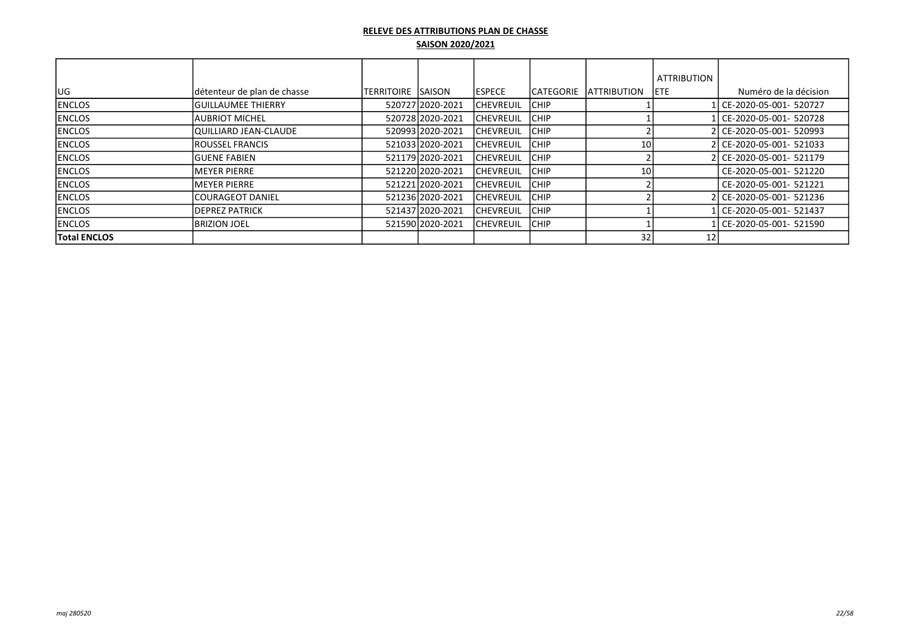|                     |                             |             |                  |                   |                   |                     | <b>ATTRIBUTION</b> |                           |
|---------------------|-----------------------------|-------------|------------------|-------------------|-------------------|---------------------|--------------------|---------------------------|
| IUG.                | détenteur de plan de chasse | ITERRITOIRE | <b>ISAISON</b>   | <b>IESPECE</b>    | <b>ICATEGORIE</b> | <b>IATTRIBUTION</b> | IETE.              | Numéro de la décision     |
| <b>ENCLOS</b>       | lGUILLAUMEE THIERRY         |             | 520727 2020-2021 | <b>ICHEVREUIL</b> | <b>ICHIP</b>      |                     |                    | l CE-2020-05-001- 520727  |
| <b>ENCLOS</b>       | IAUBRIOT MICHEL             |             | 520728 2020-2021 | ICHEVREUIL        | <b>ICHIP</b>      |                     |                    | CE-2020-05-001- 520728    |
| <b>ENCLOS</b>       | QUILLIARD JEAN-CLAUDE       |             | 520993 2020-2021 | ICHEVREUIL        | <b>ICHIP</b>      |                     |                    | 2l CE-2020-05-001- 520993 |
| <b>ENCLOS</b>       | IROUSSEL FRANCIS            |             | 521033 2020-2021 | <b>ICHEVREUIL</b> | <b>ICHIP</b>      | 10                  |                    | 2 CE-2020-05-001- 521033  |
| <b>ENCLOS</b>       | lGUENE FABIEN               |             | 521179 2020-2021 | ICHEVREUIL        | <b>ICHIP</b>      |                     |                    | 2 CE-2020-05-001- 521179  |
| <b>ENCLOS</b>       | MEYER PIERRE                |             | 52122012020-2021 | ICHEVREUIL        | <b>CHIP</b>       | 10                  |                    | CE-2020-05-001- 521220    |
| <b>IENCLOS</b>      | IMEYER PIERRE               |             | 521221 2020-2021 | ICHEVREUIL        | <b>ICHIP</b>      |                     |                    | CE-2020-05-001- 521221    |
| <b>IENCLOS</b>      | lCOURAGEOT DANIEL           |             | 521236 2020-2021 | <b>ICHEVREUIL</b> | <b>ICHIP</b>      |                     |                    | 2l CE-2020-05-001- 521236 |
| <b>ENCLOS</b>       | <b>DEPREZ PATRICK</b>       |             | 521437 2020-2021 | <b>ICHEVREUIL</b> | <b>ICHIP</b>      |                     |                    | CE-2020-05-001- 521437    |
| <b>IENCLOS</b>      | IBRIZION JOEL               |             | 521590 2020-2021 | <b>ICHEVREUIL</b> | <b>ICHIP</b>      |                     |                    | l CE-2020-05-001- 521590  |
| <b>Total ENCLOS</b> |                             |             |                  |                   |                   | 32                  | 12                 |                           |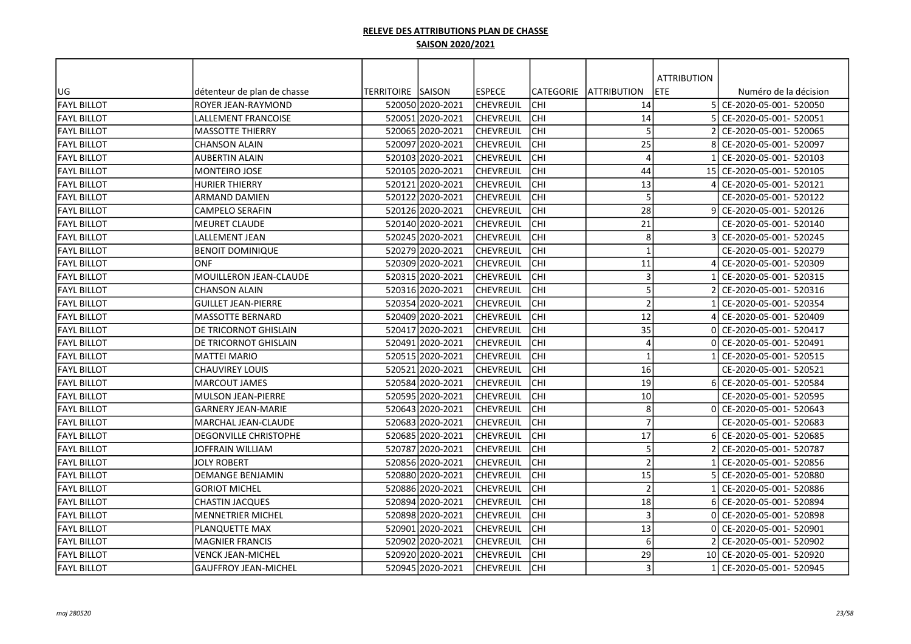|                    |                               |                          |                  |                  |            |                     | <b>ATTRIBUTION</b> |                           |
|--------------------|-------------------------------|--------------------------|------------------|------------------|------------|---------------------|--------------------|---------------------------|
| UG                 | détenteur de plan de chasse   | <b>TERRITOIRE SAISON</b> |                  | <b>ESPECE</b>    | CATEGORIE  | <b>JATTRIBUTION</b> | ETE                | Numéro de la décision     |
| <b>FAYL BILLOT</b> | ROYER JEAN-RAYMOND            |                          | 520050 2020-2021 | lchevreuil       | CHI        | 14                  |                    | 5 CE-2020-05-001- 520050  |
| <b>FAYL BILLOT</b> | <b>LALLEMENT FRANCOISE</b>    |                          | 520051 2020-2021 | <b>CHEVREUIL</b> | CHI        | 14                  |                    | CE-2020-05-001- 520051    |
| <b>FAYL BILLOT</b> | <b>MASSOTTE THIERRY</b>       |                          | 520065 2020-2021 | <b>CHEVREUIL</b> | CHI        | 5                   |                    | CE-2020-05-001- 520065    |
| <b>FAYL BILLOT</b> | <b>CHANSON ALAIN</b>          |                          | 520097 2020-2021 | <b>CHEVREUIL</b> | CHI        | 25                  |                    | CE-2020-05-001- 520097    |
| <b>FAYL BILLOT</b> | <b>AUBERTIN ALAIN</b>         |                          | 520103 2020-2021 | CHEVREUIL        | CHI        | $\overline{4}$      |                    | CE-2020-05-001- 520103    |
| <b>FAYL BILLOT</b> | <b>MONTEIRO JOSE</b>          |                          | 520105 2020-2021 | <b>CHEVREUIL</b> | CHI        | 44                  |                    | 15 CE-2020-05-001- 520105 |
| <b>FAYL BILLOT</b> | <b>HURIER THIERRY</b>         |                          | 520121 2020-2021 | <b>CHEVREUIL</b> | <b>CHI</b> | 13                  |                    | CE-2020-05-001- 520121    |
| <b>FAYL BILLOT</b> | ARMAND DAMIEN                 |                          | 520122 2020-2021 | <b>CHEVREUIL</b> | <b>CHI</b> | 5                   |                    | CE-2020-05-001- 520122    |
| <b>FAYL BILLOT</b> | CAMPELO SERAFIN               |                          | 520126 2020-2021 | <b>CHEVREUIL</b> | <b>CHI</b> | 28                  |                    | 9 CE-2020-05-001- 520126  |
| <b>FAYL BILLOT</b> | <b>MEURET CLAUDE</b>          |                          | 520140 2020-2021 | <b>CHEVREUIL</b> | CHI        | 21                  |                    | CE-2020-05-001- 520140    |
| <b>FAYL BILLOT</b> | <b>LALLEMENT JEAN</b>         |                          | 520245 2020-2021 | <b>CHEVREUIL</b> | CHI        | 8                   |                    | 3 CE-2020-05-001- 520245  |
| <b>FAYL BILLOT</b> | <b>BENOIT DOMINIQUE</b>       |                          | 520279 2020-2021 | <b>CHEVREUIL</b> | CHI        | $\overline{1}$      |                    | CE-2020-05-001- 520279    |
| <b>FAYL BILLOT</b> | <b>ONF</b>                    |                          | 520309 2020-2021 | <b>CHEVREUIL</b> | <b>CHI</b> | 11                  |                    | CE-2020-05-001- 520309    |
| <b>FAYL BILLOT</b> | <b>MOUILLERON JEAN-CLAUDE</b> |                          | 520315 2020-2021 | <b>CHEVREUIL</b> | <b>CHI</b> | 3                   |                    | CE-2020-05-001- 520315    |
| <b>FAYL BILLOT</b> | <b>CHANSON ALAIN</b>          |                          | 520316 2020-2021 | <b>CHEVREUIL</b> | CHI        | 5                   |                    | CE-2020-05-001- 520316    |
| <b>FAYL BILLOT</b> | <b>GUILLET JEAN-PIERRE</b>    |                          | 520354 2020-2021 | <b>CHEVREUIL</b> | CHI        | $\overline{2}$      |                    | CE-2020-05-001- 520354    |
| <b>FAYL BILLOT</b> | <b>MASSOTTE BERNARD</b>       |                          | 520409 2020-2021 | <b>CHEVREUIL</b> | CHI        | 12                  |                    | CE-2020-05-001- 520409    |
| <b>FAYL BILLOT</b> | DE TRICORNOT GHISLAIN         |                          | 520417 2020-2021 | <b>CHEVREUIL</b> | CHI        | 35                  |                    | CE-2020-05-001- 520417    |
| <b>FAYL BILLOT</b> | DE TRICORNOT GHISLAIN         |                          | 520491 2020-2021 | <b>CHEVREUIL</b> | <b>CHI</b> | $\overline{4}$      |                    | CE-2020-05-001- 520491    |
| <b>FAYL BILLOT</b> | <b>MATTEI MARIO</b>           |                          | 520515 2020-2021 | CHEVREUIL        | CHI        | $\mathbf{1}$        |                    | CE-2020-05-001- 520515    |
| <b>FAYL BILLOT</b> | <b>CHAUVIREY LOUIS</b>        |                          | 520521 2020-2021 | <b>CHEVREUIL</b> | CHI        | 16                  |                    | CE-2020-05-001- 520521    |
| <b>FAYL BILLOT</b> | <b>MARCOUT JAMES</b>          |                          | 520584 2020-2021 | <b>CHEVREUIL</b> | <b>CHI</b> | 19                  |                    | 6 CE-2020-05-001- 520584  |
| <b>FAYL BILLOT</b> | <b>MULSON JEAN-PIERRE</b>     |                          | 520595 2020-2021 | <b>CHEVREUIL</b> | <b>CHI</b> | 10                  |                    | CE-2020-05-001- 520595    |
| <b>FAYL BILLOT</b> | <b>GARNERY JEAN-MARIE</b>     |                          | 520643 2020-2021 | <b>CHEVREUIL</b> | <b>CHI</b> | 8                   |                    | 0 CE-2020-05-001- 520643  |
| <b>FAYL BILLOT</b> | MARCHAL JEAN-CLAUDE           |                          | 520683 2020-2021 | <b>CHEVREUIL</b> | <b>CHI</b> | $\overline{7}$      |                    | CE-2020-05-001- 520683    |
| <b>FAYL BILLOT</b> | <b>DEGONVILLE CHRISTOPHE</b>  |                          | 520685 2020-2021 | <b>CHEVREUIL</b> | <b>CHI</b> | 17                  |                    | CE-2020-05-001- 520685    |
| <b>FAYL BILLOT</b> | JOFFRAIN WILLIAM              |                          | 520787 2020-2021 | <b>CHEVREUIL</b> | CHI        | 5                   |                    | CE-2020-05-001- 520787    |
| <b>FAYL BILLOT</b> | <b>JOLY ROBERT</b>            |                          | 52085612020-2021 | <b>CHEVREUIL</b> | CHI        | $\overline{2}$      |                    | CE-2020-05-001- 520856    |
| <b>FAYL BILLOT</b> | DEMANGE BENJAMIN              |                          | 520880 2020-2021 | <b>CHEVREUIL</b> | CHI        | 15                  |                    | CE-2020-05-001- 520880    |
| <b>FAYL BILLOT</b> | <b>GORIOT MICHEL</b>          |                          | 520886 2020-2021 | <b>CHEVREUIL</b> | CHI        | $\overline{2}$      |                    | CE-2020-05-001- 520886    |
| <b>FAYL BILLOT</b> | <b>CHASTIN JACQUES</b>        |                          | 520894 2020-2021 | <b>CHEVREUIL</b> | CHI        | 18                  |                    | CE-2020-05-001- 520894    |
| <b>FAYL BILLOT</b> | <b>MENNETRIER MICHEL</b>      |                          | 520898 2020-2021 | <b>CHEVREUIL</b> | CHI        | $\overline{3}$      |                    | CE-2020-05-001- 520898    |
| <b>FAYL BILLOT</b> | PLANQUETTE MAX                |                          | 520901 2020-2021 | <b>CHEVREUIL</b> | <b>CHI</b> | 13                  | ΩI                 | CE-2020-05-001- 520901    |
| <b>FAYL BILLOT</b> | <b>MAGNIER FRANCIS</b>        |                          | 520902 2020-2021 | <b>CHEVREUIL</b> | CHI        | 6                   |                    | CE-2020-05-001- 520902    |
| <b>FAYL BILLOT</b> | VENCK JEAN-MICHEL             |                          | 520920 2020-2021 | CHEVREUIL        | <b>CHI</b> | 29                  |                    | 10 CE-2020-05-001- 520920 |
| <b>FAYL BILLOT</b> | <b>GAUFFROY JEAN-MICHEL</b>   |                          | 520945 2020-2021 | <b>CHEVREUIL</b> | CHI        | 3                   |                    | CE-2020-05-001- 520945    |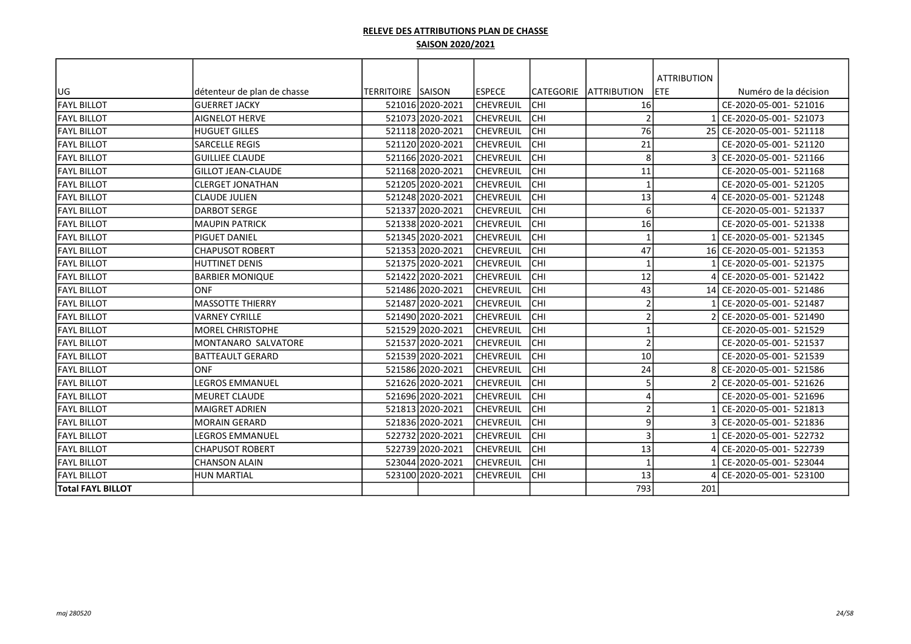|                          |                             |                          |                  |                  |            |                    | <b>ATTRIBUTION</b> |                           |
|--------------------------|-----------------------------|--------------------------|------------------|------------------|------------|--------------------|--------------------|---------------------------|
| lug                      | détenteur de plan de chasse | <b>TERRITOIRE SAISON</b> |                  | <b>ESPECE</b>    | CATEGORIE  | <b>ATTRIBUTION</b> | <b>ETE</b>         | Numéro de la décision     |
| <b>FAYL BILLOT</b>       | lguerret Jacky              |                          | 521016 2020-2021 | <b>CHEVREUIL</b> | CHI        | 16                 |                    | CE-2020-05-001- 521016    |
| <b>FAYL BILLOT</b>       | <b>AIGNELOT HERVE</b>       |                          | 521073 2020-2021 | <b>CHEVREUIL</b> | CHI        | $\overline{2}$     |                    | 1 CE-2020-05-001- 521073  |
| <b>FAYL BILLOT</b>       | <b>HUGUET GILLES</b>        |                          | 521118 2020-2021 | <b>CHEVREUIL</b> | CHI        | 76                 |                    | 25 CE-2020-05-001- 521118 |
| <b>FAYL BILLOT</b>       | <b>SARCELLE REGIS</b>       |                          | 521120 2020-2021 | <b>CHEVREUIL</b> | CHI        | 21                 |                    | CE-2020-05-001- 521120    |
| <b>FAYL BILLOT</b>       | <b>GUILLIEE CLAUDE</b>      |                          | 521166 2020-2021 | <b>CHEVREUIL</b> | CHI        | 8                  |                    | CE-2020-05-001- 521166    |
| <b>FAYL BILLOT</b>       | <b>GILLOT JEAN-CLAUDE</b>   |                          | 521168 2020-2021 | <b>CHEVREUIL</b> | CHI        | 11                 |                    | CE-2020-05-001- 521168    |
| <b>FAYL BILLOT</b>       | lclerget jonathan           |                          | 521205 2020-2021 | CHEVREUIL        | CHI        | $\overline{1}$     |                    | CE-2020-05-001- 521205    |
| <b>FAYL BILLOT</b>       | lclaude julien              |                          | 521248 2020-2021 | <b>CHEVREUIL</b> | CHI        | 13                 |                    | 4 CE-2020-05-001- 521248  |
| <b>FAYL BILLOT</b>       | <b>DARBOT SERGE</b>         |                          | 521337 2020-2021 | CHEVREUIL        | CHI        | 6                  |                    | CE-2020-05-001- 521337    |
| <b>FAYL BILLOT</b>       | <b>MAUPIN PATRICK</b>       |                          | 521338 2020-2021 | <b>CHEVREUIL</b> | CHI        | 16                 |                    | CE-2020-05-001- 521338    |
| <b>FAYL BILLOT</b>       | lpiguet daniel              |                          | 521345 2020-2021 | CHEVREUIL        | CHI        | $\mathbf{1}$       |                    | 1 CE-2020-05-001- 521345  |
| <b>FAYL BILLOT</b>       | lchapusot Robert            |                          | 521353 2020-2021 | <b>CHEVREUIL</b> | CHI        | 47                 |                    | 16 CE-2020-05-001- 521353 |
| <b>FAYL BILLOT</b>       | <b>HUTTINET DENIS</b>       |                          | 521375 2020-2021 | <b>CHEVREUIL</b> | CHI        | $\mathbf{1}$       |                    | CE-2020-05-001- 521375    |
| <b>FAYL BILLOT</b>       | <b>BARBIER MONIQUE</b>      |                          | 521422 2020-2021 | <b>CHEVREUIL</b> | CHI        | 12                 |                    | CE-2020-05-001- 521422    |
| <b>FAYL BILLOT</b>       | <b>ONF</b>                  |                          | 521486 2020-2021 | CHEVREUIL        | CHI        | 43                 |                    | 14 CE-2020-05-001- 521486 |
| <b>FAYL BILLOT</b>       | <b>MASSOTTE THIERRY</b>     |                          | 521487 2020-2021 | <b>CHEVREUIL</b> | CHI        | $\overline{2}$     |                    | 1 CE-2020-05-001- 521487  |
| <b>FAYL BILLOT</b>       | <b>VARNEY CYRILLE</b>       |                          | 521490 2020-2021 | CHEVREUIL        | CHI        | $\overline{2}$     |                    | CE-2020-05-001- 521490    |
| <b>FAYL BILLOT</b>       | <b>MOREL CHRISTOPHE</b>     |                          | 521529 2020-2021 | CHEVREUIL        | CHI        | $\mathbf{1}$       |                    | CE-2020-05-001- 521529    |
| <b>FAYL BILLOT</b>       | MONTANARO SALVATORE         |                          | 521537 2020-2021 | CHEVREUIL        | CHI        | $\overline{2}$     |                    | CE-2020-05-001- 521537    |
| <b>FAYL BILLOT</b>       | BATTEAULT GERARD            |                          | 521539 2020-2021 | <b>CHEVREUIL</b> | CHI        | 10                 |                    | CE-2020-05-001- 521539    |
| <b>FAYL BILLOT</b>       | ONF                         |                          | 521586 2020-2021 | CHEVREUIL        | CHI        | 24                 |                    | 8 CE-2020-05-001- 521586  |
| <b>FAYL BILLOT</b>       | <b>LEGROS EMMANUEL</b>      |                          | 521626 2020-2021 | CHEVREUIL        | CHI        | 5                  |                    | 2 CE-2020-05-001- 521626  |
| <b>FAYL BILLOT</b>       | <b>MEURET CLAUDE</b>        |                          | 521696 2020-2021 | CHEVREUIL        | CHI        | 4                  |                    | CE-2020-05-001- 521696    |
| <b>FAYL BILLOT</b>       | <b>MAIGRET ADRIEN</b>       |                          | 521813 2020-2021 | CHEVREUIL        | CHI        | $\overline{2}$     |                    | 1 CE-2020-05-001- 521813  |
| <b>FAYL BILLOT</b>       | <b>MORAIN GERARD</b>        |                          | 521836 2020-2021 | <b>CHEVREUIL</b> | CHI        | 9                  |                    | 3 CE-2020-05-001- 521836  |
| <b>FAYL BILLOT</b>       | <b>LEGROS EMMANUEL</b>      |                          | 522732 2020-2021 | CHEVREUIL        | CHI        | 3                  |                    | 1 CE-2020-05-001- 522732  |
| <b>FAYL BILLOT</b>       | <b>CHAPUSOT ROBERT</b>      |                          | 522739 2020-2021 | <b>CHEVREUIL</b> | CHI        | 13                 |                    | 4 CE-2020-05-001- 522739  |
| <b>FAYL BILLOT</b>       | <b>CHANSON ALAIN</b>        |                          | 523044 2020-2021 | <b>CHEVREUIL</b> | CHI        | $\mathbf{1}$       |                    | CE-2020-05-001- 523044    |
| <b>FAYL BILLOT</b>       | <b>HUN MARTIAL</b>          |                          | 523100 2020-2021 | <b>CHEVREUIL</b> | <b>CHI</b> | 13                 |                    | CE-2020-05-001- 523100    |
| <b>Total FAYL BILLOT</b> |                             |                          |                  |                  |            | 793                | 201                |                           |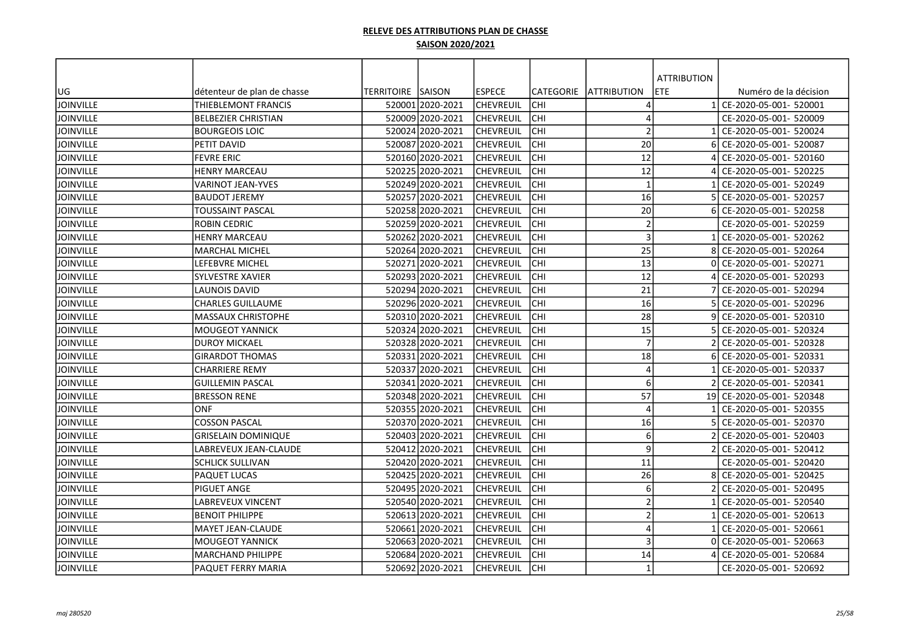|                  |                             |                    |                  |                  |                  |                     | <b>ATTRIBUTION</b> |                           |
|------------------|-----------------------------|--------------------|------------------|------------------|------------------|---------------------|--------------------|---------------------------|
| UG               | détenteur de plan de chasse | TERRITOIRE  SAISON |                  | <b>IESPECE</b>   | <b>CATEGORIE</b> | <b>JATTRIBUTION</b> | ETE                | Numéro de la décision     |
| JOINVILLE        | THIEBLEMONT FRANCIS         |                    | 520001 2020-2021 | lchevreuil       | <b>CHI</b>       | 4                   |                    | CE-2020-05-001- 520001    |
| <b>JOINVILLE</b> | <b>BELBEZIER CHRISTIAN</b>  |                    | 520009 2020-2021 | <b>CHEVREUIL</b> | CHI              | 4                   |                    | CE-2020-05-001- 520009    |
| <b>JOINVILLE</b> | <b>BOURGEOIS LOIC</b>       |                    | 520024 2020-2021 | <b>CHEVREUIL</b> | CHI              | $\overline{2}$      |                    | CE-2020-05-001- 520024    |
| <b>JOINVILLE</b> | PETIT DAVID                 |                    | 520087 2020-2021 | <b>CHEVREUIL</b> | CHI              | 20                  |                    | CE-2020-05-001- 520087    |
| <b>JOINVILLE</b> | <b>FEVRE ERIC</b>           |                    | 520160 2020-2021 | CHEVREUIL        | CHI              | 12                  |                    | CE-2020-05-001- 520160    |
| <b>JOINVILLE</b> | HENRY MARCEAU               |                    | 520225 2020-2021 | CHEVREUIL        | CHI              | 12                  |                    | CE-2020-05-001- 520225    |
| <b>JOINVILLE</b> | VARINOT JEAN-YVES           |                    | 520249 2020-2021 | CHEVREUIL        | CHI              | $\mathbf{1}$        |                    | CE-2020-05-001- 520249    |
| <b>JOINVILLE</b> | <b>BAUDOT JEREMY</b>        |                    | 520257 2020-2021 | CHEVREUIL        | CHI              | 16                  |                    | CE-2020-05-001- 520257    |
| <b>JOINVILLE</b> | TOUSSAINT PASCAL            |                    | 520258 2020-2021 | CHEVREUIL        | CHI              | 20                  |                    | CE-2020-05-001- 520258    |
| <b>JOINVILLE</b> | ROBIN CEDRIC                |                    | 520259 2020-2021 | <b>CHEVREUIL</b> | CHI              | $\overline{2}$      |                    | CE-2020-05-001- 520259    |
| <b>JOINVILLE</b> | <b>HENRY MARCEAU</b>        |                    | 520262 2020-2021 | <b>CHEVREUIL</b> | CHI              | $\overline{3}$      |                    | CE-2020-05-001- 520262    |
| JOINVILLE        | <b>MARCHAL MICHEL</b>       |                    | 520264 2020-2021 | CHEVREUIL        | CHI              | 25                  |                    | CE-2020-05-001- 520264    |
| <b>JOINVILLE</b> | LEFEBVRE MICHEL             |                    | 520271 2020-2021 | CHEVREUIL        | CHI              | 13                  | ΩI                 | CE-2020-05-001- 520271    |
| <b>JOINVILLE</b> | <b>SYLVESTRE XAVIER</b>     |                    | 520293 2020-2021 | <b>CHEVREUIL</b> | CHI              | 12                  |                    | CE-2020-05-001- 520293    |
| <b>JOINVILLE</b> | LAUNOIS DAVID               |                    | 520294 2020-2021 | lchevreuil       | CHI              | 21                  |                    | CE-2020-05-001- 520294    |
| <b>JOINVILLE</b> | CHARLES GUILLAUME           |                    | 520296 2020-2021 | <b>CHEVREUIL</b> | CHI              | 16                  |                    | CE-2020-05-001- 520296    |
| <b>JOINVILLE</b> | <b>MASSAUX CHRISTOPHE</b>   |                    | 520310 2020-2021 | CHEVREUIL        | CHI              | 28                  |                    | CE-2020-05-001- 520310    |
| <b>JOINVILLE</b> | <b>MOUGEOT YANNICK</b>      |                    | 520324 2020-2021 | CHEVREUIL        | CHI              | 15                  |                    | CE-2020-05-001- 520324    |
| <b>JOINVILLE</b> | DUROY MICKAEL               |                    | 520328 2020-2021 | CHEVREUIL        | CHI              | $\overline{7}$      |                    | CE-2020-05-001- 520328    |
| <b>JOINVILLE</b> | <b>GIRARDOT THOMAS</b>      |                    | 520331 2020-2021 | <b>CHEVREUIL</b> | CHI              | 18                  |                    | CE-2020-05-001- 520331    |
| <b>JOINVILLE</b> | CHARRIERE REMY              |                    | 520337 2020-2021 | CHEVREUIL        | CHI              | $\overline{4}$      |                    | CE-2020-05-001- 520337    |
| <b>JOINVILLE</b> | <b>GUILLEMIN PASCAL</b>     |                    | 520341 2020-2021 | <b>CHEVREUIL</b> | CHI              | 6                   |                    | CE-2020-05-001- 520341    |
| <b>JOINVILLE</b> | <b>BRESSON RENE</b>         |                    | 520348 2020-2021 | CHEVREUIL        | CHI              | 57                  |                    | 19 CE-2020-05-001- 520348 |
| <b>JOINVILLE</b> | <b>ONF</b>                  |                    | 520355 2020-2021 | CHEVREUIL        | CHI              | $\Delta$            |                    | CE-2020-05-001- 520355    |
| <b>JOINVILLE</b> | <b>COSSON PASCAL</b>        |                    | 520370 2020-2021 | CHEVREUIL        | CHI              | 16                  |                    | CE-2020-05-001- 520370    |
| <b>JOINVILLE</b> | <b>GRISELAIN DOMINIQUE</b>  |                    | 520403 2020-2021 | <b>CHEVREUIL</b> | CHI              | 6                   |                    | CE-2020-05-001- 520403    |
| <b>JOINVILLE</b> | LABREVEUX JEAN-CLAUDE       |                    | 520412 2020-2021 | <b>CHEVREUIL</b> | CHI              | 9                   |                    | CE-2020-05-001- 520412    |
| <b>JOINVILLE</b> | <b>SCHLICK SULLIVAN</b>     |                    | 52042012020-2021 | lchevreuil       | <b>CHI</b>       | 11                  |                    | CE-2020-05-001- 520420    |
| <b>JOINVILLE</b> | PAQUET LUCAS                |                    | 520425 2020-2021 | CHEVREUIL        | CHI              | 26                  |                    | CE-2020-05-001- 520425    |
| <b>JOINVILLE</b> | PIGUET ANGE                 |                    | 520495 2020-2021 | CHEVREUIL        | CHI              | 6                   |                    | CE-2020-05-001- 520495    |
| <b>JOINVILLE</b> | LABREVEUX VINCENT           |                    | 520540 2020-2021 | CHEVREUIL        | lсні             | $\overline{a}$      |                    | CE-2020-05-001- 520540    |
| <b>JOINVILLE</b> | <b>BENOIT PHILIPPE</b>      |                    | 520613 2020-2021 | <b>CHEVREUIL</b> | lсні             | $\overline{a}$      |                    | CE-2020-05-001- 520613    |
| <b>JOINVILLE</b> | <b>MAYET JEAN-CLAUDE</b>    |                    | 520661 2020-2021 | CHEVREUIL        | CHI              | $\Delta$            |                    | CE-2020-05-001- 520661    |
| <b>JOINVILLE</b> | <b>MOUGEOT YANNICK</b>      |                    | 520663 2020-2021 | <b>CHEVREUIL</b> | <b>CHI</b>       | $\mathbf{3}$        |                    | CE-2020-05-001- 520663    |
| <b>JOINVILLE</b> | <b>MARCHAND PHILIPPE</b>    |                    | 520684 2020-2021 | CHEVREUIL        | CHI              | 14                  |                    | CE-2020-05-001- 520684    |
| <b>JOINVILLE</b> | PAQUET FERRY MARIA          |                    | 520692 2020-2021 | <b>CHEVREUIL</b> | <b>CHI</b>       | $\mathbf{1}$        |                    | CE-2020-05-001- 520692    |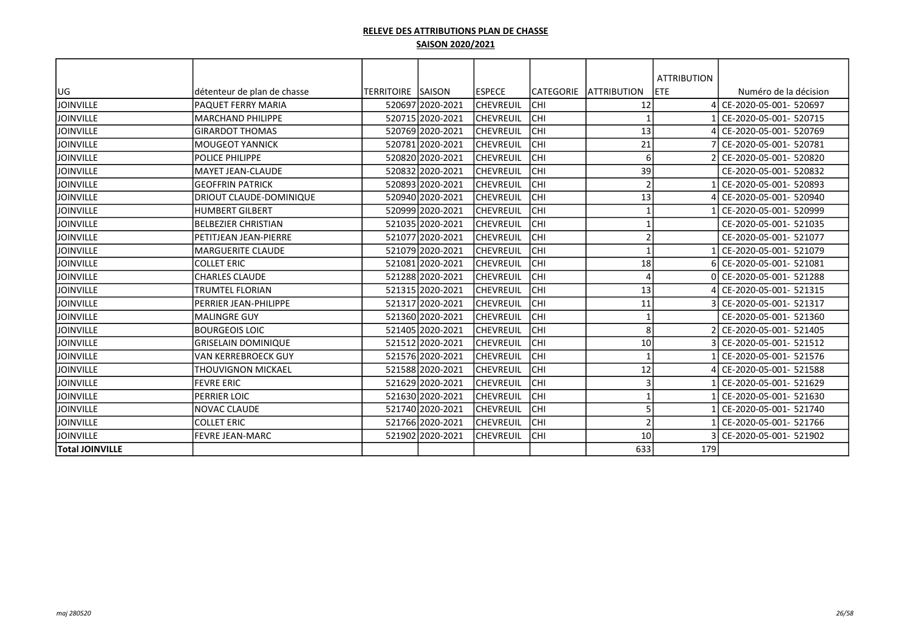|                        |                             |                           |                  |                   |                  |                          | <b>ATTRIBUTION</b> |                          |
|------------------------|-----------------------------|---------------------------|------------------|-------------------|------------------|--------------------------|--------------------|--------------------------|
| UG                     | détenteur de plan de chasse | <b>TERRITOIRE ISAISON</b> |                  | <b>IESPECE</b>    | <b>CATEGORIE</b> | <b>LATTRIBUTION</b>      | <b>ETE</b>         | Numéro de la décision    |
| <b>JOINVILLE</b>       | <b>PAQUET FERRY MARIA</b>   |                           | 520697 2020-2021 | <b>CHEVREUIL</b>  | CHI              | 12                       |                    | CE-2020-05-001- 520697   |
| <b>JOINVILLE</b>       | MARCHAND PHILIPPE           |                           | 520715 2020-2021 | <b>CHEVREUIL</b>  | CHI              | $\overline{\phantom{a}}$ |                    | CE-2020-05-001- 520715   |
| <b>JOINVILLE</b>       | <b>GIRARDOT THOMAS</b>      |                           | 520769 2020-2021 | <b>CHEVREUIL</b>  | CHI              | 13                       |                    | CE-2020-05-001- 520769   |
| <b>JOINVILLE</b>       | <b>MOUGEOT YANNICK</b>      |                           | 520781 2020-2021 | <b>CHEVREUIL</b>  | CHI              | 21                       |                    | CE-2020-05-001- 520781   |
| <b>JOINVILLE</b>       | <b>POLICE PHILIPPE</b>      |                           | 520820 2020-2021 | lchevreuil        | CHI              | 6                        |                    | CE-2020-05-001- 520820   |
| <b>JOINVILLE</b>       | <b>MAYET JEAN-CLAUDE</b>    |                           | 520832 2020-2021 | ICHEVREUIL        | CHI              | 39                       |                    | CE-2020-05-001- 520832   |
| <b>JOINVILLE</b>       | <b>GEOFFRIN PATRICK</b>     |                           | 520893 2020-2021 | lchevreuil        | CHI              | $\overline{2}$           |                    | CE-2020-05-001- 520893   |
| <b>JOINVILLE</b>       | DRIOUT CLAUDE-DOMINIQUE     |                           | 520940 2020-2021 | <b>CHEVREUIL</b>  | CHI              | 13                       |                    | CE-2020-05-001- 520940   |
| <b>JOINVILLE</b>       | HUMBERT GILBERT             |                           | 520999 2020-2021 | <b>CHEVREUIL</b>  | CHI              |                          |                    | CE-2020-05-001- 520999   |
| <b>JOINVILLE</b>       | BELBEZIER CHRISTIAN         |                           | 521035 2020-2021 | <b>CHEVREUIL</b>  | CHI              |                          |                    | CE-2020-05-001- 521035   |
| <b>JOINVILLE</b>       | PETITJEAN JEAN-PIERRE       |                           | 521077 2020-2021 | <b>CHEVREUIL</b>  | CHI              | $\overline{a}$           |                    | CE-2020-05-001- 521077   |
| <b>JOINVILLE</b>       | lMARGUERITE CLAUDE          |                           | 521079 2020-2021 | <b>CHEVREUIL</b>  | CHI              |                          |                    | CE-2020-05-001- 521079   |
| <b>JOINVILLE</b>       | <b>COLLET ERIC</b>          |                           | 521081 2020-2021 | <b>CHEVREUIL</b>  | CHI              | 18                       |                    | CE-2020-05-001- 521081   |
| <b>JOINVILLE</b>       | <b>CHARLES CLAUDE</b>       |                           | 521288 2020-2021 | <b>CHEVREUIL</b>  | CHI              | $\Delta$                 | ΩI                 | CE-2020-05-001- 521288   |
| <b>JOINVILLE</b>       | <b>TRUMTEL FLORIAN</b>      |                           | 521315 2020-2021 | <b>CHEVREUIL</b>  | CHI              | 13                       |                    | CE-2020-05-001- 521315   |
| <b>JOINVILLE</b>       | PERRIER JEAN-PHILIPPE       |                           | 521317 2020-2021 | <b>CHEVREUIL</b>  | CHI              | 11                       |                    | 3 CE-2020-05-001- 521317 |
| <b>JOINVILLE</b>       | lMALINGRE GUY               |                           | 521360 2020-2021 | <b>ICHEVREUIL</b> | CHI              | $\overline{\phantom{a}}$ |                    | CE-2020-05-001- 521360   |
| <b>JOINVILLE</b>       | <b>IBOURGEOIS LOIC</b>      |                           | 52140512020-2021 | <b>CHEVREUIL</b>  | CHI              | 8                        |                    | CE-2020-05-001- 521405   |
| <b>JOINVILLE</b>       | <b>GRISELAIN DOMINIQUE</b>  |                           | 521512 2020-2021 | <b>ICHEVREUIL</b> | CHI              | 10                       |                    | CE-2020-05-001- 521512   |
| Ijoinville             | <b>VAN KERREBROECK GUY</b>  |                           | 521576 2020-2021 | <b>CHEVREUIL</b>  | CHI              | $\overline{\phantom{a}}$ |                    | CE-2020-05-001- 521576   |
| <b>JOINVILLE</b>       | THOUVIGNON MICKAEL          |                           | 52158812020-2021 | ICHEVREUIL        | CHI              | 12                       |                    | CE-2020-05-001- 521588   |
| <b>JOINVILLE</b>       | <b>FEVRE ERIC</b>           |                           | 521629 2020-2021 | <b>CHEVREUIL</b>  | CHI              | 3                        |                    | CE-2020-05-001- 521629   |
| <b>JOINVILLE</b>       | PERRIER LOIC                |                           | 521630 2020-2021 | ICHEVREUIL        | CHI              | $\overline{\phantom{a}}$ |                    | CE-2020-05-001- 521630   |
| <b>JOINVILLE</b>       | <b>NOVAC CLAUDE</b>         |                           | 521740 2020-2021 | <b>CHEVREUIL</b>  | CHI              | 5                        |                    | CE-2020-05-001- 521740   |
| <b>JOINVILLE</b>       | <b>COLLET ERIC</b>          |                           | 521766 2020-2021 | <b>CHEVREUIL</b>  | CHI              | $\overline{2}$           |                    | CE-2020-05-001- 521766   |
| <b>JOINVILLE</b>       | <b>FEVRE JEAN-MARC</b>      |                           | 521902 2020-2021 | <b>CHEVREUIL</b>  | CHI              | 10                       |                    | CE-2020-05-001- 521902   |
| <b>Total JOINVILLE</b> |                             |                           |                  |                   |                  | 633                      | 179                |                          |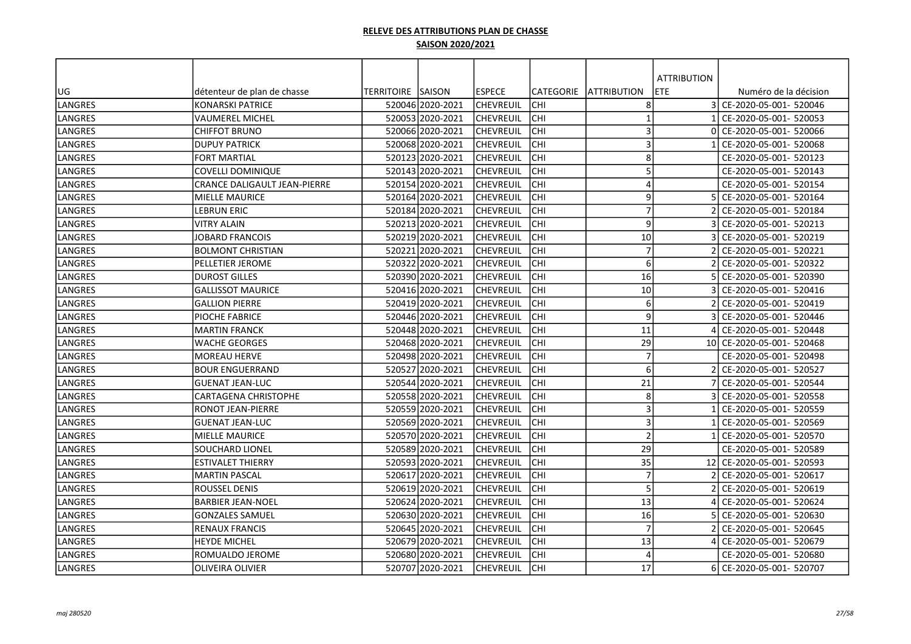|                |                              |                          |                  |                  |            |                          | <b>ATTRIBUTION</b> |                           |
|----------------|------------------------------|--------------------------|------------------|------------------|------------|--------------------------|--------------------|---------------------------|
| UG             | détenteur de plan de chasse  | <b>TERRITOIRE SAISON</b> |                  | <b>ESPECE</b>    | CATEGORIE  | <b>JATTRIBUTION</b>      | ETE                | Numéro de la décision     |
| <b>LANGRES</b> | <b>KONARSKI PATRICE</b>      |                          | 520046 2020-2021 | lchevreuil       | CHI        | 8                        |                    | 3 CE-2020-05-001- 520046  |
| LANGRES        | <b>VAUMEREL MICHEL</b>       |                          | 52005312020-2021 | <b>CHEVREUIL</b> | CHI        | $\overline{\phantom{a}}$ |                    | CE-2020-05-001- 520053    |
| LANGRES        | <b>CHIFFOT BRUNO</b>         |                          | 520066 2020-2021 | <b>CHEVREUIL</b> | CHI        | 3                        | ΩI                 | CE-2020-05-001- 520066    |
| <b>LANGRES</b> | <b>DUPUY PATRICK</b>         |                          | 520068 2020-2021 | <b>CHEVREUIL</b> | CHI        | 3                        |                    | CE-2020-05-001- 520068    |
| LANGRES        | FORT MARTIAL                 |                          | 52012312020-2021 | CHEVREUIL        | CHI        | 8                        |                    | CE-2020-05-001- 520123    |
| LANGRES        | COVELLI DOMINIQUE            |                          | 520143 2020-2021 | <b>CHEVREUIL</b> | CHI        | 5                        |                    | CE-2020-05-001- 520143    |
| LANGRES        | CRANCE DALIGAULT JEAN-PIERRE |                          | 520154 2020-2021 | <b>CHEVREUIL</b> | <b>CHI</b> | 4                        |                    | CE-2020-05-001- 520154    |
| LANGRES        | MIELLE MAURICE               |                          | 520164 2020-2021 | <b>CHEVREUIL</b> | <b>CHI</b> | 9                        |                    | CE-2020-05-001- 520164    |
| LANGRES        | <b>LEBRUN ERIC</b>           |                          | 520184 2020-2021 | <b>CHEVREUIL</b> | <b>CHI</b> | $\overline{7}$           |                    | CE-2020-05-001- 520184    |
| LANGRES        | <b>VITRY ALAIN</b>           |                          | 520213 2020-2021 | <b>CHEVREUIL</b> | CHI        | 9                        |                    | CE-2020-05-001- 520213    |
| LANGRES        | <b>JOBARD FRANCOIS</b>       |                          | 520219 2020-2021 | <b>CHEVREUIL</b> | CHI        | 10                       |                    | CE-2020-05-001- 520219    |
| LANGRES        | <b>BOLMONT CHRISTIAN</b>     |                          | 520221 2020-2021 | <b>CHEVREUIL</b> | CHI        | $\overline{7}$           |                    | CE-2020-05-001- 520221    |
| LANGRES        | PELLETIER JEROME             |                          | 520322 2020-2021 | <b>CHEVREUIL</b> | <b>CHI</b> | 6                        |                    | CE-2020-05-001- 520322    |
| LANGRES        | <b>DUROST GILLES</b>         |                          | 520390 2020-2021 | <b>CHEVREUIL</b> | <b>CHI</b> | 16                       |                    | CE-2020-05-001- 520390    |
| LANGRES        | <b>GALLISSOT MAURICE</b>     |                          | 520416 2020-2021 | <b>CHEVREUIL</b> | CHI        | 10                       |                    | CE-2020-05-001- 520416    |
| LANGRES        | <b>GALLION PIERRE</b>        |                          | 520419 2020-2021 | <b>CHEVREUIL</b> | CHI        | 6                        |                    | CE-2020-05-001- 520419    |
| LANGRES        | PIOCHE FABRICE               |                          | 52044612020-2021 | <b>CHEVREUIL</b> | CHI        | 9                        |                    | CE-2020-05-001- 520446    |
| LANGRES        | <b>MARTIN FRANCK</b>         |                          | 52044812020-2021 | CHEVREUIL        | CHI        | 11                       |                    | CE-2020-05-001- 520448    |
| LANGRES        | <b>WACHE GEORGES</b>         |                          | 520468 2020-2021 | CHEVREUIL        | CHI        | 29                       |                    | 10 CE-2020-05-001- 520468 |
| LANGRES        | <b>MOREAU HERVE</b>          |                          | 520498 2020-2021 | CHEVREUIL        | CHI        | $\overline{7}$           |                    | CE-2020-05-001- 520498    |
| LANGRES        | <b>BOUR ENGUERRAND</b>       |                          | 520527 2020-2021 | <b>CHEVREUIL</b> | CHI        | 6                        |                    | CE-2020-05-001- 520527    |
| LANGRES        | <b>GUENAT JEAN-LUC</b>       |                          | 520544 2020-2021 | <b>CHEVREUIL</b> | <b>CHI</b> | 21                       |                    | CE-2020-05-001- 520544    |
| LANGRES        | CARTAGENA CHRISTOPHE         |                          | 52055812020-2021 | <b>CHEVREUIL</b> | <b>CHI</b> | 8                        |                    | CE-2020-05-001- 520558    |
| LANGRES        | <b>RONOT JEAN-PIERRE</b>     |                          | 520559 2020-2021 | <b>CHEVREUIL</b> | <b>CHI</b> | $\overline{3}$           |                    | CE-2020-05-001- 520559    |
| LANGRES        | <b>GUENAT JEAN-LUC</b>       |                          | 520569 2020-2021 | <b>CHEVREUIL</b> | CHI        | 3                        |                    | CE-2020-05-001- 520569    |
| LANGRES        | <b>MIELLE MAURICE</b>        |                          | 520570 2020-2021 | <b>CHEVREUIL</b> | CHI        | $\overline{2}$           |                    | CE-2020-05-001- 520570    |
| LANGRES        | SOUCHARD LIONEL              |                          | 520589 2020-2021 | <b>CHEVREUIL</b> | CHI        | 29                       |                    | CE-2020-05-001- 520589    |
| LANGRES        | <b>ESTIVALET THIERRY</b>     |                          | 52059312020-2021 | <b>CHEVREUIL</b> | CHI        | 35                       |                    | 12 CE-2020-05-001- 520593 |
| LANGRES        | <b>MARTIN PASCAL</b>         |                          | 520617 2020-2021 | CHEVREUIL        | CHI        | $\overline{7}$           |                    | CE-2020-05-001- 520617    |
| LANGRES        | ROUSSEL DENIS                |                          | 520619 2020-2021 | <b>CHEVREUIL</b> | <b>CHI</b> | 5                        |                    | CE-2020-05-001- 520619    |
| LANGRES        | <b>BARBIER JEAN-NOEL</b>     |                          | 520624 2020-2021 | <b>CHEVREUIL</b> | CHI        | 13                       |                    | CE-2020-05-001- 520624    |
| LANGRES        | <b>GONZALES SAMUEL</b>       |                          | 520630 2020-2021 | <b>CHEVREUIL</b> | CHI        | 16                       |                    | CE-2020-05-001- 520630    |
| LANGRES        | <b>RENAUX FRANCIS</b>        |                          | 52064512020-2021 | <b>CHEVREUIL</b> | CHI        | $\overline{7}$           |                    | CE-2020-05-001- 520645    |
| LANGRES        | <b>HEYDE MICHEL</b>          |                          | 520679 2020-2021 | <b>CHEVREUIL</b> | CHI        | 13                       |                    | CE-2020-05-001- 520679    |
| LANGRES        | ROMUALDO JEROME              |                          | 520680 2020-2021 | CHEVREUIL        | <b>CHI</b> | $\prime$                 |                    | CE-2020-05-001- 520680    |
| LANGRES        | <b>OLIVEIRA OLIVIER</b>      |                          | 520707 2020-2021 | <b>CHEVREUIL</b> | CHI        | 17                       |                    | 6 CE-2020-05-001- 520707  |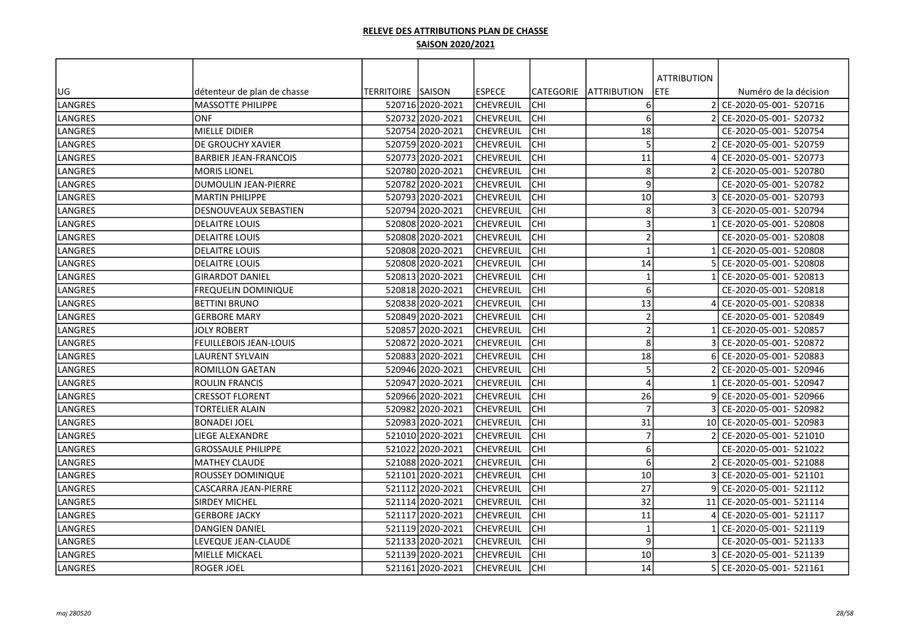|                |                              |                           |                  |                  |            |                     | <b>ATTRIBUTION</b> |                           |
|----------------|------------------------------|---------------------------|------------------|------------------|------------|---------------------|--------------------|---------------------------|
| UG             | détenteur de plan de chasse  | <b>TERRITOIRE ISAISON</b> |                  | <b>ESPECE</b>    | CATEGORIE  | <b>JATTRIBUTION</b> | ETE                | Numéro de la décision     |
| LANGRES        | <b>MASSOTTE PHILIPPE</b>     |                           | 520716 2020-2021 | <b>CHEVREUIL</b> | CHI        | 6                   |                    | CE-2020-05-001- 520716    |
| LANGRES        | ONF                          |                           | 520732 2020-2021 | <b>CHEVREUIL</b> | CHI        | 6                   | 21                 | CE-2020-05-001- 520732    |
| LANGRES        | MIELLE DIDIER                |                           | 520754 2020-2021 | <b>CHEVREUIL</b> | CHI        | 18                  |                    | CE-2020-05-001- 520754    |
| LANGRES        | IDE GROUCHY XAVIER           |                           | 520759 2020-2021 | CHEVREUIL        | CHI        | 5                   |                    | CE-2020-05-001- 520759    |
| LANGRES        | <b>BARBIER JEAN-FRANCOIS</b> |                           | 520773 2020-2021 | <b>CHEVREUIL</b> | <b>CHI</b> | 11                  |                    | CE-2020-05-001- 520773    |
| LANGRES        | <b>MORIS LIONEL</b>          |                           | 52078012020-2021 | <b>CHEVREUIL</b> | CHI        | 8                   |                    | CE-2020-05-001- 520780    |
| LANGRES        | <b>DUMOULIN JEAN-PIERRE</b>  |                           | 520782 2020-2021 | CHEVREUIL        | CHI        | 9                   |                    | CE-2020-05-001- 520782    |
| LANGRES        | <b>MARTIN PHILIPPE</b>       |                           | 520793 2020-2021 | <b>CHEVREUIL</b> | <b>CHI</b> | 10                  |                    | CE-2020-05-001- 520793    |
| LANGRES        | <b>DESNOUVEAUX SEBASTIEN</b> |                           | 520794 2020-2021 | <b>CHEVREUIL</b> | CHI        | 8                   |                    | CE-2020-05-001- 520794    |
| LANGRES        | <b>DELAITRE LOUIS</b>        |                           | 520808 2020-2021 | <b>CHEVREUIL</b> | CHI        | $\overline{3}$      |                    | CE-2020-05-001- 520808    |
| LANGRES        | <b>DELAITRE LOUIS</b>        |                           | 52080812020-2021 | ICHEVREUIL       | CHI        | $\overline{2}$      |                    | CE-2020-05-001- 520808    |
| LANGRES        | <b>DELAITRE LOUIS</b>        |                           | 520808 2020-2021 | <b>CHEVREUIL</b> | CHI        | $\overline{1}$      |                    | CE-2020-05-001- 520808    |
| LANGRES        | DELAITRE LOUIS               |                           | 520808 2020-2021 | <b>CHEVREUIL</b> | CHI        | 14                  |                    | CE-2020-05-001- 520808    |
| LANGRES        | <b>GIRARDOT DANIEL</b>       |                           | 520813 2020-2021 | <b>CHEVREUIL</b> | CHI        | $\mathbf{1}$        |                    | CE-2020-05-001- 520813    |
| LANGRES        | <b>FREQUELIN DOMINIQUE</b>   |                           | 520818 2020-2021 | <b>CHEVREUIL</b> | <b>CHI</b> | 6                   |                    | CE-2020-05-001- 520818    |
| LANGRES        | <b>BETTINI BRUNO</b>         |                           | 520838 2020-2021 | <b>CHEVREUIL</b> | <b>CHI</b> | 13                  |                    | CE-2020-05-001- 520838    |
| LANGRES        | <b>GERBORE MARY</b>          |                           | 52084912020-2021 | <b>CHEVREUIL</b> | CHI        | $\overline{2}$      |                    | CE-2020-05-001- 520849    |
| LANGRES        | JOLY ROBERT                  |                           | 520857 2020-2021 | CHEVREUIL        | CHI        | $\overline{2}$      |                    | CE-2020-05-001- 520857    |
| LANGRES        | FEUILLEBOIS JEAN-LOUIS       |                           | 520872 2020-2021 | <b>CHEVREUIL</b> | <b>CHI</b> | 8                   |                    | CE-2020-05-001- 520872    |
| LANGRES        | <b>LAURENT SYLVAIN</b>       |                           | 520883 2020-2021 | <b>CHEVREUIL</b> | CHI        | 18                  |                    | CE-2020-05-001- 520883    |
| <b>LANGRES</b> | <b>ROMILLON GAETAN</b>       |                           | 520946 2020-2021 | <b>CHEVREUIL</b> | CHI        | 5                   |                    | CE-2020-05-001- 520946    |
| LANGRES        | <b>ROULIN FRANCIS</b>        |                           | 520947 2020-2021 | <b>CHEVREUIL</b> | CHI        | $\Delta$            |                    | CE-2020-05-001- 520947    |
| LANGRES        | CRESSOT FLORENT              |                           | 520966 2020-2021 | lchevreuil       | CHI        | 26                  |                    | CE-2020-05-001- 520966    |
| LANGRES        | TORTELIER ALAIN              |                           | 520982 2020-2021 | <b>CHEVREUIL</b> | CHI        | $\overline{7}$      |                    | CE-2020-05-001- 520982    |
| LANGRES        | BONADEI JOEL                 |                           | 520983 2020-2021 | <b>CHEVREUIL</b> | CHI        | 31                  |                    | 10 CE-2020-05-001- 520983 |
| LANGRES        | <b>LIEGE ALEXANDRE</b>       |                           | 521010 2020-2021 | <b>CHEVREUIL</b> | CHI        | $\overline{7}$      |                    | CE-2020-05-001- 521010    |
| LANGRES        | <b>GROSSAULE PHILIPPE</b>    |                           | 521022 2020-2021 | <b>CHEVREUIL</b> | CHI        | 6                   |                    | CE-2020-05-001- 521022    |
| LANGRES        | <b>MATHEY CLAUDE</b>         |                           | 52108812020-2021 | <b>CHEVREUIL</b> | CHI        | 6                   |                    | 2 CE-2020-05-001- 521088  |
| LANGRES        | ROUSSEY DOMINIQUE            |                           | 521101 2020-2021 | <b>CHEVREUIL</b> | CHI        | 10                  |                    | CE-2020-05-001- 521101    |
| LANGRES        | CASCARRA JEAN-PIERRE         |                           | 521112 2020-2021 | <b>CHEVREUIL</b> | <b>CHI</b> | 27                  |                    | CE-2020-05-001- 521112    |
| LANGRES        | <b>SIRDEY MICHEL</b>         |                           | 521114 2020-2021 | <b>CHEVREUIL</b> | CHI        | 32                  | 11                 | CE-2020-05-001- 521114    |
| LANGRES        | <b>GERBORE JACKY</b>         |                           | 521117 2020-2021 | <b>CHEVREUIL</b> | CHI        | 11                  |                    | CE-2020-05-001- 521117    |
| LANGRES        | <b>DANGIEN DANIEL</b>        |                           | 521119 2020-2021 | <b>CHEVREUIL</b> | <b>CHI</b> | $\mathbf{1}$        |                    | CE-2020-05-001- 521119    |
| LANGRES        | LEVEQUE JEAN-CLAUDE          |                           | 521133 2020-2021 | <b>CHEVREUIL</b> | CHI        | 9                   |                    | CE-2020-05-001- 521133    |
| LANGRES        | MIELLE MICKAEL               |                           | 521139 2020-2021 | <b>CHEVREUIL</b> | CHI        | 10                  |                    | CE-2020-05-001- 521139    |
| LANGRES        | ROGER JOEL                   |                           | 521161 2020-2021 | <b>CHEVREUIL</b> | CHI        | 14                  |                    | CE-2020-05-001- 521161    |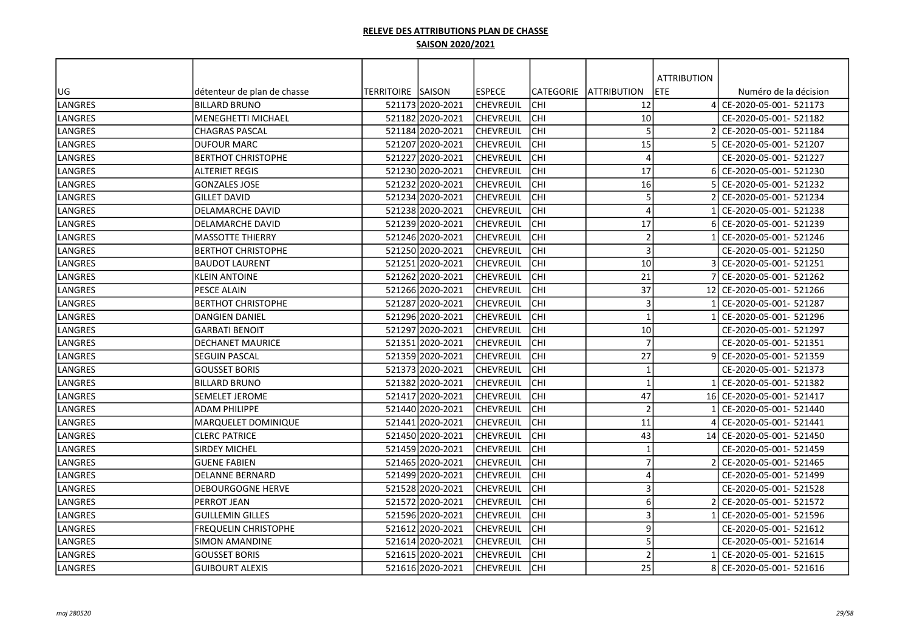|                |                             |                   |                  |                  |                  |                          | <b>ATTRIBUTION</b> |                           |
|----------------|-----------------------------|-------------------|------------------|------------------|------------------|--------------------------|--------------------|---------------------------|
| UG             | détenteur de plan de chasse | <b>TERRITOIRE</b> | <b>SAISON</b>    | <b>ESPECE</b>    | <b>CATEGORIE</b> | <b>JATTRIBUTION</b>      | ETE                | Numéro de la décision     |
| <b>LANGRES</b> | <b>BILLARD BRUNO</b>        |                   | 521173 2020-2021 | lchevreuil       | CHI              | 12                       |                    | 4 CE-2020-05-001- 521173  |
| LANGRES        | <b>MENEGHETTI MICHAEL</b>   |                   | 521182 2020-2021 | <b>CHEVREUIL</b> | CHI              | $10\,$                   |                    | CE-2020-05-001- 521182    |
| LANGRES        | <b>CHAGRAS PASCAL</b>       |                   | 521184 2020-2021 | <b>CHEVREUIL</b> | CHI              | 5                        |                    | CE-2020-05-001- 521184    |
| <b>LANGRES</b> | <b>DUFOUR MARC</b>          |                   | 521207 2020-2021 | <b>CHEVREUIL</b> | CHI              | 15                       |                    | CE-2020-05-001- 521207    |
| LANGRES        | <b>BERTHOT CHRISTOPHE</b>   |                   | 52122712020-2021 | CHEVREUIL        | CHI              | $\overline{4}$           |                    | CE-2020-05-001- 521227    |
| LANGRES        | <b>ALTERIET REGIS</b>       |                   | 521230 2020-2021 | <b>CHEVREUIL</b> | CHI              | 17                       |                    | CE-2020-05-001- 521230    |
| LANGRES        | <b>GONZALES JOSE</b>        |                   | 521232 2020-2021 | <b>CHEVREUIL</b> | <b>CHI</b>       | 16                       |                    | CE-2020-05-001- 521232    |
| LANGRES        | <b>GILLET DAVID</b>         |                   | 521234 2020-2021 | <b>CHEVREUIL</b> | <b>CHI</b>       | 5                        |                    | CE-2020-05-001- 521234    |
| LANGRES        | <b>DELAMARCHE DAVID</b>     |                   | 521238 2020-2021 | <b>CHEVREUIL</b> | <b>CHI</b>       | $\overline{4}$           |                    | CE-2020-05-001- 521238    |
| LANGRES        | DELAMARCHE DAVID            |                   | 521239 2020-2021 | <b>CHEVREUIL</b> | CHI              | 17                       |                    | CE-2020-05-001- 521239    |
| LANGRES        | <b>MASSOTTE THIERRY</b>     |                   | 521246 2020-2021 | <b>CHEVREUIL</b> | CHI              | $\overline{2}$           |                    | CE-2020-05-001- 521246    |
| LANGRES        | <b>BERTHOT CHRISTOPHE</b>   |                   | 521250 2020-2021 | <b>CHEVREUIL</b> | CHI              | $\overline{3}$           |                    | CE-2020-05-001- 521250    |
| LANGRES        | <b>BAUDOT LAURENT</b>       |                   | 521251 2020-2021 | <b>CHEVREUIL</b> | CHI              | 10                       |                    | CE-2020-05-001- 521251    |
| LANGRES        | <b>KLEIN ANTOINE</b>        |                   | 521262 2020-2021 | <b>CHEVREUIL</b> | CHI              | 21                       |                    | CE-2020-05-001- 521262    |
| <b>LANGRES</b> | <b>PESCE ALAIN</b>          |                   | 521266 2020-2021 | <b>CHEVREUIL</b> | CHI              | 37                       |                    | 12 CE-2020-05-001- 521266 |
| LANGRES        | <b>BERTHOT CHRISTOPHE</b>   |                   | 521287 2020-2021 | <b>CHEVREUIL</b> | CHI              | $\overline{3}$           |                    | CE-2020-05-001- 521287    |
| LANGRES        | <b>DANGIEN DANIEL</b>       |                   | 52129612020-2021 | <b>CHEVREUIL</b> | CHI              | $\mathbf{1}$             |                    | CE-2020-05-001- 521296    |
| LANGRES        | <b>GARBATI BENOIT</b>       |                   | 521297 2020-2021 | CHEVREUIL        | CHI              | 10                       |                    | CE-2020-05-001- 521297    |
| LANGRES        | <b>DECHANET MAURICE</b>     |                   | 521351 2020-2021 | <b>CHEVREUIL</b> | CHI              | $\overline{7}$           |                    | CE-2020-05-001- 521351    |
| LANGRES        | <b>SEGUIN PASCAL</b>        |                   | 521359 2020-2021 | CHEVREUIL        | CHI              | 27                       |                    | CE-2020-05-001- 521359    |
| LANGRES        | <b>GOUSSET BORIS</b>        |                   | 521373 2020-2021 | <b>CHEVREUIL</b> | CHI              | $\mathbf{1}$             |                    | CE-2020-05-001- 521373    |
| LANGRES        | BILLARD BRUNO               |                   | 521382 2020-2021 | <b>CHEVREUIL</b> | <b>CHI</b>       | $\mathbf{1}$             |                    | CE-2020-05-001- 521382    |
| LANGRES        | SEMELET JEROME              |                   | 521417 2020-2021 | <b>CHEVREUIL</b> | <b>CHI</b>       | 47                       |                    | 16 CE-2020-05-001- 521417 |
| LANGRES        | <b>ADAM PHILIPPE</b>        |                   | 521440 2020-2021 | <b>CHEVREUIL</b> | <b>CHI</b>       | $\overline{2}$           |                    | CE-2020-05-001- 521440    |
| LANGRES        | MARQUELET DOMINIQUE         |                   | 521441 2020-2021 | <b>CHEVREUIL</b> | CHI              | 11                       |                    | CE-2020-05-001- 521441    |
| LANGRES        | <b>CLERC PATRICE</b>        |                   | 521450 2020-2021 | <b>CHEVREUIL</b> | CHI              | 43                       |                    | 14 CE-2020-05-001- 521450 |
| LANGRES        | <b>SIRDEY MICHEL</b>        |                   | 521459 2020-2021 | <b>CHEVREUIL</b> | CHI              | $\overline{1}$           |                    | CE-2020-05-001- 521459    |
| LANGRES        | <b>GUENE FABIEN</b>         |                   | 52146512020-2021 | <b>CHEVREUIL</b> | CHI              | $\overline{7}$           |                    | CE-2020-05-001- 521465    |
| LANGRES        | <b>DELANNE BERNARD</b>      |                   | 521499 2020-2021 | CHEVREUIL        | CHI              | $\overline{4}$           |                    | CE-2020-05-001- 521499    |
| LANGRES        | <b>DEBOURGOGNE HERVE</b>    |                   | 521528 2020-2021 | <b>CHEVREUIL</b> | <b>CHI</b>       | 3                        |                    | CE-2020-05-001- 521528    |
| LANGRES        | PERROT JEAN                 |                   | 521572 2020-2021 | <b>CHEVREUIL</b> | CHI              | 6                        |                    | CE-2020-05-001- 521572    |
| LANGRES        | <b>GUILLEMIN GILLES</b>     |                   | 521596 2020-2021 | <b>CHEVREUIL</b> | CHI              | 3                        |                    | CE-2020-05-001- 521596    |
| LANGRES        | <b>FREQUELIN CHRISTOPHE</b> |                   | 521612 2020-2021 | <b>CHEVREUIL</b> | CHI              | 9                        |                    | CE-2020-05-001- 521612    |
| LANGRES        | <b>SIMON AMANDINE</b>       |                   | 521614 2020-2021 | <b>CHEVREUIL</b> | CHI              | 5                        |                    | CE-2020-05-001- 521614    |
| LANGRES        | <b>GOUSSET BORIS</b>        |                   | 521615 2020-2021 | CHEVREUIL        | CHI              | $\overline{\phantom{a}}$ |                    | CE-2020-05-001- 521615    |
| LANGRES        | <b>GUIBOURT ALEXIS</b>      |                   | 521616 2020-2021 | <b>CHEVREUIL</b> | CHI              | 25                       |                    | CE-2020-05-001- 521616    |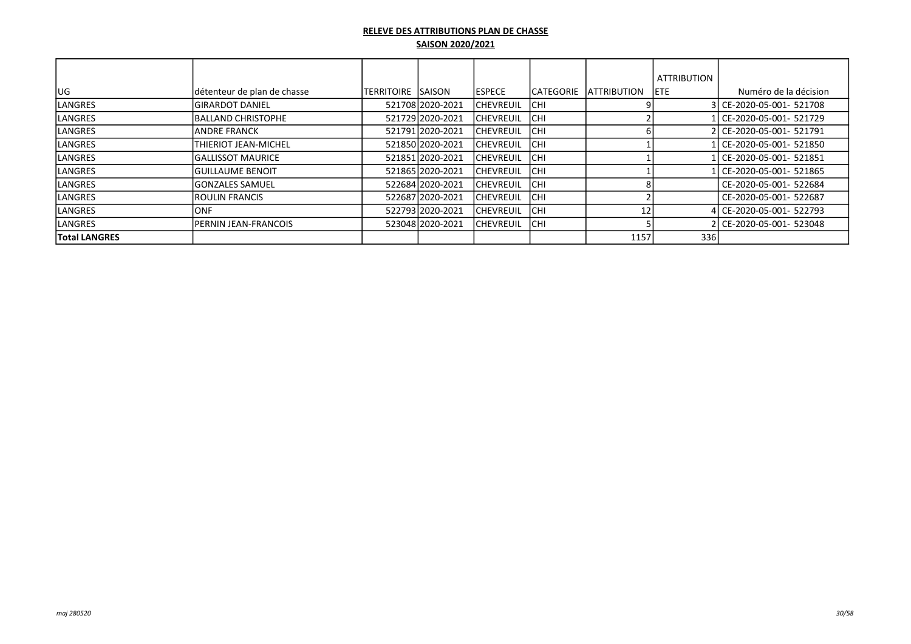|                      |                              |                    |                  |                   |                   |                     | <b>ATTRIBUTION</b> |                           |
|----------------------|------------------------------|--------------------|------------------|-------------------|-------------------|---------------------|--------------------|---------------------------|
| UG                   | détenteur de plan de chasse  | TERRITOIRE ISAISON |                  | <b>IESPECE</b>    | <b>ICATEGORIE</b> | <b>IATTRIBUTION</b> | IETE.              | Numéro de la décision     |
| LANGRES              | İGIRARDOT DANIEL             |                    | 521708 2020-2021 | <b>ICHEVREUIL</b> | <b>ICHI</b>       |                     |                    | 3 CE-2020-05-001- 521708  |
| LANGRES              | <b>IBALLAND CHRISTOPHE</b>   |                    | 521729 2020-2021 | <b>ICHEVREUIL</b> | <b>ICHI</b>       |                     |                    | l CE-2020-05-001- 521729. |
| LANGRES              | IANDRE FRANCK                |                    | 521791 2020-2021 | <b>ICHEVREUIL</b> | <b>ICHI</b>       |                     |                    | 2 CE-2020-05-001- 521791  |
| LANGRES              | <b>ITHIERIOT JEAN-MICHEL</b> |                    | 521850 2020-2021 | <b>ICHEVREUIL</b> | <b>ICHI</b>       |                     |                    | CE-2020-05-001- 521850    |
| LANGRES              | lGALLISSOT MAURICE           |                    | 521851 2020-2021 | <b>ICHEVREUIL</b> | <b>ICHI</b>       |                     |                    | CE-2020-05-001- 521851    |
| <b>LANGRES</b>       | lguillaume benoit            |                    | 52186512020-2021 | <b>ICHEVREUIL</b> | <b>ICHI</b>       |                     |                    | l CE-2020-05-001- 521865  |
| LANGRES              | lGONZALES SAMUEL             |                    | 52268412020-2021 | <b>ICHEVREUIL</b> | <b>ICHI</b>       |                     |                    | CE-2020-05-001- 522684    |
| LANGRES              | IROULIN FRANCIS              |                    | 522687 2020-2021 | <b>ICHEVREUIL</b> | <b>ICHI</b>       |                     |                    | CE-2020-05-001- 522687    |
| <b>LANGRES</b>       | IONF                         |                    | 52279312020-2021 | <b>ICHEVREUIL</b> | <b>ICHI</b>       |                     |                    | l CE-2020-05-001- 522793  |
| <b>LANGRES</b>       | <b>IPERNIN JEAN-FRANCOIS</b> |                    | 52304812020-2021 | <b>ICHEVREUIL</b> | <b>ICHI</b>       |                     |                    | 2l CE-2020-05-001- 523048 |
| <b>Total LANGRES</b> |                              |                    |                  |                   |                   | 1157                | 336                |                           |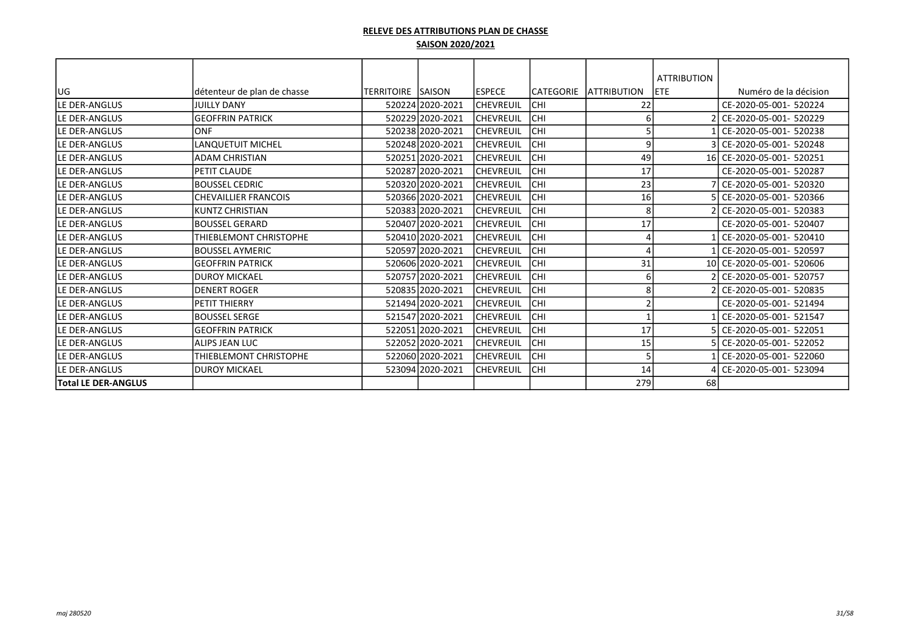|                            |                              |                          |                  |                  |                  |                    | <b>ATTRIBUTION</b> |                           |
|----------------------------|------------------------------|--------------------------|------------------|------------------|------------------|--------------------|--------------------|---------------------------|
| UG                         | Idétenteur de plan de chasse | <b>TERRITOIRE SAISON</b> |                  | <b>ESPECE</b>    | <b>CATEGORIE</b> | <b>ATTRIBUTION</b> | <b>ETE</b>         | Numéro de la décision     |
| lLE DER-ANGLUS             | <b>JUILLY DANY</b>           |                          | 520224 2020-2021 | <b>CHEVREUIL</b> | CHI              | 22                 |                    | CE-2020-05-001- 520224    |
| LE DER-ANGLUS              | <b>GEOFFRIN PATRICK</b>      |                          | 520229 2020-2021 | <b>CHEVREUIL</b> | CHI              |                    |                    | CE-2020-05-001- 520229    |
| <b>LE DER-ANGLUS</b>       | <b>ONF</b>                   |                          | 520238 2020-2021 | <b>CHEVREUIL</b> | CHI              |                    |                    | CE-2020-05-001- 520238    |
| lLE DER-ANGLUS             | <b>LANQUETUIT MICHEL</b>     |                          | 520248 2020-2021 | <b>CHEVREUIL</b> | CHI              | 9                  |                    | CE-2020-05-001- 520248    |
| <b>LE DER-ANGLUS</b>       | <b>ADAM CHRISTIAN</b>        |                          | 520251 2020-2021 | <b>CHEVREUIL</b> | CHI              | 49                 | 16 I               | CE-2020-05-001- 520251    |
| <b>ILE DER-ANGLUS</b>      | <b>IPETIT CLAUDE</b>         |                          | 520287 2020-2021 | <b>CHEVREUIL</b> | <b>CHI</b>       | 17                 |                    | CE-2020-05-001- 520287    |
| lLE DER-ANGLUS             | <b>IBOUSSEL CEDRIC</b>       |                          | 520320 2020-2021 | <b>CHEVREUIL</b> | CHI              | 23                 |                    | CE-2020-05-001- 520320    |
| lLE DER-ANGLUS             | <b>CHEVAILLIER FRANCOIS</b>  |                          | 520366 2020-2021 | <b>CHEVREUIL</b> | CHI              | 16                 |                    | CE-2020-05-001- 520366    |
| lLE DER-ANGLUS             | İKUNTZ CHRISTIAN             |                          | 520383 2020-2021 | ICHEVREUIL       | CHI              | 8                  |                    | CE-2020-05-001- 520383    |
| lLE DER-ANGLUS             | lbOUSSEL GERARD              |                          | 520407 2020-2021 | <b>CHEVREUIL</b> | CHI              | 17                 |                    | CE-2020-05-001- 520407    |
| lLE DER-ANGLUS             | THIEBLEMONT CHRISTOPHE       |                          | 520410 2020-2021 | <b>CHEVREUIL</b> | CHI              |                    |                    | CE-2020-05-001- 520410    |
| lLE DER-ANGLUS             | <b>IBOUSSEL AYMERIC</b>      |                          | 520597 2020-2021 | <b>CHEVREUIL</b> | CHI              |                    |                    | CE-2020-05-001- 520597    |
| <b>LE DER-ANGLUS</b>       | <b>GEOFFRIN PATRICK</b>      |                          | 520606 2020-2021 | ICHEVREUIL       | CHI              | 31                 |                    | 10 CE-2020-05-001- 520606 |
| lLE DER-ANGLUS             | IDUROY MICKAEL               |                          | 520757 2020-2021 | <b>CHEVREUIL</b> | CHI              | 6                  |                    | CE-2020-05-001- 520757    |
| lLE DER-ANGLUS             | IDENERT ROGER                |                          | 520835 2020-2021 | <b>CHEVREUIL</b> | CHI              | 8                  |                    | CE-2020-05-001- 520835    |
| lLE DER-ANGLUS             | <b>PETIT THIERRY</b>         |                          | 521494 2020-2021 | <b>CHEVREUIL</b> | CHI              |                    |                    | CE-2020-05-001- 521494    |
| <b>LE DER-ANGLUS</b>       | lboussel serge               |                          | 521547 2020-2021 | ICHEVREUIL       | CHI              |                    |                    | CE-2020-05-001- 521547    |
| lLE DER-ANGLUS             | <b>GEOFFRIN PATRICK</b>      |                          | 522051 2020-2021 | ICHEVREUIL       | CHI              | 17                 |                    | CE-2020-05-001- 522051    |
| LE DER-ANGLUS              | <b>ALIPS JEAN LUC</b>        |                          | 522052 2020-2021 | ICHEVREUIL       | CHI              | 15                 |                    | CE-2020-05-001- 522052    |
| lLE DER-ANGLUS             | THIEBLEMONT CHRISTOPHE       |                          | 522060 2020-2021 | <b>CHEVREUIL</b> | CHI              | 5                  |                    | CE-2020-05-001- 522060    |
| LE DER-ANGLUS              | IDUROY MICKAEL               |                          | 523094 2020-2021 | <b>CHEVREUIL</b> | <b>CHI</b>       | 14                 |                    | CE-2020-05-001- 523094    |
| <b>Total LE DER-ANGLUS</b> |                              |                          |                  |                  |                  | 279                | 68                 |                           |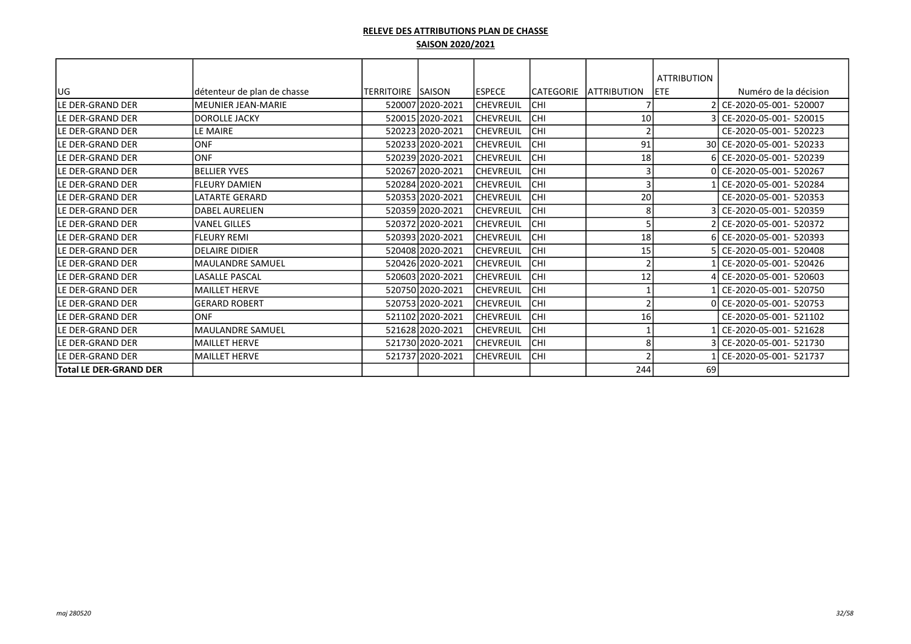|                               |                             |                   |                  |                  |            |                        | <b>ATTRIBUTION</b> |                           |
|-------------------------------|-----------------------------|-------------------|------------------|------------------|------------|------------------------|--------------------|---------------------------|
| <b>JUG</b>                    | détenteur de plan de chasse | TERRITOIRE SAISON |                  | lespece          |            | CATEGORIE LATTRIBUTION | <b>IETE</b>        | Numéro de la décision     |
| LE DER-GRAND DER              | <b>MEUNIER JEAN-MARIE</b>   |                   |                  |                  |            |                        |                    | 2 CE-2020-05-001- 520007  |
|                               |                             |                   | 520007 2020-2021 | <b>CHEVREUIL</b> | CHI        |                        |                    |                           |
| lLE DER-GRAND DER             | DOROLLE JACKY               |                   | 520015 2020-2021 | <b>CHEVREUIL</b> | CHI        | 10                     |                    | 3 CE-2020-05-001- 520015  |
| lLE DER-GRAND DER             | LE MAIRE                    |                   | 520223 2020-2021 | CHEVREUIL        | CHI        |                        |                    | CE-2020-05-001- 520223    |
| lLE DER-GRAND DER             | <b>ONF</b>                  |                   | 520233 2020-2021 | <b>CHEVREUIL</b> | CHI        | 91                     |                    | 30 CE-2020-05-001- 520233 |
| lLE DER-GRAND DER             | lonf                        |                   | 520239 2020-2021 | <b>CHEVREUIL</b> | CHI        | 18                     |                    | 6 CE-2020-05-001- 520239  |
| <b>ILE DER-GRAND DER</b>      | <b>BELLIER YVES</b>         |                   | 520267 2020-2021 | <b>CHEVREUIL</b> | CHI        |                        |                    | 0 CE-2020-05-001- 520267  |
| lLE DER-GRAND DER             | <b>FLEURY DAMIEN</b>        |                   | 520284 2020-2021 | <b>CHEVREUIL</b> | CHI        |                        |                    | CE-2020-05-001- 520284    |
| lLE DER-GRAND DER             | <b>LATARTE GERARD</b>       |                   | 520353 2020-2021 | CHEVREUIL        | CHI        | 20                     |                    | CE-2020-05-001- 520353    |
| lLE DER-GRAND DER             | <b>DABEL AURELIEN</b>       |                   | 520359 2020-2021 | CHEVREUIL        | CHI        | 8                      |                    | CE-2020-05-001- 520359    |
| lLE DER-GRAND DER             | <b>VANEL GILLES</b>         |                   | 520372 2020-2021 | CHEVREUIL        | CHI        |                        |                    | CE-2020-05-001- 520372    |
| lLE DER-GRAND DER             | <b>FLEURY REMI</b>          |                   | 520393 2020-2021 | <b>CHEVREUIL</b> | CHI        | 18                     |                    | 6 CE-2020-05-001- 520393  |
| lLE DER-GRAND DER             | <b>DELAIRE DIDIER</b>       |                   | 520408 2020-2021 | <b>CHEVREUIL</b> | CHI        | 15                     |                    | 5 CE-2020-05-001- 520408  |
| lLE DER-GRAND DER             | MAULANDRE SAMUEL            |                   | 520426 2020-2021 | <b>CHEVREUIL</b> | CHI        |                        |                    | CE-2020-05-001- 520426    |
| lLE DER-GRAND DER             | <b>LASALLE PASCAL</b>       |                   | 520603 2020-2021 | CHEVREUIL        | CHI        | 12                     |                    | CE-2020-05-001- 520603    |
| lLE DER-GRAND DER             | <b>MAILLET HERVE</b>        |                   | 520750 2020-2021 | <b>CHEVREUIL</b> | CHI        |                        |                    | CE-2020-05-001- 520750    |
| lLE DER-GRAND DER             | <b>GERARD ROBERT</b>        |                   | 520753 2020-2021 | <b>CHEVREUIL</b> | CHI        |                        |                    | 0 CE-2020-05-001- 520753  |
| lLE DER-GRAND DER             | <b>ONF</b>                  |                   | 521102 2020-2021 | <b>CHEVREUIL</b> | CHI        | 16                     |                    | CE-2020-05-001- 521102    |
| lLE DER-GRAND DER             | MAULANDRE SAMUEL            |                   | 521628 2020-2021 | CHEVREUIL        | CHI        |                        |                    | CE-2020-05-001- 521628    |
| lLE DER-GRAND DER             | <b>MAILLET HERVE</b>        |                   | 521730 2020-2021 | CHEVREUIL        | CHI        | 8                      |                    | CE-2020-05-001- 521730    |
| lLE DER-GRAND DER             | <b>MAILLET HERVE</b>        |                   | 521737 2020-2021 | CHEVREUIL        | <b>CHI</b> |                        |                    | CE-2020-05-001- 521737    |
| <b>Total LE DER-GRAND DER</b> |                             |                   |                  |                  |            | 244                    | 69                 |                           |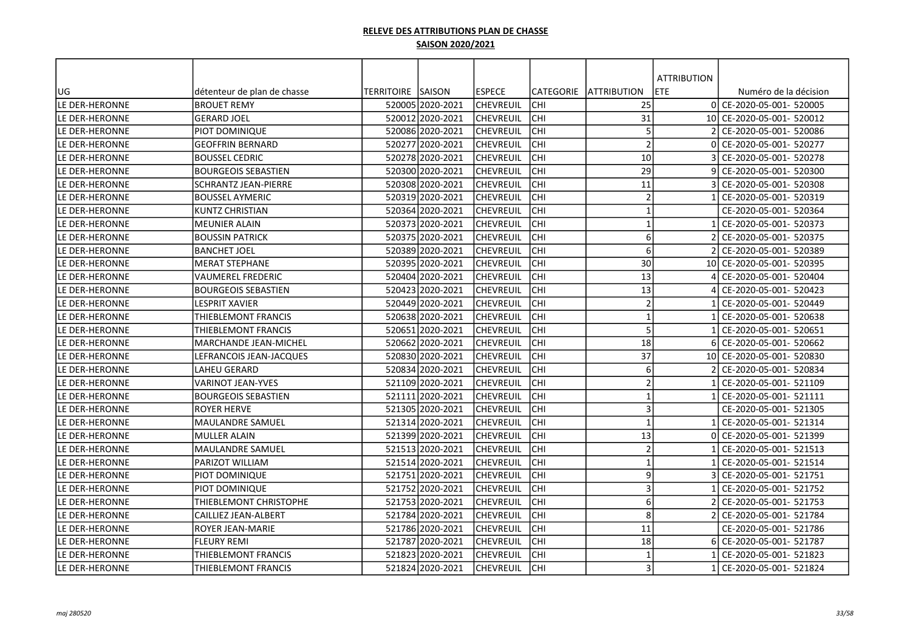|                |                             |                    |                  |                  |                  |                         | <b>ATTRIBUTION</b> |                           |
|----------------|-----------------------------|--------------------|------------------|------------------|------------------|-------------------------|--------------------|---------------------------|
| UG             | détenteur de plan de chasse | TERRITOIRE  SAISON |                  | <b>IESPECE</b>   | <b>CATEGORIE</b> | <b>JATTRIBUTION</b>     | ETE                | Numéro de la décision     |
| LE DER-HERONNE | <b>BROUET REMY</b>          |                    | 52000512020-2021 | lchevreuil       | <b>CHI</b>       | 25                      |                    | 0 CE-2020-05-001- 520005  |
| LE DER-HERONNE | <b>GERARD JOEL</b>          |                    | 520012 2020-2021 | lchevreuil       | CHI              | 31                      |                    | 10 CE-2020-05-001- 520012 |
| LE DER-HERONNE | PIOT DOMINIQUE              |                    | 520086 2020-2021 | <b>CHEVREUIL</b> | CHI              | 5                       |                    | CE-2020-05-001- 520086    |
| LE DER-HERONNE | <b>GEOFFRIN BERNARD</b>     |                    | 520277 2020-2021 | <b>CHEVREUIL</b> | CHI              | $\overline{2}$          |                    | CE-2020-05-001- 520277    |
| LE DER-HERONNE | <b>BOUSSEL CEDRIC</b>       |                    | 52027812020-2021 | CHEVREUIL        | CHI              | 10                      |                    | CE-2020-05-001- 520278    |
| LE DER-HERONNE | <b>BOURGEOIS SEBASTIEN</b>  |                    | 520300 2020-2021 | CHEVREUIL        | CHI              | 29                      |                    | CE-2020-05-001- 520300    |
| LE DER-HERONNE | SCHRANTZ JEAN-PIERRE        |                    | 520308 2020-2021 | CHEVREUIL        | CHI              | 11                      |                    | CE-2020-05-001- 520308    |
| LE DER-HERONNE | <b>BOUSSEL AYMERIC</b>      |                    | 520319 2020-2021 | CHEVREUIL        | CHI              | $\overline{2}$          |                    | CE-2020-05-001- 520319    |
| LE DER-HERONNE | KUNTZ CHRISTIAN             |                    | 520364 2020-2021 | CHEVREUIL        | CHI              | $\mathbf{1}$            |                    | CE-2020-05-001- 520364    |
| LE DER-HERONNE | <b>MEUNIER ALAIN</b>        |                    | 520373 2020-2021 | <b>CHEVREUIL</b> | <b>CHI</b>       | $\mathbf{1}$            |                    | CE-2020-05-001- 520373    |
| LE DER-HERONNE | <b>BOUSSIN PATRICK</b>      |                    | 520375 2020-2021 | ICHEVREUIL       | <b>CHI</b>       | 6                       |                    | CE-2020-05-001- 520375    |
| LE DER-HERONNE | <b>BANCHET JOEL</b>         |                    | 520389 2020-2021 | CHEVREUIL        | <b>CHI</b>       | 6                       |                    | CE-2020-05-001- 520389    |
| LE DER-HERONNE | <b>MERAT STEPHANE</b>       |                    | 520395 2020-2021 | CHEVREUIL        | CHI              | 30                      |                    | 10 CE-2020-05-001- 520395 |
| LE DER-HERONNE | <b>VAUMEREL FREDERIC</b>    |                    | 520404 2020-2021 | lchevreuil       | CHI              | 13                      |                    | CE-2020-05-001- 520404    |
| LE DER-HERONNE | <b>BOURGEOIS SEBASTIEN</b>  |                    | 520423 2020-2021 | lchevreuil       | CHI              | 13                      |                    | CE-2020-05-001- 520423    |
| LE DER-HERONNE | LESPRIT XAVIER              |                    | 520449 2020-2021 | lchevreuil       | CHI              | $\overline{2}$          |                    | CE-2020-05-001- 520449    |
| LE DER-HERONNE | THIEBLEMONT FRANCIS         |                    | 520638l2020-2021 | ICHEVREUIL       | CHI              | $\mathbf{1}$            |                    | CE-2020-05-001- 520638    |
| LE DER-HERONNE | THIEBLEMONT FRANCIS         |                    | 520651 2020-2021 | lchevreuil       | CHI              | 5                       |                    | CE-2020-05-001- 520651    |
| LE DER-HERONNE | MARCHANDE JEAN-MICHEL       |                    | 520662 2020-2021 | CHEVREUIL        | CHI              | 18                      |                    | CE-2020-05-001- 520662    |
| LE DER-HERONNE | LEFRANCOIS JEAN-JACQUES     |                    | 520830 2020-2021 | CHEVREUIL        | CHI              | 37                      | 10I                | CE-2020-05-001- 520830    |
| LE DER-HERONNE | LAHEU GERARD                |                    | 520834 2020-2021 | CHEVREUIL        | CHI              | 6                       |                    | CE-2020-05-001- 520834    |
| LE DER-HERONNE | <b>VARINOT JEAN-YVES</b>    |                    | 521109 2020-2021 | <b>CHEVREUIL</b> | CHI              | $\overline{2}$          |                    | CE-2020-05-001- 521109    |
| LE DER-HERONNE | <b>BOURGEOIS SEBASTIEN</b>  |                    | 521111 2020-2021 | CHEVREUIL        | <b>CHI</b>       | $\overline{1}$          |                    | CE-2020-05-001- 521111    |
| LE DER-HERONNE | <b>ROYER HERVE</b>          |                    | 521305 2020-2021 | CHEVREUIL        | CHI              | 3                       |                    | CE-2020-05-001- 521305    |
| LE DER-HERONNE | <b>MAULANDRE SAMUEL</b>     |                    | 521314 2020-2021 | CHEVREUIL        | CHI              | $\overline{\mathbf{1}}$ |                    | CE-2020-05-001- 521314    |
| LE DER-HERONNE | <b>MULLER ALAIN</b>         |                    | 52139912020-2021 | CHEVREUIL        | CHI              | 13                      |                    | CE-2020-05-001- 521399    |
| LE DER-HERONNE | MAULANDRE SAMUEL            |                    | 521513 2020-2021 | <b>CHEVREUIL</b> | CHI              | $\overline{2}$          |                    | CE-2020-05-001- 521513    |
| LE DER-HERONNE | PARIZOT WILLIAM             |                    | 521514 2020-2021 | lchevreuil       | <b>CHI</b>       | $\mathbf{1}$            |                    | CE-2020-05-001- 521514    |
| LE DER-HERONNE | PIOT DOMINIQUE              |                    | 521751 2020-2021 | CHEVREUIL        | CHI              | 9                       |                    | CE-2020-05-001- 521751    |
| LE DER-HERONNE | PIOT DOMINIQUE              |                    | 521752 2020-2021 | CHEVREUIL        | CHI              | $\mathbf{3}$            |                    | CE-2020-05-001- 521752    |
| LE DER-HERONNE | THIEBLEMONT CHRISTOPHE      |                    | 521753 2020-2021 | CHEVREUIL        | lсні             | 6                       |                    | CE-2020-05-001- 521753    |
| LE DER-HERONNE | CAILLIEZ JEAN-ALBERT        |                    | 521784 2020-2021 | <b>CHEVREUIL</b> | lсні             | 8                       |                    | CE-2020-05-001- 521784    |
| LE DER-HERONNE | ROYER JEAN-MARIE            |                    | 521786 2020-2021 | CHEVREUIL        | <b>CHI</b>       | 11                      |                    | CE-2020-05-001- 521786    |
| LE DER-HERONNE | <b>FLEURY REMI</b>          |                    | 521787 2020-2021 | <b>CHEVREUIL</b> | <b>CHI</b>       | 18                      | 6 <sup>1</sup>     | CE-2020-05-001- 521787    |
| LE DER-HERONNE | THIEBLEMONT FRANCIS         |                    | 521823 2020-2021 | CHEVREUIL        | CHI              | $\mathbf 1$             |                    | CE-2020-05-001- 521823    |
| LE DER-HERONNE | THIEBLEMONT FRANCIS         |                    | 521824 2020-2021 | <b>CHEVREUIL</b> | <b>CHI</b>       | 3                       |                    | CE-2020-05-001- 521824    |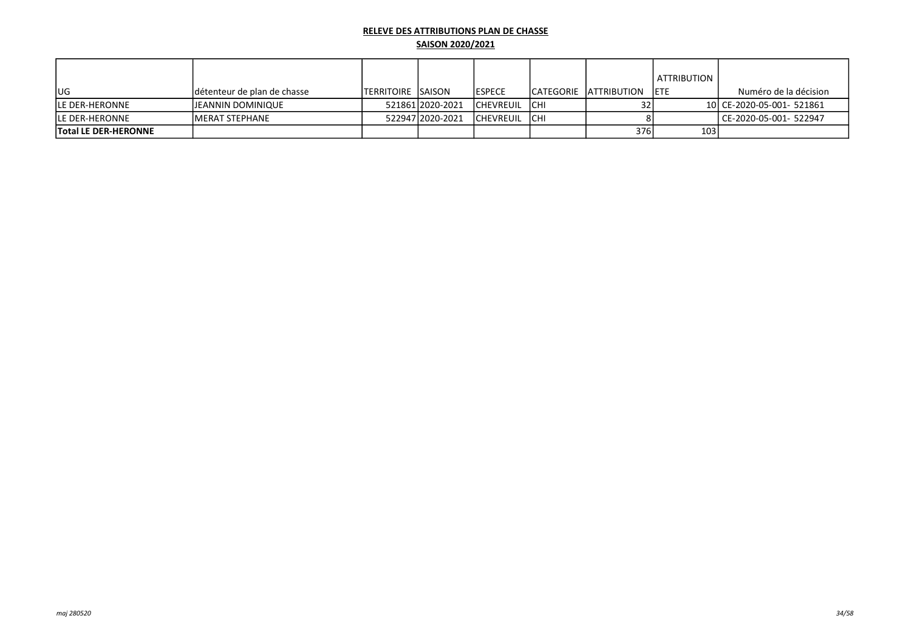|                             |                             |                            |                  |                  |             |                         | ATTRIBUTION      |                           |
|-----------------------------|-----------------------------|----------------------------|------------------|------------------|-------------|-------------------------|------------------|---------------------------|
| <b>IUG</b>                  | détenteur de plan de chasse | <b>ITERRITOIRE ISAISON</b> |                  | <b>IESPECE</b>   |             | ICATEGORIE IATTRIBUTION | <b>IETE</b>      | Numéro de la décision     |
| <b>ILE DER-HERONNE</b>      | JEANNIN DOMINIQUE           |                            | 521861 2020-2021 | <b>CHEVREUIL</b> | <b>ICHI</b> |                         |                  | 10 CE-2020-05-001- 521861 |
| <b>ILE DER-HERONNE</b>      | IMERAT STEPHANE             |                            | 52294712020-2021 | <b>CHEVREUIL</b> | <b>ICHI</b> |                         |                  | l CE-2020-05-001- 522947  |
| <b>Total LE DER-HERONNE</b> |                             |                            |                  |                  |             | 376                     | 103 <sub>1</sub> |                           |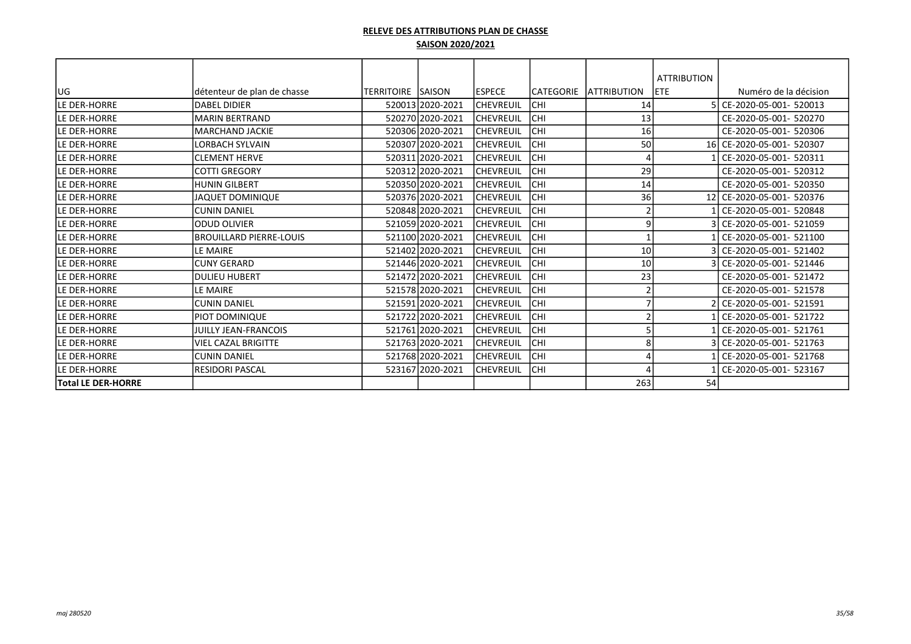|                           |                                |                          |                  |                  |                  |                    | <b>ATTRIBUTION</b> |                           |
|---------------------------|--------------------------------|--------------------------|------------------|------------------|------------------|--------------------|--------------------|---------------------------|
| lug                       | détenteur de plan de chasse    | <b>TERRITOIRE SAISON</b> |                  | <b>ESPECE</b>    | <b>CATEGORIE</b> | <b>ATTRIBUTION</b> | <b>IETE</b>        | Numéro de la décision     |
| LE DER-HORRE              | <b>DABEL DIDIER</b>            |                          | 520013 2020-2021 | <b>CHEVREUIL</b> | <b>CHI</b>       | 14                 |                    | CE-2020-05-001- 520013    |
| lle der-horre             | <b>MARIN BERTRAND</b>          |                          | 520270 2020-2021 | CHEVREUIL        | CHI              | 13                 |                    | CE-2020-05-001- 520270    |
| LE DER-HORRE              | <b>MARCHAND JACKIE</b>         |                          | 520306 2020-2021 | CHEVREUIL        | CHI              | 16                 |                    | CE-2020-05-001- 520306    |
| LE DER-HORRE              | LORBACH SYLVAIN                |                          | 520307 2020-2021 | CHEVREUIL        | CHI              | 50                 |                    | 16 CE-2020-05-001- 520307 |
| LE DER-HORRE              | <b>ICLEMENT HERVE</b>          |                          | 520311 2020-2021 | <b>CHEVREUIL</b> | CHI              | $\prime$           |                    | CE-2020-05-001- 520311    |
| lle der-horre             | lcotti Gregory                 |                          | 520312 2020-2021 | <b>CHEVREUIL</b> | CHI              | 29                 |                    | CE-2020-05-001- 520312    |
| LE DER-HORRE              | <b>HUNIN GILBERT</b>           |                          | 520350 2020-2021 | <b>CHEVREUIL</b> | CHI              | 14                 |                    | CE-2020-05-001- 520350    |
| lle der-horre             | <b>JAQUET DOMINIQUE</b>        |                          | 520376 2020-2021 | <b>CHEVREUIL</b> | CHI              | 36                 |                    | 12 CE-2020-05-001- 520376 |
| lle der-horre             | <b>ICUNIN DANIEL</b>           |                          | 520848 2020-2021 | CHEVREUIL        | CHI              |                    |                    | CE-2020-05-001- 520848    |
| lle der-horre             | <b>ODUD OLIVIER</b>            |                          | 521059 2020-2021 | CHEVREUIL        | CHI              | 9                  |                    | 3 CE-2020-05-001- 521059  |
| LE DER-HORRE              | <b>BROUILLARD PIERRE-LOUIS</b> |                          | 521100 2020-2021 | <b>CHEVREUIL</b> | CHI              |                    |                    | CE-2020-05-001- 521100    |
| LE DER-HORRE              | LE MAIRE                       |                          | 521402 2020-2021 | CHEVREUIL        | CHI              | 10                 |                    | 3l CE-2020-05-001- 521402 |
| LE DER-HORRE              | <b>CUNY GERARD</b>             |                          | 521446 2020-2021 | CHEVREUIL        | CHI              | 10                 |                    | CE-2020-05-001- 521446    |
| LE DER-HORRE              | IDULIEU HUBERT                 |                          | 521472 2020-2021 | CHEVREUIL        | CHI              | 23                 |                    | CE-2020-05-001- 521472    |
| LE DER-HORRE              | LE MAIRE                       |                          | 521578 2020-2021 | CHEVREUIL        | CHI              | 2                  |                    | CE-2020-05-001- 521578    |
| LE DER-HORRE              | İCUNIN DANIEL                  |                          | 521591 2020-2021 | CHEVREUIL        | CHI              |                    |                    | 2l CE-2020-05-001- 521591 |
| LE DER-HORRE              | IPIOT DOMINIQUE                |                          | 521722 2020-2021 | <b>CHEVREUIL</b> | CHI              |                    |                    | 1 CE-2020-05-001- 521722  |
| LE DER-HORRE              | <b>JUILLY JEAN-FRANCOIS</b>    |                          | 521761 2020-2021 | <b>CHEVREUIL</b> | CHI              |                    |                    | 1 CE-2020-05-001- 521761  |
| lle der-horre             | lviel CAZAL BRIGITTE           |                          | 521763 2020-2021 | <b>CHEVREUIL</b> | CHI              | 8                  |                    | 3 CE-2020-05-001- 521763  |
| lle der-horre             | lcunin Daniel                  |                          | 521768 2020-2021 | <b>CHEVREUIL</b> | CHI              |                    |                    | CE-2020-05-001- 521768    |
| LE DER-HORRE              | İRESIDORI PASCAL               |                          | 523167 2020-2021 | <b>CHEVREUIL</b> | CHI              |                    |                    | CE-2020-05-001- 523167    |
| <b>Total LE DER-HORRE</b> |                                |                          |                  |                  |                  | 263                | 54                 |                           |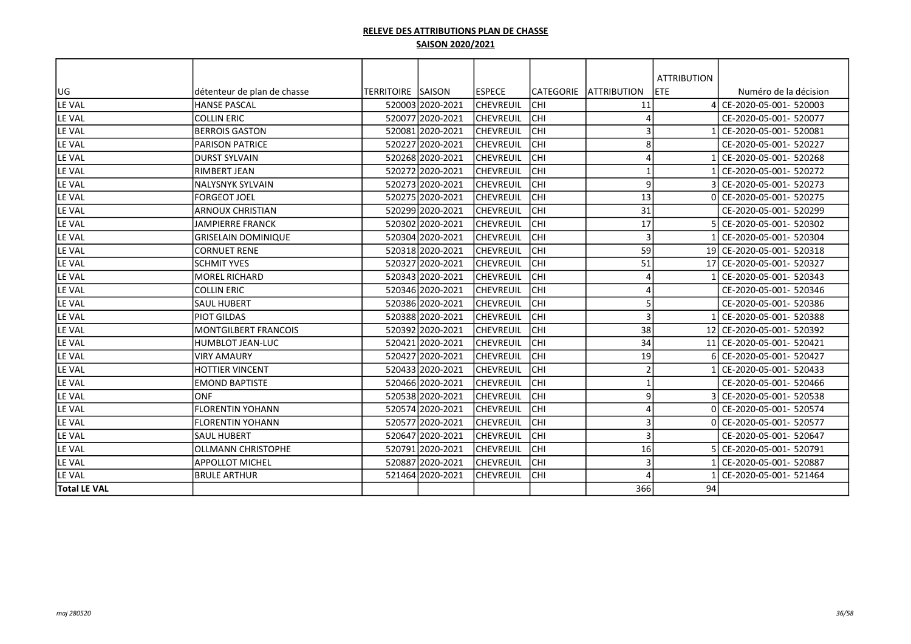|                     |                             |                           |                  |                  |                  |                         | <b>ATTRIBUTION</b> |                           |
|---------------------|-----------------------------|---------------------------|------------------|------------------|------------------|-------------------------|--------------------|---------------------------|
| UG                  | détenteur de plan de chasse | <b>TERRITOIRE ISAISON</b> |                  | <b>IESPECE</b>   | <b>CATEGORIE</b> | <b>ATTRIBUTION</b>      | <b>ETE</b>         | Numéro de la décision     |
| LE VAL              | <b>HANSE PASCAL</b>         |                           | 520003 2020-2021 | <b>CHEVREUIL</b> | CHI              | 11                      |                    | CE-2020-05-001- 520003    |
| LE VAL              | <b>COLLIN ERIC</b>          |                           | 520077 2020-2021 | <b>CHEVREUIL</b> | CHI              | $\angle$                |                    | CE-2020-05-001- 520077    |
| LE VAL              | <b>BERROIS GASTON</b>       |                           | 520081 2020-2021 | <b>CHEVREUIL</b> | CHI              | 3                       |                    | CE-2020-05-001- 520081    |
| LE VAL              | <b>PARISON PATRICE</b>      |                           | 520227 2020-2021 | <b>CHEVREUIL</b> | CHI              | 8                       |                    | CE-2020-05-001- 520227    |
| LE VAL              | <b>DURST SYLVAIN</b>        |                           | 520268 2020-2021 | <b>CHEVREUIL</b> | <b>CHI</b>       | 4                       |                    | CE-2020-05-001- 520268    |
| LE VAL              | RIMBERT JEAN                |                           | 520272 2020-2021 | ICHEVREUIL       | CHI              | $\overline{\mathbf{1}}$ |                    | CE-2020-05-001- 520272    |
| LE VAL              | NALYSNYK SYLVAIN            |                           | 520273 2020-2021 | <b>CHEVREUIL</b> | CHI              | 9                       |                    | CE-2020-05-001- 520273    |
| LE VAL              | <b>FORGEOT JOEL</b>         |                           | 520275 2020-2021 | <b>CHEVREUIL</b> | CHI              | 13                      | ΩI                 | CE-2020-05-001- 520275    |
| LE VAL              | <b>ARNOUX CHRISTIAN</b>     |                           | 520299 2020-2021 | <b>CHEVREUIL</b> | <b>CHI</b>       | 31                      |                    | CE-2020-05-001- 520299    |
| LE VAL              | <b>JAMPIERRE FRANCK</b>     |                           | 520302 2020-2021 | <b>CHEVREUIL</b> | CHI              | 17                      |                    | CE-2020-05-001- 520302    |
| LE VAL              | <b>GRISELAIN DOMINIQUE</b>  |                           | 520304 2020-2021 | <b>CHEVREUIL</b> | <b>CHI</b>       | $\overline{3}$          |                    | CE-2020-05-001- 520304    |
| LE VAL              | <b>CORNUET RENE</b>         |                           | 520318 2020-2021 | <b>CHEVREUIL</b> | CHI              | 59                      |                    | 19 CE-2020-05-001- 520318 |
| LE VAL              | <b>SCHMIT YVES</b>          |                           | 520327 2020-2021 | <b>CHEVREUIL</b> | <b>CHI</b>       | 51                      | 17                 | CE-2020-05-001- 520327    |
| LE VAL              | MOREL RICHARD               |                           | 520343 2020-2021 | <b>CHEVREUIL</b> | <b>CHI</b>       | $\Delta$                |                    | CE-2020-05-001- 520343    |
| LE VAL              | <b>COLLIN ERIC</b>          |                           | 520346 2020-2021 | <b>CHEVREUIL</b> | CHI              | 4                       |                    | CE-2020-05-001- 520346    |
| LE VAL              | <b>SAUL HUBERT</b>          |                           | 520386 2020-2021 | <b>CHEVREUIL</b> | CHI              | 5                       |                    | CE-2020-05-001- 520386    |
| LE VAL              | <b>PIOT GILDAS</b>          |                           | 520388 2020-2021 | <b>CHEVREUIL</b> | CHI              | 3                       |                    | CE-2020-05-001- 520388    |
| LE VAL              | <b>MONTGILBERT FRANCOIS</b> |                           | 520392 2020-2021 | <b>CHEVREUIL</b> | CHI              | 38                      |                    | 12 CE-2020-05-001- 520392 |
| LE VAL              | HUMBLOT JEAN-LUC            |                           | 520421 2020-2021 | lchevreuil       | CHI              | 34                      |                    | 11 CE-2020-05-001- 520421 |
| LE VAL              | <b>VIRY AMAURY</b>          |                           | 520427 2020-2021 | <b>CHEVREUIL</b> | CHI              | 19                      |                    | CE-2020-05-001- 520427    |
| LE VAL              | <b>HOTTIER VINCENT</b>      |                           | 520433 2020-2021 | <b>CHEVREUIL</b> | CHI              | $\overline{2}$          |                    | CE-2020-05-001- 520433    |
| LE VAL              | <b>EMOND BAPTISTE</b>       |                           | 520466 2020-2021 | lchevreuil       | CHI              | $\overline{\mathbf{1}}$ |                    | CE-2020-05-001- 520466    |
| LE VAL              | <b>ONF</b>                  |                           | 520538 2020-2021 | <b>CHEVREUIL</b> | CHI              | 9                       |                    | CE-2020-05-001- 520538    |
| LE VAL              | <b>FLORENTIN YOHANN</b>     |                           | 520574 2020-2021 | <b>CHEVREUIL</b> | <b>CHI</b>       | Δ                       |                    | CE-2020-05-001- 520574    |
| LE VAL              | <b>FLORENTIN YOHANN</b>     |                           | 520577 2020-2021 | <b>CHEVREUIL</b> | CHI              | 3                       |                    | CE-2020-05-001- 520577    |
| LE VAL              | <b>SAUL HUBERT</b>          |                           | 520647 2020-2021 | <b>CHEVREUIL</b> | CHI              | 3                       |                    | CE-2020-05-001- 520647    |
| LE VAL              | <b>OLLMANN CHRISTOPHE</b>   |                           | 520791 2020-2021 | <b>CHEVREUIL</b> | CHI              | 16                      |                    | CE-2020-05-001- 520791    |
| LE VAL              | <b>APPOLLOT MICHEL</b>      |                           | 520887 2020-2021 | <b>CHEVREUIL</b> | <b>CHI</b>       | 3                       |                    | CE-2020-05-001- 520887    |
| LE VAL              | <b>BRULE ARTHUR</b>         |                           | 521464 2020-2021 | <b>CHEVREUIL</b> | CHI              | $\prime$                |                    | CE-2020-05-001- 521464    |
| <b>Total LE VAL</b> |                             |                           |                  |                  |                  | 366                     | 94                 |                           |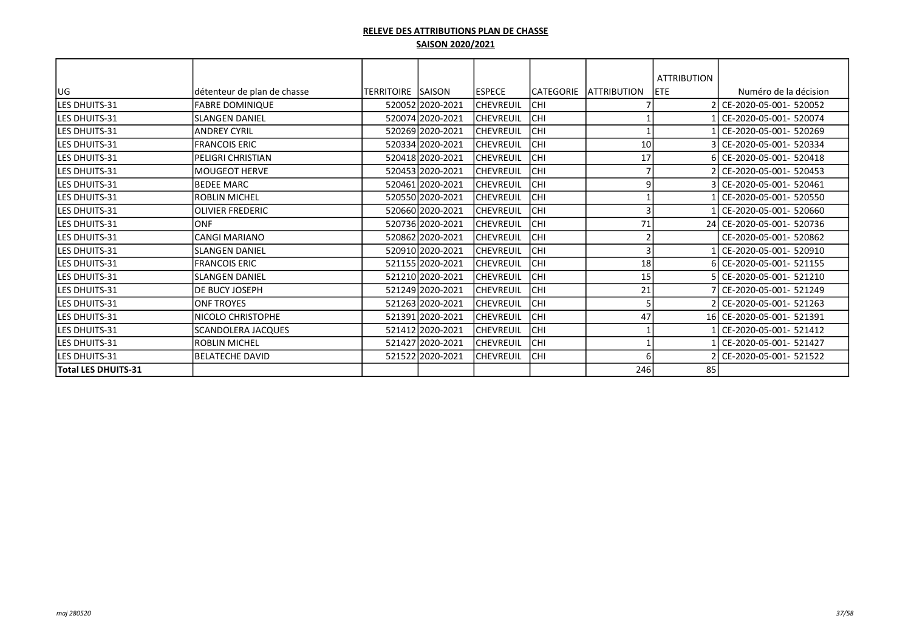|                       |                             |                   |                  |                  |            |                     | <b>ATTRIBUTION</b> |                           |
|-----------------------|-----------------------------|-------------------|------------------|------------------|------------|---------------------|--------------------|---------------------------|
| <b>JUG</b>            | détenteur de plan de chasse | TERRITOIRE SAISON |                  | <b>IESPECE</b>   | CATEGORIE  | <b>LATTRIBUTION</b> | <b>IETE</b>        | Numéro de la décision     |
| lles dhuits-31        | <b>FABRE DOMINIQUE</b>      |                   | 520052 2020-2021 | <b>CHEVREUIL</b> | <b>CHI</b> |                     |                    | 2 CE-2020-05-001- 520052  |
| <b>ILES DHUITS-31</b> | <b>SLANGEN DANIEL</b>       |                   | 520074 2020-2021 | <b>CHEVREUIL</b> | CHI        |                     |                    | CE-2020-05-001- 520074    |
| lles dhuits-31        | <b>ANDREY CYRIL</b>         |                   | 520269 2020-2021 | <b>CHEVREUIL</b> | CHI        |                     |                    | CE-2020-05-001- 520269    |
| lLES DHUITS-31        | <b>FRANCOIS ERIC</b>        |                   | 520334 2020-2021 | <b>CHEVREUIL</b> | CHI        | 10                  |                    | CE-2020-05-001- 520334    |
| lles dhuits-31        | IPELIGRI CHRISTIAN          |                   | 520418 2020-2021 | CHEVREUIL        | CHI        | 17                  |                    | 6 CE-2020-05-001- 520418  |
| lles dhuits-31        | lMOUGEOT HERVE              |                   | 520453 2020-2021 | <b>CHEVREUIL</b> | CHI        |                     |                    | 2 CE-2020-05-001- 520453  |
| lles dhuits-31        | <b>BEDEE MARC</b>           |                   | 520461 2020-2021 | <b>CHEVREUIL</b> | CHI        | ٩                   |                    | 3 CE-2020-05-001- 520461  |
| <b>ILES DHUITS-31</b> | <b>ROBLIN MICHEL</b>        |                   | 520550 2020-2021 | <b>CHEVREUIL</b> | CHI        |                     |                    | CE-2020-05-001- 520550    |
| <b>ILES DHUITS-31</b> | <b>OLIVIER FREDERIC</b>     |                   | 520660 2020-2021 | CHEVREUIL        | CHI        |                     |                    | CE-2020-05-001- 520660    |
| <b>ILES DHUITS-31</b> | ONF                         |                   | 520736 2020-2021 | CHEVREUIL        | CHI        | 71                  |                    | 24 CE-2020-05-001- 520736 |
| <b>ILES DHUITS-31</b> | <b>CANGI MARIANO</b>        |                   | 520862 2020-2021 | CHEVREUIL        | CHI        |                     |                    | CE-2020-05-001- 520862    |
| <b>ILES DHUITS-31</b> | <b>SLANGEN DANIEL</b>       |                   | 520910 2020-2021 | CHEVREUIL        | CHI        |                     |                    | CE-2020-05-001- 520910    |
| lles dhuits-31        | <b>FRANCOIS ERIC</b>        |                   | 521155 2020-2021 | <b>CHEVREUIL</b> | CHI        | 18                  |                    | 6 CE-2020-05-001- 521155  |
| lles dhuits-31        | <b>SLANGEN DANIEL</b>       |                   | 521210 2020-2021 | CHEVREUIL        | <b>CHI</b> | 15                  |                    | 5 CE-2020-05-001- 521210  |
| lles dhuits-31        | <b>DE BUCY JOSEPH</b>       |                   | 521249 2020-2021 | <b>CHEVREUIL</b> | CHI        | 21                  |                    | 7 CE-2020-05-001- 521249  |
| lles dhuits-31        | <b>ONF TROYES</b>           |                   | 521263 2020-2021 | CHEVREUIL        | CHI        |                     |                    | 2 CE-2020-05-001- 521263  |
| lles dhuits-31        | <b>NICOLO CHRISTOPHE</b>    |                   | 521391 2020-2021 | CHEVREUIL        | CHI        | 47                  |                    | 16 CE-2020-05-001- 521391 |
| <b>LES DHUITS-31</b>  | <b>SCANDOLERA JACQUES</b>   |                   | 521412 2020-2021 | CHEVREUIL        | CHI        |                     |                    | CE-2020-05-001- 521412    |
| <b>LES DHUITS-31</b>  | <b>ROBLIN MICHEL</b>        |                   | 521427 2020-2021 | CHEVREUIL        | CHI        |                     |                    | CE-2020-05-001- 521427    |
| <b>LES DHUITS-31</b>  | <b>BELATECHE DAVID</b>      |                   | 521522 2020-2021 | CHEVREUIL        | CHI        | 6                   |                    | CE-2020-05-001- 521522    |
| Total LES DHUITS-31   |                             |                   |                  |                  |            | 246                 | 85                 |                           |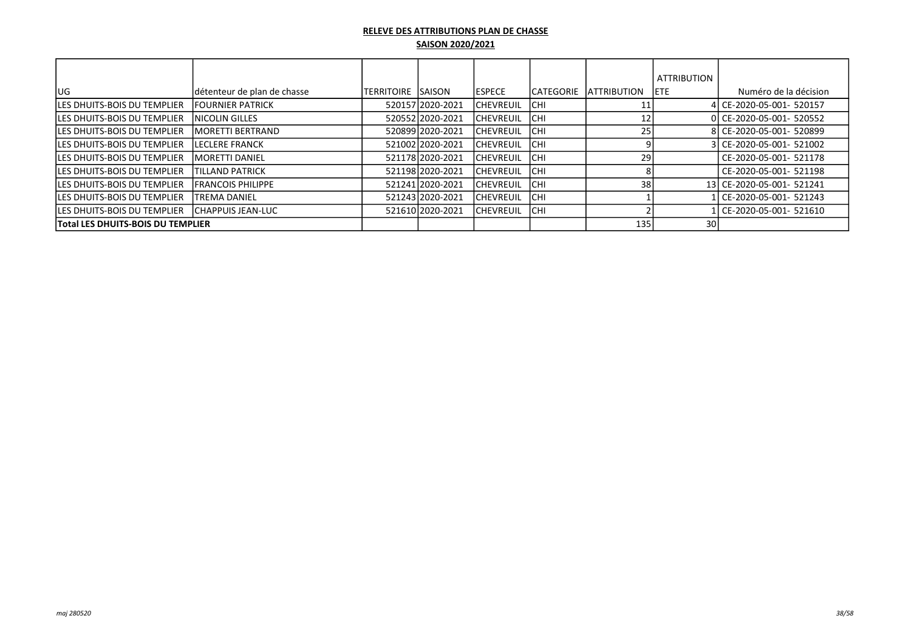|                                          |                             |                    |                  |                   |                   |                     | <b>ATTRIBUTION</b> |                           |
|------------------------------------------|-----------------------------|--------------------|------------------|-------------------|-------------------|---------------------|--------------------|---------------------------|
| lug.                                     | détenteur de plan de chasse | TERRITOIRE ISAISON |                  | <b>IESPECE</b>    | <b>ICATEGORIE</b> | <b>IATTRIBUTION</b> | <b>IETE</b>        | Numéro de la décision     |
| <b>LES DHUITS-BOIS DU TEMPLIER</b>       | <b>IFOURNIER PATRICK</b>    |                    | 52015712020-2021 | ICHEVREUIL        | ICHI              |                     |                    | 4 CE-2020-05-001- 520157  |
| <b>LES DHUITS-BOIS DU TEMPLIER</b>       | <b>INICOLIN GILLES</b>      |                    | 520552 2020-2021 | ICHEVREUIL        | <b>ICHI</b>       | 12                  |                    | 0 CE-2020-05-001- 520552  |
| <b>LES DHUITS-BOIS DU TEMPLIER</b>       | <b>IMORETTI BERTRAND</b>    |                    | 520899 2020-2021 | <b>ICHEVREUIL</b> | <b>ICHI</b>       | 25                  |                    | 8 CE-2020-05-001- 520899  |
| <b>LES DHUITS-BOIS DU TEMPLIER</b>       | <b>ILECLERE FRANCK</b>      |                    | 52100212020-2021 | <b>ICHEVREUIL</b> | <b>ICHI</b>       |                     |                    | 3 CE-2020-05-001- 521002  |
| <b>LES DHUITS-BOIS DU TEMPLIER</b>       | <b>IMORETTI DANIEL</b>      |                    | 521178 2020-2021 | <b>ICHEVREUIL</b> | <b>ICHI</b>       | 29                  |                    | CE-2020-05-001- 521178    |
| <b>LES DHUITS-BOIS DU TEMPLIER</b>       | TILLAND PATRICK             |                    | 521198 2020-2021 | <b>ICHEVREUIL</b> | <b>ICHI</b>       |                     |                    | CE-2020-05-001- 521198    |
| <b>LES DHUITS-BOIS DU TEMPLIER</b>       | <b>IFRANCOIS PHILIPPE</b>   |                    | 521241 2020-2021 | ICHEVREUIL        | <b>ICHI</b>       | 38                  |                    | 13 CE-2020-05-001- 521241 |
| <b>LES DHUITS-BOIS DU TEMPLIER</b>       | <b>TREMA DANIEL</b>         |                    | 521243 2020-2021 | ICHEVREUIL        | <b>ICHI</b>       |                     |                    | Ll CE-2020-05-001- 521243 |
| <b>ILES DHUITS-BOIS DU TEMPLIER</b>      | <b>CHAPPUIS JEAN-LUC</b>    |                    | 521610 2020-2021 | ICHEVREUIL        | <b>ICHI</b>       |                     |                    | CE-2020-05-001- 521610    |
| <b>Total LES DHUITS-BOIS DU TEMPLIER</b> |                             |                    |                  |                   |                   | 135                 | 30 l               |                           |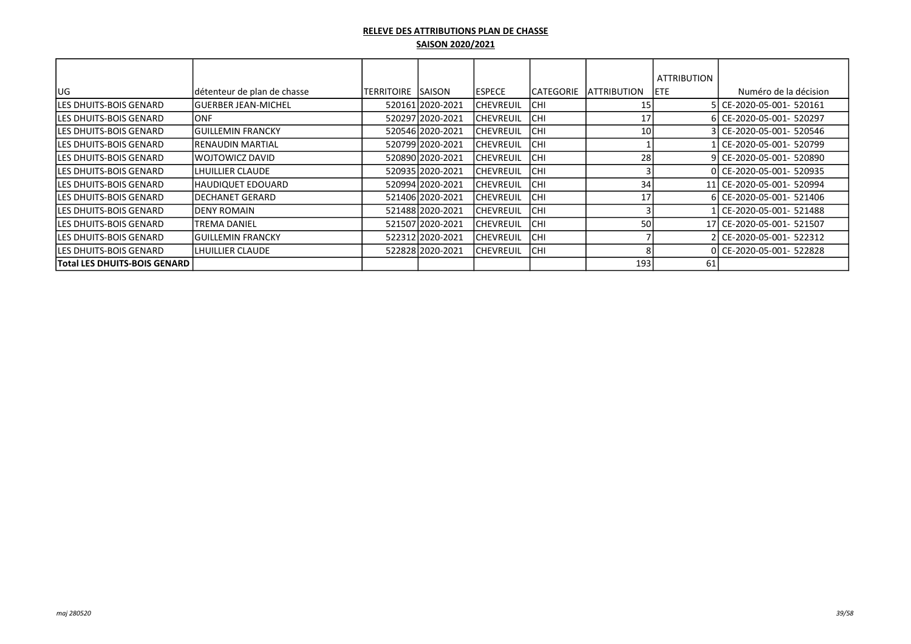|                                |                             |                   |                  |                  |            |                    | <b>ATTRIBUTION</b> |                           |
|--------------------------------|-----------------------------|-------------------|------------------|------------------|------------|--------------------|--------------------|---------------------------|
| lug                            | détenteur de plan de chasse | <b>TERRITOIRE</b> | <b>ISAISON</b>   | <b>ESPECE</b>    | ICATEGORIE | <b>ATTRIBUTION</b> | <b>IETE</b>        | Numéro de la décision     |
| lLES DHUITS-BOIS GENARD        | lGUERBER JEAN-MICHEL        |                   | 520161 2020-2021 | CHEVREUIL        | ICHI       | 15                 |                    | 5l CE-2020-05-001- 520161 |
| <b>LES DHUITS-BOIS GENARD</b>  | IONF.                       |                   | 520297 2020-2021 | <b>CHEVREUIL</b> | <b>CHI</b> | 17                 |                    | 6 CE-2020-05-001- 520297  |
| ILES DHUITS-BOIS GENARD        | IGUILLEMIN FRANCKY          |                   | 520546 2020-2021 | CHEVREUIL        | <b>CHI</b> | 10                 |                    | 3l CE-2020-05-001- 520546 |
| <b>LES DHUITS-BOIS GENARD</b>  | RENAUDIN MARTIAL            |                   | 520799 2020-2021 | CHEVREUIL        | lchi       |                    |                    | CE-2020-05-001- 520799    |
| <b>ILES DHUITS-BOIS GENARD</b> | lwojtowicz david            |                   | 520890 2020-2021 | <b>CHEVREUIL</b> | <b>CHI</b> | 28                 |                    | 9 CE-2020-05-001- 520890  |
| <b>ILES DHUITS-BOIS GENARD</b> | LHUILLIER CLAUDE            |                   | 520935 2020-2021 | CHEVREUIL        | <b>CHI</b> |                    |                    | 0 CE-2020-05-001- 520935  |
| ILES DHUITS-BOIS GENARD        | HAUDIQUET EDOUARD           |                   | 520994 2020-2021 | CHEVREUIL        | <b>CHI</b> | 34                 |                    | 11 CE-2020-05-001- 520994 |
| <b>ILES DHUITS-BOIS GENARD</b> | IDECHANET GERARD            |                   | 521406 2020-2021 | CHEVREUIL        | <b>CHI</b> | 17                 |                    | 6 CE-2020-05-001- 521406  |
| ILES DHUITS-BOIS GENARD        | IDENY ROMAIN                |                   | 521488 2020-2021 | CHEVREUIL        | ICHI       |                    |                    | l CE-2020-05-001- 521488  |
| lLES DHUITS-BOIS GENARD        | <b>TREMA DANIEL</b>         |                   | 521507 2020-2021 | <b>CHEVREUIL</b> | <b>CHI</b> | 50                 |                    | 17 CE-2020-05-001- 521507 |
| <b>ILES DHUITS-BOIS GENARD</b> | <b>IGUILLEMIN FRANCKY</b>   |                   | 522312 2020-2021 | CHEVREUIL        | <b>CHI</b> |                    |                    | 2  CE-2020-05-001- 522312 |
| <b>LES DHUITS-BOIS GENARD</b>  | LHUILLIER CLAUDE            |                   | 522828 2020-2021 | <b>CHEVREUIL</b> | <b>CHI</b> |                    |                    | 0 CE-2020-05-001- 522828  |
| Total LES DHUITS-BOIS GENARD   |                             |                   |                  |                  |            | 193                | 61                 |                           |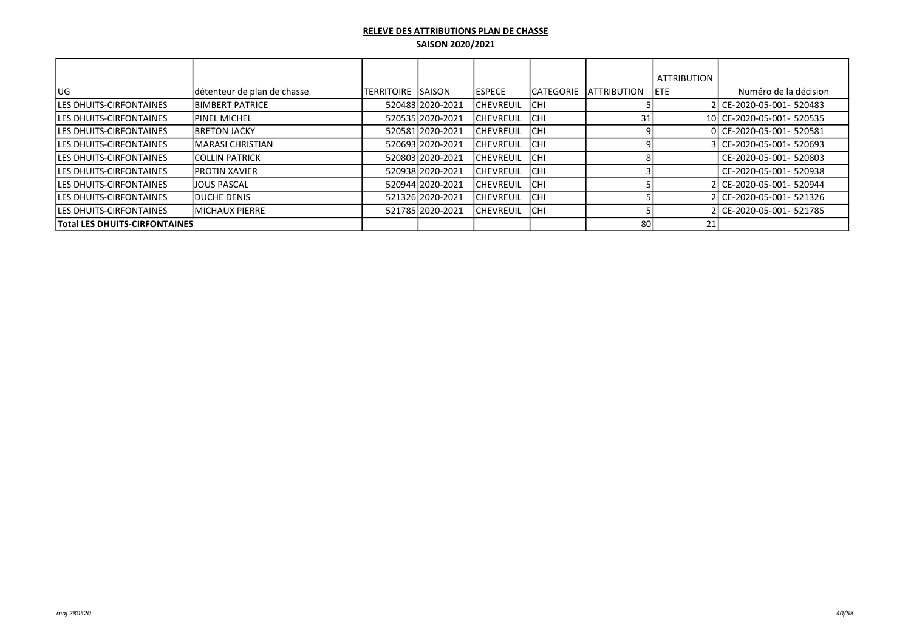|                                      |                             |            |                  |                  |            |                     | <b>ATTRIBUTION</b> |                           |
|--------------------------------------|-----------------------------|------------|------------------|------------------|------------|---------------------|--------------------|---------------------------|
| <b>IUG</b>                           | détenteur de plan de chasse | TERRITOIRE | ISAISON          | <b>IESPECE</b>   | ICATEGORIE | <b>LATTRIBUTION</b> | IETE.              | Numéro de la décision     |
| <b>ILES DHUITS-CIRFONTAINES</b>      | <b>IBIMBERT PATRICE</b>     |            | 52048312020-2021 | <b>CHEVREUIL</b> | ICHI       |                     |                    | 2l CE-2020-05-001- 520483 |
| <b>ILES DHUITS-CIRFONTAINES</b>      | <b>IPINEL MICHEL</b>        |            | 52053512020-2021 | <b>CHEVREUIL</b> | <b>CHI</b> | 31                  |                    | 10 CE-2020-05-001- 520535 |
| <b>ILES DHUITS-CIRFONTAINES</b>      | <b>IBRETON JACKY</b>        |            | 520581 2020-2021 | <b>CHEVREUIL</b> | ICHI       |                     |                    | 0 CE-2020-05-001- 520581  |
| <b>ILES DHUITS-CIRFONTAINES</b>      | İMARASI CHRISTIAN           |            | 52069312020-2021 | <b>CHEVREUIL</b> | ICHI       |                     |                    | 3 CE-2020-05-001- 520693  |
| <b>ILES DHUITS-CIRFONTAINES</b>      | <b>ICOLLIN PATRICK</b>      |            | 52080312020-2021 | <b>CHEVREUIL</b> | Існі       |                     |                    | CE-2020-05-001- 520803    |
| <b>ILES DHUITS-CIRFONTAINES</b>      | <b>IPROTIN XAVIER</b>       |            | 52093812020-2021 | CHEVREUIL        | ICHI       |                     |                    | CE-2020-05-001- 520938    |
| <b>ILES DHUITS-CIRFONTAINES</b>      | <b>JJOUS PASCAL</b>         |            | 52094412020-2021 | <b>CHEVREUIL</b> | ICHI       |                     |                    | 2 CE-2020-05-001- 520944  |
| <b>LES DHUITS-CIRFONTAINES</b>       | <b>IDUCHE DENIS</b>         |            | 521326 2020-2021 | <b>CHEVREUIL</b> | <b>CHI</b> |                     |                    | 2l CE-2020-05-001- 521326 |
| <b>ILES DHUITS-CIRFONTAINES</b>      | IMICHAUX PIERRE             |            | 52178512020-2021 | <b>CHEVREUIL</b> | ICHI       |                     |                    | 2 CE-2020-05-001- 521785  |
| <b>Total LES DHUITS-CIRFONTAINES</b> |                             |            |                  |                  |            | 80 l                | 21                 |                           |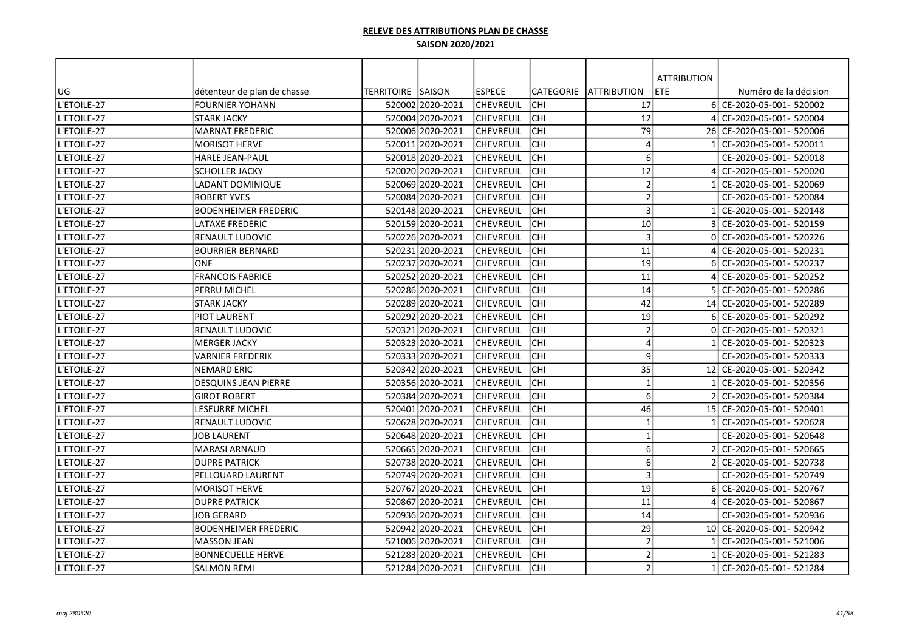|             |                             |                           |                  |                  |            |                         | <b>ATTRIBUTION</b> |                           |
|-------------|-----------------------------|---------------------------|------------------|------------------|------------|-------------------------|--------------------|---------------------------|
| UG          | détenteur de plan de chasse | <b>TERRITOIRE ISAISON</b> |                  | lespece          | CATEGORIE  | <b>ATTRIBUTION</b>      | <b>ETE</b>         | Numéro de la décision     |
| L'ETOILE-27 | <b>FOURNIER YOHANN</b>      |                           | 520002 2020-2021 | <b>CHEVREUIL</b> | <b>CHI</b> | 17                      | 6I                 | CE-2020-05-001- 520002    |
| L'ETOILE-27 | STARK JACKY                 |                           | 520004 2020-2021 | CHEVREUIL        | CHI        | 12                      |                    | CE-2020-05-001- 520004    |
| L'ETOILE-27 | <b>MARNAT FREDERIC</b>      |                           | 520006 2020-2021 | CHEVREUIL        | CHI        | 79                      |                    | 26 CE-2020-05-001- 520006 |
| L'ETOILE-27 | <b>MORISOT HERVE</b>        |                           | 520011 2020-2021 | <b>CHEVREUIL</b> | CHI        | $\overline{4}$          |                    | CE-2020-05-001- 520011    |
| L'ETOILE-27 | HARLE JEAN-PAUL             |                           | 520018 2020-2021 | <b>CHEVREUIL</b> | CHI        | 6                       |                    | CE-2020-05-001- 520018    |
| L'ETOILE-27 | <b>SCHOLLER JACKY</b>       |                           | 52002012020-2021 | CHEVREUIL        | <b>CHI</b> | 12                      |                    | CE-2020-05-001- 520020    |
| L'ETOILE-27 | LADANT DOMINIQUE            |                           | 520069 2020-2021 | <b>CHEVREUIL</b> | CHI        | $\overline{2}$          |                    | CE-2020-05-001- 520069    |
| L'ETOILE-27 | <b>ROBERT YVES</b>          |                           | 520084 2020-2021 | CHEVREUIL        | CHI        | $\overline{2}$          |                    | CE-2020-05-001- 520084    |
| L'ETOILE-27 | <b>BODENHEIMER FREDERIC</b> |                           | 520148 2020-2021 | <b>CHEVREUIL</b> | lсні       | $\overline{3}$          |                    | CE-2020-05-001- 520148    |
| L'ETOILE-27 | LATAXE FREDERIC             |                           | 520159 2020-2021 | lchevreuil       | lсні       | 10                      |                    | CE-2020-05-001- 520159    |
| L'ETOILE-27 | RENAULT LUDOVIC             |                           | 520226 2020-2021 | <b>CHEVREUIL</b> | <b>CHI</b> | $\overline{3}$          |                    | CE-2020-05-001- 520226    |
| L'ETOILE-27 | <b>BOURRIER BERNARD</b>     |                           | 520231 2020-2021 | <b>CHEVREUIL</b> | CHI        | 11                      |                    | CE-2020-05-001- 520231    |
| L'ETOILE-27 | <b>ONF</b>                  |                           | 520237 2020-2021 | <b>CHEVREUIL</b> | CHI        | 19                      |                    | CE-2020-05-001- 520237    |
| L'ETOILE-27 | <b>FRANCOIS FABRICE</b>     |                           | 520252 2020-2021 | CHEVREUIL        | <b>CHI</b> | 11                      |                    | CE-2020-05-001- 520252    |
| L'ETOILE-27 | PERRU MICHEL                |                           | 520286 2020-2021 | CHEVREUIL        | CHI        | 14                      |                    | CE-2020-05-001- 520286    |
| L'ETOILE-27 | <b>STARK JACKY</b>          |                           | 520289 2020-2021 | <b>CHEVREUIL</b> | CHI        | 42                      |                    | 14 CE-2020-05-001- 520289 |
| L'ETOILE-27 | <b>PIOT LAURENT</b>         |                           | 52029212020-2021 | lchevreuil       | <b>CHI</b> | 19                      |                    | CE-2020-05-001- 520292    |
| L'ETOILE-27 | RENAULT LUDOVIC             |                           | 520321 2020-2021 | CHEVREUIL        | CHI        | $\overline{2}$          |                    | CE-2020-05-001- 520321    |
| L'ETOILE-27 | MERGER JACKY                |                           | 520323 2020-2021 | CHEVREUIL        | CHI        | $\overline{A}$          |                    | CE-2020-05-001- 520323    |
| L'ETOILE-27 | VARNIER FREDERIK            |                           | 520333 2020-2021 | <b>CHEVREUIL</b> | CHI        | 9                       |                    | CE-2020-05-001- 520333    |
| L'ETOILE-27 | <b>NEMARD ERIC</b>          |                           | 520342 2020-2021 | lchevreuil       | lсні       | 35                      |                    | 12 CE-2020-05-001- 520342 |
| L'ETOILE-27 | <b>DESQUINS JEAN PIERRE</b> |                           | 520356 2020-2021 | <b>CHEVREUIL</b> | CHI        | $\overline{\mathbf{1}}$ |                    | CE-2020-05-001- 520356    |
| L'ETOILE-27 | <b>GIROT ROBERT</b>         |                           | 52038412020-2021 | lchevreuil       | lсні       | 6                       |                    | CE-2020-05-001- 520384    |
| L'ETOILE-27 | LESEURRE MICHEL             |                           | 520401 2020-2021 | <b>CHEVREUIL</b> | CHI        | 46                      |                    | 15 CE-2020-05-001- 520401 |
| L'ETOILE-27 | RENAULT LUDOVIC             |                           | 520628 2020-2021 | CHEVREUIL        | CHI        | $\overline{\mathbf{1}}$ |                    | CE-2020-05-001- 520628    |
| L'ETOILE-27 | JOB LAURENT                 |                           | 520648 2020-2021 | CHEVREUIL        | CHI        | $\mathbf{1}$            |                    | CE-2020-05-001- 520648    |
| L'ETOILE-27 | MARASI ARNAUD               |                           | 520665 2020-2021 | <b>CHEVREUIL</b> | CHI        | 6                       |                    | CE-2020-05-001- 520665    |
| L'ETOILE-27 | <b>DUPRE PATRICK</b>        |                           | 520738 2020-2021 | CHEVREUIL        | <b>CHI</b> | 6                       |                    | CE-2020-05-001- 520738    |
| L'ETOILE-27 | PELLOUARD LAURENT           |                           | 520749 2020-2021 | CHEVREUIL        | CHI        | $\overline{3}$          |                    | CE-2020-05-001- 520749    |
| L'ETOILE-27 | <b>MORISOT HERVE</b>        |                           | 520767 2020-2021 | CHEVREUIL        | <b>CHI</b> | 19                      |                    | CE-2020-05-001- 520767    |
| L'ETOILE-27 | <b>DUPRE PATRICK</b>        |                           | 520867 2020-2021 | CHEVREUIL        | lсні       | 11                      |                    | CE-2020-05-001- 520867    |
| L'ETOILE-27 | <b>JOB GERARD</b>           |                           | 52093612020-2021 | <b>CHEVREUIL</b> | lсні       | 14                      |                    | CE-2020-05-001- 520936    |
| L'ETOILE-27 | <b>BODENHEIMER FREDERIC</b> |                           | 520942 2020-2021 | CHEVREUIL        | <b>CHI</b> | 29                      |                    | 10 CE-2020-05-001- 520942 |
| L'ETOILE-27 | <b>MASSON JEAN</b>          |                           | 521006 2020-2021 | <b>CHEVREUIL</b> | <b>CHI</b> | $\overline{2}$          |                    | CE-2020-05-001- 521006    |
| L'ETOILE-27 | <b>BONNECUELLE HERVE</b>    |                           | 521283 2020-2021 | CHEVREUIL        | CHI        | $\mathcal{I}$           |                    | CE-2020-05-001- 521283    |
| L'ETOILE-27 | SALMON REMI                 |                           | 521284 2020-2021 | <b>CHEVREUIL</b> | <b>CHI</b> | 2                       |                    | CE-2020-05-001- 521284    |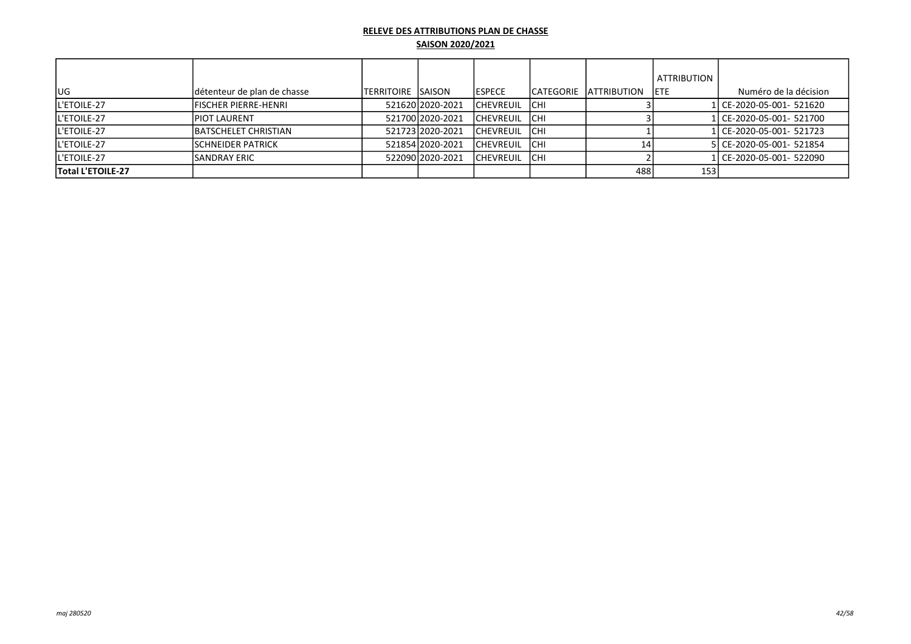|                          |                              |                    |                  |                  |      |                         | <b>ATTRIBUTION</b> |                           |
|--------------------------|------------------------------|--------------------|------------------|------------------|------|-------------------------|--------------------|---------------------------|
| <b>IUG</b>               | détenteur de plan de chasse  | TERRITOIRE ISAISON |                  | <b>IESPECE</b>   |      | ICATEGORIE IATTRIBUTION | <b>IETE</b>        | Numéro de la décision     |
| <b>IL'ETOILE-27</b>      | <b>IFISCHER PIERRE-HENRI</b> |                    | 521620 2020-2021 | <b>CHEVREUIL</b> | ICHI |                         |                    | 1 CE-2020-05-001- 521620  |
| <b>L'ETOILE-27</b>       | <b>IPIOT LAURENT</b>         |                    | 521700 2020-2021 | <b>CHEVREUIL</b> | Існі |                         |                    | 1 CE-2020-05-001- 521700  |
| <b>L'ETOILE-27</b>       | <b>IBATSCHELET CHRISTIAN</b> |                    | 52172312020-2021 | <b>CHEVREUIL</b> | Існі |                         |                    | 1l CE-2020-05-001- 521723 |
| <b>L'ETOILE-27</b>       | <b>ISCHNEIDER PATRICK</b>    |                    | 521854 2020-2021 | <b>CHEVREUIL</b> | Існі |                         |                    | 5 CE-2020-05-001- 521854  |
| <b>IL'ETOILE-27</b>      | ISANDRAY ERIC                |                    | 52209012020-2021 | <b>CHEVREUIL</b> | lсні |                         |                    | 1l CE-2020-05-001- 522090 |
| <b>Total L'ETOILE-27</b> |                              |                    |                  |                  |      | 488                     | 153                |                           |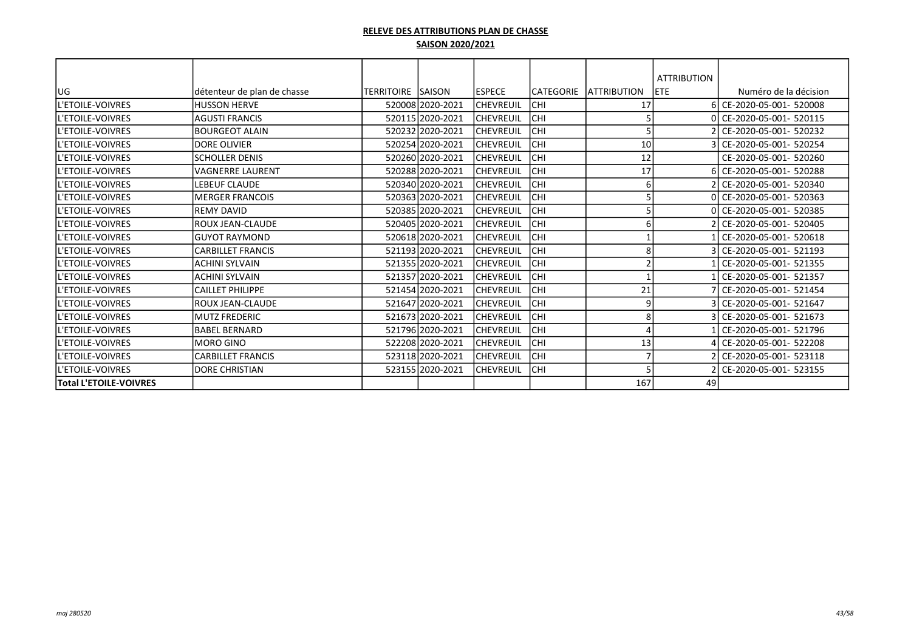|                               |                              |                          |                  |                  |                  |                     | <b>ATTRIBUTION</b> |                          |
|-------------------------------|------------------------------|--------------------------|------------------|------------------|------------------|---------------------|--------------------|--------------------------|
| UG                            | Idétenteur de plan de chasse | <b>TERRITOIRE SAISON</b> |                  | <b>ESPECE</b>    | <b>CATEGORIE</b> | <b>LATTRIBUTION</b> | <b>ETE</b>         | Numéro de la décision    |
| L'ETOILE-VOIVRES              | <b>HUSSON HERVE</b>          |                          | 520008 2020-2021 | <b>CHEVREUIL</b> | CHI              | 17                  |                    | CE-2020-05-001- 520008   |
| <b>L'ETOILE-VOIVRES</b>       | <b>AGUSTI FRANCIS</b>        |                          | 520115 2020-2021 | <b>CHEVREUIL</b> | CHI              |                     |                    | CE-2020-05-001- 520115   |
| ll'etoile-voivres             | <b>IBOURGEOT ALAIN</b>       |                          | 52023212020-2021 | ICHEVREUIL       | CHI              |                     |                    | CE-2020-05-001- 520232   |
| <b>L'ETOILE-VOIVRES</b>       | <b>IDORE OLIVIER</b>         |                          | 520254 2020-2021 | <b>CHEVREUIL</b> | CHI              | 10                  |                    | CE-2020-05-001- 520254   |
| ll'etoile-voivres             | <b>SCHOLLER DENIS</b>        |                          | 520260 2020-2021 | <b>CHEVREUIL</b> | CHI              | 12                  |                    | CE-2020-05-001- 520260   |
| ll'etoile-voivres             | lvagnerre laurent            |                          | 520288 2020-2021 | <b>CHEVREUIL</b> | CHI              | 17                  |                    | CE-2020-05-001- 520288   |
| <b>L'ETOILE-VOIVRES</b>       | LEBEUF CLAUDE                |                          | 520340 2020-2021 | ICHEVREUIL       | CHI              | 6                   |                    | CE-2020-05-001- 520340   |
| ll'etoile-voivres             | IMERGER FRANCOIS             |                          | 520363 2020-2021 | <b>CHEVREUIL</b> | CHI              |                     |                    | 0 CE-2020-05-001- 520363 |
| <b>L'ETOILE-VOIVRES</b>       | IREMY DAVID                  |                          | 520385 2020-2021 | ICHEVREUIL       | CHI              |                     |                    | CE-2020-05-001- 520385   |
| <b>IL'ETOILE-VOIVRES</b>      | IROUX JEAN-CLAUDE            |                          | 520405 2020-2021 | ICHEVREUIL       | CHI              |                     |                    | CE-2020-05-001- 520405   |
| ll'etoile-voivres             | lGUYOT RAYMOND               |                          | 520618 2020-2021 | <b>CHEVREUIL</b> | CHI              |                     |                    | CE-2020-05-001- 520618   |
| ll'etoile-voivres             | <b>CARBILLET FRANCIS</b>     |                          | 521193 2020-2021 | <b>CHEVREUIL</b> | CHI              | 8                   |                    | CE-2020-05-001- 521193   |
| <b>L'ETOILE-VOIVRES</b>       | <b>ACHINI SYLVAIN</b>        |                          | 521355 2020-2021 | <b>CHEVREUIL</b> | CHI              |                     |                    | CE-2020-05-001- 521355   |
| <b>L'ETOILE-VOIVRES</b>       | <b>ACHINI SYLVAIN</b>        |                          | 521357 2020-2021 | <b>CHEVREUIL</b> | CHI              |                     |                    | CE-2020-05-001- 521357   |
| <b>L'ETOILE-VOIVRES</b>       | <b>CAILLET PHILIPPE</b>      |                          | 521454 2020-2021 | <b>CHEVREUIL</b> | CHI              | 21                  |                    | 7 CE-2020-05-001- 521454 |
| L'ETOILE-VOIVRES              | IROUX JEAN-CLAUDE            |                          | 521647 2020-2021 | <b>CHEVREUIL</b> | CHI              | 9                   |                    | CE-2020-05-001- 521647   |
| <b>IL'ETOILE-VOIVRES</b>      | IMUTZ FREDERIC               |                          | 521673 2020-2021 | ICHEVREUIL       | CHI              | 8                   |                    | CE-2020-05-001- 521673   |
| ll'etoile-voivres             | BABEL BERNARD                |                          | 521796 2020-2021 | <b>CHEVREUIL</b> | CHI              |                     |                    | CE-2020-05-001- 521796   |
| ll'etoile-voivres             | lMORO GINO                   |                          | 522208 2020-2021 | <b>CHEVREUIL</b> | CHI              | 13                  |                    | CE-2020-05-001- 522208   |
| <b>IL'ETOILE-VOIVRES</b>      | <b>CARBILLET FRANCIS</b>     |                          | 523118 2020-2021 | <b>CHEVREUIL</b> | CHI              |                     |                    | CE-2020-05-001- 523118   |
| <b>IL'ETOILE-VOIVRES</b>      | <b>DORE CHRISTIAN</b>        |                          | 523155 2020-2021 | <b>CHEVREUIL</b> | CHI              |                     |                    | CE-2020-05-001- 523155   |
| <b>Total L'ETOILE-VOIVRES</b> |                              |                          |                  |                  |                  | 167                 | 49                 |                          |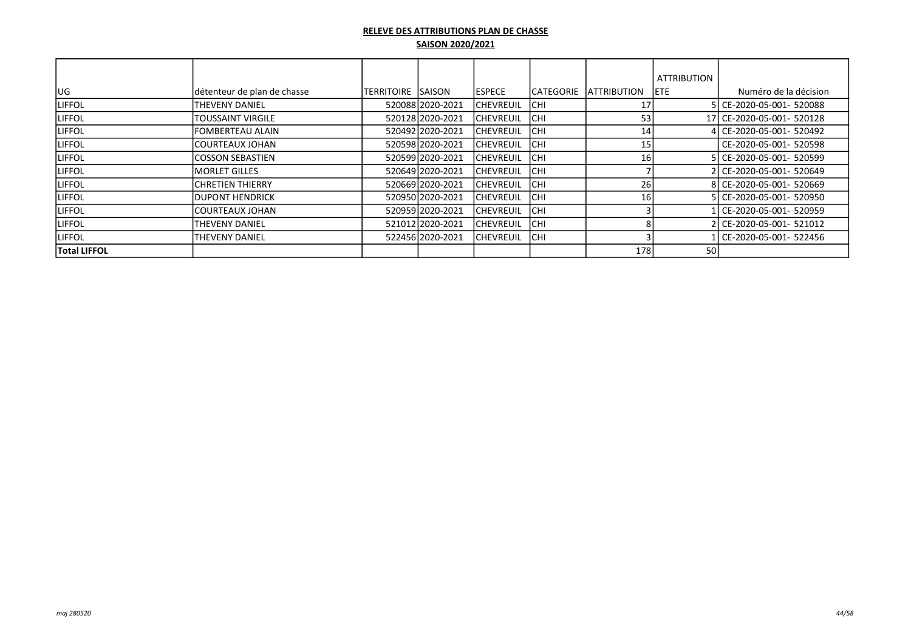|                     |                             |                          |                  |                  |                   |                     | <b>ATTRIBUTION</b> |                           |
|---------------------|-----------------------------|--------------------------|------------------|------------------|-------------------|---------------------|--------------------|---------------------------|
| <b>IUG</b>          | détenteur de plan de chasse | <b>TERRITOIRE SAISON</b> |                  | <b>IESPECE</b>   | <b>ICATEGORIE</b> | <b>LATTRIBUTION</b> | <b>IETE</b>        | Numéro de la décision     |
| <b>LIFFOL</b>       | <b>THEVENY DANIEL</b>       |                          | 520088 2020-2021 | ICHEVREUIL       | <b>ICHI</b>       | 17                  |                    | 5 CE-2020-05-001- 520088  |
| <b>LIFFOL</b>       | <b>TOUSSAINT VIRGILE</b>    |                          | 520128 2020-2021 | <b>CHEVREUIL</b> | <b>CHI</b>        | 53                  |                    | 17 CE-2020-05-001- 520128 |
| <b>LIFFOL</b>       | <b>FOMBERTEAU ALAIN</b>     |                          | 520492 2020-2021 | <b>CHEVREUIL</b> | <b>CHI</b>        | 14                  |                    | l  CE-2020-05-001- 520492 |
| <b>LIFFOL</b>       | <b>ICOURTEAUX JOHAN</b>     |                          | 520598 2020-2021 | <b>CHEVREUIL</b> | <b>CHI</b>        | 15                  |                    | CE-2020-05-001- 520598    |
| <b>LIFFOL</b>       | <b>ICOSSON SEBASTIEN</b>    |                          | 520599 2020-2021 | <b>CHEVREUIL</b> | <b>CHI</b>        | 16                  |                    | 5 CE-2020-05-001- 520599  |
| <b>LIFFOL</b>       | IMORLET GILLES              |                          | 520649 2020-2021 | <b>CHEVREUIL</b> | <b>CHI</b>        |                     |                    | 2 CE-2020-05-001- 520649  |
| <b>LIFFOL</b>       | <b>CHRETIEN THIERRY</b>     |                          | 520669 2020-2021 | <b>CHEVREUIL</b> | <b>CHI</b>        | 26                  |                    | 8 CE-2020-05-001- 520669  |
| <b>LIFFOL</b>       | <b>IDUPONT HENDRICK</b>     |                          | 520950 2020-2021 | ICHEVREUIL       | <b>ICHI</b>       | 16                  |                    | 5 CE-2020-05-001- 520950  |
| <b>LIFFOL</b>       | <b>COURTEAUX JOHAN</b>      |                          | 520959 2020-2021 | <b>CHEVREUIL</b> | <b>CHI</b>        |                     |                    | L CE-2020-05-001- 520959  |
| <b>LIFFOL</b>       | <b>THEVENY DANIEL</b>       |                          | 521012 2020-2021 | <b>CHEVREUIL</b> | <b>CHI</b>        |                     |                    | 2 CE-2020-05-001- 521012  |
| <b>LIFFOL</b>       | <b>THEVENY DANIEL</b>       |                          | 522456 2020-2021 | ICHEVREUIL       | <b>ICHI</b>       |                     |                    | CE-2020-05-001- 522456    |
| <b>Total LIFFOL</b> |                             |                          |                  |                  |                   | 178                 | <b>50</b>          |                           |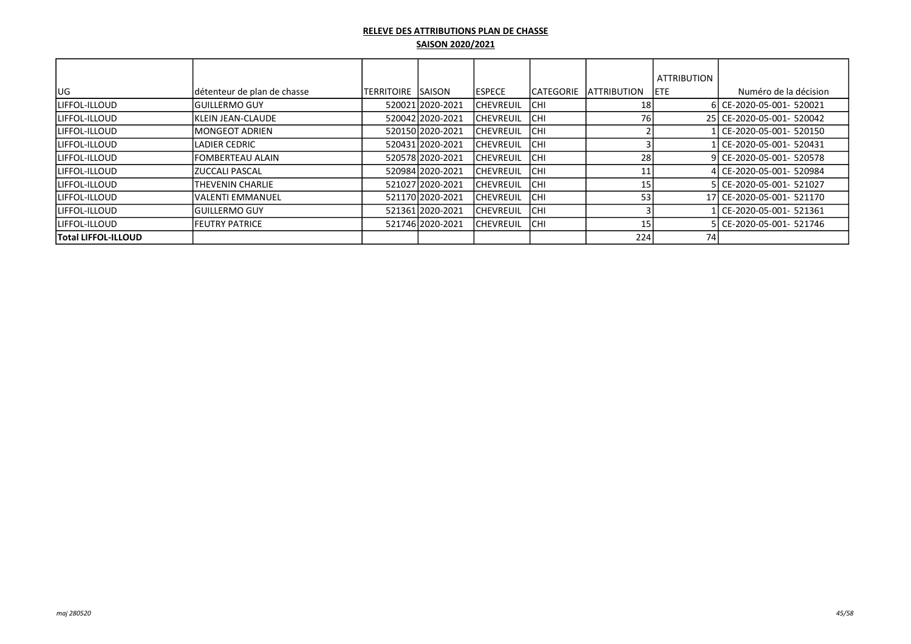|                     |                             |                     |                  |                  |                   |                     | <b>ATTRIBUTION</b> |                           |
|---------------------|-----------------------------|---------------------|------------------|------------------|-------------------|---------------------|--------------------|---------------------------|
| lug                 | détenteur de plan de chasse | ITERRITOIRE ISAISON |                  | <b>IESPECE</b>   | <b>ICATEGORIE</b> | <b>LATTRIBUTION</b> | <b>IETE</b>        | Numéro de la décision     |
| LIFFOL-ILLOUD       | <b>IGUILLERMO GUY</b>       |                     | 520021 2020-2021 | <b>CHEVREUIL</b> | <b>ICHI</b>       | 18                  |                    | 6 CE-2020-05-001- 520021  |
| ILIFFOL-ILLOUD      | <b>IKLEIN JEAN-CLAUDE</b>   |                     | 520042 2020-2021 | ICHEVREUIL       | <b>ICHI</b>       | 76                  |                    | 25 CE-2020-05-001- 520042 |
| ILIFFOL-ILLOUD      | <b>IMONGEOT ADRIEN</b>      |                     | 520150 2020-2021 | ICHEVREUIL       | <b>ICHI</b>       |                     |                    | Ll CE-2020-05-001- 520150 |
| ILIFFOL-ILLOUD      | <b>LADIER CEDRIC</b>        |                     | 520431 2020-2021 | ICHEVREUIL       | <b>ICHI</b>       |                     |                    | Ll CE-2020-05-001- 520431 |
| ILIFFOL-ILLOUD      | <b>IFOMBERTEAU ALAIN</b>    |                     | 520578 2020-2021 | <b>CHEVREUIL</b> | <b>ICHI</b>       | 28                  |                    | 9 CE-2020-05-001- 520578  |
| ILIFFOL-ILLOUD      | IZUCCALI PASCAL             |                     | 520984 2020-2021 | <b>CHEVREUIL</b> | <b>CHI</b>        |                     |                    | 4 CE-2020-05-001- 520984  |
| ILIFFOL-ILLOUD      | THEVENIN CHARLIE            |                     | 521027 2020-2021 | <b>CHEVREUIL</b> | <b>CHI</b>        |                     |                    | 5 CE-2020-05-001- 521027  |
| ILIFFOL-ILLOUD      | lVALENTI EMMANUEL           |                     | 521170 2020-2021 | ICHEVREUIL       | ICHI              | 53                  |                    | 17 CE-2020-05-001- 521170 |
| ILIFFOL-ILLOUD      | <b>IGUILLERMO GUY</b>       |                     | 521361 2020-2021 | <b>CHEVREUIL</b> | <b>ICHI</b>       |                     |                    | ll CE-2020-05-001- 521361 |
| ILIFFOL-ILLOUD      | <b>IFEUTRY PATRICE</b>      |                     | 521746 2020-2021 | ICHEVREUIL       | <b>CHI</b>        | 15                  |                    | 5 CE-2020-05-001- 521746  |
| Total LIFFOL-ILLOUD |                             |                     |                  |                  |                   | 224                 | 74                 |                           |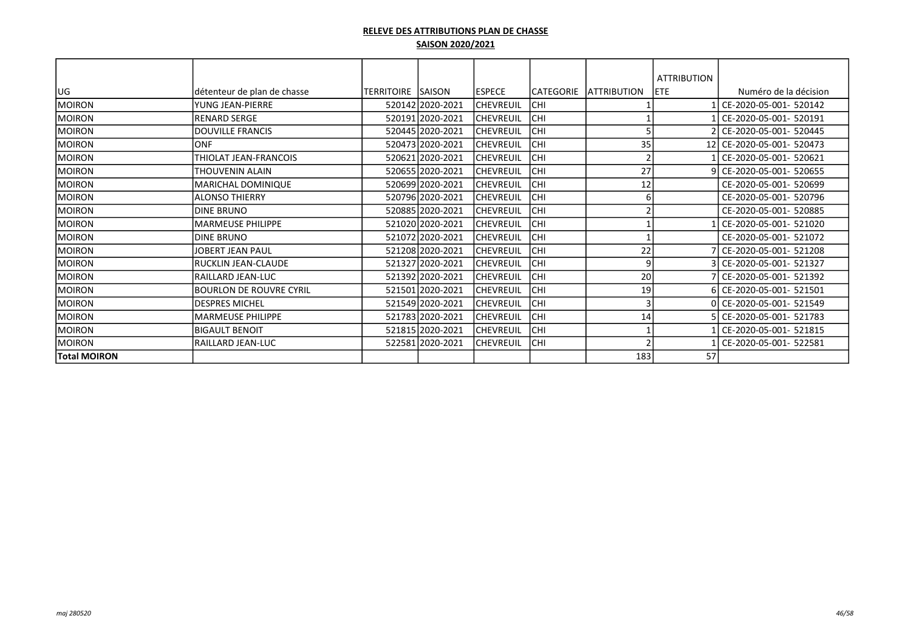|                     |                             |             |                  |                  |                  |                     | <b>ATTRIBUTION</b> |                           |
|---------------------|-----------------------------|-------------|------------------|------------------|------------------|---------------------|--------------------|---------------------------|
| lug                 | détenteur de plan de chasse | ITERRITOIRE | <b>SAISON</b>    | <b>ESPECE</b>    | <b>CATEGORIE</b> | <b>LATTRIBUTION</b> | <b>ETE</b>         | Numéro de la décision     |
| MOIRON              | YUNG JEAN-PIERRE            |             | 520142 2020-2021 | <b>CHEVREUIL</b> | CHI              |                     |                    | CE-2020-05-001- 520142    |
| MOIRON              | <b>RENARD SERGE</b>         |             | 520191 2020-2021 | <b>CHEVREUIL</b> | CHI              |                     |                    | CE-2020-05-001- 520191    |
| IMOIRON             | <b>IDOUVILLE FRANCIS</b>    |             | 520445 2020-2021 | <b>CHEVREUIL</b> | CHI              |                     |                    | 2 CE-2020-05-001- 520445  |
| MOIRON              | <b>ONF</b>                  |             | 520473 2020-2021 | <b>CHEVREUIL</b> | CHI              | 35                  |                    | 12 CE-2020-05-001- 520473 |
| MOIRON              | THIOLAT JEAN-FRANCOIS       |             | 520621 2020-2021 | <b>CHEVREUIL</b> | CHI              |                     |                    | CE-2020-05-001- 520621    |
| MOIRON              | THOUVENIN ALAIN             |             | 520655 2020-2021 | <b>CHEVREUIL</b> | CHI              | 27                  | ۹١                 | CE-2020-05-001- 520655    |
| MOIRON              | MARICHAL DOMINIQUE          |             | 520699 2020-2021 | <b>CHEVREUIL</b> | CHI              | 12                  |                    | CE-2020-05-001- 520699    |
| MOIRON              | <b>ALONSO THIERRY</b>       |             | 520796 2020-2021 | <b>CHEVREUIL</b> | CHI              | 61                  |                    | CE-2020-05-001- 520796    |
| MOIRON              | IDINE BRUNO                 |             | 520885 2020-2021 | <b>CHEVREUIL</b> | CHI              |                     |                    | CE-2020-05-001- 520885    |
| MOIRON              | <b>MARMEUSE PHILIPPE</b>    |             | 521020 2020-2021 | <b>CHEVREUIL</b> | CHI              |                     |                    | CE-2020-05-001- 521020    |
| MOIRON              | <b>DINE BRUNO</b>           |             | 521072 2020-2021 | <b>CHEVREUIL</b> | CHI              |                     |                    | CE-2020-05-001- 521072    |
| MOIRON              | JOBERT JEAN PAUL            |             | 521208 2020-2021 | <b>CHEVREUIL</b> | CHI              | 22                  |                    | CE-2020-05-001- 521208    |
| MOIRON              | IRUCKLIN JEAN-CLAUDE        |             | 521327 2020-2021 | <b>CHEVREUIL</b> | CHI              | 9                   |                    | 3 CE-2020-05-001- 521327  |
| MOIRON              | RAILLARD JEAN-LUC           |             | 521392 2020-2021 | <b>CHEVREUIL</b> | CHI              | 20                  |                    | 7 CE-2020-05-001- 521392  |
| MOIRON              | Ibourlon de Rouvre Cyril    |             | 521501 2020-2021 | <b>CHEVREUIL</b> | CHI              | 19                  |                    | 6 CE-2020-05-001- 521501  |
| MOIRON              | <b>DESPRES MICHEL</b>       |             | 521549 2020-2021 | CHEVREUIL        | CHI              |                     |                    | 0 CE-2020-05-001- 521549  |
| MOIRON              | <b>MARMEUSE PHILIPPE</b>    |             | 521783 2020-2021 | <b>CHEVREUIL</b> | CHI              | 14                  |                    | CE-2020-05-001- 521783    |
| MOIRON              | IBIGAULT BENOIT             |             | 521815 2020-2021 | CHEVREUIL        | CHI              |                     |                    | CE-2020-05-001- 521815    |
| MOIRON              | RAILLARD JEAN-LUC           |             | 522581 2020-2021 | CHEVREUIL        | CHI              |                     |                    | CE-2020-05-001- 522581    |
| <b>Total MOIRON</b> |                             |             |                  |                  |                  | 183                 | 57                 |                           |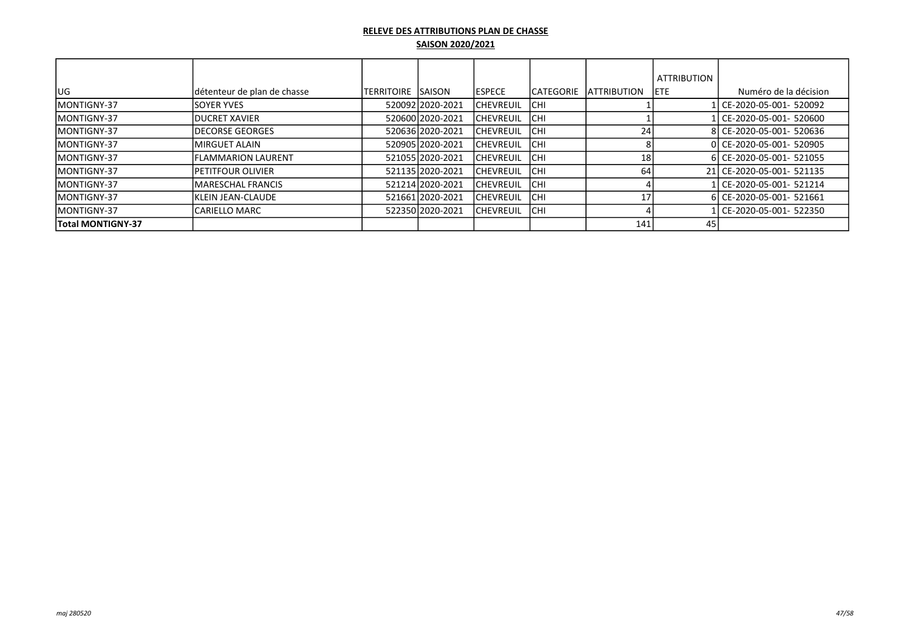|                          |                             |                     |                  |                   |                   |                     | <b>ATTRIBUTION</b> |                           |
|--------------------------|-----------------------------|---------------------|------------------|-------------------|-------------------|---------------------|--------------------|---------------------------|
| lug                      | détenteur de plan de chasse | ITERRITOIRE ISAISON |                  | <b>IESPECE</b>    | <b>ICATEGORIE</b> | <b>IATTRIBUTION</b> | IETE.              | Numéro de la décision     |
| <b>IMONTIGNY-37</b>      | <b>ISOYER YVES</b>          |                     | 52009212020-2021 | <b>ICHEVREUIL</b> | <b>ICHI</b>       |                     |                    | 1 CE-2020-05-001- 520092  |
| <b>IMONTIGNY-37</b>      | <b>IDUCRET XAVIER</b>       |                     | 520600 2020-2021 | <b>ICHEVREUIL</b> | <b>ICHI</b>       |                     |                    | CE-2020-05-001- 520600    |
| <b>IMONTIGNY-37</b>      | <b>IDECORSE GEORGES</b>     |                     | 520636 2020-2021 | <b>ICHEVREUIL</b> | <b>ICHI</b>       | 24                  |                    | 8 CE-2020-05-001- 520636  |
| <b>IMONTIGNY-37</b>      | <b>IMIRGUET ALAIN</b>       |                     | 52090512020-2021 | <b>ICHEVREUIL</b> | <b>ICHI</b>       |                     |                    | 0 CE-2020-05-001- 520905  |
| <b>IMONTIGNY-37</b>      | <b>IFLAMMARION LAURENT</b>  |                     | 52105512020-2021 | <b>ICHEVREUIL</b> | <b>ICHI</b>       | 18                  |                    | 6 CE-2020-05-001- 521055  |
| <b>IMONTIGNY-37</b>      | <b>IPETITFOUR OLIVIER</b>   |                     | 52113512020-2021 | <b>ICHEVREUIL</b> | <b>ICHI</b>       | 64                  |                    | 21 CE-2020-05-001- 521135 |
| <b>IMONTIGNY-37</b>      | <b>IMARESCHAL FRANCIS</b>   |                     | 521214 2020-2021 | <b>ICHEVREUIL</b> | <b>ICHI</b>       |                     |                    | 1 CE-2020-05-001- 521214  |
| <b>IMONTIGNY-37</b>      | <b>IKLEIN JEAN-CLAUDE</b>   |                     | 521661 2020-2021 | <b>ICHEVREUIL</b> | <b>ICHI</b>       | 17                  |                    | 6 CE-2020-05-001- 521661  |
| <b>IMONTIGNY-37</b>      | <b>CARIELLO MARC</b>        |                     | 52235012020-2021 | <b>ICHEVREUIL</b> | <b>ICHI</b>       |                     |                    | 1 CE-2020-05-001- 522350  |
| <b>Total MONTIGNY-37</b> |                             |                     |                  |                   |                   | 141                 | 45                 |                           |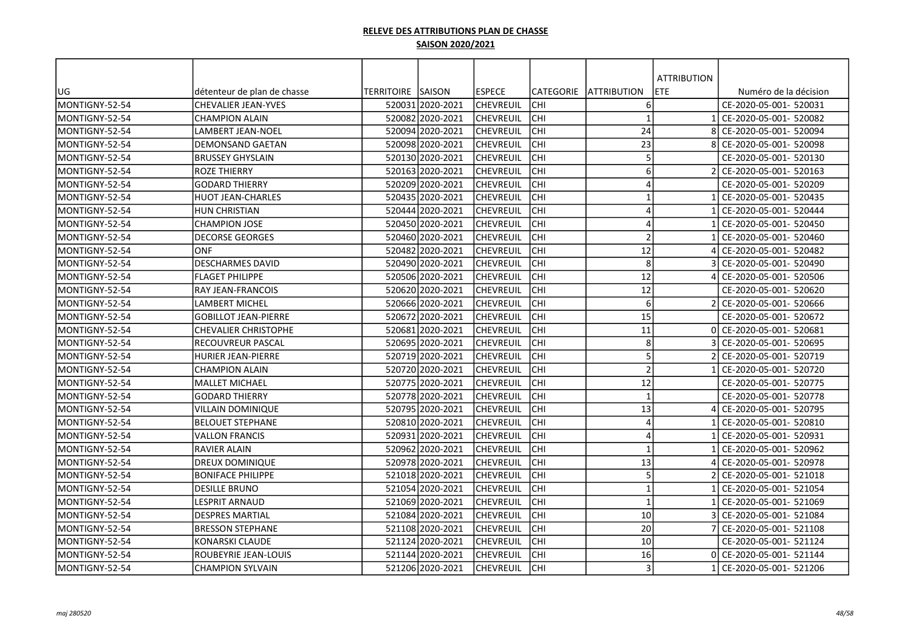|                |                             |                          |                  |                  |            |                         | <b>ATTRIBUTION</b> |                        |
|----------------|-----------------------------|--------------------------|------------------|------------------|------------|-------------------------|--------------------|------------------------|
| UG             | détenteur de plan de chasse | <b>TERRITOIRE SAISON</b> |                  | <b>ESPECE</b>    | lCATEGORIE | <b>JATTRIBUTION</b>     | ETE                | Numéro de la décision  |
| MONTIGNY-52-54 | <b>CHEVALIER JEAN-YVES</b>  |                          | 520031 2020-2021 | lchevreuil       | Існі       | 6                       |                    | CE-2020-05-001- 520031 |
| MONTIGNY-52-54 | <b>CHAMPION ALAIN</b>       |                          | 520082 2020-2021 | lchevreuil       | Існі       | $\overline{1}$          |                    | CE-2020-05-001- 520082 |
| MONTIGNY-52-54 | LAMBERT JEAN-NOEL           |                          | 520094 2020-2021 | <b>CHEVREUIL</b> | <b>CHI</b> | 24                      | 8                  | CE-2020-05-001- 520094 |
| MONTIGNY-52-54 | DEMONSAND GAETAN            |                          | 520098 2020-2021 | <b>CHEVREUIL</b> | сні        | 23                      |                    | CE-2020-05-001- 520098 |
| MONTIGNY-52-54 | <b>BRUSSEY GHYSLAIN</b>     |                          | 520130 2020-2021 | CHEVREUIL        | <b>CHI</b> | 5                       |                    | CE-2020-05-001- 520130 |
| MONTIGNY-52-54 | <b>ROZE THIERRY</b>         |                          | 520163 2020-2021 | <b>CHEVREUIL</b> | <b>CHI</b> | 6                       |                    | CE-2020-05-001- 520163 |
| MONTIGNY-52-54 | <b>GODARD THIERRY</b>       |                          | 520209 2020-2021 | <b>CHEVREUIL</b> | lсні       | $\overline{4}$          |                    | CE-2020-05-001- 520209 |
| MONTIGNY-52-54 | <b>HUOT JEAN-CHARLES</b>    |                          | 520435 2020-2021 | CHEVREUIL        | lсні       | $\mathbf 1$             |                    | CE-2020-05-001- 520435 |
| MONTIGNY-52-54 | <b>HUN CHRISTIAN</b>        |                          | 520444 2020-2021 | CHEVREUIL        | lсні       | $\boldsymbol{\Delta}$   |                    | CE-2020-05-001- 520444 |
| MONTIGNY-52-54 | <b>CHAMPION JOSE</b>        |                          | 520450 2020-2021 | CHEVREUIL        | сні        | $\Delta$                |                    | CE-2020-05-001- 520450 |
| MONTIGNY-52-54 | <b>DECORSE GEORGES</b>      |                          | 520460 2020-2021 | lchevreuil       | Існі       | $\overline{2}$          |                    | CE-2020-05-001- 520460 |
| MONTIGNY-52-54 | <b>ONF</b>                  |                          | 520482 2020-2021 | <b>CHEVREUIL</b> | Існі       | 12                      |                    | CE-2020-05-001- 520482 |
| MONTIGNY-52-54 | <b>DESCHARMES DAVID</b>     |                          | 520490 2020-2021 | <b>CHEVREUIL</b> | Існі       | 8                       |                    | CE-2020-05-001- 520490 |
| MONTIGNY-52-54 | <b>FLAGET PHILIPPE</b>      |                          | 520506 2020-2021 | lchevreuil       | <b>CHI</b> | 12                      |                    | CE-2020-05-001- 520506 |
| MONTIGNY-52-54 | <b>RAY JEAN-FRANCOIS</b>    |                          | 520620 2020-2021 | lchevreuil       | <b>CHI</b> | 12                      |                    | CE-2020-05-001- 520620 |
| MONTIGNY-52-54 | LAMBERT MICHEL              |                          | 520666 2020-2021 | lchevreuil       | <b>CHI</b> | 6                       |                    | CE-2020-05-001- 520666 |
| MONTIGNY-52-54 | <b>GOBILLOT JEAN-PIERRE</b> |                          | 52067212020-2021 | lchevreuil       | <b>CHI</b> | $\overline{15}$         |                    | CE-2020-05-001- 520672 |
| MONTIGNY-52-54 | CHEVALIER CHRISTOPHE        |                          | 520681 2020-2021 | <b>CHEVREUIL</b> | <b>CHI</b> | 11                      |                    | CE-2020-05-001- 520681 |
| MONTIGNY-52-54 | RECOUVREUR PASCAL           |                          | 520695 2020-2021 | <b>CHEVREUIL</b> | сні        | 8                       |                    | CE-2020-05-001- 520695 |
| MONTIGNY-52-54 | <b>HURIER JEAN-PIERRE</b>   |                          | 520719 2020-2021 | <b>CHEVREUIL</b> | сні        | 5                       |                    | CE-2020-05-001- 520719 |
| MONTIGNY-52-54 | <b>CHAMPION ALAIN</b>       |                          | 520720 2020-2021 | <b>CHEVREUIL</b> | lсні       | $\overline{2}$          |                    | CE-2020-05-001- 520720 |
| MONTIGNY-52-54 | lMALLET MICHAEL             |                          | 520775 2020-2021 | <b>CHEVREUIL</b> | lсні       | 12                      |                    | CE-2020-05-001- 520775 |
| MONTIGNY-52-54 | <b>GODARD THIERRY</b>       |                          | 520778 2020-2021 | CHEVREUIL        | lсні       | $\overline{1}$          |                    | CE-2020-05-001- 520778 |
| MONTIGNY-52-54 | VILLAIN DOMINIQUE           |                          | 520795 2020-2021 | <b>CHEVREUIL</b> | lсні       | 13                      |                    | CE-2020-05-001- 520795 |
| MONTIGNY-52-54 | BELOUET STEPHANE            |                          | 520810 2020-2021 | <b>CHEVREUIL</b> | Існі       | $\boldsymbol{\Delta}$   |                    | CE-2020-05-001- 520810 |
| MONTIGNY-52-54 | <b>VALLON FRANCIS</b>       |                          | 520931 2020-2021 | <b>CHEVREUIL</b> | <b>CHI</b> | $\boldsymbol{\Delta}$   |                    | CE-2020-05-001- 520931 |
| MONTIGNY-52-54 | <b>RAVIER ALAIN</b>         |                          | 520962 2020-2021 | <b>CHEVREUIL</b> | <b>CHI</b> | $\overline{\mathbf{1}}$ |                    | CE-2020-05-001- 520962 |
| MONTIGNY-52-54 | <b>DREUX DOMINIQUE</b>      |                          | 52097812020-2021 | lchevreuil       | Існі       | 13                      |                    | CE-2020-05-001- 520978 |
| MONTIGNY-52-54 | <b>BONIFACE PHILIPPE</b>    |                          | 521018 2020-2021 | <b>CHEVREUIL</b> | <b>CHI</b> | 5                       |                    | CE-2020-05-001- 521018 |
| MONTIGNY-52-54 | <b>DESILLE BRUNO</b>        |                          | 521054 2020-2021 | <b>CHEVREUIL</b> | Існі       | $\overline{\mathbf{1}}$ |                    | CE-2020-05-001- 521054 |
| MONTIGNY-52-54 | LESPRIT ARNAUD              |                          | 521069 2020-2021 | CHEVREUIL        | Існі       | $\mathbf{1}$            |                    | CE-2020-05-001- 521069 |
| MONTIGNY-52-54 | <b>DESPRES MARTIAL</b>      |                          | 521084 2020-2021 | lchevreuil       | Існі       | 10                      |                    | CE-2020-05-001- 521084 |
| MONTIGNY-52-54 | <b>BRESSON STEPHANE</b>     |                          | 521108 2020-2021 | lchevreuil       | lchi       | 20                      |                    | CE-2020-05-001- 521108 |
| MONTIGNY-52-54 | KONARSKI CLAUDE             |                          | 521124 2020-2021 | CHEVREUIL        | Існі       | 10                      |                    | CE-2020-05-001- 521124 |
| MONTIGNY-52-54 | ROUBEYRIE JEAN-LOUIS        |                          | 521144 2020-2021 | <b>CHEVREUIL</b> | Існі       | 16                      |                    | CE-2020-05-001- 521144 |
| MONTIGNY-52-54 | <b>CHAMPION SYLVAIN</b>     |                          | 521206 2020-2021 | CHEVREUIL        | lсні       | $\overline{3}$          |                    | CE-2020-05-001- 521206 |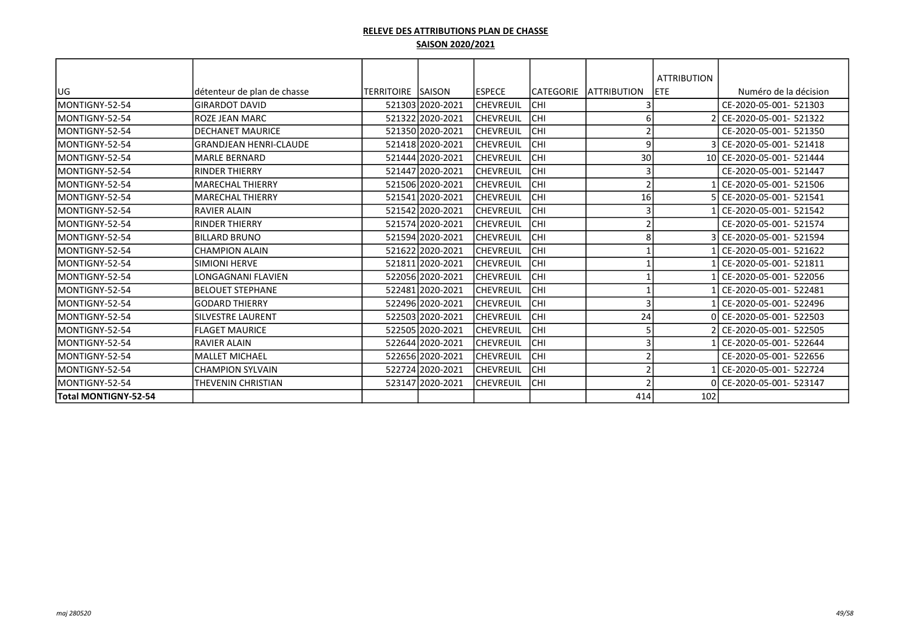|                        |                               |                    |                  |                   |            |                     | <b>ATTRIBUTION</b> |                           |
|------------------------|-------------------------------|--------------------|------------------|-------------------|------------|---------------------|--------------------|---------------------------|
| UG                     | détenteur de plan de chasse   | TERRITOIRE  SAISON |                  | <b>IESPECE</b>    | ICATEGORIE | <b>IATTRIBUTION</b> | <b>IETE</b>        | Numéro de la décision     |
| MONTIGNY-52-54         | <b>GIRARDOT DAVID</b>         |                    | 521303 2020-2021 | <b>CHEVREUIL</b>  | <b>CHI</b> |                     |                    | CE-2020-05-001- 521303    |
| MONTIGNY-52-54         | IROZE JEAN MARC               |                    | 521322 2020-2021 | <b>CHEVREUIL</b>  | Існі       | 6                   |                    | CE-2020-05-001- 521322    |
| MONTIGNY-52-54         | IDECHANET MAURICE             |                    | 521350 2020-2021 | <b>CHEVREUIL</b>  | Існі       |                     |                    | CE-2020-05-001- 521350    |
| MONTIGNY-52-54         | <b>GRANDJEAN HENRI-CLAUDE</b> |                    | 521418 2020-2021 | <b>CHEVREUIL</b>  | <b>CHI</b> | <sub>c</sub>        |                    | CE-2020-05-001- 521418    |
| MONTIGNY-52-54         | MARLE BERNARD                 |                    | 521444 2020-2021 | <b>CHEVREUIL</b>  | Існі       | 30                  |                    | 10 CE-2020-05-001- 521444 |
| MONTIGNY-52-54         | IRINDER THIERRY               |                    | 521447 2020-2021 | ICHEVREUIL        | Існі       |                     |                    | CE-2020-05-001- 521447    |
| <b>IMONTIGNY-52-54</b> | İMARECHAL THIERRY             |                    | 521506 2020-2021 | <b>ICHEVREUIL</b> | Існі       |                     |                    | CE-2020-05-001- 521506    |
| MONTIGNY-52-54         | MARECHAL THIERRY              |                    | 521541 2020-2021 | <b>CHEVREUIL</b>  | Існі       | 16                  |                    | CE-2020-05-001- 521541    |
| MONTIGNY-52-54         | <b>RAVIER ALAIN</b>           |                    | 521542 2020-2021 | <b>CHEVREUIL</b>  | Існі       |                     |                    | CE-2020-05-001- 521542    |
| MONTIGNY-52-54         | IRINDER THIERRY               |                    | 521574 2020-2021 | <b>CHEVREUIL</b>  | Існі       |                     |                    | CE-2020-05-001- 521574    |
| MONTIGNY-52-54         | <b>BILLARD BRUNO</b>          |                    | 521594 2020-2021 | <b>CHEVREUIL</b>  | Існі       |                     |                    | CE-2020-05-001- 521594    |
| MONTIGNY-52-54         | <b>CHAMPION ALAIN</b>         |                    | 521622 2020-2021 | <b>CHEVREUIL</b>  | Існі       |                     |                    | CE-2020-05-001- 521622    |
| MONTIGNY-52-54         | SIMIONI HERVE                 |                    | 521811 2020-2021 | <b>CHEVREUIL</b>  | Існі       |                     |                    | CE-2020-05-001- 521811    |
| MONTIGNY-52-54         | <b>LONGAGNANI FLAVIEN</b>     |                    | 522056 2020-2021 | <b>CHEVREUIL</b>  | Існі       |                     |                    | CE-2020-05-001- 522056    |
| MONTIGNY-52-54         | <b>IBELOUET STEPHANE</b>      |                    | 522481 2020-2021 | <b>CHEVREUIL</b>  | Існі       |                     |                    | CE-2020-05-001- 522481    |
| MONTIGNY-52-54         | lGODARD THIERRY               |                    | 522496 2020-2021 | <b>CHEVREUIL</b>  | Існі       | E                   |                    | CE-2020-05-001- 522496    |
| MONTIGNY-52-54         | <b>SILVESTRE LAURENT</b>      |                    | 522503 2020-2021 | <b>CHEVREUIL</b>  | сні        | 24                  |                    | CE-2020-05-001- 522503    |
| MONTIGNY-52-54         | <b>FLAGET MAURICE</b>         |                    | 522505 2020-2021 | <b>CHEVREUIL</b>  | Існі       |                     |                    | CE-2020-05-001- 522505    |
| <b>IMONTIGNY-52-54</b> | IRAVIER ALAIN                 |                    | 522644 2020-2021 | <b>CHEVREUIL</b>  | Існі       |                     |                    | CE-2020-05-001- 522644    |
| MONTIGNY-52-54         | MALLET MICHAEL                |                    | 522656 2020-2021 | <b>CHEVREUIL</b>  | Існі       |                     |                    | CE-2020-05-001- 522656    |
| MONTIGNY-52-54         | <b>CHAMPION SYLVAIN</b>       |                    | 522724 2020-2021 | <b>CHEVREUIL</b>  | Існі       |                     |                    | CE-2020-05-001- 522724    |
| MONTIGNY-52-54         | <b>THEVENIN CHRISTIAN</b>     |                    | 523147 2020-2021 | <b>CHEVREUIL</b>  | IСHI       |                     |                    | 0 CE-2020-05-001- 523147  |
| Total MONTIGNY-52-54   |                               |                    |                  |                   |            | 414                 | 102                |                           |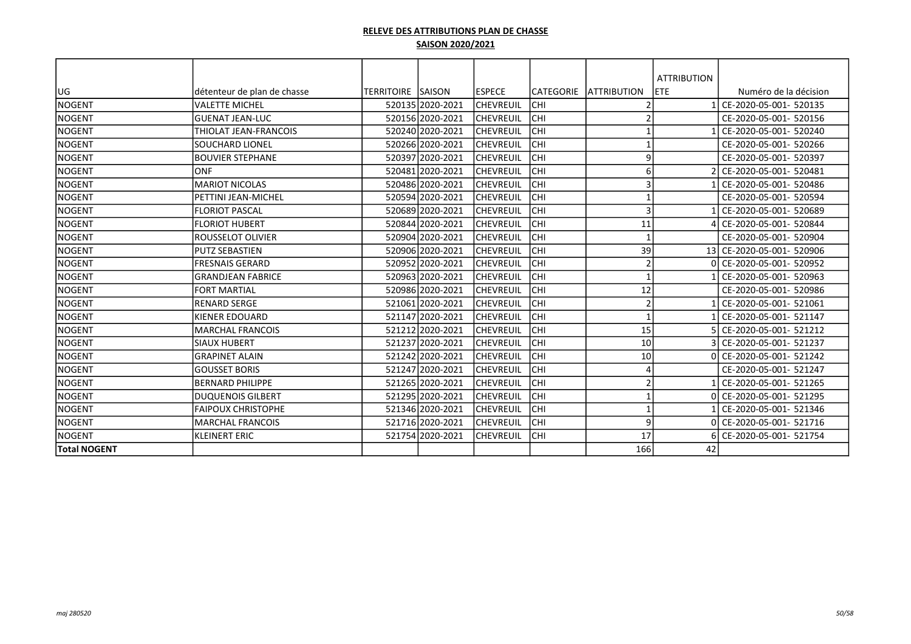|                     |                             |                          |                  |                  |           |                          | <b>ATTRIBUTION</b> |                           |
|---------------------|-----------------------------|--------------------------|------------------|------------------|-----------|--------------------------|--------------------|---------------------------|
| lug                 | détenteur de plan de chasse | <b>TERRITOIRE SAISON</b> |                  | lespece          | CATEGORIE | <b>ATTRIBUTION</b>       | <b>ETE</b>         | Numéro de la décision     |
| INOGENT             | <b>VALETTE MICHEL</b>       |                          | 520135 2020-2021 | <b>CHEVREUIL</b> | CHI       | $\mathcal{I}$            |                    | 1 CE-2020-05-001- 520135  |
| INOGENT             | lGUENAT JEAN-LUC            |                          | 520156 2020-2021 | <b>CHEVREUIL</b> | CHI       | $\mathcal{P}$            |                    | CE-2020-05-001- 520156    |
| NOGENT              | THIOLAT JEAN-FRANCOIS       |                          | 520240 2020-2021 | <b>CHEVREUIL</b> | CHI       | $\overline{1}$           |                    | 1 CE-2020-05-001- 520240  |
| INOGENT             | SOUCHARD LIONEL             |                          | 520266 2020-2021 | <b>CHEVREUIL</b> | CHI       | $\overline{1}$           |                    | CE-2020-05-001- 520266    |
| <b>NOGENT</b>       | <b>BOUVIER STEPHANE</b>     |                          | 520397 2020-2021 | CHEVREUIL        | CHI       | 9                        |                    | CE-2020-05-001- 520397    |
| NOGENT              | <b>ONF</b>                  |                          | 520481 2020-2021 | CHEVREUIL        | CHI       | 6                        |                    | CE-2020-05-001- 520481    |
| NOGENT              | <b>MARIOT NICOLAS</b>       |                          | 520486 2020-2021 | CHEVREUIL        | CHI       | 3                        |                    | CE-2020-05-001- 520486    |
| NOGENT              | PETTINI JEAN-MICHEL         |                          | 520594 2020-2021 | CHEVREUIL        | CHI       | $\overline{\phantom{a}}$ |                    | CE-2020-05-001- 520594    |
| <b>NOGENT</b>       | <b>FLORIOT PASCAL</b>       |                          | 520689 2020-2021 | CHEVREUIL        | CHI       | 3                        |                    | CE-2020-05-001- 520689    |
| NOGENT              | <b>FLORIOT HUBERT</b>       |                          | 520844 2020-2021 | <b>CHEVREUIL</b> | CHI       | 11                       |                    | CE-2020-05-001- 520844    |
| <b>NOGENT</b>       | <b>ROUSSELOT OLIVIER</b>    |                          | 520904 2020-2021 | <b>CHEVREUIL</b> | CHI       | $\overline{\phantom{0}}$ |                    | CE-2020-05-001- 520904    |
| INOGENT             | lputz sebastien             |                          | 520906 2020-2021 | <b>CHEVREUIL</b> | CHI       | 39                       |                    | 13 CE-2020-05-001- 520906 |
| INOGENT             | <b>FRESNAIS GERARD</b>      |                          | 520952 2020-2021 | <b>CHEVREUIL</b> | CHI       | 2                        |                    | 0 CE-2020-05-001- 520952  |
| <b>NOGENT</b>       | <b>GRANDJEAN FABRICE</b>    |                          | 520963 2020-2021 | lchevreuil       | CHI       | $\mathbf{1}$             |                    | 1 CE-2020-05-001- 520963  |
| <b>NOGENT</b>       | <b>FORT MARTIAL</b>         |                          | 520986 2020-2021 | <b>CHEVREUIL</b> | CHI       | 12                       |                    | CE-2020-05-001- 520986    |
| <b>NOGENT</b>       | IRENARD SERGE               |                          | 521061 2020-2021 | <b>CHEVREUIL</b> | CHI       | $\overline{2}$           |                    | 1 CE-2020-05-001- 521061  |
| INOGENT             | <b>KIENER EDOUARD</b>       |                          | 521147 2020-2021 | <b>CHEVREUIL</b> | CHI       | -1                       |                    | CE-2020-05-001- 521147    |
| <b>NOGENT</b>       | IMARCHAL FRANCOIS           |                          | 521212 2020-2021 | <b>CHEVREUIL</b> | CHI       | 15                       |                    | 5 CE-2020-05-001- 521212  |
| INOGENT             | <b>SIAUX HUBERT</b>         |                          | 521237 2020-2021 | <b>CHEVREUIL</b> | CHI       | 10                       |                    | 3 CE-2020-05-001- 521237  |
| <b>NOGENT</b>       | lGRAPINET ALAIN             |                          | 521242 2020-2021 | <b>CHEVREUIL</b> | CHI       | 10                       |                    | 0 CE-2020-05-001- 521242  |
| <b>NOGENT</b>       | <b>GOUSSET BORIS</b>        |                          | 521247 2020-2021 | <b>CHEVREUIL</b> | CHI       | 4                        |                    | CE-2020-05-001- 521247    |
| INOGENT             | <b>BERNARD PHILIPPE</b>     |                          | 521265 2020-2021 | <b>CHEVREUIL</b> | CHI       | $\overline{2}$           |                    | 1 CE-2020-05-001- 521265  |
| INOGENT             | IDUQUENOIS GILBERT          |                          | 521295 2020-2021 | <b>CHEVREUIL</b> | CHI       | $\mathbf{1}$             |                    | 0 CE-2020-05-001- 521295  |
| <b>NOGENT</b>       | <b>FAIPOUX CHRISTOPHE</b>   |                          | 521346 2020-2021 | <b>CHEVREUIL</b> | CHI       | $\overline{1}$           |                    | 1 CE-2020-05-001- 521346  |
| INOGENT             | <b>MARCHAL FRANCOIS</b>     |                          | 521716 2020-2021 | CHEVREUIL        | CHI       | 9                        |                    | 0 CE-2020-05-001- 521716  |
| <b>NOGENT</b>       | <b>KLEINERT ERIC</b>        |                          | 521754 2020-2021 | CHEVREUIL        | CHI       | 17                       |                    | CE-2020-05-001- 521754    |
| <b>Total NOGENT</b> |                             |                          |                  |                  |           | 166                      | 42                 |                           |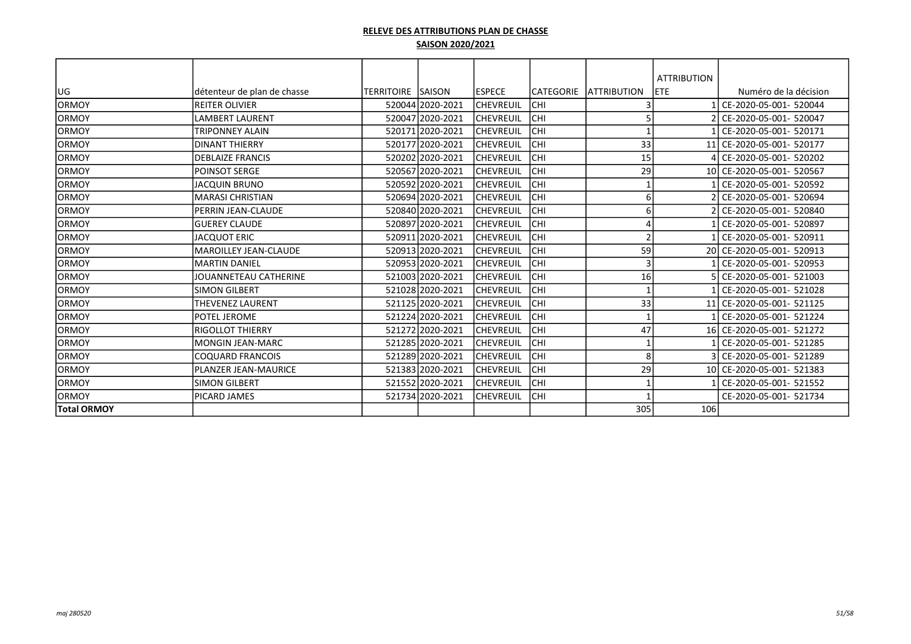|                    |                              |                   |                  |                  |           |                     | <b>ATTRIBUTION</b> |                           |
|--------------------|------------------------------|-------------------|------------------|------------------|-----------|---------------------|--------------------|---------------------------|
| lug                | détenteur de plan de chasse  | TERRITOIRE SAISON |                  | <b>IESPECE</b>   | CATEGORIE | <b>LATTRIBUTION</b> | ETE                | Numéro de la décision     |
| lormoy             | IREITER OLIVIER              |                   | 520044 2020-2021 | <b>CHEVREUIL</b> | Існі      |                     |                    | CE-2020-05-001- 520044    |
| lormoy             | <b>LAMBERT LAURENT</b>       |                   | 520047 2020-2021 | <b>CHEVREUIL</b> | Існі      |                     |                    | CE-2020-05-001- 520047    |
| <b>ORMOY</b>       | TRIPONNEY ALAIN              |                   | 520171 2020-2021 | <b>CHEVREUIL</b> | Існі      |                     |                    | CE-2020-05-001- 520171    |
| lormoy             | <b>DINANT THIERRY</b>        |                   | 520177 2020-2021 | <b>CHEVREUIL</b> | Існі      | 33                  |                    | 11 CE-2020-05-001- 520177 |
| <b>ORMOY</b>       | <b>DEBLAIZE FRANCIS</b>      |                   | 520202 2020-2021 | <b>CHEVREUIL</b> | Існі      | 15                  |                    | 4 CE-2020-05-001- 520202  |
| <b>ORMOY</b>       | POINSOT SERGE                |                   | 520567 2020-2021 | <b>CHEVREUIL</b> | Існі      | 29                  |                    | 10 CE-2020-05-001- 520567 |
| <b>ORMOY</b>       | <b>JACQUIN BRUNO</b>         |                   | 520592 2020-2021 | <b>CHEVREUIL</b> | Існі      |                     |                    | CE-2020-05-001- 520592    |
| <b>ORMOY</b>       | <b>MARASI CHRISTIAN</b>      |                   | 520694 2020-2021 | <b>CHEVREUIL</b> | Існі      | 6                   |                    | 2 CE-2020-05-001- 520694  |
| <b>ORMOY</b>       | PERRIN JEAN-CLAUDE           |                   | 520840 2020-2021 | <b>CHEVREUIL</b> | Існі      | 6                   |                    | 2 CE-2020-05-001- 520840  |
| lormoy             | lGUEREY CLAUDE               |                   | 520897 2020-2021 | <b>CHEVREUIL</b> | Існі      |                     |                    | CE-2020-05-001- 520897    |
| <b>ORMOY</b>       | <b>JACQUOT ERIC</b>          |                   | 520911 2020-2021 | <b>CHEVREUIL</b> | Існі      | $\mathcal{P}$       |                    | CE-2020-05-001- 520911    |
| lormoy             | <b>MAROILLEY JEAN-CLAUDE</b> |                   | 520913 2020-2021 | <b>CHEVREUIL</b> | Існі      | 59                  |                    | 20 CE-2020-05-001- 520913 |
| <b>ORMOY</b>       | <b>MARTIN DANIEL</b>         |                   | 520953 2020-2021 | <b>CHEVREUIL</b> | Існі      | 3                   |                    | CE-2020-05-001- 520953    |
| <b>ORMOY</b>       | JOUANNETEAU CATHERINE        |                   | 521003 2020-2021 | <b>CHEVREUIL</b> | Існі      | 16                  |                    | CE-2020-05-001- 521003    |
| IORMOY             | <b>SIMON GILBERT</b>         |                   | 521028 2020-2021 | <b>CHEVREUIL</b> | Існі      |                     |                    | CE-2020-05-001- 521028    |
| lormoy             | <b>THEVENEZ LAURENT</b>      |                   | 521125 2020-2021 | <b>CHEVREUIL</b> | Існі      | 33                  |                    | 11 CE-2020-05-001- 521125 |
| <b>ORMOY</b>       | POTEL JEROME                 |                   | 521224 2020-2021 | <b>CHEVREUIL</b> | Існі      |                     |                    | CE-2020-05-001- 521224    |
| <b>ORMOY</b>       | <b>RIGOLLOT THIERRY</b>      |                   | 521272 2020-2021 | <b>CHEVREUIL</b> | Існі      | 47                  |                    | 16 CE-2020-05-001- 521272 |
| <b>ORMOY</b>       | lMONGIN JEAN-MARC            |                   | 521285 2020-2021 | <b>CHEVREUIL</b> | Існі      |                     |                    | CE-2020-05-001- 521285    |
| <b>ORMOY</b>       | <b>COQUARD FRANCOIS</b>      |                   | 521289 2020-2021 | <b>CHEVREUIL</b> | Існі      | 8                   |                    | 3 CE-2020-05-001- 521289  |
| <b>ORMOY</b>       | PLANZER JEAN-MAURICE         |                   | 521383 2020-2021 | <b>CHEVREUIL</b> | Існі      | 29                  |                    | 10 CE-2020-05-001- 521383 |
| <b>ORMOY</b>       | <b>SIMON GILBERT</b>         |                   | 521552 2020-2021 | <b>CHEVREUIL</b> | Існі      |                     |                    | CE-2020-05-001- 521552    |
| <b>ORMOY</b>       | PICARD JAMES                 |                   | 521734 2020-2021 | <b>CHEVREUIL</b> | Існі      |                     |                    | CE-2020-05-001- 521734    |
| <b>Total ORMOY</b> |                              |                   |                  |                  |           | 305                 | 106                |                           |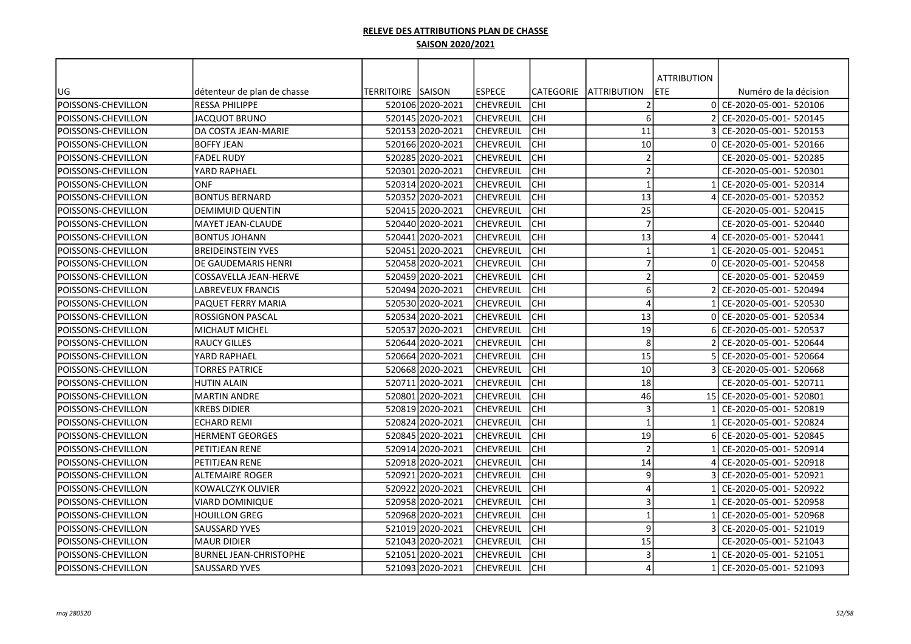|                          |                               | <b>TERRITOIRE ISAISON</b> |                  | lespece          | CATEGORIE  | <b>JATTRIBUTION</b>     | <b>ATTRIBUTION</b><br><b>ETE</b> | Numéro de la décision     |
|--------------------------|-------------------------------|---------------------------|------------------|------------------|------------|-------------------------|----------------------------------|---------------------------|
| UG<br>POISSONS-CHEVILLON | détenteur de plan de chasse   |                           |                  |                  |            | $\mathcal{I}$           | ΩI                               |                           |
|                          | <b>RESSA PHILIPPE</b>         |                           | 520106 2020-2021 | <b>CHEVREUIL</b> | <b>CHI</b> |                         |                                  | CE-2020-05-001- 520106    |
| POISSONS-CHEVILLON       | JACQUOT BRUNO                 |                           | 520145 2020-2021 | CHEVREUIL        | CHI        | 6                       |                                  | CE-2020-05-001- 520145    |
| POISSONS-CHEVILLON       | DA COSTA JEAN-MARIE           |                           | 520153 2020-2021 | CHEVREUIL        | CHI        | 11                      |                                  | CE-2020-05-001- 520153    |
| POISSONS-CHEVILLON       | <b>BOFFY JEAN</b>             |                           | 520166 2020-2021 | CHEVREUIL        | CHI        | 10                      |                                  | CE-2020-05-001- 520166    |
| POISSONS-CHEVILLON       | <b>FADEL RUDY</b>             |                           | 520285 2020-2021 | CHEVREUIL        | CHI        | $\overline{2}$          |                                  | CE-2020-05-001- 520285    |
| POISSONS-CHEVILLON       | YARD RAPHAEL                  |                           | 520301l2020-2021 | lchevreuil       | <b>CHI</b> | $\overline{2}$          |                                  | CE-2020-05-001- 520301    |
| POISSONS-CHEVILLON       | <b>ONF</b>                    |                           | 520314 2020-2021 | <b>CHEVREUIL</b> | CHI        | $\mathbf{1}$            |                                  | CE-2020-05-001- 520314    |
| POISSONS-CHEVILLON       | <b>BONTUS BERNARD</b>         |                           | 520352 2020-2021 | CHEVREUIL        | CHI        | 13                      |                                  | CE-2020-05-001- 520352    |
| POISSONS-CHEVILLON       | <b>DEMIMUID QUENTIN</b>       |                           | 52041512020-2021 | <b>CHEVREUIL</b> | lсні       | 25                      |                                  | CE-2020-05-001- 520415    |
| POISSONS-CHEVILLON       | <b>MAYET JEAN-CLAUDE</b>      |                           | 520440 2020-2021 | lchevreuil       | CHI        | $\overline{7}$          |                                  | CE-2020-05-001- 520440    |
| POISSONS-CHEVILLON       | <b>BONTUS JOHANN</b>          |                           | 520441 2020-2021 | <b>CHEVREUIL</b> | <b>CHI</b> | 13                      |                                  | CE-2020-05-001- 520441    |
| POISSONS-CHEVILLON       | <b>BREIDEINSTEIN YVES</b>     |                           | 520451 2020-2021 | <b>CHEVREUIL</b> | CHI        | $\overline{\mathbf{1}}$ |                                  | CE-2020-05-001- 520451    |
| POISSONS-CHEVILLON       | DE GAUDEMARIS HENRI           |                           | 520458 2020-2021 | <b>CHEVREUIL</b> | CHI        | $\overline{7}$          | ΩI                               | CE-2020-05-001- 520458    |
| POISSONS-CHEVILLON       | COSSAVELLA JEAN-HERVE         |                           | 520459 2020-2021 | CHEVREUIL        | CHI        | $\overline{2}$          |                                  | CE-2020-05-001- 520459    |
| POISSONS-CHEVILLON       | LABREVEUX FRANCIS             |                           | 520494 2020-2021 | CHEVREUIL        | CHI        | 6                       |                                  | CE-2020-05-001- 520494    |
| POISSONS-CHEVILLON       | PAQUET FERRY MARIA            |                           | 520530 2020-2021 | <b>CHEVREUIL</b> | CHI        | $\overline{4}$          |                                  | CE-2020-05-001- 520530    |
| POISSONS-CHEVILLON       | <b>ROSSIGNON PASCAL</b>       |                           | 520534l2020-2021 | lchevreuil       | <b>CHI</b> | 13                      |                                  | CE-2020-05-001- 520534    |
| POISSONS-CHEVILLON       | MICHAUT MICHEL                |                           | 520537 2020-2021 | CHEVREUIL        | CHI        | 19                      |                                  | CE-2020-05-001- 520537    |
| POISSONS-CHEVILLON       | <b>RAUCY GILLES</b>           |                           | 520644 2020-2021 | CHEVREUIL        | CHI        | 8                       |                                  | CE-2020-05-001- 520644    |
| POISSONS-CHEVILLON       | YARD RAPHAEL                  |                           | 520664 2020-2021 | <b>CHEVREUIL</b> | CHI        | 15                      |                                  | CE-2020-05-001- 520664    |
| POISSONS-CHEVILLON       | <b>TORRES PATRICE</b>         |                           | 520668 2020-2021 | lchevreuil       | CHI        | 10                      |                                  | CE-2020-05-001- 520668    |
| POISSONS-CHEVILLON       | <b>HUTIN ALAIN</b>            |                           | 520711 2020-2021 | <b>CHEVREUIL</b> | lсні       | 18                      |                                  | CE-2020-05-001- 520711    |
| POISSONS-CHEVILLON       | <b>MARTIN ANDRE</b>           |                           | 520801 2020-2021 | lchevreuil       | lсні       | 46                      |                                  | 15 CE-2020-05-001- 520801 |
| POISSONS-CHEVILLON       | <b>KREBS DIDIER</b>           |                           | 520819 2020-2021 | <b>CHEVREUIL</b> | CHI        | $\overline{\mathbf{3}}$ |                                  | CE-2020-05-001- 520819    |
| POISSONS-CHEVILLON       | <b>ECHARD REMI</b>            |                           | 520824 2020-2021 | CHEVREUIL        | CHI        | $\overline{1}$          |                                  | CE-2020-05-001- 520824    |
| POISSONS-CHEVILLON       | HERMENT GEORGES               |                           | 520845 2020-2021 | CHEVREUIL        | CHI        | 19                      |                                  | CE-2020-05-001- 520845    |
| POISSONS-CHEVILLON       | PETITJEAN RENE                |                           | 520914 2020-2021 | <b>CHEVREUIL</b> | CHI        | $\overline{2}$          |                                  | CE-2020-05-001- 520914    |
| POISSONS-CHEVILLON       | PETITJEAN RENE                |                           | 520918 2020-2021 | lchevreuil       | CHI        | 14                      |                                  | CE-2020-05-001- 520918    |
| POISSONS-CHEVILLON       | ALTEMAIRE ROGER               |                           | 520921 2020-2021 | CHEVREUIL        | CHI        | 9                       |                                  | CE-2020-05-001- 520921    |
| POISSONS-CHEVILLON       | KOWALCZYK OLIVIER             |                           | 520922 2020-2021 | CHEVREUIL        | CHI        | $\overline{A}$          |                                  | CE-2020-05-001- 520922    |
| POISSONS-CHEVILLON       | VIARD DOMINIQUE               |                           | 520958 2020-2021 | CHEVREUIL        | lсні       | 3                       |                                  | CE-2020-05-001- 520958    |
| POISSONS-CHEVILLON       | <b>HOUILLON GREG</b>          |                           | 52096812020-2021 | <b>CHEVREUIL</b> | lсні       | $\overline{1}$          |                                  | CE-2020-05-001- 520968    |
| POISSONS-CHEVILLON       | <b>SAUSSARD YVES</b>          |                           | 521019 2020-2021 | <b>CHEVREUIL</b> | <b>CHI</b> | 9                       |                                  | CE-2020-05-001- 521019    |
| POISSONS-CHEVILLON       | <b>MAUR DIDIER</b>            |                           | 521043 2020-2021 | <b>CHEVREUIL</b> | <b>CHI</b> | 15                      |                                  | CE-2020-05-001- 521043    |
| POISSONS-CHEVILLON       | <b>BURNEL JEAN-CHRISTOPHE</b> |                           | 521051 2020-2021 | CHEVREUIL        | CHI        | $\mathbf{3}$            |                                  | CE-2020-05-001- 521051    |
| POISSONS-CHEVILLON       | SAUSSARD YVES                 |                           | 521093 2020-2021 | <b>CHEVREUIL</b> | <b>CHI</b> | 4                       |                                  | CE-2020-05-001- 521093    |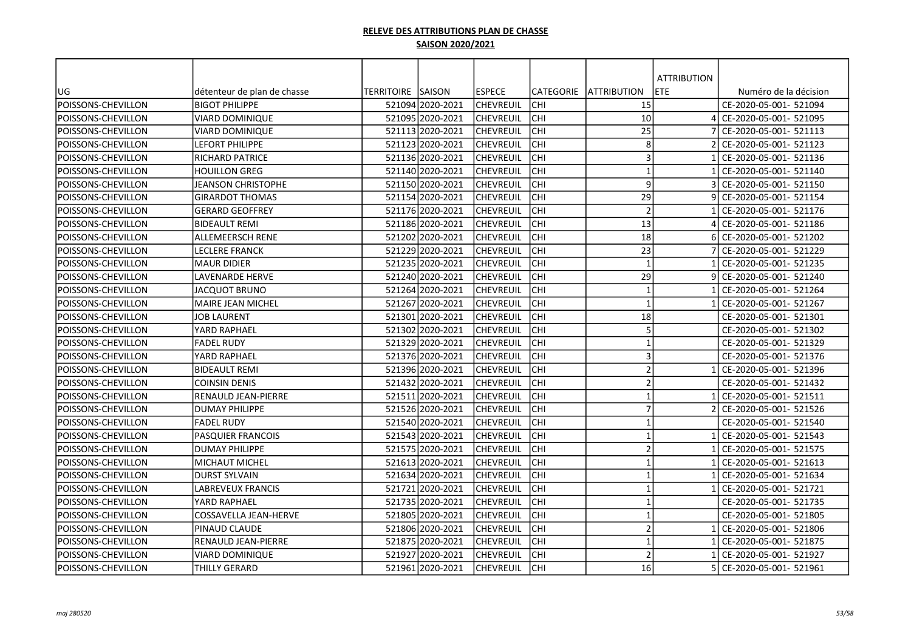| <b>ATTRIBUTION</b><br>TERRITOIRE  SAISON<br><b>IESPECE</b><br><b>CATEGORIE</b><br><b>JATTRIBUTION</b><br>ETE<br>Numéro de la décision<br>UG<br>détenteur de plan de chasse<br>POISSONS-CHEVILLON<br>15<br><b>BIGOT PHILIPPE</b><br>52109412020-2021<br>lchevreuil<br><b>CHI</b><br>CE-2020-05-001- 521094<br>POISSONS-CHEVILLON<br>521095 2020-2021<br>lchevreuil<br>CHI<br>10<br>CE-2020-05-001- 521095<br>VIARD DOMINIQUE<br>POISSONS-CHEVILLON<br>521113 2020-2021<br><b>CHEVREUIL</b><br>CHI<br>25<br>CE-2020-05-001- 521113<br>VIARD DOMINIQUE<br>8<br>CHI<br>POISSONS-CHEVILLON<br>521123 2020-2021<br><b>CHEVREUIL</b><br>CE-2020-05-001- 521123<br><b>LEFORT PHILIPPE</b><br>CHI<br>3<br>POISSONS-CHEVILLON<br><b>RICHARD PATRICE</b><br>521136 2020-2021<br> CHEVREUIL<br>CE-2020-05-001- 521136 |
|-----------------------------------------------------------------------------------------------------------------------------------------------------------------------------------------------------------------------------------------------------------------------------------------------------------------------------------------------------------------------------------------------------------------------------------------------------------------------------------------------------------------------------------------------------------------------------------------------------------------------------------------------------------------------------------------------------------------------------------------------------------------------------------------------------------|
|                                                                                                                                                                                                                                                                                                                                                                                                                                                                                                                                                                                                                                                                                                                                                                                                           |
|                                                                                                                                                                                                                                                                                                                                                                                                                                                                                                                                                                                                                                                                                                                                                                                                           |
|                                                                                                                                                                                                                                                                                                                                                                                                                                                                                                                                                                                                                                                                                                                                                                                                           |
|                                                                                                                                                                                                                                                                                                                                                                                                                                                                                                                                                                                                                                                                                                                                                                                                           |
|                                                                                                                                                                                                                                                                                                                                                                                                                                                                                                                                                                                                                                                                                                                                                                                                           |
|                                                                                                                                                                                                                                                                                                                                                                                                                                                                                                                                                                                                                                                                                                                                                                                                           |
|                                                                                                                                                                                                                                                                                                                                                                                                                                                                                                                                                                                                                                                                                                                                                                                                           |
| $\mathbf{1}$<br>521140 2020-2021<br>CHI<br>CE-2020-05-001- 521140<br>POISSONS-CHEVILLON<br>HOUILLON GREG<br> CHEVREUIL                                                                                                                                                                                                                                                                                                                                                                                                                                                                                                                                                                                                                                                                                    |
| 9<br>CHI<br>521150 2020-2021<br>CE-2020-05-001- 521150<br>POISSONS-CHEVILLON<br>JEANSON CHRISTOPHE<br> CHEVREUIL                                                                                                                                                                                                                                                                                                                                                                                                                                                                                                                                                                                                                                                                                          |
| 29<br>CHI<br><b>GIRARDOT THOMAS</b><br>521154 2020-2021<br> CHEVREUIL<br>CE-2020-05-001- 521154<br>POISSONS-CHEVILLON                                                                                                                                                                                                                                                                                                                                                                                                                                                                                                                                                                                                                                                                                     |
| CHI<br>$\overline{2}$<br>521176 2020-2021<br> CHEVREUIL<br>CE-2020-05-001- 521176<br>POISSONS-CHEVILLON<br><b>GERARD GEOFFREY</b>                                                                                                                                                                                                                                                                                                                                                                                                                                                                                                                                                                                                                                                                         |
| 13<br>CHI<br>POISSONS-CHEVILLON<br><b>BIDEAULT REMI</b><br>521186 2020-2021<br><b>CHEVREUIL</b><br>CE-2020-05-001- 521186                                                                                                                                                                                                                                                                                                                                                                                                                                                                                                                                                                                                                                                                                 |
| POISSONS-CHEVILLON<br><b>CHI</b><br>18<br>ALLEMEERSCH RENE<br>521202 2020-2021<br><b>CHEVREUIL</b><br>CE-2020-05-001- 521202                                                                                                                                                                                                                                                                                                                                                                                                                                                                                                                                                                                                                                                                              |
| 23<br>POISSONS-CHEVILLON<br><b>CHI</b><br><b>LECLERE FRANCK</b><br>521229 2020-2021<br> CHEVREUIL<br>CE-2020-05-001- 521229                                                                                                                                                                                                                                                                                                                                                                                                                                                                                                                                                                                                                                                                               |
| POISSONS-CHEVILLON<br>CHI<br>$\overline{\mathbf{1}}$<br><b>MAUR DIDIER</b><br>521235 2020-2021<br> CHEVREUIL<br>CE-2020-05-001- 521235                                                                                                                                                                                                                                                                                                                                                                                                                                                                                                                                                                                                                                                                    |
| 29<br>POISSONS-CHEVILLON<br>CHI<br><b>LAVENARDE HERVE</b><br>521240 2020-2021<br>lchevreuil<br>CE-2020-05-001- 521240                                                                                                                                                                                                                                                                                                                                                                                                                                                                                                                                                                                                                                                                                     |
| $\overline{1}$<br>POISSONS-CHEVILLON<br><b>JACQUOT BRUNO</b><br>521264 2020-2021<br>lchevreuil<br>CHI<br>CE-2020-05-001- 521264                                                                                                                                                                                                                                                                                                                                                                                                                                                                                                                                                                                                                                                                           |
| 521267 2020-2021<br>lchevreuil<br>CHI<br>$\overline{\mathbf{1}}$<br>CE-2020-05-001- 521267<br>POISSONS-CHEVILLON<br>MAIRE JEAN MICHEL                                                                                                                                                                                                                                                                                                                                                                                                                                                                                                                                                                                                                                                                     |
| 18<br><b>CHI</b><br>POISSONS-CHEVILLON<br><b>JOB LAURENT</b><br>521301 2020-2021<br>ICHEVREUIL<br>CE-2020-05-001- 521301                                                                                                                                                                                                                                                                                                                                                                                                                                                                                                                                                                                                                                                                                  |
| 5<br>CHI<br>CE-2020-05-001- 521302<br>POISSONS-CHEVILLON<br>YARD RAPHAEL<br>521302 2020-2021<br> CHEVREUIL                                                                                                                                                                                                                                                                                                                                                                                                                                                                                                                                                                                                                                                                                                |
| CHI<br>521329 2020-2021<br>$\overline{1}$<br>CE-2020-05-001- 521329<br>POISSONS-CHEVILLON<br> CHEVREUIL<br>FADEL RUDY                                                                                                                                                                                                                                                                                                                                                                                                                                                                                                                                                                                                                                                                                     |
| CHI<br>3<br>521376 2020-2021<br>POISSONS-CHEVILLON<br>YARD RAPHAEL<br><b>CHEVREUIL</b><br>CE-2020-05-001- 521376                                                                                                                                                                                                                                                                                                                                                                                                                                                                                                                                                                                                                                                                                          |
| CHI<br>$\overline{2}$<br>POISSONS-CHEVILLON<br><b>BIDEAULT REMI</b><br>521396 2020-2021<br> CHEVREUIL<br>CE-2020-05-001- 521396                                                                                                                                                                                                                                                                                                                                                                                                                                                                                                                                                                                                                                                                           |
| CHI<br>$\overline{2}$<br>POISSONS-CHEVILLON<br><b>COINSIN DENIS</b><br>521432 2020-2021<br><b>CHEVREUIL</b><br>CE-2020-05-001- 521432                                                                                                                                                                                                                                                                                                                                                                                                                                                                                                                                                                                                                                                                     |
| CHI<br>$\mathbf{1}$<br>POISSONS-CHEVILLON<br>RENAULD JEAN-PIERRE<br>521511 2020-2021<br> CHEVREUIL<br>CE-2020-05-001- 521511                                                                                                                                                                                                                                                                                                                                                                                                                                                                                                                                                                                                                                                                              |
| $\overline{7}$<br>POISSONS-CHEVILLON<br>CHI<br><b>DUMAY PHILIPPE</b><br>521526 2020-2021<br> CHEVREUIL<br>CE-2020-05-001- 521526                                                                                                                                                                                                                                                                                                                                                                                                                                                                                                                                                                                                                                                                          |
| POISSONS-CHEVILLON<br>CHI<br><b>FADEL RUDY</b><br>521540 2020-2021<br> CHEVREUIL<br>$\mathbf{1}$<br>CE-2020-05-001- 521540                                                                                                                                                                                                                                                                                                                                                                                                                                                                                                                                                                                                                                                                                |
| CHI<br>$\overline{1}$<br>POISSONS-CHEVILLON<br>PASQUIER FRANCOIS<br>521543 2020-2021<br> CHEVREUIL<br>CE-2020-05-001- 521543                                                                                                                                                                                                                                                                                                                                                                                                                                                                                                                                                                                                                                                                              |
| $\overline{2}$<br>521575 2020-2021<br><b>CHEVREUIL</b><br>CHI<br>CE-2020-05-001- 521575<br>POISSONS-CHEVILLON<br><b>DUMAY PHILIPPE</b>                                                                                                                                                                                                                                                                                                                                                                                                                                                                                                                                                                                                                                                                    |
| <b>CHI</b><br>CE-2020-05-001- 521613<br><b>POISSONS-CHEVILLON</b><br><b>MICHAUT MICHEL</b><br>521613 2020-2021<br>lchevreuil<br>$\mathbf{1}$                                                                                                                                                                                                                                                                                                                                                                                                                                                                                                                                                                                                                                                              |
| CHI<br><b>DURST SYLVAIN</b><br>521634 2020-2021<br> CHEVREUIL<br>$\mathbf{1}$<br>CE-2020-05-001- 521634<br>POISSONS-CHEVILLON                                                                                                                                                                                                                                                                                                                                                                                                                                                                                                                                                                                                                                                                             |
| CHI<br>$\overline{\mathbf{1}}$<br>POISSONS-CHEVILLON<br>LABREVEUX FRANCIS<br>521721 2020-2021<br> CHEVREUIL<br>CE-2020-05-001- 521721                                                                                                                                                                                                                                                                                                                                                                                                                                                                                                                                                                                                                                                                     |
| lсні<br>$\mathbf{1}$<br>POISSONS-CHEVILLON<br>YARD RAPHAEL<br>52173512020-2021<br> CHEVREUIL<br>CE-2020-05-001- 521735                                                                                                                                                                                                                                                                                                                                                                                                                                                                                                                                                                                                                                                                                    |
| lсні<br>COSSAVELLA JEAN-HERVE<br>521805 2020-2021<br><b>CHEVREUIL</b><br>CE-2020-05-001- 521805<br>POISSONS-CHEVILLON<br>$\mathbf{1}$                                                                                                                                                                                                                                                                                                                                                                                                                                                                                                                                                                                                                                                                     |
| POISSONS-CHEVILLON<br>521806 2020-2021<br><b>CHI</b><br>$\overline{2}$<br>CE-2020-05-001- 521806<br>PINAUD CLAUDE<br><b>CHEVREUIL</b>                                                                                                                                                                                                                                                                                                                                                                                                                                                                                                                                                                                                                                                                     |
| POISSONS-CHEVILLON<br><b>CHI</b><br>$\mathbf{1}$<br>RENAULD JEAN-PIERRE<br>521875 2020-2021<br><b>CHEVREUIL</b><br>CE-2020-05-001- 521875                                                                                                                                                                                                                                                                                                                                                                                                                                                                                                                                                                                                                                                                 |
| $\overline{\phantom{a}}$<br>POISSONS-CHEVILLON<br><b>CHI</b><br>VIARD DOMINIQUE<br>521927 2020-2021<br> CHEVREUIL<br>CE-2020-05-001- 521927                                                                                                                                                                                                                                                                                                                                                                                                                                                                                                                                                                                                                                                               |
| POISSONS-CHEVILLON<br>521961 2020-2021<br><b>CHEVREUIL</b><br><b>CHI</b><br>16<br>CE-2020-05-001- 521961<br>THILLY GERARD                                                                                                                                                                                                                                                                                                                                                                                                                                                                                                                                                                                                                                                                                 |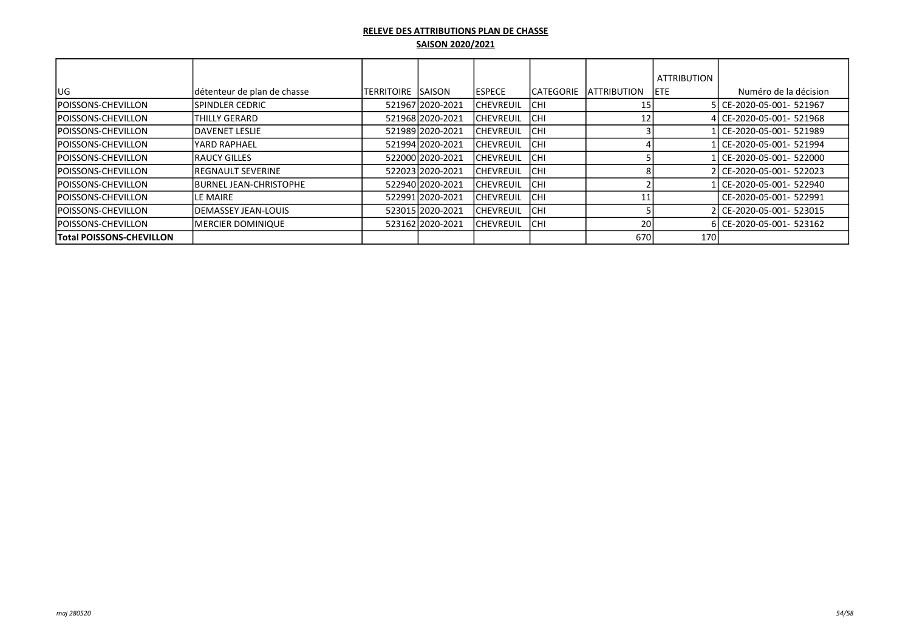|                                 |                                |                   |                  |                  |                   |                    | <b>ATTRIBUTION</b> |                           |
|---------------------------------|--------------------------------|-------------------|------------------|------------------|-------------------|--------------------|--------------------|---------------------------|
| lug                             | détenteur de plan de chasse    | <b>TERRITOIRE</b> | <b>ISAISON</b>   | <b>IESPECE</b>   | <b>ICATEGORIE</b> | <b>ATTRIBUTION</b> | <b>IETE</b>        | Numéro de la décision     |
| <b>POISSONS-CHEVILLON</b>       | <b>ISPINDLER CEDRIC</b>        |                   | 52196712020-2021 | <b>CHEVREUIL</b> | <b>ICHI</b>       |                    |                    | 5 CE-2020-05-001- 521967  |
| <b>POISSONS-CHEVILLON</b>       | THILLY GERARD                  |                   | 521968 2020-2021 | ICHEVREUIL       | ICHI              | 12                 |                    | 4 CE-2020-05-001- 521968  |
| <b>IPOISSONS-CHEVILLON</b>      | <b>IDAVENET LESLIE</b>         |                   | 521989 2020-2021 | ICHEVREUIL       | <b>ICHI</b>       |                    |                    | l CE-2020-05-001- 521989  |
| <b>POISSONS-CHEVILLON</b>       | lYARD RAPHAEL                  |                   | 521994 2020-2021 | ICHEVREUIL       | ICHI              |                    |                    | l CE-2020-05-001- 521994) |
| <b>POISSONS-CHEVILLON</b>       | <b>IRAUCY GILLES</b>           |                   | 522000 2020-2021 | <b>CHEVREUIL</b> | <b>ICHI</b>       |                    |                    | l CE-2020-05-001- 522000  |
| <b>POISSONS-CHEVILLON</b>       | <b>IREGNAULT SEVERINE</b>      |                   | 522023 2020-2021 | <b>CHEVREUIL</b> | <b>CHI</b>        |                    |                    | 2 CE-2020-05-001- 522023  |
| <b>POISSONS-CHEVILLON</b>       | <b>IBURNEL JEAN-CHRISTOPHE</b> |                   | 522940 2020-2021 | ICHEVREUIL       | <b>CHI</b>        |                    |                    | I CE-2020-05-001- 522940  |
| <b>POISSONS-CHEVILLON</b>       | <b>ILE MAIRE</b>               |                   | 522991 2020-2021 | ICHEVREUIL       | ICHI              |                    |                    | CE-2020-05-001- 522991    |
| <b>POISSONS-CHEVILLON</b>       | <b>IDEMASSEY JEAN-LOUIS</b>    |                   | 523015 2020-2021 | <b>CHEVREUIL</b> | <b>ICHI</b>       |                    |                    | 2 CE-2020-05-001- 523015  |
| <b>POISSONS-CHEVILLON</b>       | <b>IMERCIER DOMINIQUE</b>      |                   | 523162 2020-2021 | ICHEVREUIL       | <b>ICHI</b>       | 20                 |                    | 6 CE-2020-05-001- 523162  |
| <b>Total POISSONS-CHEVILLON</b> |                                |                   |                  |                  |                   | 670                | 170                |                           |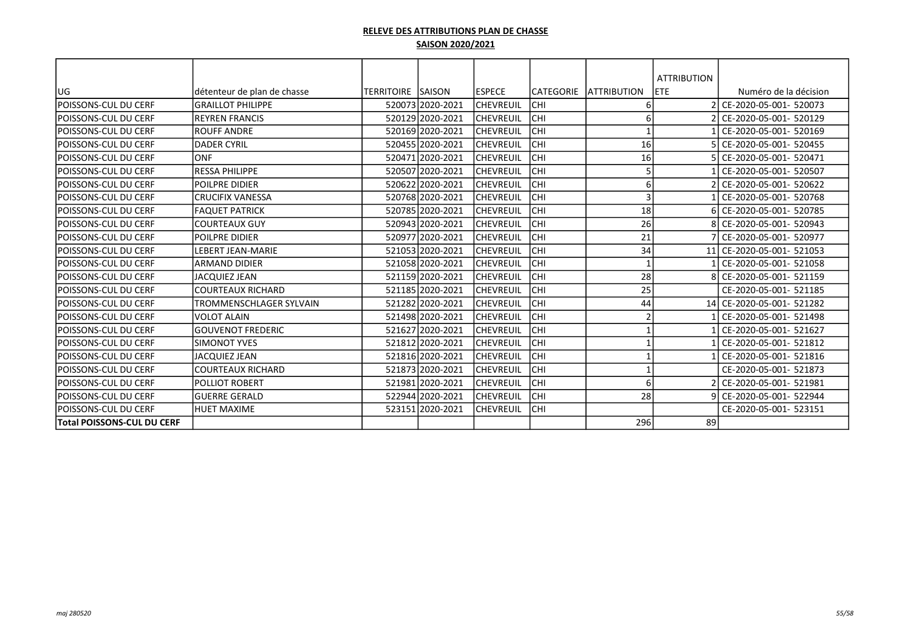|                              |                                |                    |                  |                  |            |                     | <b>ATTRIBUTION</b> |                           |
|------------------------------|--------------------------------|--------------------|------------------|------------------|------------|---------------------|--------------------|---------------------------|
| UG                           | détenteur de plan de chasse    | TERRITOIRE  SAISON |                  | lespece          | ICATEGORIE | <b>LATTRIBUTION</b> | ETE                | Numéro de la décision     |
| lpoissons-cul du cerf        | <b>GRAILLOT PHILIPPE</b>       |                    | 520073 2020-2021 | <b>CHEVREUIL</b> | <b>CHI</b> | 6                   |                    | CE-2020-05-001- 520073    |
| lpoissons-cul du cerf        | <b>REYREN FRANCIS</b>          |                    | 520129 2020-2021 | lchevreuil       | Існі       | 6                   |                    | CE-2020-05-001- 520129    |
| lpoissons-cul du cerf        | <b>ROUFF ANDRE</b>             |                    | 520169 2020-2021 | <b>CHEVREUIL</b> | Існі       |                     |                    | CE-2020-05-001- 520169    |
| <b>POISSONS-CUL DU CERF</b>  | <b>DADER CYRIL</b>             |                    | 520455 2020-2021 | lchevreuil       | Існі       | 16                  |                    | 5 CE-2020-05-001- 520455  |
| lpoissons-cul du cerf        | <b>ONF</b>                     |                    | 520471 2020-2021 | lchevreuil       | Існі       | 16                  |                    | 5 CE-2020-05-001- 520471  |
| lpoissons-cul du cerf        | <b>RESSA PHILIPPE</b>          |                    |                  |                  | Існі       | 5                   |                    | CE-2020-05-001- 520507    |
|                              |                                |                    | 520507 2020-2021 | <b>CHEVREUIL</b> |            |                     |                    |                           |
| POISSONS-CUL DU CERF         | POILPRE DIDIER                 |                    | 520622 2020-2021 | <b>CHEVREUIL</b> | Існі       | 6                   |                    | CE-2020-05-001- 520622    |
| lpoissons-cul du cerf        | <b>CRUCIFIX VANESSA</b>        |                    | 520768 2020-2021 | <b>CHEVREUIL</b> | Існі       | 3                   |                    | CE-2020-05-001- 520768    |
| lpoissons-cul du cerf        | <b>FAQUET PATRICK</b>          |                    | 520785 2020-2021 | lchevreuil       | Існі       | 18                  |                    | 6 CE-2020-05-001- 520785  |
| lpoissons-cul du cerf        | <b>COURTEAUX GUY</b>           |                    | 520943 2020-2021 | lchevreuil       | Існі       | 26                  |                    | 8 CE-2020-05-001- 520943  |
| lpoissons-cul du cerf        | POILPRE DIDIER                 |                    | 520977 2020-2021 | <b>CHEVREUIL</b> | Існі       | 21                  |                    | 7 CE-2020-05-001- 520977  |
| lpoissons-cul du cerf        | <b>LEBERT JEAN-MARIE</b>       |                    | 521053 2020-2021 | lchevreuil       | Існі       | 34                  | 11                 | CE-2020-05-001- 521053    |
| lpoissons-cul du cerf        | ARMAND DIDIER                  |                    | 52105812020-2021 | lchevreuil       | Існі       |                     |                    | l CE-2020-05-001- 521058  |
| lpoissons-cul du cerf        | JACQUIEZ JEAN                  |                    | 521159 2020-2021 | <b>CHEVREUIL</b> | lсні       | 28                  |                    | 8 CE-2020-05-001- 521159  |
| <b>POISSONS-CUL DU CERF</b>  | <b>COURTEAUX RICHARD</b>       |                    | 521185 2020-2021 | <b>CHEVREUIL</b> | CHI        | 25                  |                    | CE-2020-05-001- 521185    |
| lpoissons-cul du cerf        | <b>TROMMENSCHLAGER SYLVAIN</b> |                    | 521282 2020-2021 | <b>CHEVREUIL</b> | Існі       | 44                  |                    | 14 CE-2020-05-001- 521282 |
| lpoissons-cul du cerf        | IVOLOT ALAIN                   |                    | 521498 2020-2021 | <b>CHEVREUIL</b> | Існі       | $\overline{2}$      |                    | CE-2020-05-001- 521498    |
| <b>POISSONS-CUL DU CERF</b>  | <b>GOUVENOT FREDERIC</b>       |                    | 521627 2020-2021 | lchevreuil       | <b>CHI</b> |                     |                    | CE-2020-05-001- 521627    |
| lpoissons-cul du cerf        | <b>SIMONOT YVES</b>            |                    | 521812 2020-2021 | <b>CHEVREUIL</b> | <b>CHI</b> |                     |                    | CE-2020-05-001- 521812    |
| lpoissons-cul du cerf        | JACQUIEZ JEAN                  |                    | 521816 2020-2021 | <b>CHEVREUIL</b> | Існі       |                     |                    | CE-2020-05-001- 521816    |
| <b>IPOISSONS-CUL DU CERF</b> | <b>COURTEAUX RICHARD</b>       |                    | 521873 2020-2021 | lchevreuil       | Існі       |                     |                    | CE-2020-05-001- 521873    |
| lpoissons-cul du cerf        | <b>POLLIOT ROBERT</b>          |                    | 521981 2020-2021 | lchevreuil       | Існі       | 6                   |                    | CE-2020-05-001- 521981    |
| lpoissons-cul du cerf        | <b>GUERRE GERALD</b>           |                    | 522944 2020-2021 | <b>CHEVREUIL</b> | Існі       | 28                  |                    | 9 CE-2020-05-001- 522944  |
| lpoissons-cul du cerf        | <b>HUET MAXIME</b>             |                    | 523151 2020-2021 | lchevreuil       | Існі       |                     |                    | CE-2020-05-001- 523151    |
| Total POISSONS-CUL DU CERF   |                                |                    |                  |                  |            | 296                 | 89                 |                           |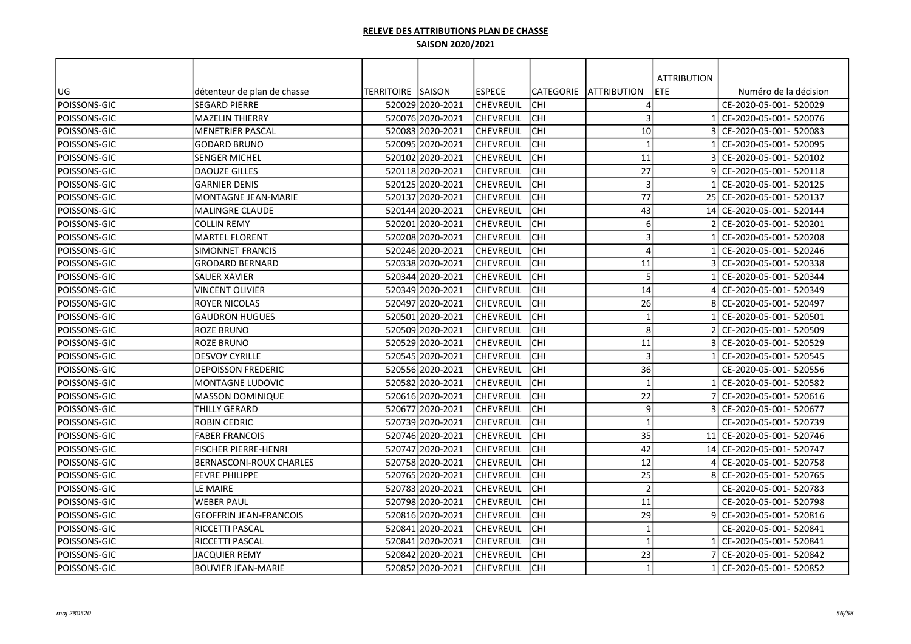|              |                                |                           |                  |                  |                  |                         | <b>ATTRIBUTION</b> |                        |
|--------------|--------------------------------|---------------------------|------------------|------------------|------------------|-------------------------|--------------------|------------------------|
| UG           | détenteur de plan de chasse    | <b>TERRITOIRE ISAISON</b> |                  | lespece          | <b>CATEGORIE</b> | <b>JATTRIBUTION</b>     | <b>ETE</b>         | Numéro de la décision  |
| POISSONS-GIC | <b>SEGARD PIERRE</b>           |                           | 520029 2020-2021 | <b>CHEVREUIL</b> | <b>CHI</b>       | Δ                       |                    | CE-2020-05-001- 520029 |
| POISSONS-GIC | <b>MAZELIN THIERRY</b>         |                           | 520076 2020-2021 | <b>CHEVREUIL</b> | CHI              | 3                       |                    | CE-2020-05-001- 520076 |
| POISSONS-GIC | <b>MENETRIER PASCAL</b>        |                           | 520083 2020-2021 | CHEVREUIL        | CHI              | 10                      |                    | CE-2020-05-001- 520083 |
| POISSONS-GIC | <b>GODARD BRUNO</b>            |                           | 520095 2020-2021 | <b>CHEVREUIL</b> | CHI              | $\mathbf{1}$            |                    | CE-2020-05-001- 520095 |
| POISSONS-GIC | SENGER MICHEL                  |                           | 520102 2020-2021 | <b>CHEVREUIL</b> | CHI              | 11                      |                    | CE-2020-05-001- 520102 |
| POISSONS-GIC | <b>DAOUZE GILLES</b>           |                           | 520118 2020-2021 | CHEVREUIL        | CHI              | 27                      |                    | CE-2020-05-001- 520118 |
| POISSONS-GIC | <b>GARNIER DENIS</b>           |                           | 520125 2020-2021 | <b>CHEVREUIL</b> | CHI              | $\overline{\mathbf{3}}$ |                    | CE-2020-05-001- 520125 |
| POISSONS-GIC | MONTAGNE JEAN-MARIE            |                           | 520137 2020-2021 | CHEVREUIL        | CHI              | 77                      | 25                 | CE-2020-05-001- 520137 |
| POISSONS-GIC | <b>MALINGRE CLAUDE</b>         |                           | 520144 2020-2021 | <b>CHEVREUIL</b> | lсні             | 43                      | 14                 | CE-2020-05-001- 520144 |
| POISSONS-GIC | COLLIN REMY                    |                           | 520201 2020-2021 | lchevreuil       | CHI              | 6                       |                    | CE-2020-05-001- 520201 |
| POISSONS-GIC | <b>MARTEL FLORENT</b>          |                           | 520208 2020-2021 | <b>CHEVREUIL</b> | <b>CHI</b>       | 3                       |                    | CE-2020-05-001- 520208 |
| POISSONS-GIC | SIMONNET FRANCIS               |                           | 520246 2020-2021 | <b>CHEVREUIL</b> | CHI              | $\Delta$                |                    | CE-2020-05-001- 520246 |
| POISSONS-GIC | <b>GRODARD BERNARD</b>         |                           | 520338 2020-2021 | <b>CHEVREUIL</b> | CHI              | 11                      |                    | CE-2020-05-001- 520338 |
| POISSONS-GIC | SAUER XAVIER                   |                           | 520344 2020-2021 | CHEVREUIL        | CHI              | 5                       |                    | CE-2020-05-001- 520344 |
| POISSONS-GIC | <b>VINCENT OLIVIER</b>         |                           | 520349 2020-2021 | CHEVREUIL        | CHI              | 14                      |                    | CE-2020-05-001- 520349 |
| POISSONS-GIC | ROYER NICOLAS                  |                           | 520497 2020-2021 | <b>CHEVREUIL</b> | CHI              | 26                      |                    | CE-2020-05-001- 520497 |
| POISSONS-GIC | <b>GAUDRON HUGUES</b>          |                           | 520501l2020-2021 | lchevreuil       | CHI              | $\overline{\mathbf{1}}$ |                    | CE-2020-05-001- 520501 |
| POISSONS-GIC | ROZE BRUNO                     |                           | 520509 2020-2021 | CHEVREUIL        | CHI              | 8                       |                    | CE-2020-05-001- 520509 |
| POISSONS-GIC | ROZE BRUNO                     |                           | 520529 2020-2021 | CHEVREUIL        | CHI              | 11                      |                    | CE-2020-05-001- 520529 |
| POISSONS-GIC | <b>DESVOY CYRILLE</b>          |                           | 520545 2020-2021 | CHEVREUIL        | CHI              | $\overline{\mathbf{3}}$ |                    | CE-2020-05-001- 520545 |
| POISSONS-GIC | <b>DEPOISSON FREDERIC</b>      |                           | 52055612020-2021 | lchevreuil       | CHI              | 36                      |                    | CE-2020-05-001- 520556 |
| POISSONS-GIC | <b>MONTAGNE LUDOVIC</b>        |                           | 520582 2020-2021 | <b>CHEVREUIL</b> | CHI              | $\overline{1}$          |                    | CE-2020-05-001- 520582 |
| POISSONS-GIC | <b>MASSON DOMINIQUE</b>        |                           | 520616 2020-2021 | lchevreuil       | lсні             | 22                      |                    | CE-2020-05-001- 520616 |
| POISSONS-GIC | THILLY GERARD                  |                           | 520677 2020-2021 | <b>CHEVREUIL</b> | CHI              | 9                       |                    | CE-2020-05-001- 520677 |
| POISSONS-GIC | ROBIN CEDRIC                   |                           | 520739 2020-2021 | CHEVREUIL        | CHI              | $\overline{1}$          |                    | CE-2020-05-001- 520739 |
| POISSONS-GIC | <b>FABER FRANCOIS</b>          |                           | 520746 2020-2021 | CHEVREUIL        | CHI              | 35                      | 11                 | CE-2020-05-001- 520746 |
| POISSONS-GIC | <b>FISCHER PIERRE-HENRI</b>    |                           | 520747 2020-2021 | <b>CHEVREUIL</b> | CHI              | 42                      | 14                 | CE-2020-05-001- 520747 |
| POISSONS-GIC | <b>BERNASCONI-ROUX CHARLES</b> |                           | 52075812020-2021 | CHEVREUIL        | CHI              | 12                      |                    | CE-2020-05-001- 520758 |
| POISSONS-GIC | <b>FEVRE PHILIPPE</b>          |                           | 520765 2020-2021 | CHEVREUIL        | CHI              | 25                      |                    | CE-2020-05-001- 520765 |
| POISSONS-GIC | LE MAIRE                       |                           | 520783 2020-2021 | CHEVREUIL        | CHI              | $\overline{2}$          |                    | CE-2020-05-001- 520783 |
| POISSONS-GIC | <b>WEBER PAUL</b>              |                           | 520798 2020-2021 | CHEVREUIL        | lсні             | 11                      |                    | CE-2020-05-001- 520798 |
| POISSONS-GIC | <b>GEOFFRIN JEAN-FRANCOIS</b>  |                           | 520816 2020-2021 | <b>CHEVREUIL</b> | lсні             | 29                      |                    | CE-2020-05-001- 520816 |
| POISSONS-GIC | RICCETTI PASCAL                |                           | 520841 2020-2021 | CHEVREUIL        | CHI              | $\mathbf{1}$            |                    | CE-2020-05-001- 520841 |
| POISSONS-GIC | RICCETTI PASCAL                |                           | 520841 2020-2021 | <b>CHEVREUIL</b> | <b>CHI</b>       | $\overline{\mathbf{1}}$ |                    | CE-2020-05-001- 520841 |
| POISSONS-GIC | JACQUIER REMY                  |                           | 520842 2020-2021 | CHEVREUIL        | CHI              | 23                      |                    | CE-2020-05-001- 520842 |
| POISSONS-GIC | <b>BOUVIER JEAN-MARIE</b>      |                           | 520852 2020-2021 | <b>CHEVREUIL</b> | <b>CHI</b>       | $\mathbf{1}$            |                    | CE-2020-05-001- 520852 |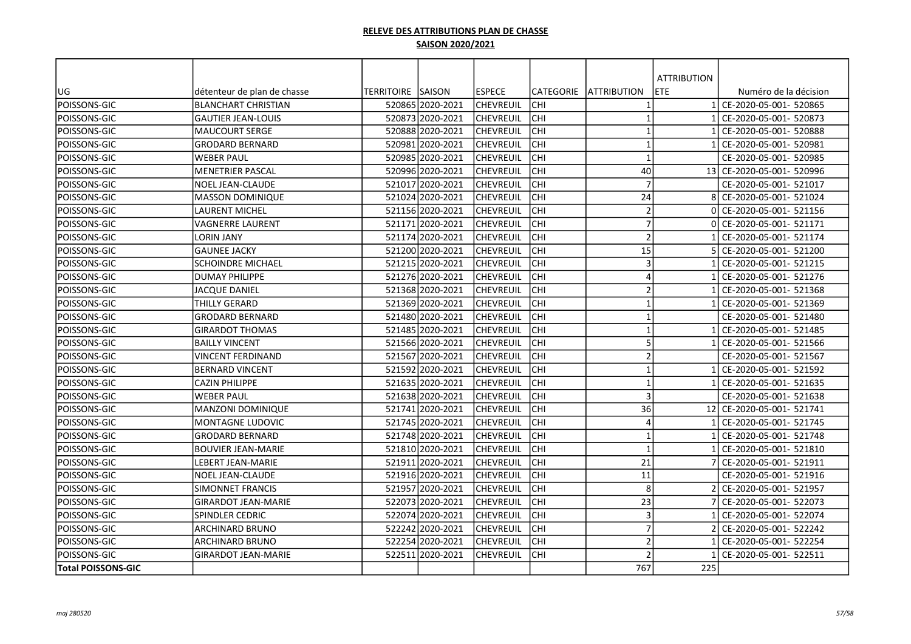|                           |                             |                    |                  |                  |                  |                     | <b>ATTRIBUTION</b> |                           |
|---------------------------|-----------------------------|--------------------|------------------|------------------|------------------|---------------------|--------------------|---------------------------|
| UG                        | détenteur de plan de chasse | TERRITOIRE  SAISON |                  | <b>IESPECE</b>   | <b>CATEGORIE</b> | <b>JATTRIBUTION</b> | ETE                | Numéro de la décision     |
| POISSONS-GIC              | <b>BLANCHART CHRISTIAN</b>  |                    | 52086512020-2021 | lchevreuil       | <b>CHI</b>       | $\mathbf 1$         |                    | CE-2020-05-001- 520865    |
| POISSONS-GIC              | <b>GAUTIER JEAN-LOUIS</b>   |                    | 520873 2020-2021 | lchevreuil       | CHI              | $\mathbf{1}$        |                    | CE-2020-05-001- 520873    |
| POISSONS-GIC              | <b>MAUCOURT SERGE</b>       |                    | 520888 2020-2021 | <b>CHEVREUIL</b> | CHI              | $\mathbf{1}$        |                    | CE-2020-05-001- 520888    |
| POISSONS-GIC              | <b>GRODARD BERNARD</b>      |                    | 520981 2020-2021 | <b>CHEVREUIL</b> | CHI              | $\mathbf 1$         |                    | CE-2020-05-001- 520981    |
| POISSONS-GIC              | <b>WEBER PAUL</b>           |                    | 52098512020-2021 | CHEVREUIL        | CHI              | $\mathbf{1}$        |                    | CE-2020-05-001- 520985    |
| POISSONS-GIC              | MENETRIER PASCAL            |                    | 52099612020-2021 | CHEVREUIL        | CHI              | 40                  |                    | 13 CE-2020-05-001- 520996 |
| POISSONS-GIC              | NOEL JEAN-CLAUDE            |                    | 521017 2020-2021 | CHEVREUIL        | CHI              | $\overline{7}$      |                    | CE-2020-05-001- 521017    |
| POISSONS-GIC              | <b>MASSON DOMINIQUE</b>     |                    | 521024 2020-2021 | CHEVREUIL        | CHI              | 24                  |                    | CE-2020-05-001- 521024    |
| POISSONS-GIC              | LAURENT MICHEL              |                    | 521156 2020-2021 | CHEVREUIL        | CHI              | $\overline{2}$      |                    | CE-2020-05-001- 521156    |
| POISSONS-GIC              | VAGNERRE LAURENT            |                    | 521171 2020-2021 | <b>CHEVREUIL</b> | CHI              | $\overline{7}$      |                    | CE-2020-05-001- 521171    |
| POISSONS-GIC              | LORIN JANY                  |                    | 521174 2020-2021 | ICHEVREUIL       | <b>CHI</b>       | $\overline{2}$      |                    | CE-2020-05-001- 521174    |
| POISSONS-GIC              | <b>GAUNEE JACKY</b>         |                    | 521200 2020-2021 | CHEVREUIL        | <b>CHI</b>       | 15                  |                    | CE-2020-05-001- 521200    |
| POISSONS-GIC              | <b>SCHOINDRE MICHAEL</b>    |                    | 521215 2020-2021 | CHEVREUIL        | CHI              | $\overline{3}$      |                    | CE-2020-05-001- 521215    |
| POISSONS-GIC              | <b>DUMAY PHILIPPE</b>       |                    | 52127612020-2021 | lchevreuil       | CHI              | 4                   |                    | CE-2020-05-001- 521276    |
| POISSONS-GIC              | JACQUE DANIEL               |                    | 521368 2020-2021 | lchevreuil       | CHI              | $\overline{2}$      |                    | CE-2020-05-001- 521368    |
| POISSONS-GIC              | THILLY GERARD               |                    | 521369 2020-2021 | lchevreuil       | CHI              | $\mathbf{1}$        |                    | CE-2020-05-001- 521369    |
| POISSONS-GIC              | <b>GRODARD BERNARD</b>      |                    | 521480 2020-2021 | ICHEVREUIL       | CHI              | $\mathbf{1}$        |                    | CE-2020-05-001- 521480    |
| POISSONS-GIC              | <b>GIRARDOT THOMAS</b>      |                    | 52148512020-2021 | lchevreuil       | CHI              | $\mathbf{1}$        |                    | CE-2020-05-001- 521485    |
| POISSONS-GIC              | <b>BAILLY VINCENT</b>       |                    | 521566 2020-2021 | CHEVREUIL        | CHI              | 5                   |                    | CE-2020-05-001- 521566    |
| POISSONS-GIC              | VINCENT FERDINAND           |                    | 521567 2020-2021 | <b>CHEVREUIL</b> | CHI              | $\overline{2}$      |                    | CE-2020-05-001- 521567    |
| POISSONS-GIC              | <b>BERNARD VINCENT</b>      |                    | 521592 2020-2021 | CHEVREUIL        | CHI              | $\mathbf{1}$        |                    | CE-2020-05-001- 521592    |
| POISSONS-GIC              | <b>CAZIN PHILIPPE</b>       |                    | 521635 2020-2021 | <b>CHEVREUIL</b> | CHI              | $\mathbf{1}$        |                    | CE-2020-05-001- 521635    |
| POISSONS-GIC              | WEBER PAUL                  |                    | 521638 2020-2021 | CHEVREUIL        | CHI              | $\mathbf{3}$        |                    | CE-2020-05-001- 521638    |
| POISSONS-GIC              | <b>MANZONI DOMINIQUE</b>    |                    | 521741 2020-2021 | CHEVREUIL        | CHI              | 36                  |                    | 12 CE-2020-05-001- 521741 |
| POISSONS-GIC              | <b>MONTAGNE LUDOVIC</b>     |                    | 52174512020-2021 | lchevreuil       | CHI              | $\overline{A}$      |                    | CE-2020-05-001- 521745    |
| POISSONS-GIC              | <b>GRODARD BERNARD</b>      |                    | 521748 2020-2021 | <b>CHEVREUIL</b> | CHI              | $\overline{1}$      |                    | CE-2020-05-001- 521748    |
| POISSONS-GIC              | <b>BOUVIER JEAN-MARIE</b>   |                    | 521810 2020-2021 | <b>CHEVREUIL</b> | CHI              | $\mathbf{1}$        |                    | CE-2020-05-001- 521810    |
| <b>POISSONS-GIC</b>       | <b>LEBERT JEAN-MARIE</b>    |                    | 521911 2020-2021 | lchevreuil       | <b>CHI</b>       | 21                  |                    | CE-2020-05-001- 521911    |
| POISSONS-GIC              | <b>NOEL JEAN-CLAUDE</b>     |                    | 521916 2020-2021 | CHEVREUIL        | CHI              | 11                  |                    | CE-2020-05-001- 521916    |
| POISSONS-GIC              | <b>SIMONNET FRANCIS</b>     |                    | 521957 2020-2021 | CHEVREUIL        | CHI              | 8                   |                    | CE-2020-05-001- 521957    |
| POISSONS-GIC              | <b>GIRARDOT JEAN-MARIE</b>  |                    | 522073 2020-2021 | CHEVREUIL        | lсні             | 23                  |                    | CE-2020-05-001- 522073    |
| POISSONS-GIC              | SPINDLER CEDRIC             |                    | 522074 2020-2021 | <b>CHEVREUIL</b> | lсні             | $\mathbf{3}$        |                    | CE-2020-05-001- 522074    |
| POISSONS-GIC              | ARCHINARD BRUNO             |                    | 522242 2020-2021 | <b>CHEVREUIL</b> | <b>CHI</b>       | $\overline{7}$      |                    | CE-2020-05-001- 522242    |
| POISSONS-GIC              | ARCHINARD BRUNO             |                    | 522254 2020-2021 | <b>CHEVREUIL</b> | <b>CHI</b>       | $\overline{2}$      |                    | CE-2020-05-001- 522254    |
| POISSONS-GIC              | GIRARDOT JEAN-MARIE         |                    | 522511 2020-2021 | CHEVREUIL        | <b>CHI</b>       | $\mathcal{I}$       |                    | CE-2020-05-001- 522511    |
| <b>Total POISSONS-GIC</b> |                             |                    |                  |                  |                  | 767                 | 225                |                           |